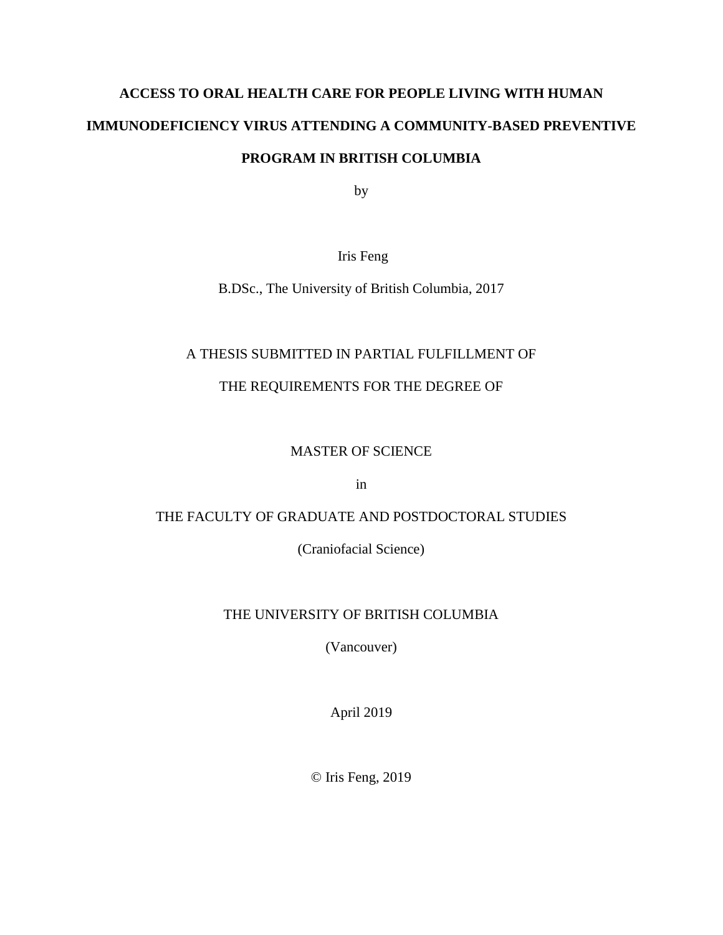# **ACCESS TO ORAL HEALTH CARE FOR PEOPLE LIVING WITH HUMAN IMMUNODEFICIENCY VIRUS ATTENDING A COMMUNITY-BASED PREVENTIVE PROGRAM IN BRITISH COLUMBIA**

by

## Iris Feng

B.DSc., The University of British Columbia, 2017

## A THESIS SUBMITTED IN PARTIAL FULFILLMENT OF

## THE REQUIREMENTS FOR THE DEGREE OF

## MASTER OF SCIENCE

in

## THE FACULTY OF GRADUATE AND POSTDOCTORAL STUDIES

(Craniofacial Science)

## THE UNIVERSITY OF BRITISH COLUMBIA

(Vancouver)

April 2019

© Iris Feng, 2019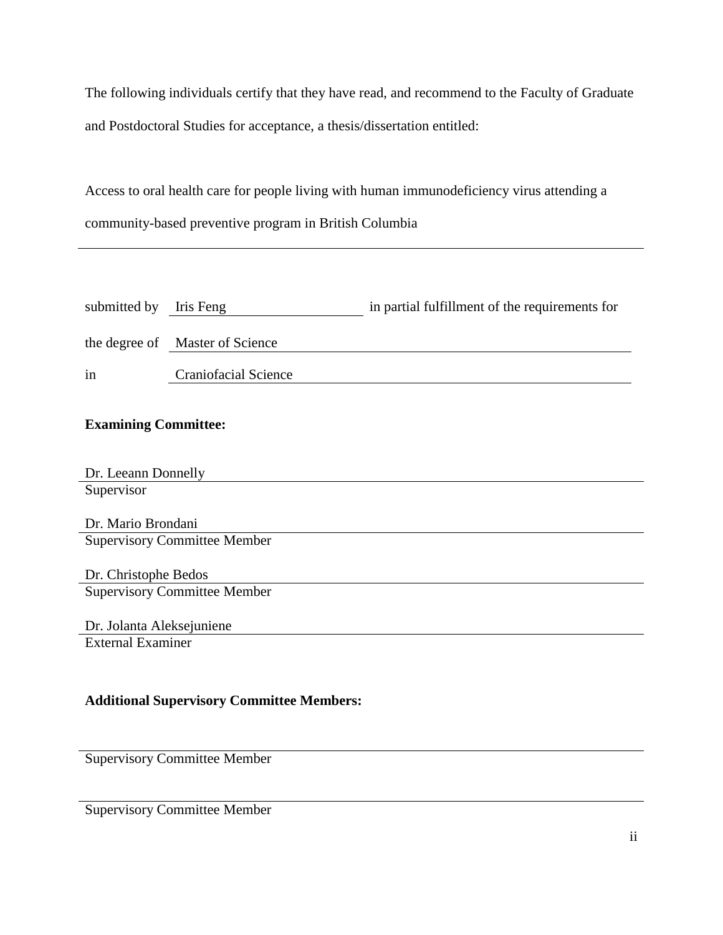The following individuals certify that they have read, and recommend to the Faculty of Graduate and Postdoctoral Studies for acceptance, a thesis/dissertation entitled:

Access to oral health care for people living with human immunodeficiency virus attending a community-based preventive program in British Columbia

| submitted by Iris Feng |                                 | in partial fulfillment of the requirements for |
|------------------------|---------------------------------|------------------------------------------------|
|                        | the degree of Master of Science |                                                |
| in                     | <b>Craniofacial Science</b>     |                                                |

## **Examining Committee:**

| Dr. Leeann Donnelly |
|---------------------|
| Supervisor          |

Dr. Mario Brondani Supervisory Committee Member

Dr. Christophe Bedos Supervisory Committee Member

Dr. Jolanta Aleksejuniene External Examiner

## **Additional Supervisory Committee Members:**

Supervisory Committee Member

Supervisory Committee Member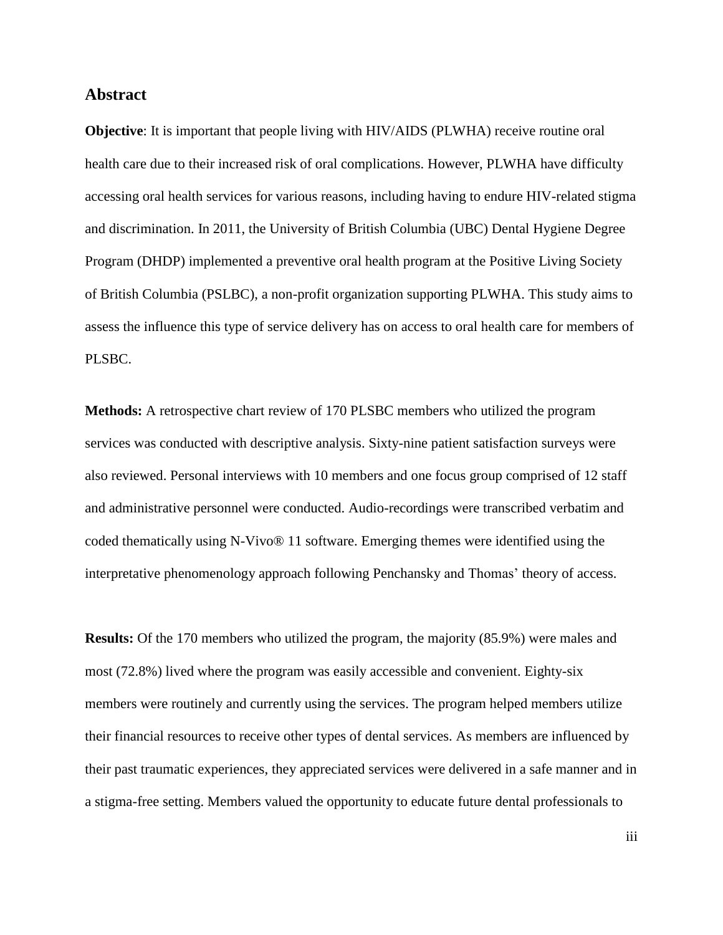#### **Abstract**

**Objective**: It is important that people living with HIV/AIDS (PLWHA) receive routine oral health care due to their increased risk of oral complications. However, PLWHA have difficulty accessing oral health services for various reasons, including having to endure HIV-related stigma and discrimination. In 2011, the University of British Columbia (UBC) Dental Hygiene Degree Program (DHDP) implemented a preventive oral health program at the Positive Living Society of British Columbia (PSLBC), a non-profit organization supporting PLWHA. This study aims to assess the influence this type of service delivery has on access to oral health care for members of PLSBC.

**Methods:** A retrospective chart review of 170 PLSBC members who utilized the program services was conducted with descriptive analysis. Sixty-nine patient satisfaction surveys were also reviewed. Personal interviews with 10 members and one focus group comprised of 12 staff and administrative personnel were conducted. Audio-recordings were transcribed verbatim and coded thematically using N-Vivo® 11 software. Emerging themes were identified using the interpretative phenomenology approach following Penchansky and Thomas' theory of access.

**Results:** Of the 170 members who utilized the program, the majority (85.9%) were males and most (72.8%) lived where the program was easily accessible and convenient. Eighty-six members were routinely and currently using the services. The program helped members utilize their financial resources to receive other types of dental services. As members are influenced by their past traumatic experiences, they appreciated services were delivered in a safe manner and in a stigma-free setting. Members valued the opportunity to educate future dental professionals to

iii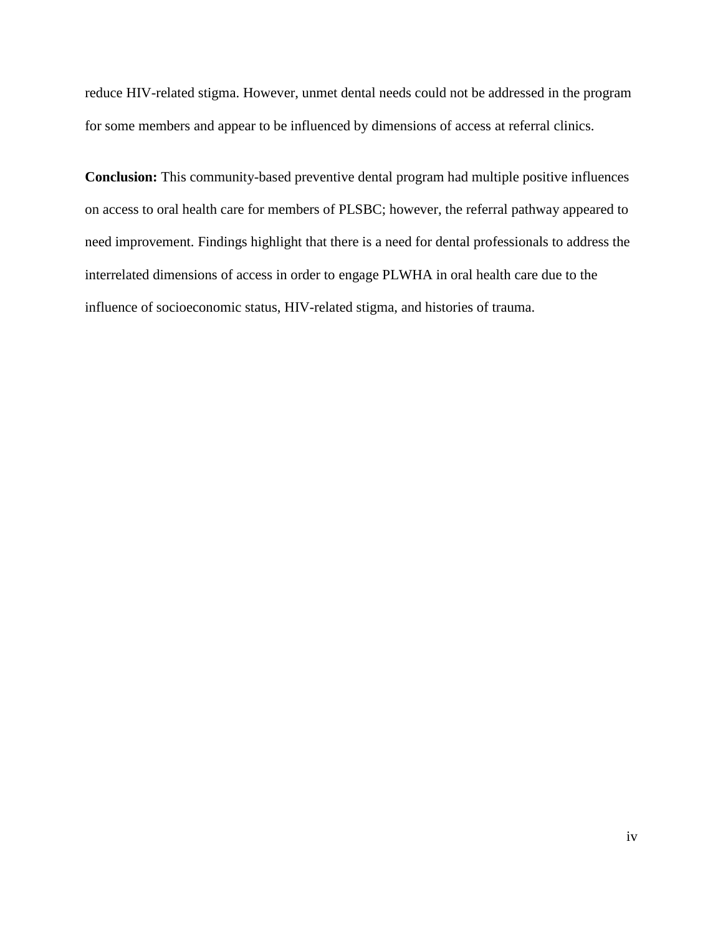reduce HIV-related stigma. However, unmet dental needs could not be addressed in the program for some members and appear to be influenced by dimensions of access at referral clinics.

**Conclusion:** This community-based preventive dental program had multiple positive influences on access to oral health care for members of PLSBC; however, the referral pathway appeared to need improvement. Findings highlight that there is a need for dental professionals to address the interrelated dimensions of access in order to engage PLWHA in oral health care due to the influence of socioeconomic status, HIV-related stigma, and histories of trauma.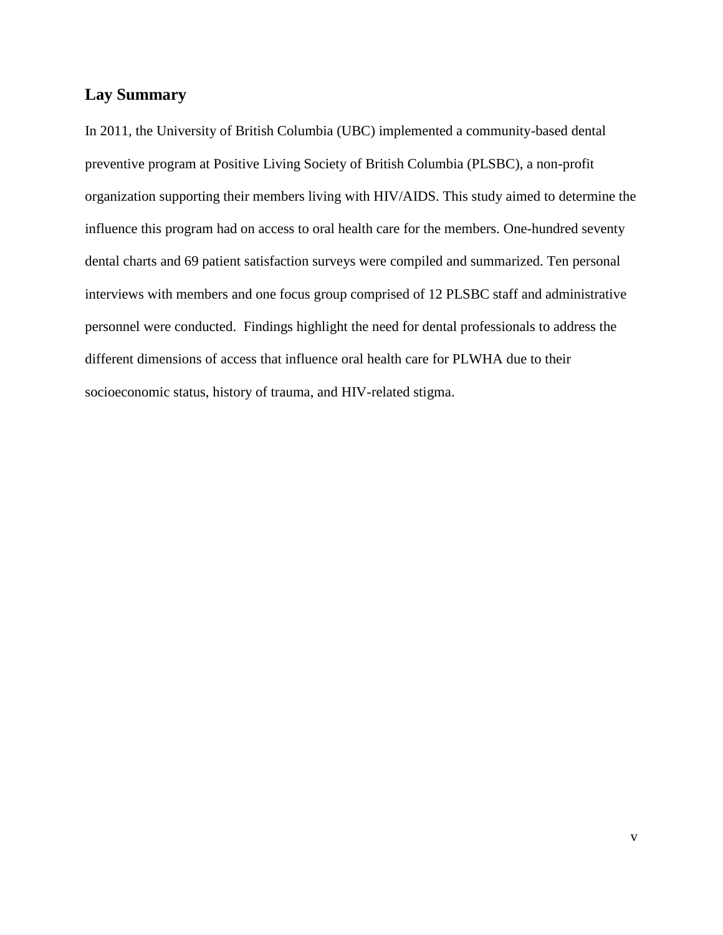## **Lay Summary**

In 2011, the University of British Columbia (UBC) implemented a community-based dental preventive program at Positive Living Society of British Columbia (PLSBC), a non-profit organization supporting their members living with HIV/AIDS. This study aimed to determine the influence this program had on access to oral health care for the members. One-hundred seventy dental charts and 69 patient satisfaction surveys were compiled and summarized. Ten personal interviews with members and one focus group comprised of 12 PLSBC staff and administrative personnel were conducted. Findings highlight the need for dental professionals to address the different dimensions of access that influence oral health care for PLWHA due to their socioeconomic status, history of trauma, and HIV-related stigma.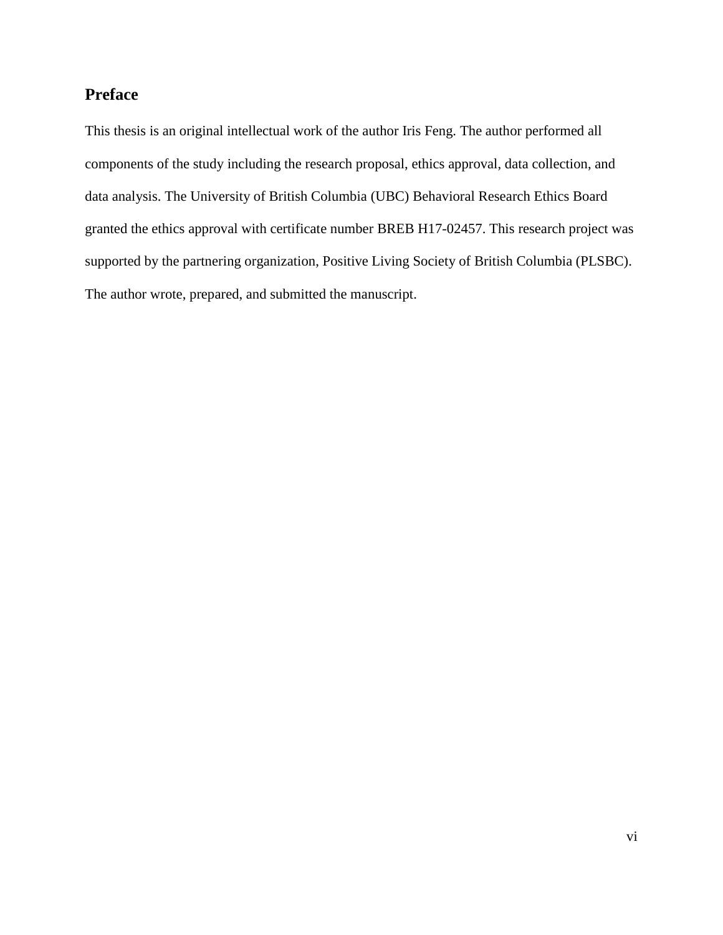## **Preface**

This thesis is an original intellectual work of the author Iris Feng. The author performed all components of the study including the research proposal, ethics approval, data collection, and data analysis. The University of British Columbia (UBC) Behavioral Research Ethics Board granted the ethics approval with certificate number BREB H17-02457. This research project was supported by the partnering organization, Positive Living Society of British Columbia (PLSBC). The author wrote, prepared, and submitted the manuscript.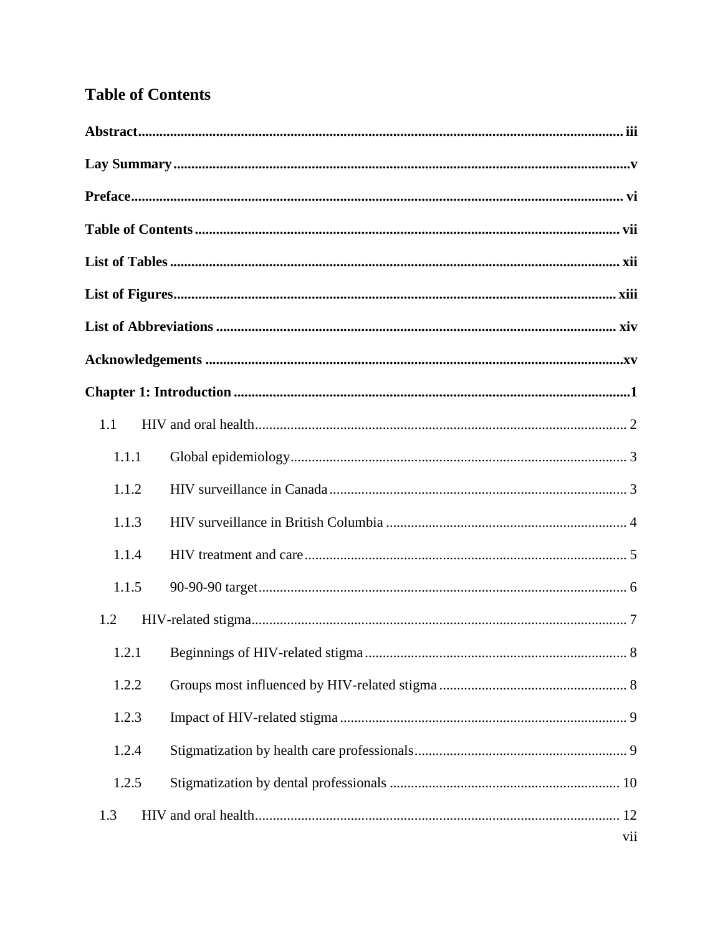## **Table of Contents**

| 1.1   |     |
|-------|-----|
| 1.1.1 |     |
| 1.1.2 |     |
| 1.1.3 |     |
| 1.1.4 |     |
| 1.1.5 |     |
| 1.2   |     |
|       |     |
| 1.2.2 |     |
| 1.2.3 |     |
| 1.2.4 |     |
| 1.2.5 |     |
| 1.3   |     |
|       | vii |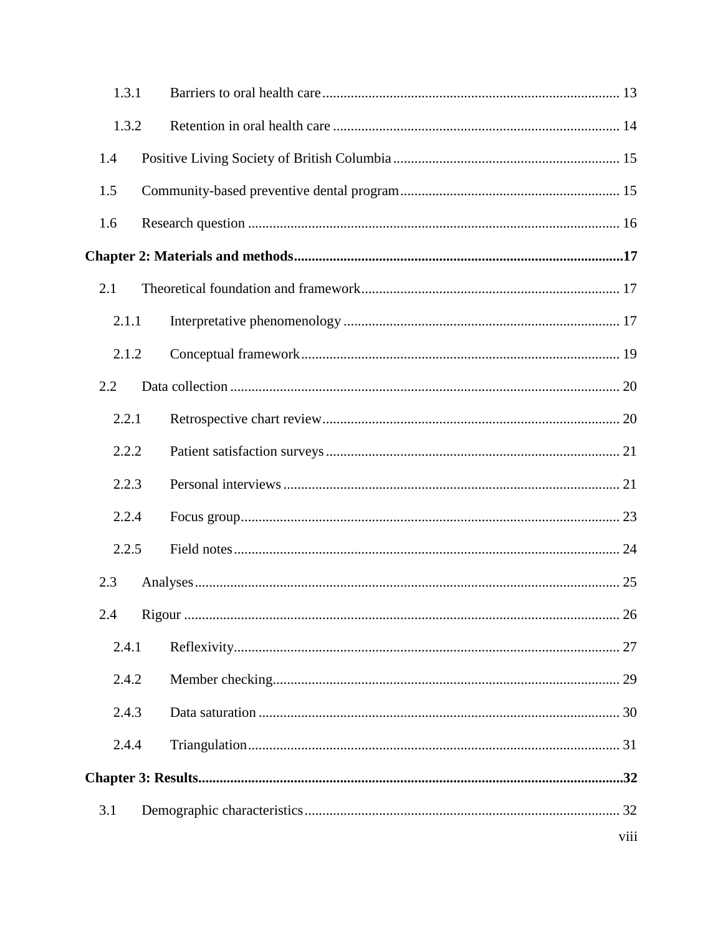| 1.3.1 |      |
|-------|------|
| 1.3.2 |      |
| 1.4   |      |
| 1.5   |      |
| 1.6   |      |
|       |      |
| 2.1   |      |
| 2.1.1 |      |
| 2.1.2 |      |
| 2.2   |      |
| 2.2.1 |      |
| 2.2.2 |      |
| 2.2.3 |      |
| 2.2.4 |      |
| 2.2.5 |      |
| 2.3   |      |
|       |      |
| 2.4.1 |      |
| 2.4.2 |      |
| 2.4.3 |      |
| 2.4.4 |      |
|       |      |
| 3.1   |      |
|       | viii |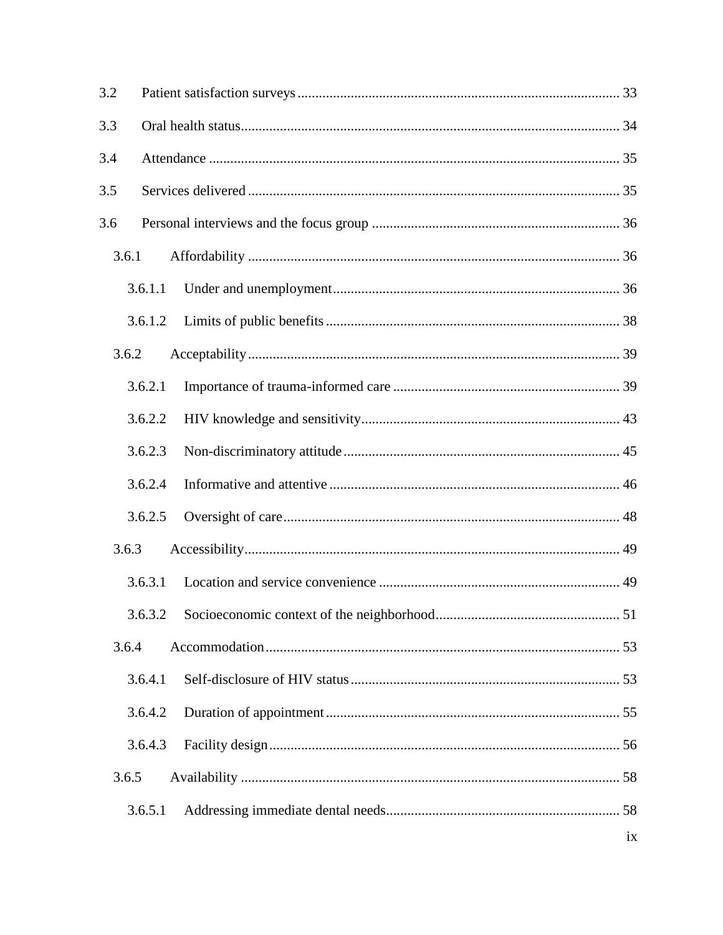| 3.2   |         |                 |
|-------|---------|-----------------|
| 3.3   |         |                 |
| 3.4   |         |                 |
| 3.5   |         |                 |
| 3.6   |         |                 |
| 3.6.1 |         |                 |
|       | 3.6.1.1 |                 |
|       | 3.6.1.2 |                 |
| 3.6.2 |         |                 |
|       | 3.6.2.1 |                 |
|       | 3.6.2.2 |                 |
|       | 3.6.2.3 |                 |
|       | 3.6.2.4 |                 |
|       | 3.6.2.5 |                 |
| 3.6.3 |         |                 |
|       | 3.6.3.1 |                 |
|       |         |                 |
| 3.6.4 |         |                 |
|       | 3.6.4.1 |                 |
|       | 3.6.4.2 |                 |
|       | 3.6.4.3 |                 |
| 3.6.5 |         |                 |
|       | 3.6.5.1 |                 |
|       |         | $\overline{1}X$ |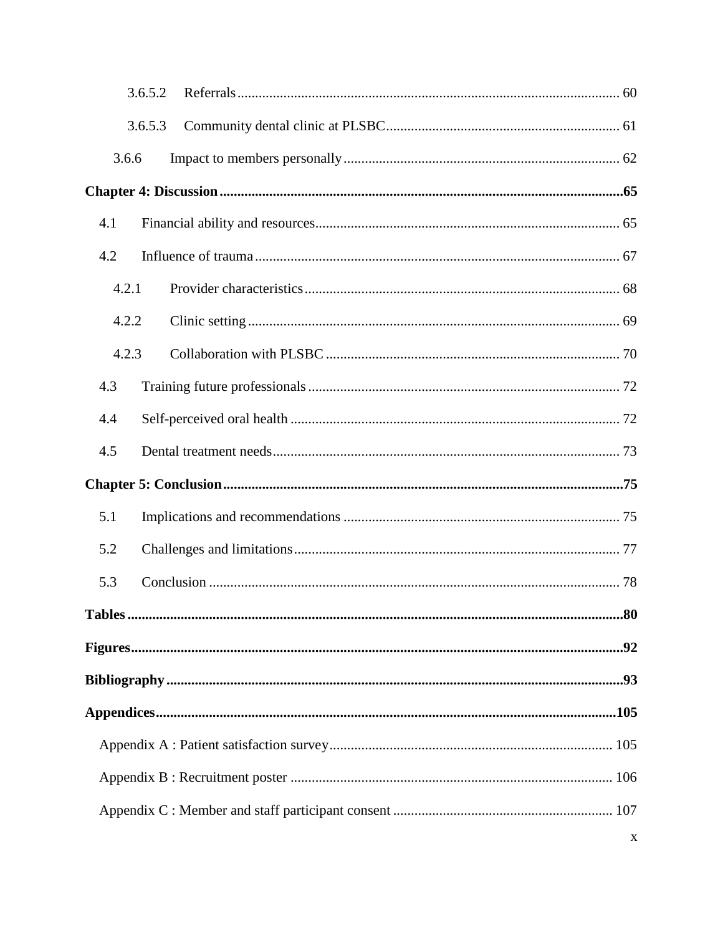|                             | 3.6.5.2 |  |
|-----------------------------|---------|--|
|                             | 3.6.5.3 |  |
| 3.6.6                       |         |  |
|                             |         |  |
| 4.1                         |         |  |
| 4.2                         |         |  |
| 4.2.1                       |         |  |
| 4.2.2                       |         |  |
| 4.2.3                       |         |  |
| 4.3                         |         |  |
| 4.4                         |         |  |
| 4.5                         |         |  |
|                             |         |  |
|                             |         |  |
| 5.1                         |         |  |
| 5.2                         |         |  |
| 5.3                         |         |  |
| $\mathbf{r}$ , $\mathbf{r}$ |         |  |
|                             |         |  |
|                             |         |  |
|                             |         |  |
|                             |         |  |
|                             |         |  |
|                             |         |  |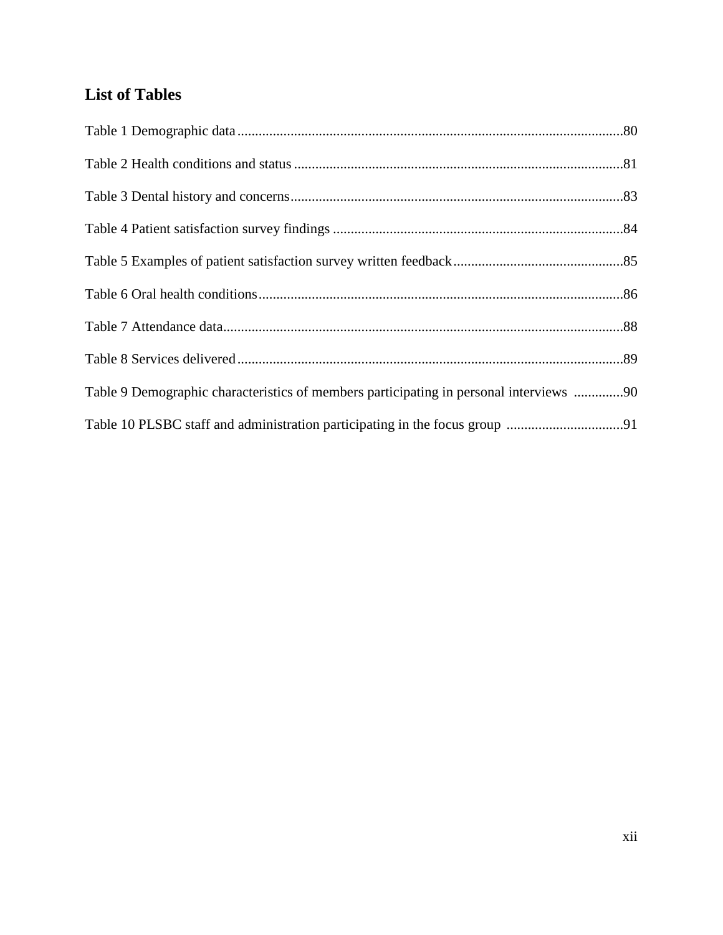## **List of Tables**

| Table 9 Demographic characteristics of members participating in personal interviews 90 |  |
|----------------------------------------------------------------------------------------|--|
|                                                                                        |  |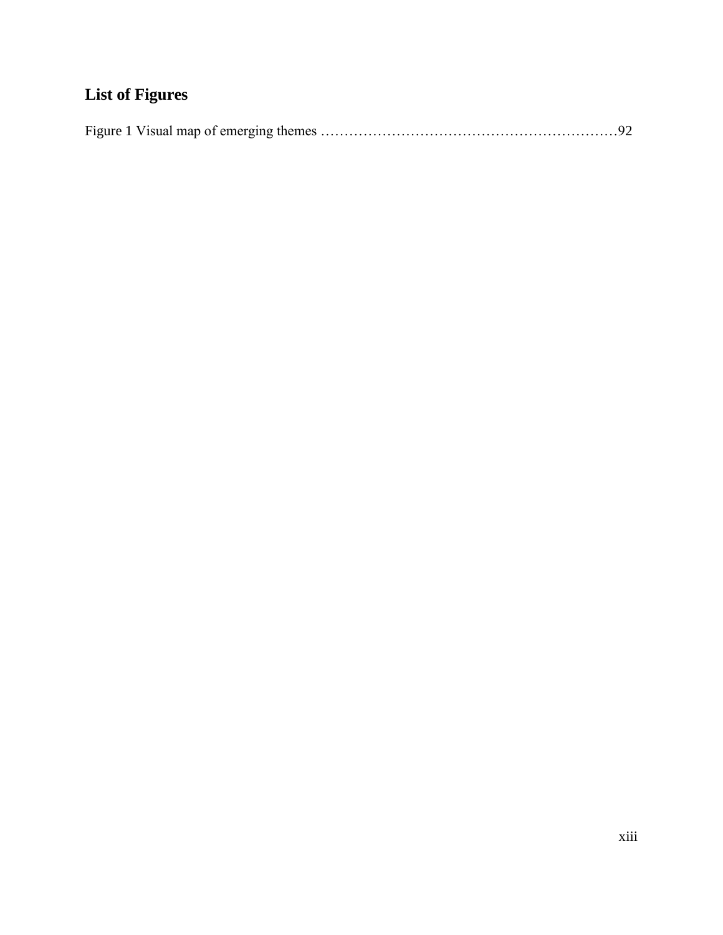## **List of Figures**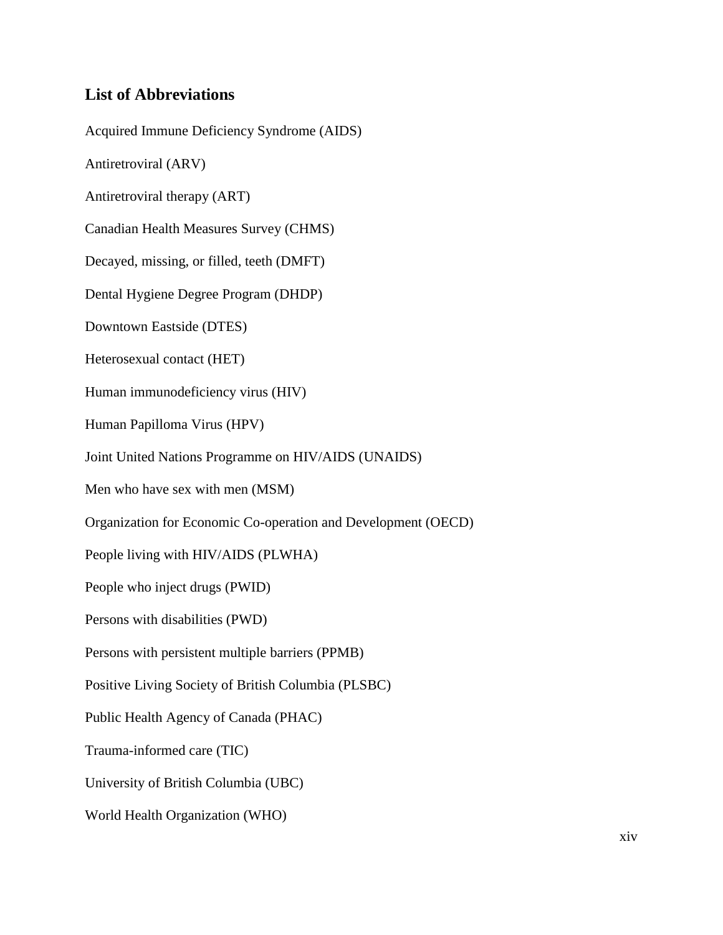## **List of Abbreviations**

Acquired Immune Deficiency Syndrome (AIDS) Antiretroviral (ARV) Antiretroviral therapy (ART) Canadian Health Measures Survey (CHMS) Decayed, missing, or filled, teeth (DMFT) Dental Hygiene Degree Program (DHDP) Downtown Eastside (DTES) Heterosexual contact (HET) Human immunodeficiency virus (HIV) Human Papilloma Virus (HPV) Joint United Nations Programme on HIV/AIDS (UNAIDS) Men who have sex with men (MSM) Organization for Economic Co-operation and Development (OECD) People living with HIV/AIDS (PLWHA) People who inject drugs (PWID) Persons with disabilities (PWD) Persons with persistent multiple barriers (PPMB) Positive Living Society of British Columbia (PLSBC) Public Health Agency of Canada (PHAC) Trauma-informed care (TIC) University of British Columbia (UBC) World Health Organization (WHO)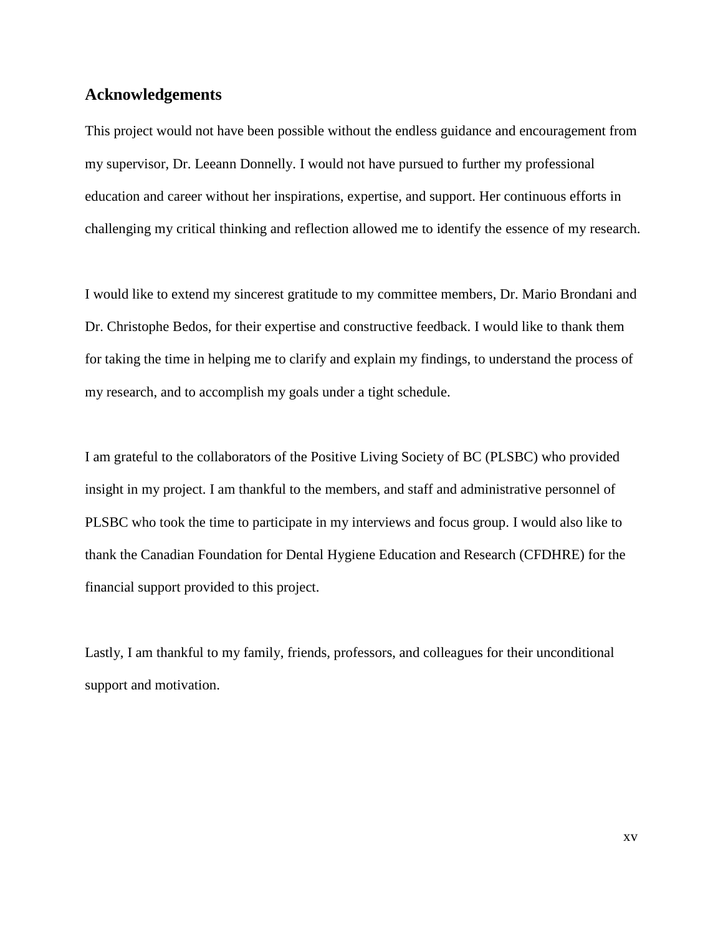## **Acknowledgements**

This project would not have been possible without the endless guidance and encouragement from my supervisor, Dr. Leeann Donnelly. I would not have pursued to further my professional education and career without her inspirations, expertise, and support. Her continuous efforts in challenging my critical thinking and reflection allowed me to identify the essence of my research.

I would like to extend my sincerest gratitude to my committee members, Dr. Mario Brondani and Dr. Christophe Bedos, for their expertise and constructive feedback. I would like to thank them for taking the time in helping me to clarify and explain my findings, to understand the process of my research, and to accomplish my goals under a tight schedule.

I am grateful to the collaborators of the Positive Living Society of BC (PLSBC) who provided insight in my project. I am thankful to the members, and staff and administrative personnel of PLSBC who took the time to participate in my interviews and focus group. I would also like to thank the Canadian Foundation for Dental Hygiene Education and Research (CFDHRE) for the financial support provided to this project.

Lastly, I am thankful to my family, friends, professors, and colleagues for their unconditional support and motivation.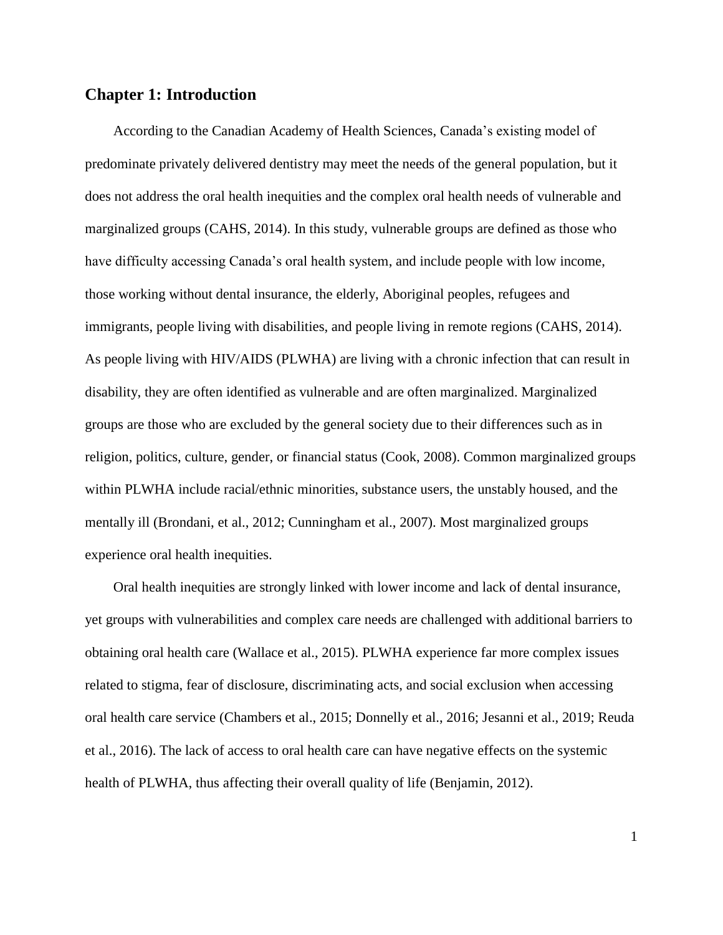## **Chapter 1: Introduction**

According to the Canadian Academy of Health Sciences, Canada's existing model of predominate privately delivered dentistry may meet the needs of the general population, but it does not address the oral health inequities and the complex oral health needs of vulnerable and marginalized groups (CAHS, 2014). In this study, vulnerable groups are defined as those who have difficulty accessing Canada's oral health system, and include people with low income, those working without dental insurance, the elderly, Aboriginal peoples, refugees and immigrants, people living with disabilities, and people living in remote regions (CAHS, 2014). As people living with HIV/AIDS (PLWHA) are living with a chronic infection that can result in disability, they are often identified as vulnerable and are often marginalized. Marginalized groups are those who are excluded by the general society due to their differences such as in religion, politics, culture, gender, or financial status (Cook, 2008). Common marginalized groups within PLWHA include racial/ethnic minorities, substance users, the unstably housed, and the mentally ill (Brondani, et al., 2012; Cunningham et al., 2007). Most marginalized groups experience oral health inequities.

Oral health inequities are strongly linked with lower income and lack of dental insurance, yet groups with vulnerabilities and complex care needs are challenged with additional barriers to obtaining oral health care (Wallace et al., 2015). PLWHA experience far more complex issues related to stigma, fear of disclosure, discriminating acts, and social exclusion when accessing oral health care service (Chambers et al., 2015; Donnelly et al., 2016; Jesanni et al., 2019; Reuda et al., 2016). The lack of access to oral health care can have negative effects on the systemic health of PLWHA, thus affecting their overall quality of life (Benjamin, 2012).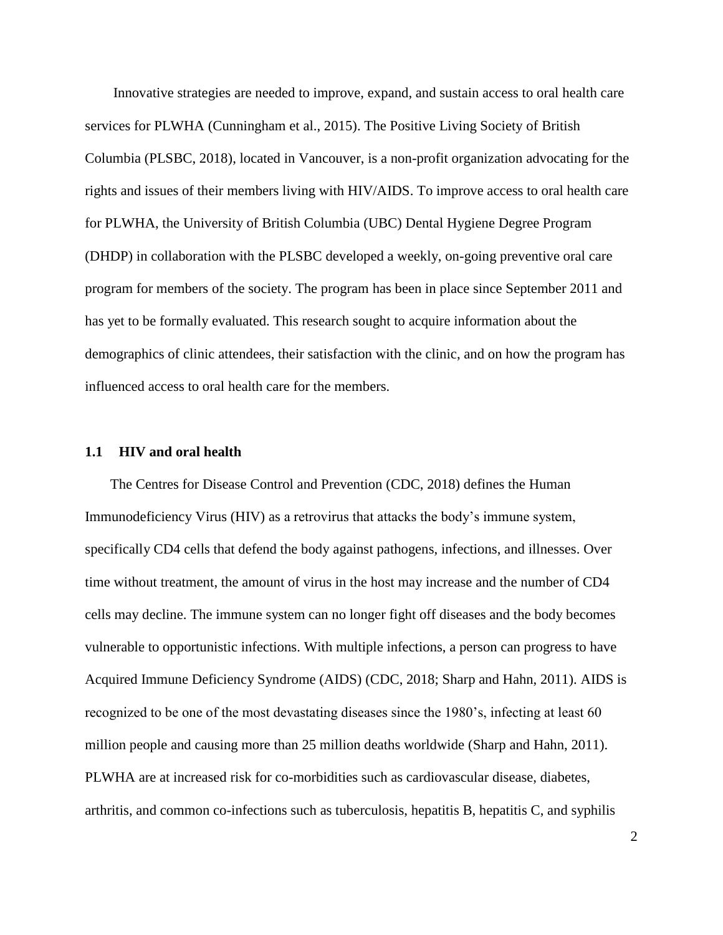Innovative strategies are needed to improve, expand, and sustain access to oral health care services for PLWHA (Cunningham et al., 2015). The Positive Living Society of British Columbia (PLSBC, 2018), located in Vancouver, is a non-profit organization advocating for the rights and issues of their members living with HIV/AIDS. To improve access to oral health care for PLWHA, the University of British Columbia (UBC) Dental Hygiene Degree Program (DHDP) in collaboration with the PLSBC developed a weekly, on-going preventive oral care program for members of the society. The program has been in place since September 2011 and has yet to be formally evaluated. This research sought to acquire information about the demographics of clinic attendees, their satisfaction with the clinic, and on how the program has influenced access to oral health care for the members.

#### **1.1 HIV and oral health**

The Centres for Disease Control and Prevention (CDC, 2018) defines the Human Immunodeficiency Virus (HIV) as a retrovirus that attacks the body's immune system, specifically CD4 cells that defend the body against pathogens, infections, and illnesses. Over time without treatment, the amount of virus in the host may increase and the number of CD4 cells may decline. The immune system can no longer fight off diseases and the body becomes vulnerable to opportunistic infections. With multiple infections, a person can progress to have Acquired Immune Deficiency Syndrome (AIDS) (CDC, 2018; Sharp and Hahn, 2011). AIDS is recognized to be one of the most devastating diseases since the 1980's, infecting at least 60 million people and causing more than 25 million deaths worldwide (Sharp and Hahn, 2011). PLWHA are at increased risk for co-morbidities such as cardiovascular disease, diabetes, arthritis, and common co-infections such as tuberculosis, hepatitis B, hepatitis C, and syphilis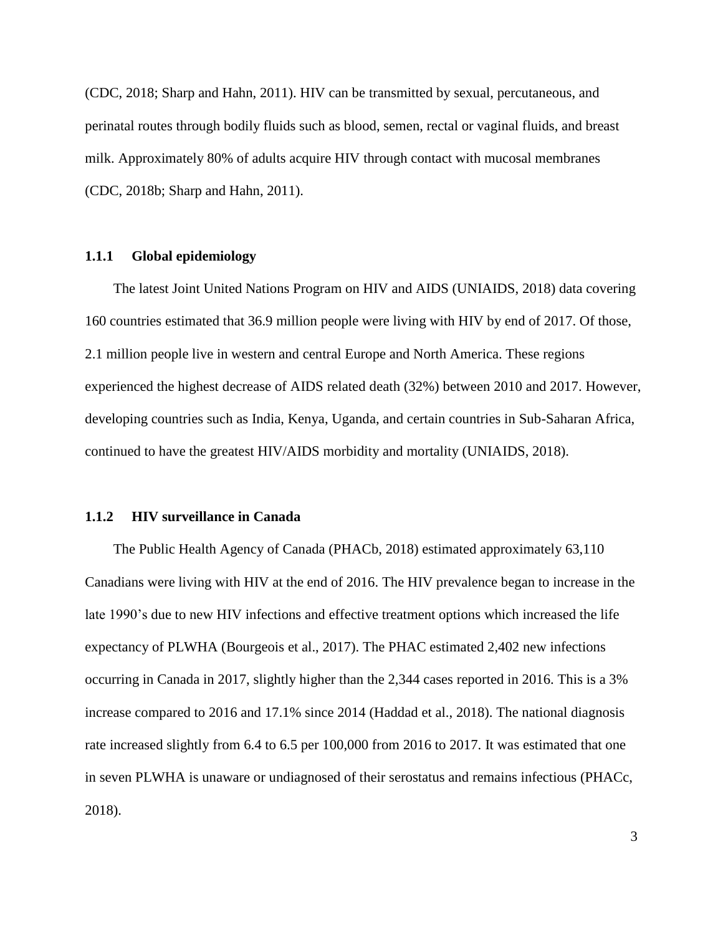(CDC, 2018; Sharp and Hahn, 2011). HIV can be transmitted by sexual, percutaneous, and perinatal routes through bodily fluids such as blood, semen, rectal or vaginal fluids, and breast milk. Approximately 80% of adults acquire HIV through contact with mucosal membranes (CDC, 2018b; Sharp and Hahn, 2011).

#### **1.1.1 Global epidemiology**

The latest Joint United Nations Program on HIV and AIDS (UNIAIDS, 2018) data covering 160 countries estimated that 36.9 million people were living with HIV by end of 2017. Of those, 2.1 million people live in western and central Europe and North America. These regions experienced the highest decrease of AIDS related death (32%) between 2010 and 2017. However, developing countries such as India, Kenya, Uganda, and certain countries in Sub-Saharan Africa, continued to have the greatest HIV/AIDS morbidity and mortality (UNIAIDS, 2018).

#### **1.1.2 HIV surveillance in Canada**

The Public Health Agency of Canada (PHACb, 2018) estimated approximately 63,110 Canadians were living with HIV at the end of 2016. The HIV prevalence began to increase in the late 1990's due to new HIV infections and effective treatment options which increased the life expectancy of PLWHA (Bourgeois et al., 2017). The PHAC estimated 2,402 new infections occurring in Canada in 2017, slightly higher than the 2,344 cases reported in 2016. This is a 3% increase compared to 2016 and 17.1% since 2014 (Haddad et al., 2018). The national diagnosis rate increased slightly from 6.4 to 6.5 per 100,000 from 2016 to 2017. It was estimated that one in seven PLWHA is unaware or undiagnosed of their serostatus and remains infectious (PHACc, 2018).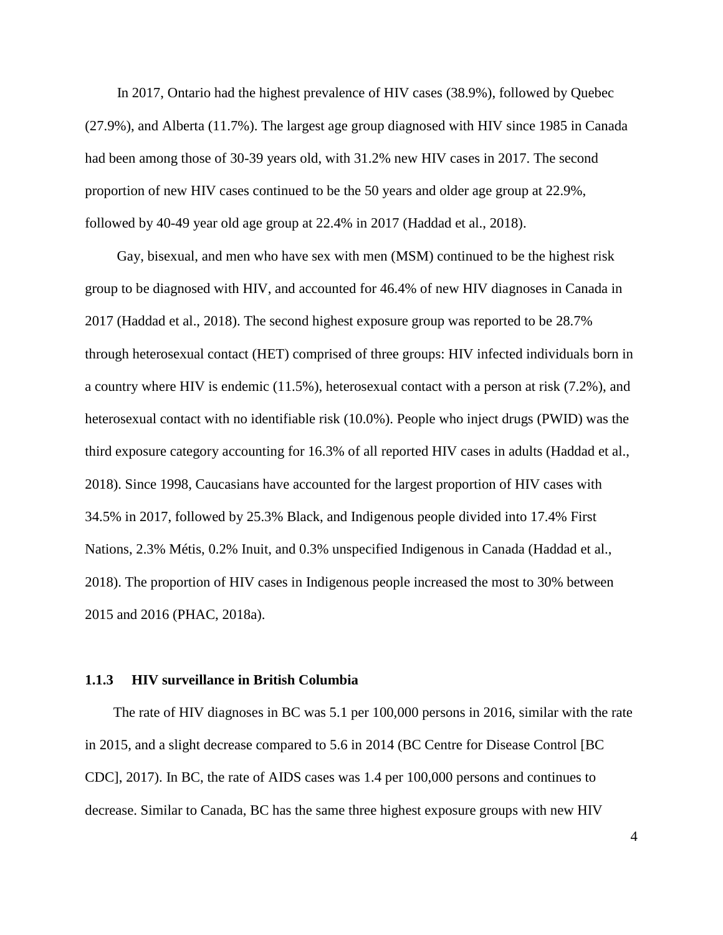In 2017, Ontario had the highest prevalence of HIV cases (38.9%), followed by Quebec (27.9%), and Alberta (11.7%). The largest age group diagnosed with HIV since 1985 in Canada had been among those of 30-39 years old, with 31.2% new HIV cases in 2017. The second proportion of new HIV cases continued to be the 50 years and older age group at 22.9%, followed by 40-49 year old age group at 22.4% in 2017 (Haddad et al., 2018).

Gay, bisexual, and men who have sex with men (MSM) continued to be the highest risk group to be diagnosed with HIV, and accounted for 46.4% of new HIV diagnoses in Canada in 2017 (Haddad et al., 2018). The second highest exposure group was reported to be 28.7% through heterosexual contact (HET) comprised of three groups: HIV infected individuals born in a country where HIV is endemic (11.5%), heterosexual contact with a person at risk (7.2%), and heterosexual contact with no identifiable risk (10.0%). People who inject drugs (PWID) was the third exposure category accounting for 16.3% of all reported HIV cases in adults (Haddad et al., 2018). Since 1998, Caucasians have accounted for the largest proportion of HIV cases with 34.5% in 2017, followed by 25.3% Black, and Indigenous people divided into 17.4% First Nations, 2.3% Métis, 0.2% Inuit, and 0.3% unspecified Indigenous in Canada (Haddad et al., 2018). The proportion of HIV cases in Indigenous people increased the most to 30% between 2015 and 2016 (PHAC, 2018a).

#### **1.1.3 HIV surveillance in British Columbia**

The rate of HIV diagnoses in BC was 5.1 per 100,000 persons in 2016, similar with the rate in 2015, and a slight decrease compared to 5.6 in 2014 (BC Centre for Disease Control [BC CDC], 2017). In BC, the rate of AIDS cases was 1.4 per 100,000 persons and continues to decrease. Similar to Canada, BC has the same three highest exposure groups with new HIV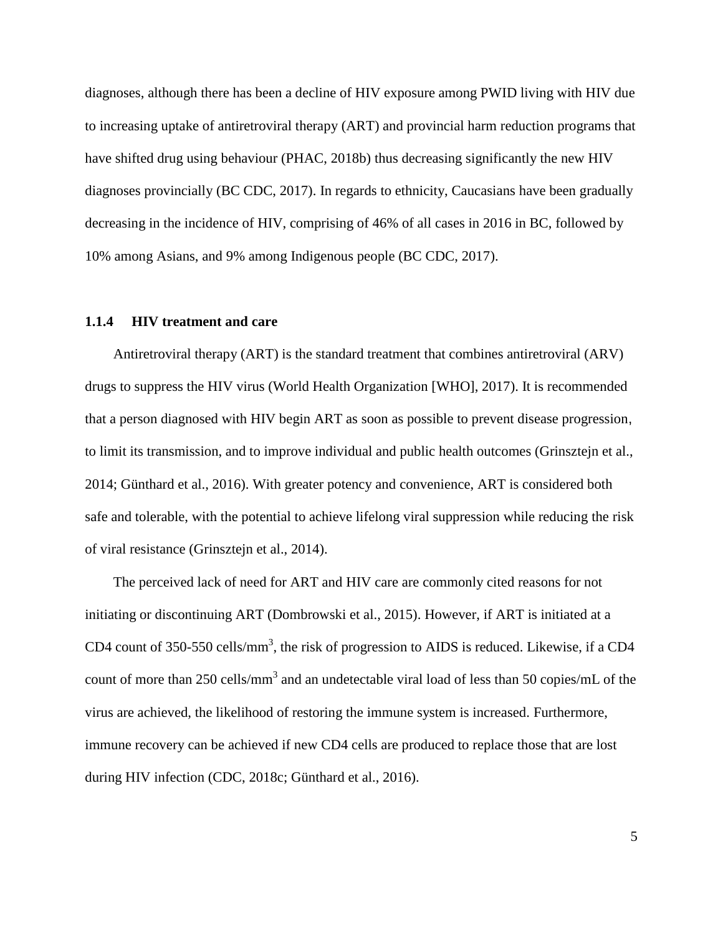diagnoses, although there has been a decline of HIV exposure among PWID living with HIV due to increasing uptake of antiretroviral therapy (ART) and provincial harm reduction programs that have shifted drug using behaviour (PHAC, 2018b) thus decreasing significantly the new HIV diagnoses provincially (BC CDC, 2017). In regards to ethnicity, Caucasians have been gradually decreasing in the incidence of HIV, comprising of 46% of all cases in 2016 in BC, followed by 10% among Asians, and 9% among Indigenous people (BC CDC, 2017).

#### **1.1.4 HIV treatment and care**

Antiretroviral therapy (ART) is the standard treatment that combines antiretroviral (ARV) drugs to suppress the HIV virus (World Health Organization [WHO], 2017). It is recommended that a person diagnosed with HIV begin ART as soon as possible to prevent disease progression, to limit its transmission, and to improve individual and public health outcomes (Grinsztejn et al., 2014; Günthard et al., 2016). With greater potency and convenience, ART is considered both safe and tolerable, with the potential to achieve lifelong viral suppression while reducing the risk of viral resistance (Grinsztejn et al., 2014).

The perceived lack of need for ART and HIV care are commonly cited reasons for not initiating or discontinuing ART (Dombrowski et al., 2015). However, if ART is initiated at a CD4 count of 350-550 cells/mm<sup>3</sup>, the risk of progression to AIDS is reduced. Likewise, if a CD4 count of more than 250 cells/mm<sup>3</sup> and an undetectable viral load of less than 50 copies/mL of the virus are achieved, the likelihood of restoring the immune system is increased. Furthermore, immune recovery can be achieved if new CD4 cells are produced to replace those that are lost during HIV infection (CDC, 2018c; Günthard et al., 2016).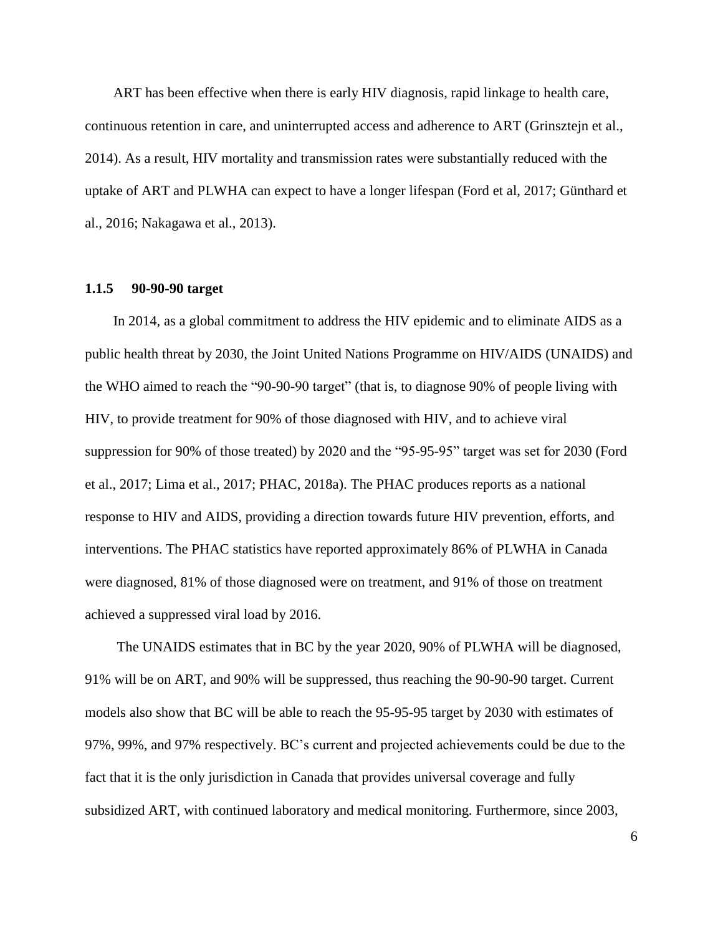ART has been effective when there is early HIV diagnosis, rapid linkage to health care, continuous retention in care, and uninterrupted access and adherence to ART (Grinsztejn et al., 2014). As a result, HIV mortality and transmission rates were substantially reduced with the uptake of ART and PLWHA can expect to have a longer lifespan (Ford et al, 2017; Günthard et al., 2016; Nakagawa et al., 2013).

#### **1.1.5 90-90-90 target**

In 2014, as a global commitment to address the HIV epidemic and to eliminate AIDS as a public health threat by 2030, the Joint United Nations Programme on HIV/AIDS (UNAIDS) and the WHO aimed to reach the "90-90-90 target" (that is, to diagnose 90% of people living with HIV, to provide treatment for 90% of those diagnosed with HIV, and to achieve viral suppression for 90% of those treated) by 2020 and the "95-95-95" target was set for 2030 (Ford et al., 2017; Lima et al., 2017; PHAC, 2018a). The PHAC produces reports as a national response to HIV and AIDS, providing a direction towards future HIV prevention, efforts, and interventions. The PHAC statistics have reported approximately 86% of PLWHA in Canada were diagnosed, 81% of those diagnosed were on treatment, and 91% of those on treatment achieved a suppressed viral load by 2016.

The UNAIDS estimates that in BC by the year 2020, 90% of PLWHA will be diagnosed, 91% will be on ART, and 90% will be suppressed, thus reaching the 90-90-90 target. Current models also show that BC will be able to reach the 95-95-95 target by 2030 with estimates of 97%, 99%, and 97% respectively. BC's current and projected achievements could be due to the fact that it is the only jurisdiction in Canada that provides universal coverage and fully subsidized ART, with continued laboratory and medical monitoring. Furthermore, since 2003,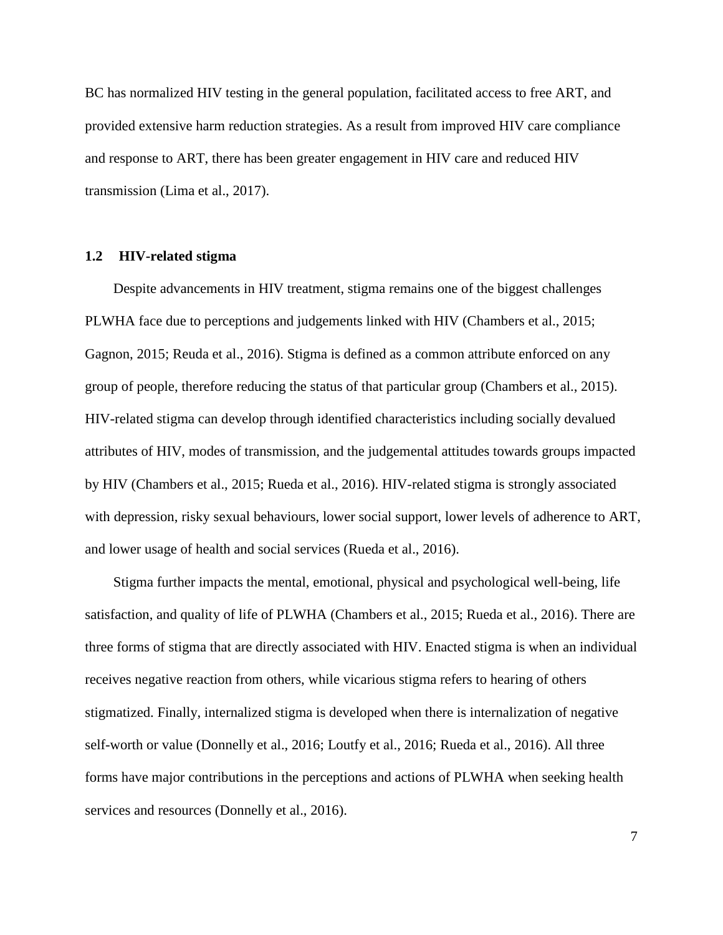BC has normalized HIV testing in the general population, facilitated access to free ART, and provided extensive harm reduction strategies. As a result from improved HIV care compliance and response to ART, there has been greater engagement in HIV care and reduced HIV transmission (Lima et al., 2017).

#### **1.2 HIV-related stigma**

Despite advancements in HIV treatment, stigma remains one of the biggest challenges PLWHA face due to perceptions and judgements linked with HIV (Chambers et al., 2015; Gagnon, 2015; Reuda et al., 2016). Stigma is defined as a common attribute enforced on any group of people, therefore reducing the status of that particular group (Chambers et al., 2015). HIV-related stigma can develop through identified characteristics including socially devalued attributes of HIV, modes of transmission, and the judgemental attitudes towards groups impacted by HIV (Chambers et al., 2015; Rueda et al., 2016). HIV-related stigma is strongly associated with depression, risky sexual behaviours, lower social support, lower levels of adherence to ART, and lower usage of health and social services (Rueda et al., 2016).

Stigma further impacts the mental, emotional, physical and psychological well-being, life satisfaction, and quality of life of PLWHA (Chambers et al., 2015; Rueda et al., 2016). There are three forms of stigma that are directly associated with HIV. Enacted stigma is when an individual receives negative reaction from others, while vicarious stigma refers to hearing of others stigmatized. Finally, internalized stigma is developed when there is internalization of negative self-worth or value (Donnelly et al., 2016; Loutfy et al., 2016; Rueda et al., 2016). All three forms have major contributions in the perceptions and actions of PLWHA when seeking health services and resources (Donnelly et al., 2016).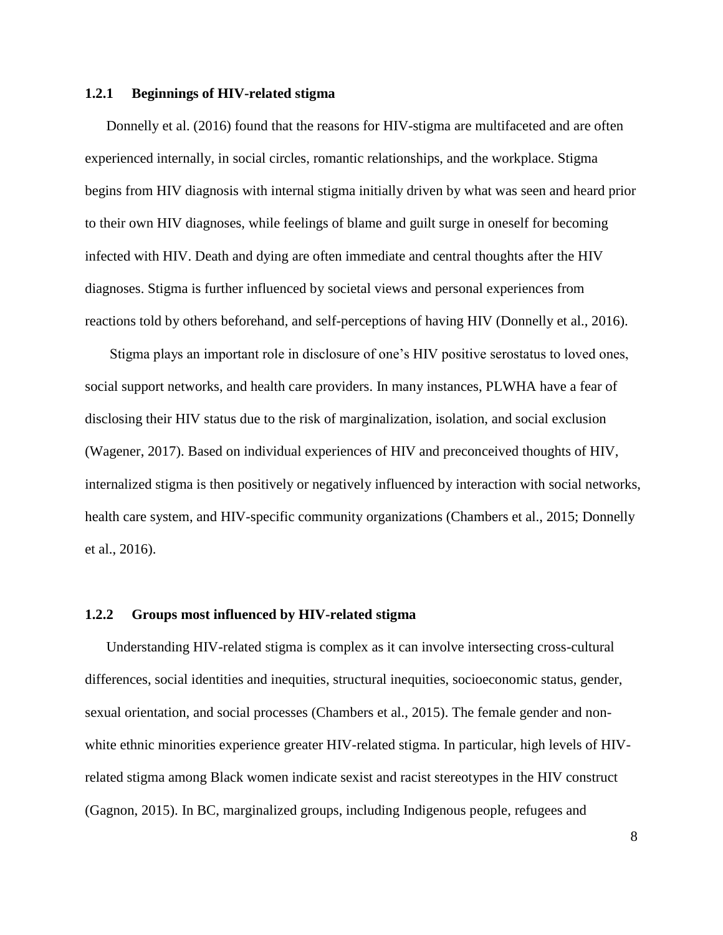#### **1.2.1 Beginnings of HIV-related stigma**

Donnelly et al. (2016) found that the reasons for HIV-stigma are multifaceted and are often experienced internally, in social circles, romantic relationships, and the workplace. Stigma begins from HIV diagnosis with internal stigma initially driven by what was seen and heard prior to their own HIV diagnoses, while feelings of blame and guilt surge in oneself for becoming infected with HIV. Death and dying are often immediate and central thoughts after the HIV diagnoses. Stigma is further influenced by societal views and personal experiences from reactions told by others beforehand, and self-perceptions of having HIV (Donnelly et al., 2016).

Stigma plays an important role in disclosure of one's HIV positive serostatus to loved ones, social support networks, and health care providers. In many instances, PLWHA have a fear of disclosing their HIV status due to the risk of marginalization, isolation, and social exclusion (Wagener, 2017). Based on individual experiences of HIV and preconceived thoughts of HIV, internalized stigma is then positively or negatively influenced by interaction with social networks, health care system, and HIV-specific community organizations (Chambers et al., 2015; Donnelly et al., 2016).

#### **1.2.2 Groups most influenced by HIV-related stigma**

Understanding HIV-related stigma is complex as it can involve intersecting cross-cultural differences, social identities and inequities, structural inequities, socioeconomic status, gender, sexual orientation, and social processes (Chambers et al., 2015). The female gender and nonwhite ethnic minorities experience greater HIV-related stigma. In particular, high levels of HIVrelated stigma among Black women indicate sexist and racist stereotypes in the HIV construct (Gagnon, 2015). In BC, marginalized groups, including Indigenous people, refugees and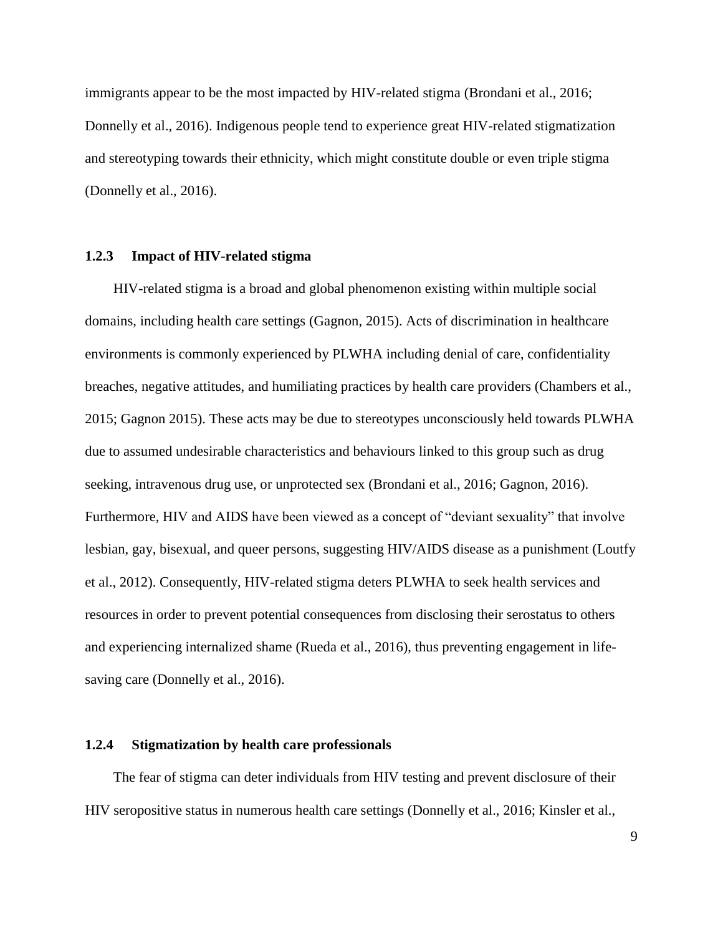immigrants appear to be the most impacted by HIV-related stigma (Brondani et al., 2016; Donnelly et al., 2016). Indigenous people tend to experience great HIV-related stigmatization and stereotyping towards their ethnicity, which might constitute double or even triple stigma (Donnelly et al., 2016).

#### **1.2.3 Impact of HIV-related stigma**

HIV-related stigma is a broad and global phenomenon existing within multiple social domains, including health care settings (Gagnon, 2015). Acts of discrimination in healthcare environments is commonly experienced by PLWHA including denial of care, confidentiality breaches, negative attitudes, and humiliating practices by health care providers (Chambers et al., 2015; Gagnon 2015). These acts may be due to stereotypes unconsciously held towards PLWHA due to assumed undesirable characteristics and behaviours linked to this group such as drug seeking, intravenous drug use, or unprotected sex (Brondani et al., 2016; Gagnon, 2016). Furthermore, HIV and AIDS have been viewed as a concept of "deviant sexuality" that involve lesbian, gay, bisexual, and queer persons, suggesting HIV/AIDS disease as a punishment (Loutfy et al., 2012). Consequently, HIV-related stigma deters PLWHA to seek health services and resources in order to prevent potential consequences from disclosing their serostatus to others and experiencing internalized shame (Rueda et al., 2016), thus preventing engagement in lifesaving care (Donnelly et al., 2016).

#### **1.2.4 Stigmatization by health care professionals**

The fear of stigma can deter individuals from HIV testing and prevent disclosure of their HIV seropositive status in numerous health care settings (Donnelly et al., 2016; Kinsler et al.,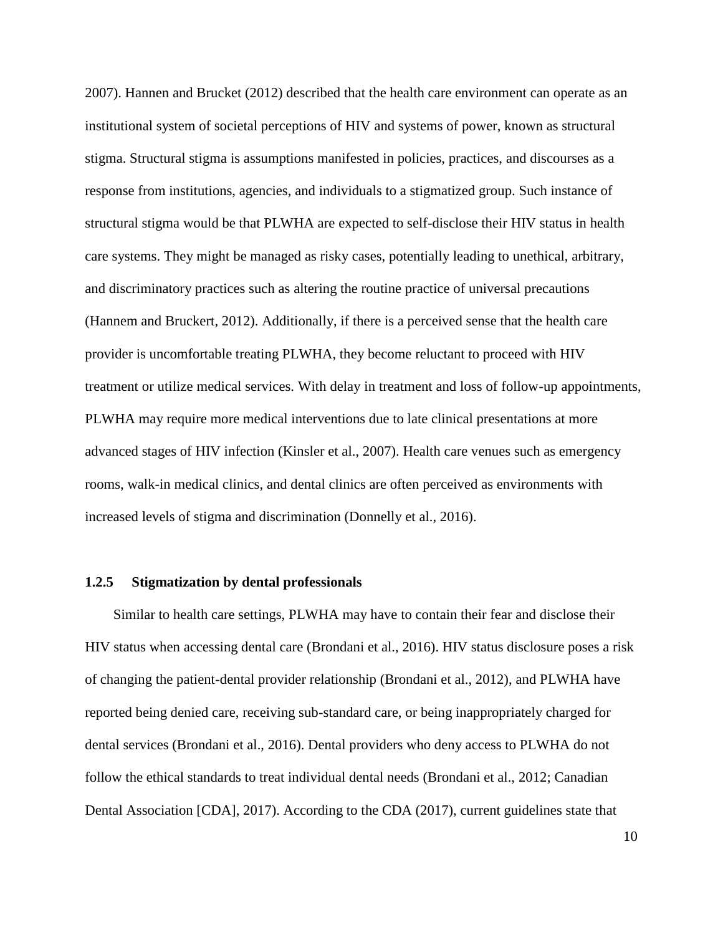2007). Hannen and Brucket (2012) described that the health care environment can operate as an institutional system of societal perceptions of HIV and systems of power, known as structural stigma. Structural stigma is assumptions manifested in policies, practices, and discourses as a response from institutions, agencies, and individuals to a stigmatized group. Such instance of structural stigma would be that PLWHA are expected to self-disclose their HIV status in health care systems. They might be managed as risky cases, potentially leading to unethical, arbitrary, and discriminatory practices such as altering the routine practice of universal precautions (Hannem and Bruckert, 2012). Additionally, if there is a perceived sense that the health care provider is uncomfortable treating PLWHA, they become reluctant to proceed with HIV treatment or utilize medical services. With delay in treatment and loss of follow-up appointments, PLWHA may require more medical interventions due to late clinical presentations at more advanced stages of HIV infection (Kinsler et al., 2007). Health care venues such as emergency rooms, walk-in medical clinics, and dental clinics are often perceived as environments with increased levels of stigma and discrimination (Donnelly et al., 2016).

#### **1.2.5 Stigmatization by dental professionals**

Similar to health care settings, PLWHA may have to contain their fear and disclose their HIV status when accessing dental care (Brondani et al., 2016). HIV status disclosure poses a risk of changing the patient-dental provider relationship (Brondani et al., 2012), and PLWHA have reported being denied care, receiving sub-standard care, or being inappropriately charged for dental services (Brondani et al., 2016). Dental providers who deny access to PLWHA do not follow the ethical standards to treat individual dental needs (Brondani et al., 2012; Canadian Dental Association [CDA], 2017). According to the CDA (2017), current guidelines state that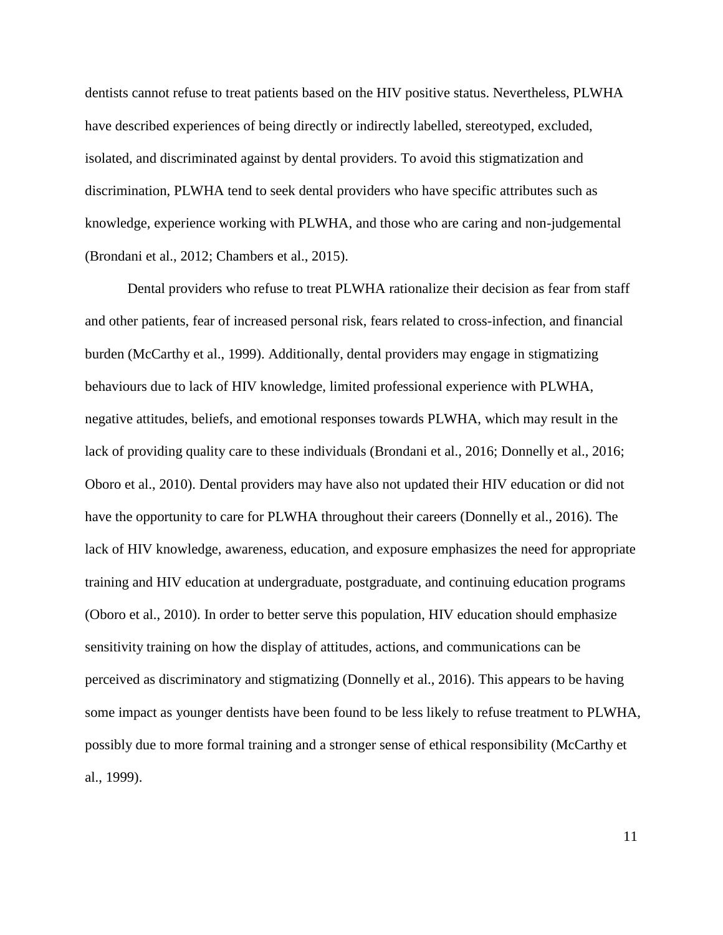dentists cannot refuse to treat patients based on the HIV positive status. Nevertheless, PLWHA have described experiences of being directly or indirectly labelled, stereotyped, excluded, isolated, and discriminated against by dental providers. To avoid this stigmatization and discrimination, PLWHA tend to seek dental providers who have specific attributes such as knowledge, experience working with PLWHA, and those who are caring and non-judgemental (Brondani et al., 2012; Chambers et al., 2015).

Dental providers who refuse to treat PLWHA rationalize their decision as fear from staff and other patients, fear of increased personal risk, fears related to cross-infection, and financial burden (McCarthy et al., 1999). Additionally, dental providers may engage in stigmatizing behaviours due to lack of HIV knowledge, limited professional experience with PLWHA, negative attitudes, beliefs, and emotional responses towards PLWHA, which may result in the lack of providing quality care to these individuals (Brondani et al., 2016; Donnelly et al., 2016; Oboro et al., 2010). Dental providers may have also not updated their HIV education or did not have the opportunity to care for PLWHA throughout their careers (Donnelly et al., 2016). The lack of HIV knowledge, awareness, education, and exposure emphasizes the need for appropriate training and HIV education at undergraduate, postgraduate, and continuing education programs (Oboro et al., 2010). In order to better serve this population, HIV education should emphasize sensitivity training on how the display of attitudes, actions, and communications can be perceived as discriminatory and stigmatizing (Donnelly et al., 2016). This appears to be having some impact as younger dentists have been found to be less likely to refuse treatment to PLWHA, possibly due to more formal training and a stronger sense of ethical responsibility (McCarthy et al., 1999).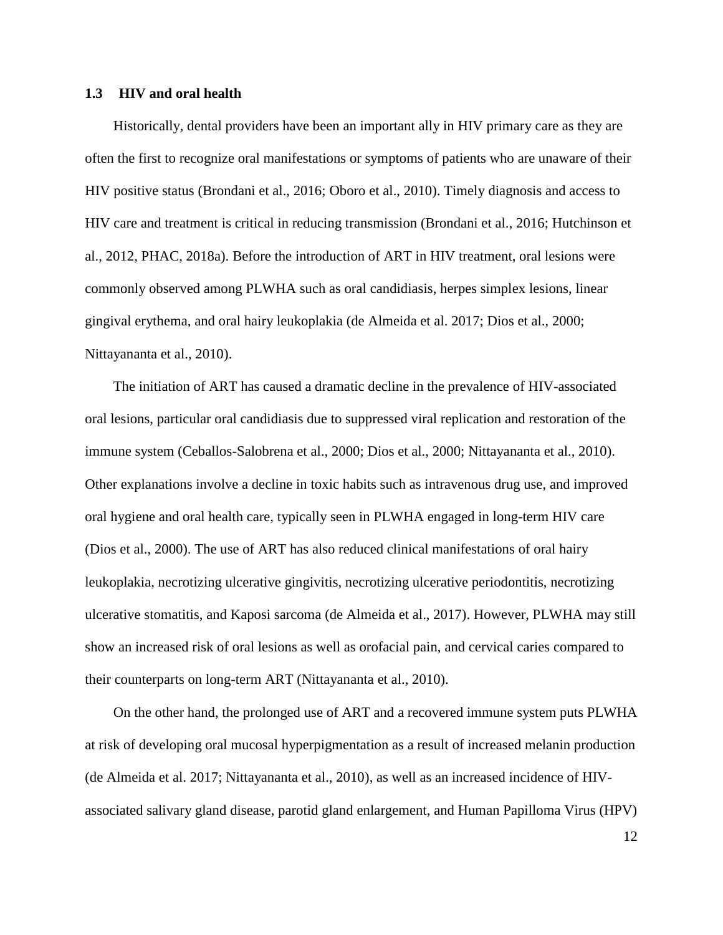#### **1.3 HIV and oral health**

Historically, dental providers have been an important ally in HIV primary care as they are often the first to recognize oral manifestations or symptoms of patients who are unaware of their HIV positive status (Brondani et al., 2016; Oboro et al., 2010). Timely diagnosis and access to HIV care and treatment is critical in reducing transmission (Brondani et al., 2016; Hutchinson et al., 2012, PHAC, 2018a). Before the introduction of ART in HIV treatment, oral lesions were commonly observed among PLWHA such as oral candidiasis, herpes simplex lesions, linear gingival erythema, and oral hairy leukoplakia (de Almeida et al. 2017; Dios et al., 2000; Nittayananta et al., 2010).

The initiation of ART has caused a dramatic decline in the prevalence of HIV-associated oral lesions, particular oral candidiasis due to suppressed viral replication and restoration of the immune system (Ceballos-Salobrena et al., 2000; Dios et al., 2000; Nittayananta et al., 2010). Other explanations involve a decline in toxic habits such as intravenous drug use, and improved oral hygiene and oral health care, typically seen in PLWHA engaged in long-term HIV care (Dios et al., 2000). The use of ART has also reduced clinical manifestations of oral hairy leukoplakia, necrotizing ulcerative gingivitis, necrotizing ulcerative periodontitis, necrotizing ulcerative stomatitis, and Kaposi sarcoma (de Almeida et al., 2017). However, PLWHA may still show an increased risk of oral lesions as well as orofacial pain, and cervical caries compared to their counterparts on long-term ART (Nittayananta et al., 2010).

On the other hand, the prolonged use of ART and a recovered immune system puts PLWHA at risk of developing oral mucosal hyperpigmentation as a result of increased melanin production (de Almeida et al. 2017; Nittayananta et al., 2010), as well as an increased incidence of HIVassociated salivary gland disease, parotid gland enlargement, and Human Papilloma Virus (HPV)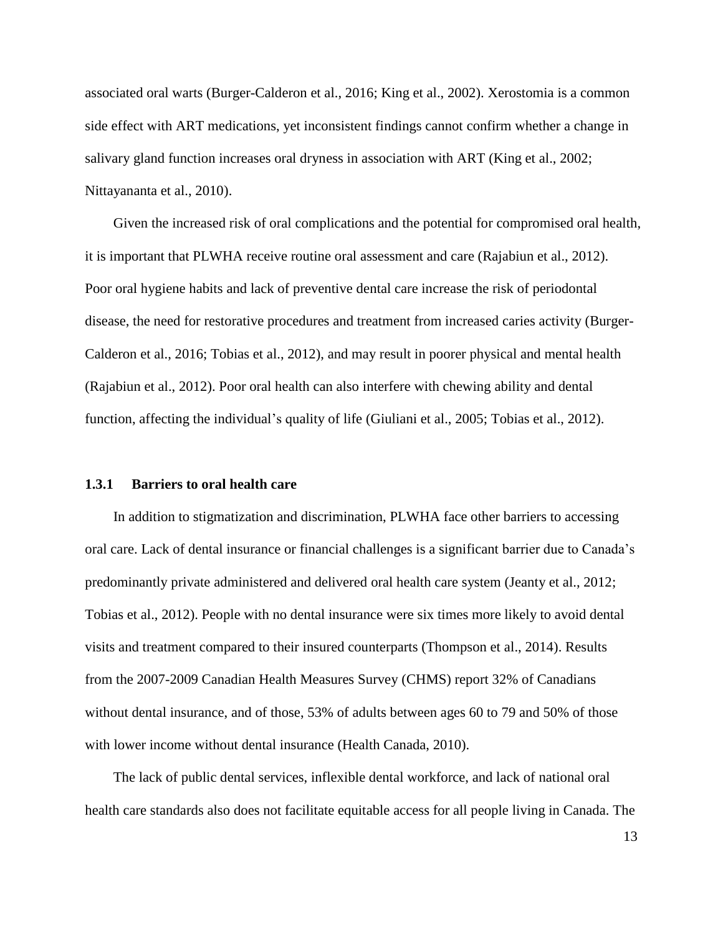associated oral warts (Burger-Calderon et al., 2016; King et al., 2002). Xerostomia is a common side effect with ART medications, yet inconsistent findings cannot confirm whether a change in salivary gland function increases oral dryness in association with ART (King et al., 2002; Nittayananta et al., 2010).

Given the increased risk of oral complications and the potential for compromised oral health, it is important that PLWHA receive routine oral assessment and care (Rajabiun et al., 2012). Poor oral hygiene habits and lack of preventive dental care increase the risk of periodontal disease, the need for restorative procedures and treatment from increased caries activity (Burger-Calderon et al., 2016; Tobias et al., 2012), and may result in poorer physical and mental health (Rajabiun et al., 2012). Poor oral health can also interfere with chewing ability and dental function, affecting the individual's quality of life (Giuliani et al., 2005; Tobias et al., 2012).

#### **1.3.1 Barriers to oral health care**

In addition to stigmatization and discrimination, PLWHA face other barriers to accessing oral care. Lack of dental insurance or financial challenges is a significant barrier due to Canada's predominantly private administered and delivered oral health care system (Jeanty et al., 2012; Tobias et al., 2012). People with no dental insurance were six times more likely to avoid dental visits and treatment compared to their insured counterparts (Thompson et al., 2014). Results from the 2007-2009 Canadian Health Measures Survey (CHMS) report 32% of Canadians without dental insurance, and of those, 53% of adults between ages 60 to 79 and 50% of those with lower income without dental insurance (Health Canada, 2010).

The lack of public dental services, inflexible dental workforce, and lack of national oral health care standards also does not facilitate equitable access for all people living in Canada. The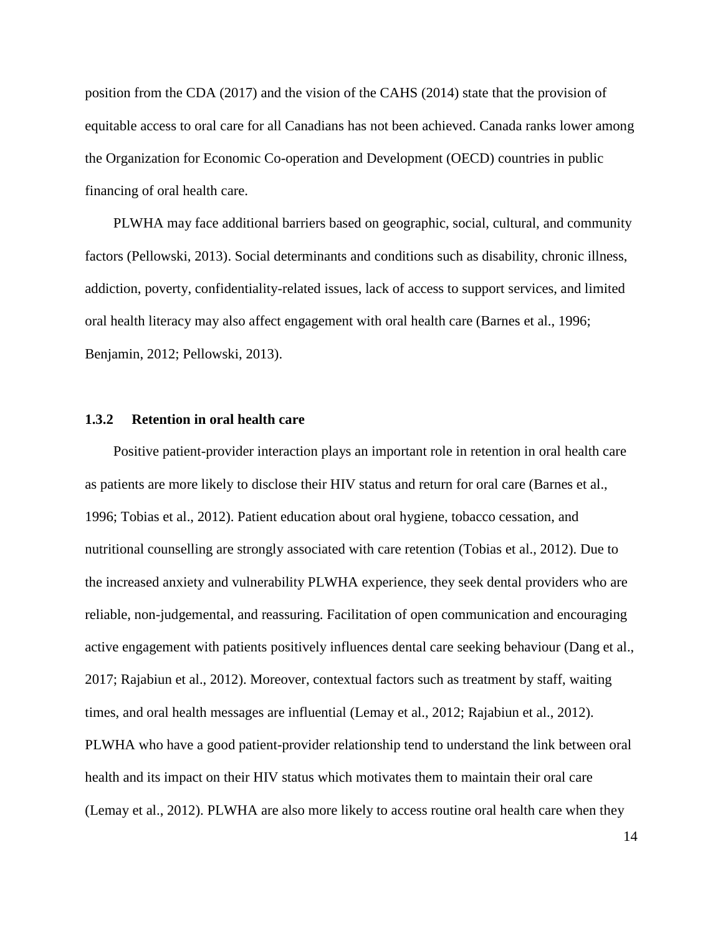position from the CDA (2017) and the vision of the CAHS (2014) state that the provision of equitable access to oral care for all Canadians has not been achieved. Canada ranks lower among the Organization for Economic Co-operation and Development (OECD) countries in public financing of oral health care.

PLWHA may face additional barriers based on geographic, social, cultural, and community factors (Pellowski, 2013). Social determinants and conditions such as disability, chronic illness, addiction, poverty, confidentiality-related issues, lack of access to support services, and limited oral health literacy may also affect engagement with oral health care (Barnes et al., 1996; Benjamin, 2012; Pellowski, 2013).

#### **1.3.2 Retention in oral health care**

Positive patient-provider interaction plays an important role in retention in oral health care as patients are more likely to disclose their HIV status and return for oral care (Barnes et al., 1996; Tobias et al., 2012). Patient education about oral hygiene, tobacco cessation, and nutritional counselling are strongly associated with care retention (Tobias et al., 2012). Due to the increased anxiety and vulnerability PLWHA experience, they seek dental providers who are reliable, non-judgemental, and reassuring. Facilitation of open communication and encouraging active engagement with patients positively influences dental care seeking behaviour (Dang et al., 2017; Rajabiun et al., 2012). Moreover, contextual factors such as treatment by staff, waiting times, and oral health messages are influential (Lemay et al., 2012; Rajabiun et al., 2012). PLWHA who have a good patient-provider relationship tend to understand the link between oral health and its impact on their HIV status which motivates them to maintain their oral care (Lemay et al., 2012). PLWHA are also more likely to access routine oral health care when they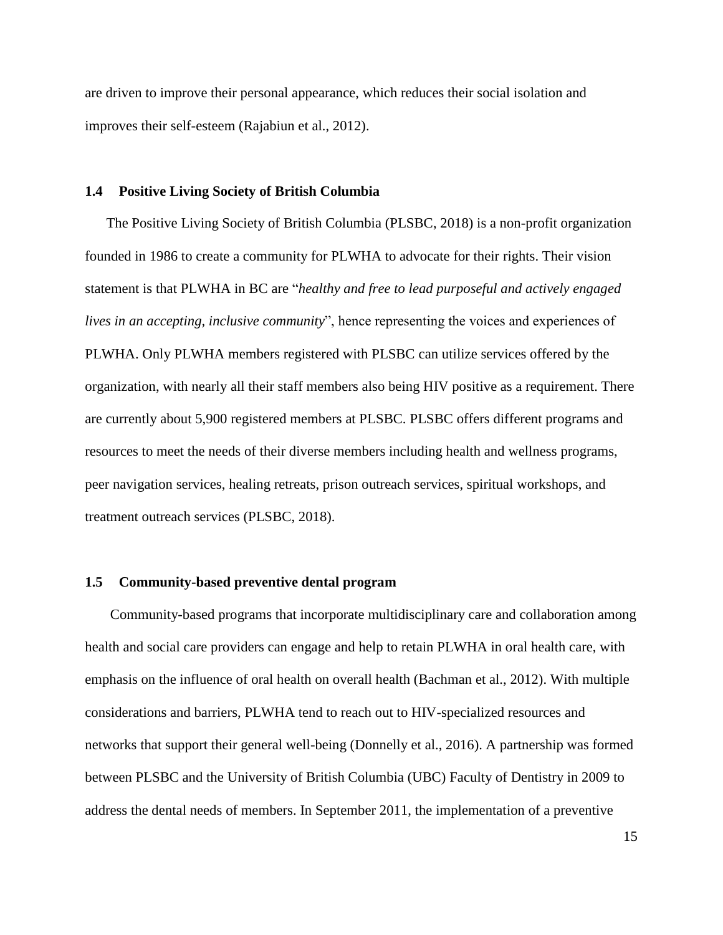are driven to improve their personal appearance, which reduces their social isolation and improves their self-esteem (Rajabiun et al., 2012).

#### **1.4 Positive Living Society of British Columbia**

The Positive Living Society of British Columbia (PLSBC, 2018) is a non-profit organization founded in 1986 to create a community for PLWHA to advocate for their rights. Their vision statement is that PLWHA in BC are "*healthy and free to lead purposeful and actively engaged lives in an accepting, inclusive community*", hence representing the voices and experiences of PLWHA. Only PLWHA members registered with PLSBC can utilize services offered by the organization, with nearly all their staff members also being HIV positive as a requirement. There are currently about 5,900 registered members at PLSBC. PLSBC offers different programs and resources to meet the needs of their diverse members including health and wellness programs, peer navigation services, healing retreats, prison outreach services, spiritual workshops, and treatment outreach services (PLSBC, 2018).

#### **1.5 Community-based preventive dental program**

Community-based programs that incorporate multidisciplinary care and collaboration among health and social care providers can engage and help to retain PLWHA in oral health care, with emphasis on the influence of oral health on overall health (Bachman et al., 2012). With multiple considerations and barriers, PLWHA tend to reach out to HIV-specialized resources and networks that support their general well-being (Donnelly et al., 2016). A partnership was formed between PLSBC and the University of British Columbia (UBC) Faculty of Dentistry in 2009 to address the dental needs of members. In September 2011, the implementation of a preventive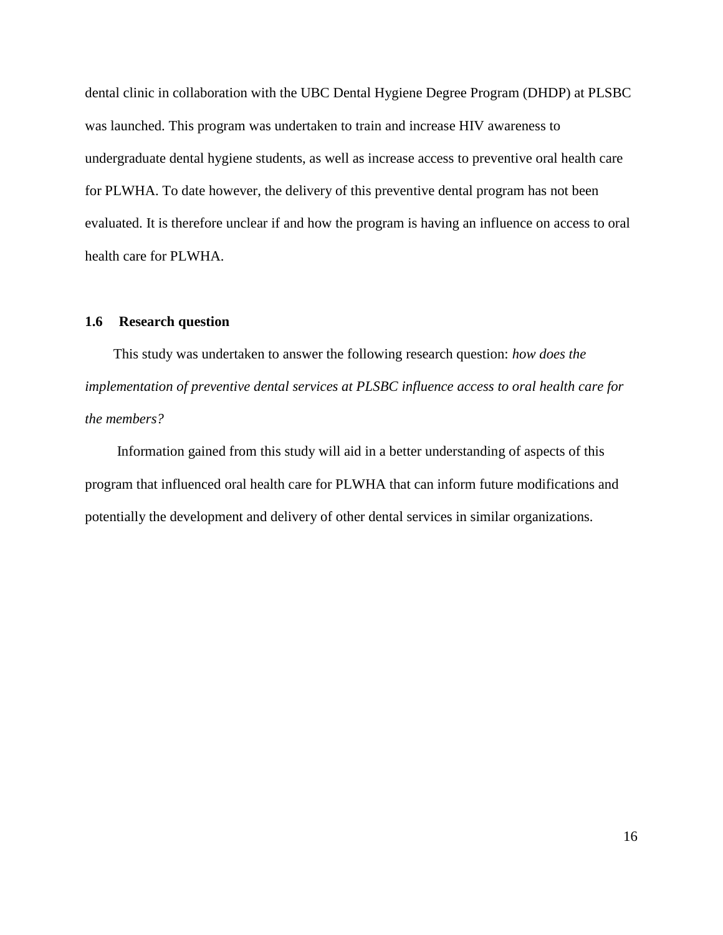dental clinic in collaboration with the UBC Dental Hygiene Degree Program (DHDP) at PLSBC was launched. This program was undertaken to train and increase HIV awareness to undergraduate dental hygiene students, as well as increase access to preventive oral health care for PLWHA. To date however, the delivery of this preventive dental program has not been evaluated. It is therefore unclear if and how the program is having an influence on access to oral health care for PLWHA.

#### **1.6 Research question**

This study was undertaken to answer the following research question: *how does the implementation of preventive dental services at PLSBC influence access to oral health care for the members?*

Information gained from this study will aid in a better understanding of aspects of this program that influenced oral health care for PLWHA that can inform future modifications and potentially the development and delivery of other dental services in similar organizations.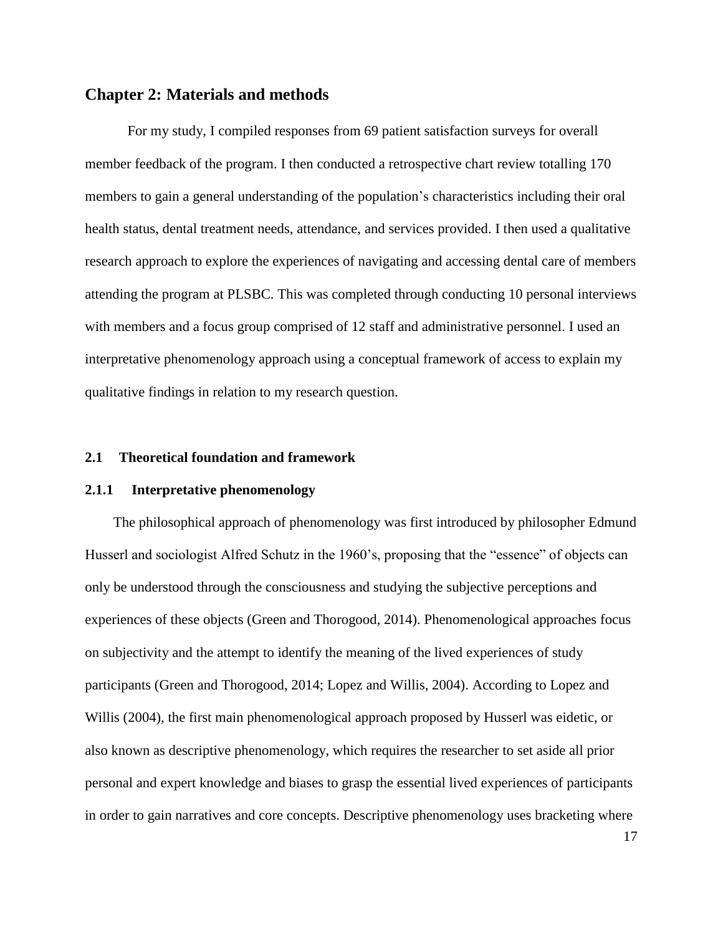#### **Chapter 2: Materials and methods**

For my study, I compiled responses from 69 patient satisfaction surveys for overall member feedback of the program. I then conducted a retrospective chart review totalling 170 members to gain a general understanding of the population's characteristics including their oral health status, dental treatment needs, attendance, and services provided. I then used a qualitative research approach to explore the experiences of navigating and accessing dental care of members attending the program at PLSBC. This was completed through conducting 10 personal interviews with members and a focus group comprised of 12 staff and administrative personnel. I used an interpretative phenomenology approach using a conceptual framework of access to explain my qualitative findings in relation to my research question.

#### **2.1 Theoretical foundation and framework**

#### **2.1.1 Interpretative phenomenology**

The philosophical approach of phenomenology was first introduced by philosopher Edmund Husserl and sociologist Alfred Schutz in the 1960's, proposing that the "essence" of objects can only be understood through the consciousness and studying the subjective perceptions and experiences of these objects (Green and Thorogood, 2014). Phenomenological approaches focus on subjectivity and the attempt to identify the meaning of the lived experiences of study participants (Green and Thorogood, 2014; Lopez and Willis, 2004). According to Lopez and Willis (2004), the first main phenomenological approach proposed by Husserl was eidetic, or also known as descriptive phenomenology, which requires the researcher to set aside all prior personal and expert knowledge and biases to grasp the essential lived experiences of participants in order to gain narratives and core concepts. Descriptive phenomenology uses bracketing where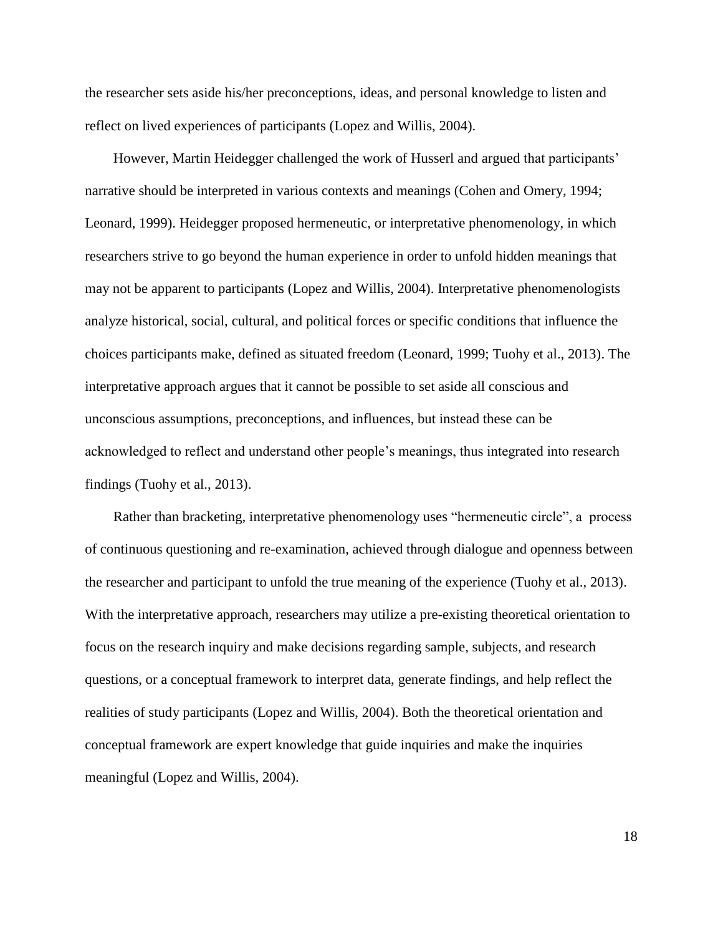the researcher sets aside his/her preconceptions, ideas, and personal knowledge to listen and reflect on lived experiences of participants (Lopez and Willis, 2004).

However, Martin Heidegger challenged the work of Husserl and argued that participants' narrative should be interpreted in various contexts and meanings (Cohen and Omery, 1994; Leonard, 1999). Heidegger proposed hermeneutic, or interpretative phenomenology, in which researchers strive to go beyond the human experience in order to unfold hidden meanings that may not be apparent to participants (Lopez and Willis, 2004). Interpretative phenomenologists analyze historical, social, cultural, and political forces or specific conditions that influence the choices participants make, defined as situated freedom (Leonard, 1999; Tuohy et al., 2013). The interpretative approach argues that it cannot be possible to set aside all conscious and unconscious assumptions, preconceptions, and influences, but instead these can be acknowledged to reflect and understand other people's meanings, thus integrated into research findings (Tuohy et al., 2013).

Rather than bracketing, interpretative phenomenology uses "hermeneutic circle", a process of continuous questioning and re-examination, achieved through dialogue and openness between the researcher and participant to unfold the true meaning of the experience (Tuohy et al., 2013). With the interpretative approach, researchers may utilize a pre-existing theoretical orientation to focus on the research inquiry and make decisions regarding sample, subjects, and research questions, or a conceptual framework to interpret data, generate findings, and help reflect the realities of study participants (Lopez and Willis, 2004). Both the theoretical orientation and conceptual framework are expert knowledge that guide inquiries and make the inquiries meaningful (Lopez and Willis, 2004).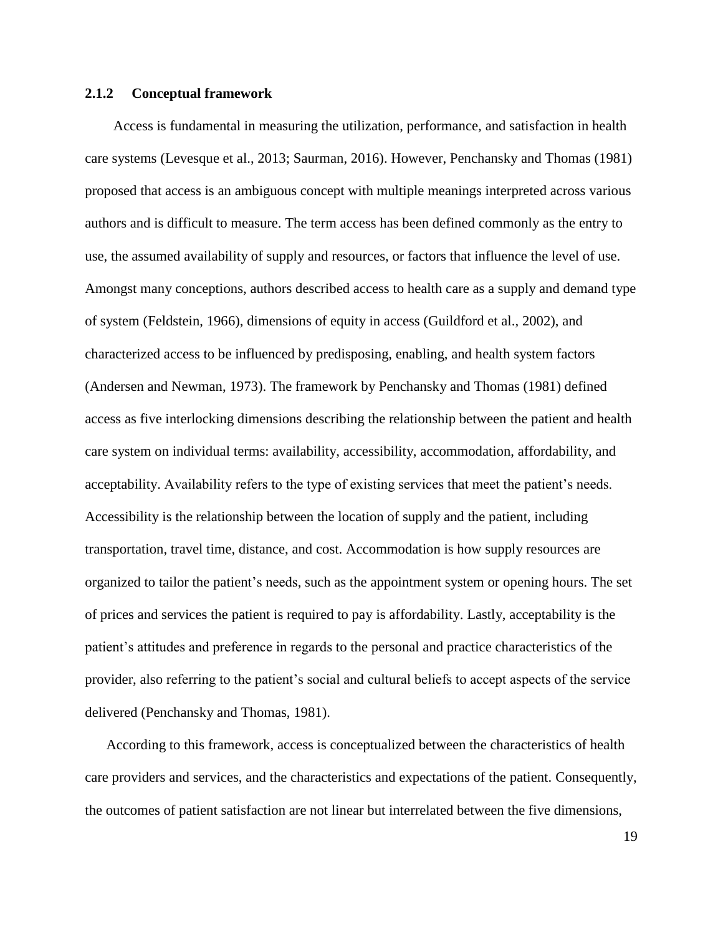#### **2.1.2 Conceptual framework**

Access is fundamental in measuring the utilization, performance, and satisfaction in health care systems (Levesque et al., 2013; Saurman, 2016). However, Penchansky and Thomas (1981) proposed that access is an ambiguous concept with multiple meanings interpreted across various authors and is difficult to measure. The term access has been defined commonly as the entry to use, the assumed availability of supply and resources, or factors that influence the level of use. Amongst many conceptions, authors described access to health care as a supply and demand type of system (Feldstein, 1966), dimensions of equity in access (Guildford et al., 2002), and characterized access to be influenced by predisposing, enabling, and health system factors (Andersen and Newman, 1973). The framework by Penchansky and Thomas (1981) defined access as five interlocking dimensions describing the relationship between the patient and health care system on individual terms: availability, accessibility, accommodation, affordability, and acceptability. Availability refers to the type of existing services that meet the patient's needs. Accessibility is the relationship between the location of supply and the patient, including transportation, travel time, distance, and cost. Accommodation is how supply resources are organized to tailor the patient's needs, such as the appointment system or opening hours. The set of prices and services the patient is required to pay is affordability. Lastly, acceptability is the patient's attitudes and preference in regards to the personal and practice characteristics of the provider, also referring to the patient's social and cultural beliefs to accept aspects of the service delivered (Penchansky and Thomas, 1981).

According to this framework, access is conceptualized between the characteristics of health care providers and services, and the characteristics and expectations of the patient. Consequently, the outcomes of patient satisfaction are not linear but interrelated between the five dimensions,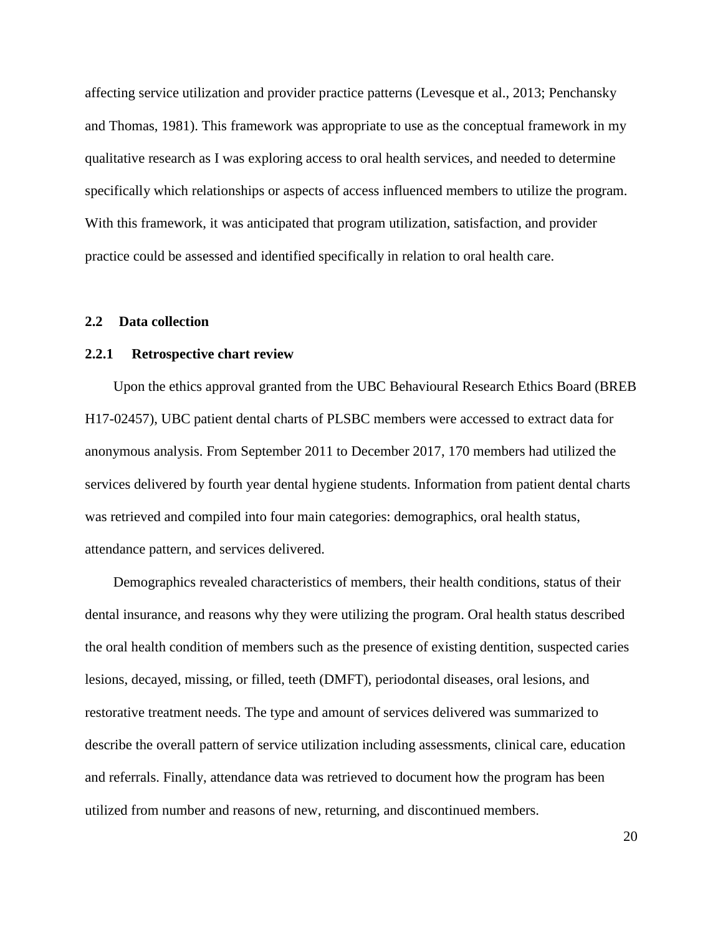affecting service utilization and provider practice patterns (Levesque et al., 2013; Penchansky and Thomas, 1981). This framework was appropriate to use as the conceptual framework in my qualitative research as I was exploring access to oral health services, and needed to determine specifically which relationships or aspects of access influenced members to utilize the program. With this framework, it was anticipated that program utilization, satisfaction, and provider practice could be assessed and identified specifically in relation to oral health care.

#### **2.2 Data collection**

#### **2.2.1 Retrospective chart review**

Upon the ethics approval granted from the UBC Behavioural Research Ethics Board (BREB H17-02457), UBC patient dental charts of PLSBC members were accessed to extract data for anonymous analysis. From September 2011 to December 2017, 170 members had utilized the services delivered by fourth year dental hygiene students. Information from patient dental charts was retrieved and compiled into four main categories: demographics, oral health status, attendance pattern, and services delivered.

Demographics revealed characteristics of members, their health conditions, status of their dental insurance, and reasons why they were utilizing the program. Oral health status described the oral health condition of members such as the presence of existing dentition, suspected caries lesions, decayed, missing, or filled, teeth (DMFT), periodontal diseases, oral lesions, and restorative treatment needs. The type and amount of services delivered was summarized to describe the overall pattern of service utilization including assessments, clinical care, education and referrals. Finally, attendance data was retrieved to document how the program has been utilized from number and reasons of new, returning, and discontinued members.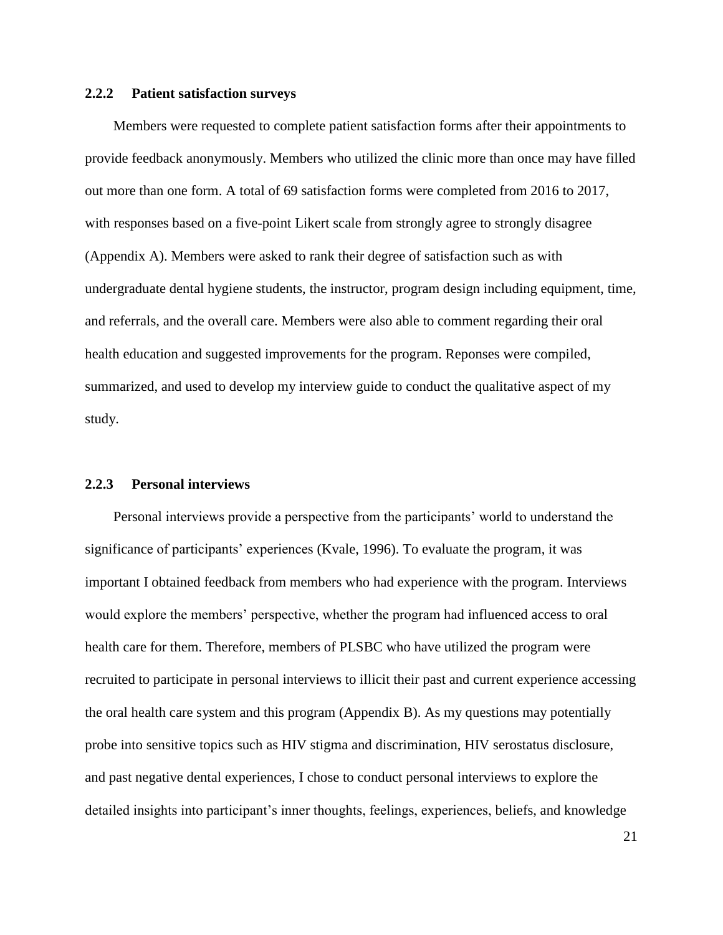#### **2.2.2 Patient satisfaction surveys**

Members were requested to complete patient satisfaction forms after their appointments to provide feedback anonymously. Members who utilized the clinic more than once may have filled out more than one form. A total of 69 satisfaction forms were completed from 2016 to 2017, with responses based on a five-point Likert scale from strongly agree to strongly disagree (Appendix A). Members were asked to rank their degree of satisfaction such as with undergraduate dental hygiene students, the instructor, program design including equipment, time, and referrals, and the overall care. Members were also able to comment regarding their oral health education and suggested improvements for the program. Reponses were compiled, summarized, and used to develop my interview guide to conduct the qualitative aspect of my study.

#### **2.2.3 Personal interviews**

Personal interviews provide a perspective from the participants' world to understand the significance of participants' experiences (Kvale, 1996). To evaluate the program, it was important I obtained feedback from members who had experience with the program. Interviews would explore the members' perspective, whether the program had influenced access to oral health care for them. Therefore, members of PLSBC who have utilized the program were recruited to participate in personal interviews to illicit their past and current experience accessing the oral health care system and this program (Appendix B). As my questions may potentially probe into sensitive topics such as HIV stigma and discrimination, HIV serostatus disclosure, and past negative dental experiences, I chose to conduct personal interviews to explore the detailed insights into participant's inner thoughts, feelings, experiences, beliefs, and knowledge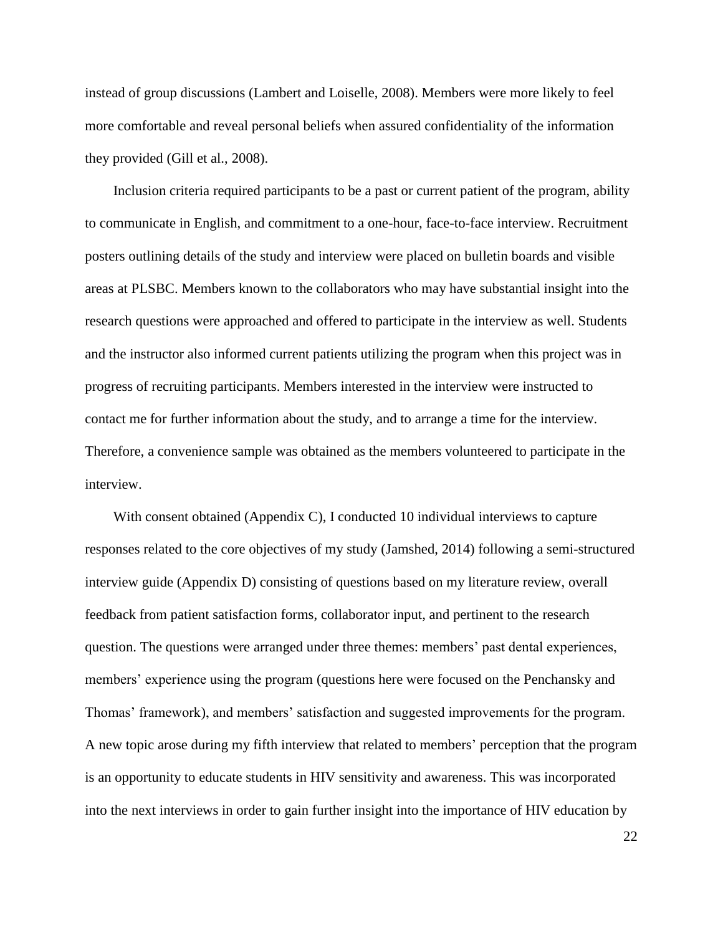instead of group discussions (Lambert and Loiselle, 2008). Members were more likely to feel more comfortable and reveal personal beliefs when assured confidentiality of the information they provided (Gill et al., 2008).

Inclusion criteria required participants to be a past or current patient of the program, ability to communicate in English, and commitment to a one-hour, face-to-face interview. Recruitment posters outlining details of the study and interview were placed on bulletin boards and visible areas at PLSBC. Members known to the collaborators who may have substantial insight into the research questions were approached and offered to participate in the interview as well. Students and the instructor also informed current patients utilizing the program when this project was in progress of recruiting participants. Members interested in the interview were instructed to contact me for further information about the study, and to arrange a time for the interview. Therefore, a convenience sample was obtained as the members volunteered to participate in the interview.

With consent obtained (Appendix C), I conducted 10 individual interviews to capture responses related to the core objectives of my study (Jamshed, 2014) following a semi-structured interview guide (Appendix D) consisting of questions based on my literature review, overall feedback from patient satisfaction forms, collaborator input, and pertinent to the research question. The questions were arranged under three themes: members' past dental experiences, members' experience using the program (questions here were focused on the Penchansky and Thomas' framework), and members' satisfaction and suggested improvements for the program. A new topic arose during my fifth interview that related to members' perception that the program is an opportunity to educate students in HIV sensitivity and awareness. This was incorporated into the next interviews in order to gain further insight into the importance of HIV education by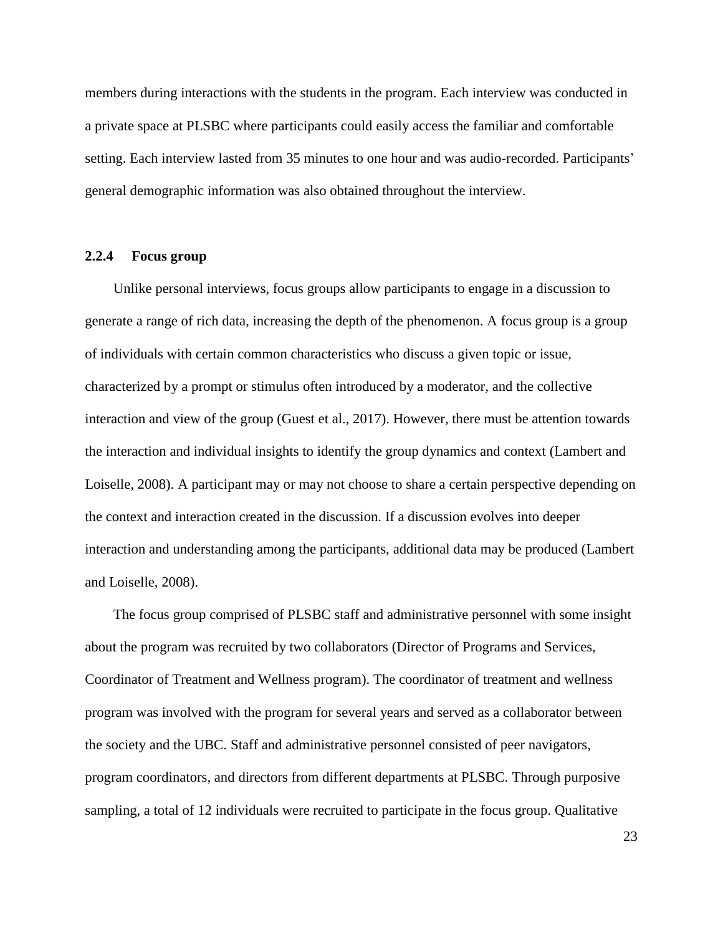members during interactions with the students in the program. Each interview was conducted in a private space at PLSBC where participants could easily access the familiar and comfortable setting. Each interview lasted from 35 minutes to one hour and was audio-recorded. Participants' general demographic information was also obtained throughout the interview.

### **2.2.4 Focus group**

Unlike personal interviews, focus groups allow participants to engage in a discussion to generate a range of rich data, increasing the depth of the phenomenon. A focus group is a group of individuals with certain common characteristics who discuss a given topic or issue, characterized by a prompt or stimulus often introduced by a moderator, and the collective interaction and view of the group (Guest et al., 2017). However, there must be attention towards the interaction and individual insights to identify the group dynamics and context (Lambert and Loiselle, 2008). A participant may or may not choose to share a certain perspective depending on the context and interaction created in the discussion. If a discussion evolves into deeper interaction and understanding among the participants, additional data may be produced (Lambert and Loiselle, 2008).

The focus group comprised of PLSBC staff and administrative personnel with some insight about the program was recruited by two collaborators (Director of Programs and Services, Coordinator of Treatment and Wellness program). The coordinator of treatment and wellness program was involved with the program for several years and served as a collaborator between the society and the UBC. Staff and administrative personnel consisted of peer navigators, program coordinators, and directors from different departments at PLSBC. Through purposive sampling, a total of 12 individuals were recruited to participate in the focus group. Qualitative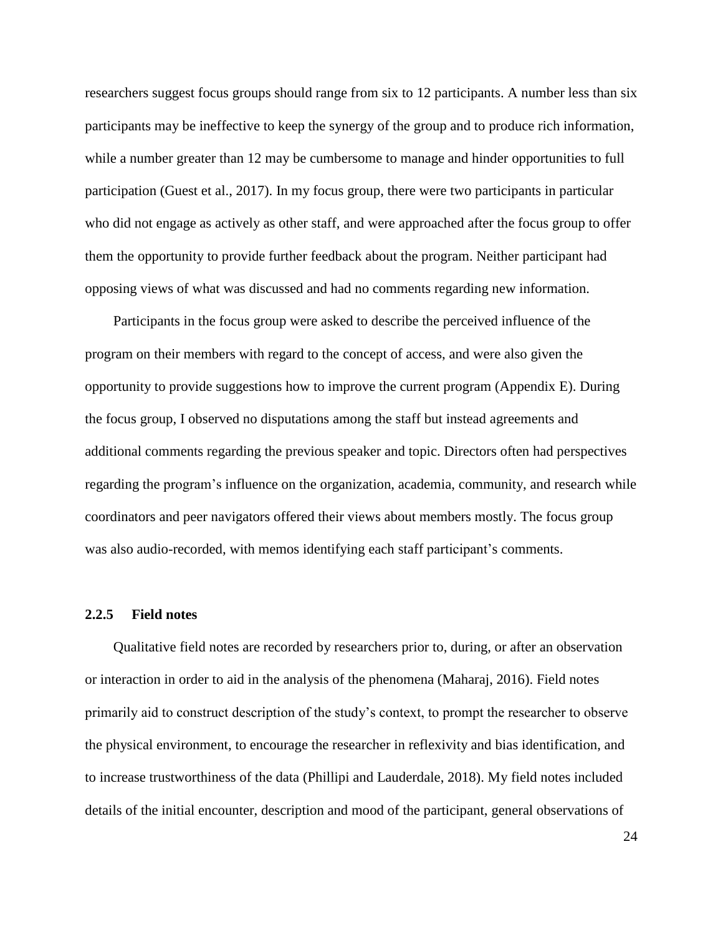researchers suggest focus groups should range from six to 12 participants. A number less than six participants may be ineffective to keep the synergy of the group and to produce rich information, while a number greater than 12 may be cumbersome to manage and hinder opportunities to full participation (Guest et al., 2017). In my focus group, there were two participants in particular who did not engage as actively as other staff, and were approached after the focus group to offer them the opportunity to provide further feedback about the program. Neither participant had opposing views of what was discussed and had no comments regarding new information.

Participants in the focus group were asked to describe the perceived influence of the program on their members with regard to the concept of access, and were also given the opportunity to provide suggestions how to improve the current program (Appendix E). During the focus group, I observed no disputations among the staff but instead agreements and additional comments regarding the previous speaker and topic. Directors often had perspectives regarding the program's influence on the organization, academia, community, and research while coordinators and peer navigators offered their views about members mostly. The focus group was also audio-recorded, with memos identifying each staff participant's comments.

#### **2.2.5 Field notes**

Qualitative field notes are recorded by researchers prior to, during, or after an observation or interaction in order to aid in the analysis of the phenomena (Maharaj, 2016). Field notes primarily aid to construct description of the study's context, to prompt the researcher to observe the physical environment, to encourage the researcher in reflexivity and bias identification, and to increase trustworthiness of the data (Phillipi and Lauderdale, 2018). My field notes included details of the initial encounter, description and mood of the participant, general observations of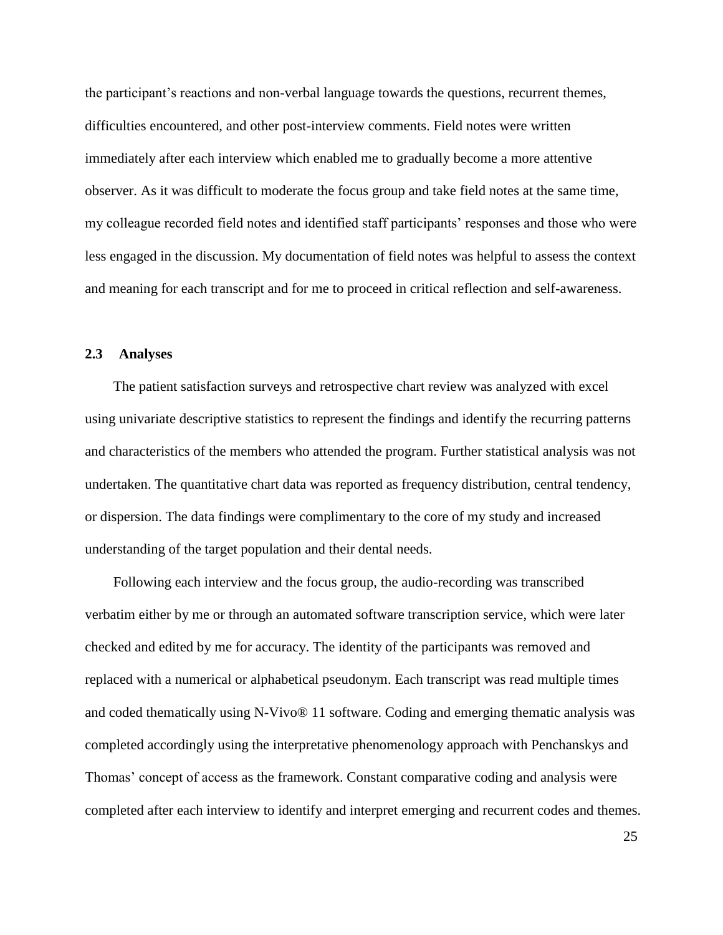the participant's reactions and non-verbal language towards the questions, recurrent themes, difficulties encountered, and other post-interview comments. Field notes were written immediately after each interview which enabled me to gradually become a more attentive observer. As it was difficult to moderate the focus group and take field notes at the same time, my colleague recorded field notes and identified staff participants' responses and those who were less engaged in the discussion. My documentation of field notes was helpful to assess the context and meaning for each transcript and for me to proceed in critical reflection and self-awareness.

# **2.3 Analyses**

The patient satisfaction surveys and retrospective chart review was analyzed with excel using univariate descriptive statistics to represent the findings and identify the recurring patterns and characteristics of the members who attended the program. Further statistical analysis was not undertaken. The quantitative chart data was reported as frequency distribution, central tendency, or dispersion. The data findings were complimentary to the core of my study and increased understanding of the target population and their dental needs.

Following each interview and the focus group, the audio-recording was transcribed verbatim either by me or through an automated software transcription service, which were later checked and edited by me for accuracy. The identity of the participants was removed and replaced with a numerical or alphabetical pseudonym. Each transcript was read multiple times and coded thematically using N-Vivo® 11 software. Coding and emerging thematic analysis was completed accordingly using the interpretative phenomenology approach with Penchanskys and Thomas' concept of access as the framework. Constant comparative coding and analysis were completed after each interview to identify and interpret emerging and recurrent codes and themes.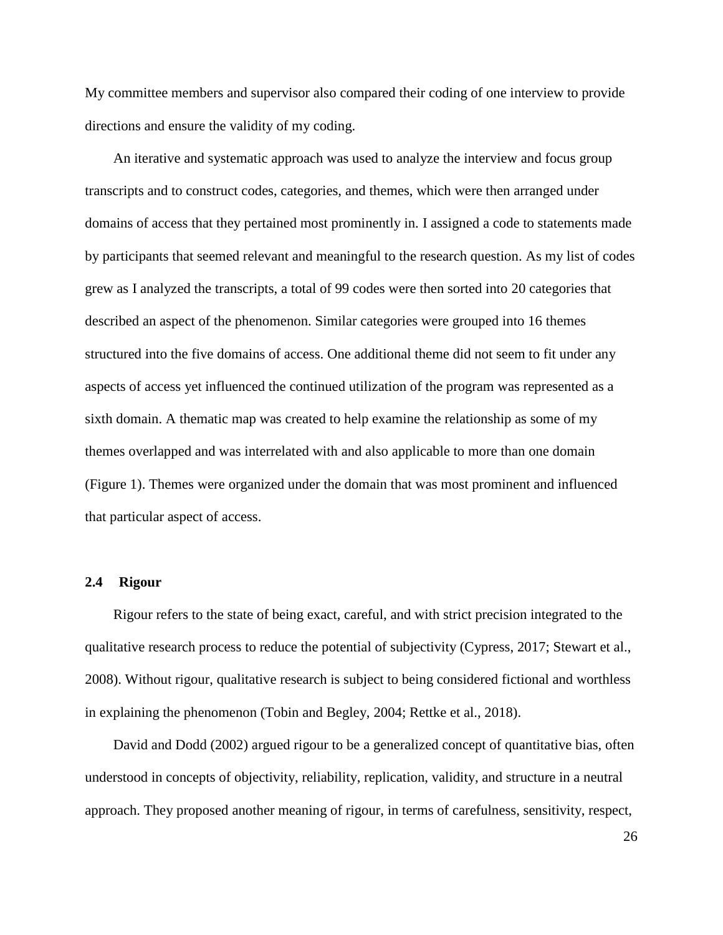My committee members and supervisor also compared their coding of one interview to provide directions and ensure the validity of my coding.

An iterative and systematic approach was used to analyze the interview and focus group transcripts and to construct codes, categories, and themes, which were then arranged under domains of access that they pertained most prominently in. I assigned a code to statements made by participants that seemed relevant and meaningful to the research question. As my list of codes grew as I analyzed the transcripts, a total of 99 codes were then sorted into 20 categories that described an aspect of the phenomenon. Similar categories were grouped into 16 themes structured into the five domains of access. One additional theme did not seem to fit under any aspects of access yet influenced the continued utilization of the program was represented as a sixth domain. A thematic map was created to help examine the relationship as some of my themes overlapped and was interrelated with and also applicable to more than one domain (Figure 1). Themes were organized under the domain that was most prominent and influenced that particular aspect of access.

#### **2.4 Rigour**

Rigour refers to the state of being exact, careful, and with strict precision integrated to the qualitative research process to reduce the potential of subjectivity (Cypress, 2017; Stewart et al., 2008). Without rigour, qualitative research is subject to being considered fictional and worthless in explaining the phenomenon (Tobin and Begley, 2004; Rettke et al., 2018).

David and Dodd (2002) argued rigour to be a generalized concept of quantitative bias, often understood in concepts of objectivity, reliability, replication, validity, and structure in a neutral approach. They proposed another meaning of rigour, in terms of carefulness, sensitivity, respect,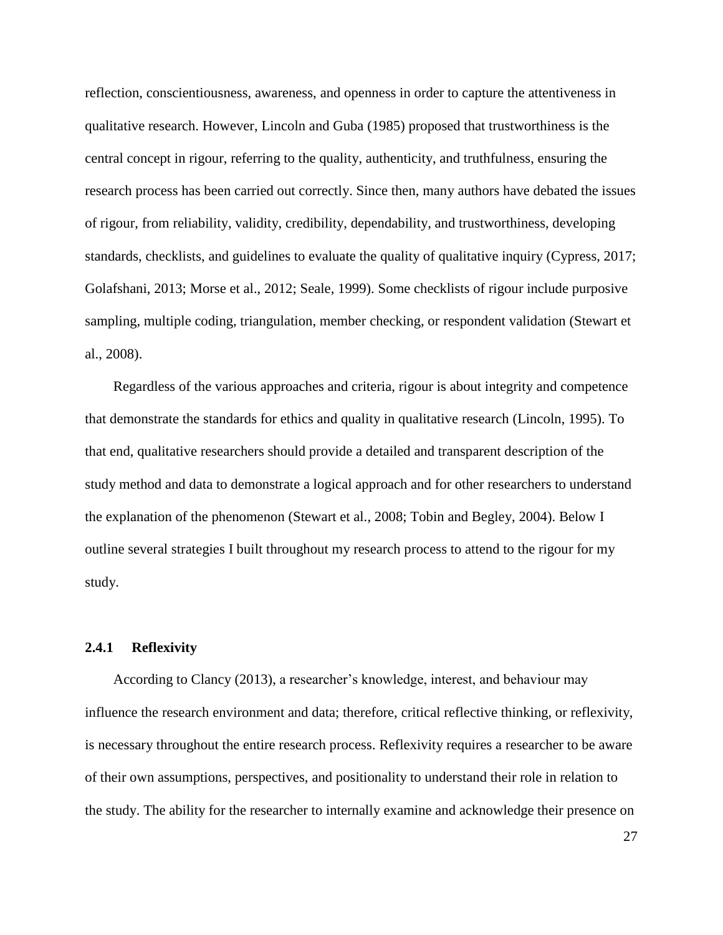reflection, conscientiousness, awareness, and openness in order to capture the attentiveness in qualitative research. However, Lincoln and Guba (1985) proposed that trustworthiness is the central concept in rigour, referring to the quality, authenticity, and truthfulness, ensuring the research process has been carried out correctly. Since then, many authors have debated the issues of rigour, from reliability, validity, credibility, dependability, and trustworthiness, developing standards, checklists, and guidelines to evaluate the quality of qualitative inquiry (Cypress, 2017; Golafshani, 2013; Morse et al., 2012; Seale, 1999). Some checklists of rigour include purposive sampling, multiple coding, triangulation, member checking, or respondent validation (Stewart et al., 2008).

Regardless of the various approaches and criteria, rigour is about integrity and competence that demonstrate the standards for ethics and quality in qualitative research (Lincoln, 1995). To that end, qualitative researchers should provide a detailed and transparent description of the study method and data to demonstrate a logical approach and for other researchers to understand the explanation of the phenomenon (Stewart et al., 2008; Tobin and Begley, 2004). Below I outline several strategies I built throughout my research process to attend to the rigour for my study.

# **2.4.1 Reflexivity**

According to Clancy (2013), a researcher's knowledge, interest, and behaviour may influence the research environment and data; therefore, critical reflective thinking, or reflexivity, is necessary throughout the entire research process. Reflexivity requires a researcher to be aware of their own assumptions, perspectives, and positionality to understand their role in relation to the study. The ability for the researcher to internally examine and acknowledge their presence on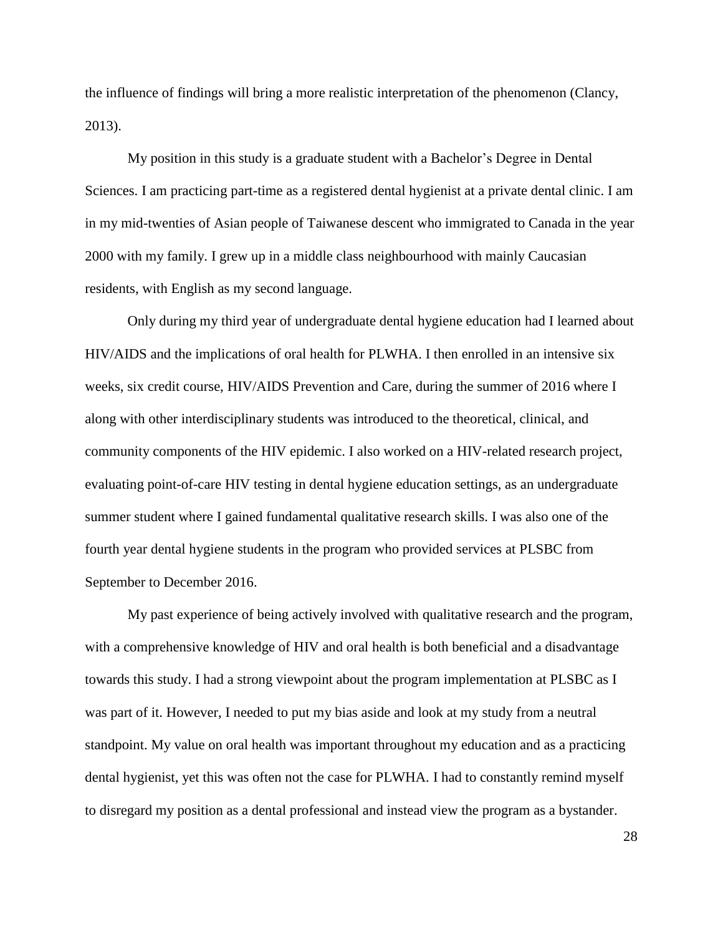the influence of findings will bring a more realistic interpretation of the phenomenon (Clancy, 2013).

My position in this study is a graduate student with a Bachelor's Degree in Dental Sciences. I am practicing part-time as a registered dental hygienist at a private dental clinic. I am in my mid-twenties of Asian people of Taiwanese descent who immigrated to Canada in the year 2000 with my family. I grew up in a middle class neighbourhood with mainly Caucasian residents, with English as my second language.

Only during my third year of undergraduate dental hygiene education had I learned about HIV/AIDS and the implications of oral health for PLWHA. I then enrolled in an intensive six weeks, six credit course, HIV/AIDS Prevention and Care, during the summer of 2016 where I along with other interdisciplinary students was introduced to the theoretical, clinical, and community components of the HIV epidemic. I also worked on a HIV-related research project, evaluating point-of-care HIV testing in dental hygiene education settings, as an undergraduate summer student where I gained fundamental qualitative research skills. I was also one of the fourth year dental hygiene students in the program who provided services at PLSBC from September to December 2016.

My past experience of being actively involved with qualitative research and the program, with a comprehensive knowledge of HIV and oral health is both beneficial and a disadvantage towards this study. I had a strong viewpoint about the program implementation at PLSBC as I was part of it. However, I needed to put my bias aside and look at my study from a neutral standpoint. My value on oral health was important throughout my education and as a practicing dental hygienist, yet this was often not the case for PLWHA. I had to constantly remind myself to disregard my position as a dental professional and instead view the program as a bystander.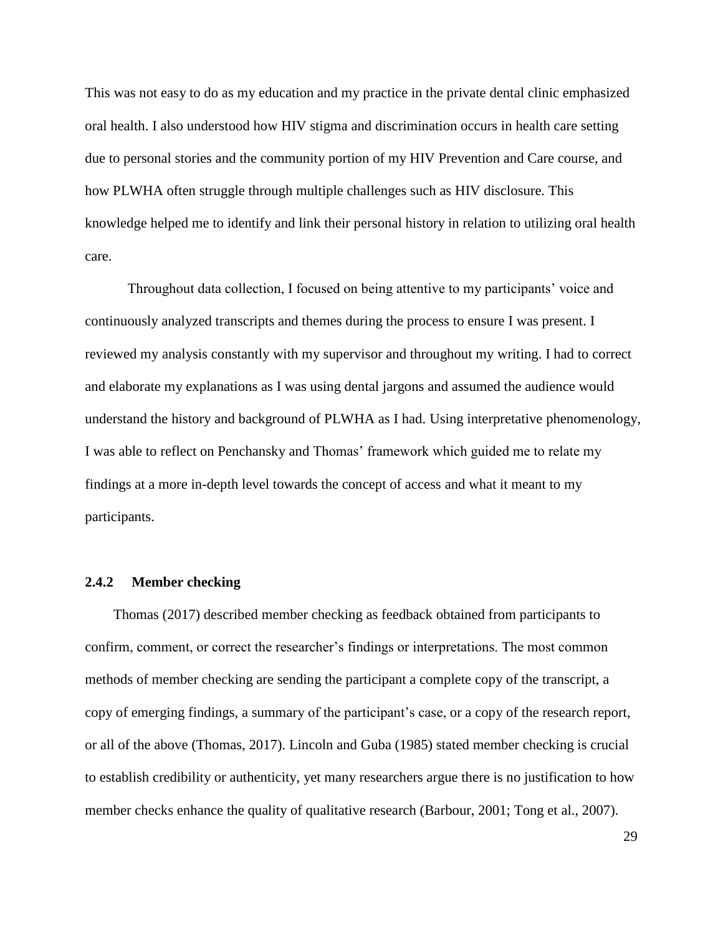This was not easy to do as my education and my practice in the private dental clinic emphasized oral health. I also understood how HIV stigma and discrimination occurs in health care setting due to personal stories and the community portion of my HIV Prevention and Care course, and how PLWHA often struggle through multiple challenges such as HIV disclosure. This knowledge helped me to identify and link their personal history in relation to utilizing oral health care.

Throughout data collection, I focused on being attentive to my participants' voice and continuously analyzed transcripts and themes during the process to ensure I was present. I reviewed my analysis constantly with my supervisor and throughout my writing. I had to correct and elaborate my explanations as I was using dental jargons and assumed the audience would understand the history and background of PLWHA as I had. Using interpretative phenomenology, I was able to reflect on Penchansky and Thomas' framework which guided me to relate my findings at a more in-depth level towards the concept of access and what it meant to my participants.

# **2.4.2 Member checking**

Thomas (2017) described member checking as feedback obtained from participants to confirm, comment, or correct the researcher's findings or interpretations. The most common methods of member checking are sending the participant a complete copy of the transcript, a copy of emerging findings, a summary of the participant's case, or a copy of the research report, or all of the above (Thomas, 2017). Lincoln and Guba (1985) stated member checking is crucial to establish credibility or authenticity, yet many researchers argue there is no justification to how member checks enhance the quality of qualitative research (Barbour, 2001; Tong et al., 2007).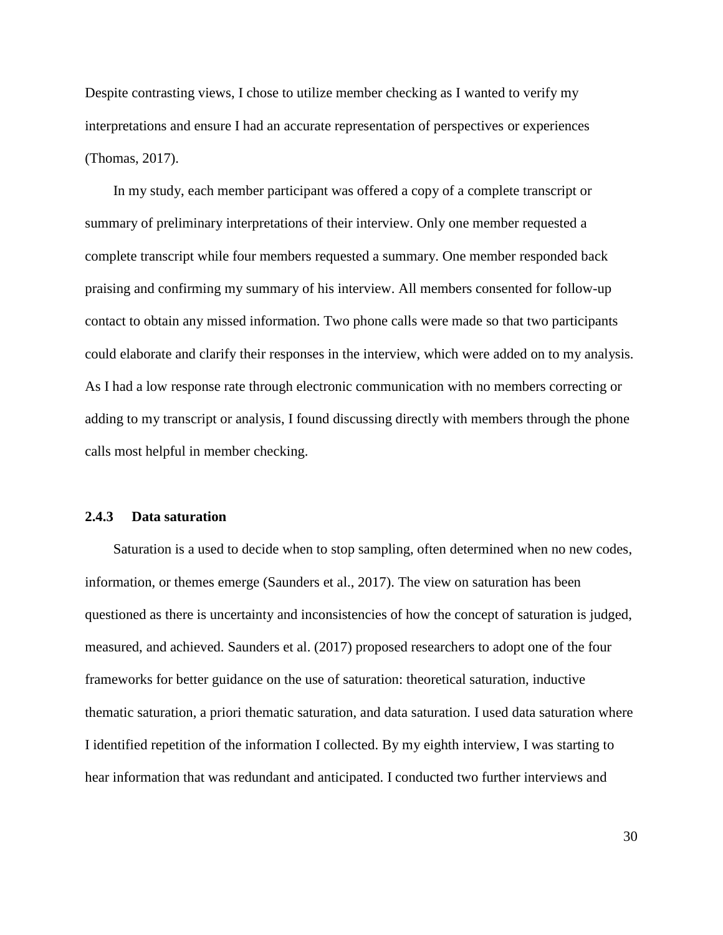Despite contrasting views, I chose to utilize member checking as I wanted to verify my interpretations and ensure I had an accurate representation of perspectives or experiences (Thomas, 2017).

In my study, each member participant was offered a copy of a complete transcript or summary of preliminary interpretations of their interview. Only one member requested a complete transcript while four members requested a summary. One member responded back praising and confirming my summary of his interview. All members consented for follow-up contact to obtain any missed information. Two phone calls were made so that two participants could elaborate and clarify their responses in the interview, which were added on to my analysis. As I had a low response rate through electronic communication with no members correcting or adding to my transcript or analysis, I found discussing directly with members through the phone calls most helpful in member checking.

### **2.4.3 Data saturation**

Saturation is a used to decide when to stop sampling, often determined when no new codes, information, or themes emerge (Saunders et al., 2017). The view on saturation has been questioned as there is uncertainty and inconsistencies of how the concept of saturation is judged, measured, and achieved. Saunders et al. (2017) proposed researchers to adopt one of the four frameworks for better guidance on the use of saturation: theoretical saturation, inductive thematic saturation, a priori thematic saturation, and data saturation. I used data saturation where I identified repetition of the information I collected. By my eighth interview, I was starting to hear information that was redundant and anticipated. I conducted two further interviews and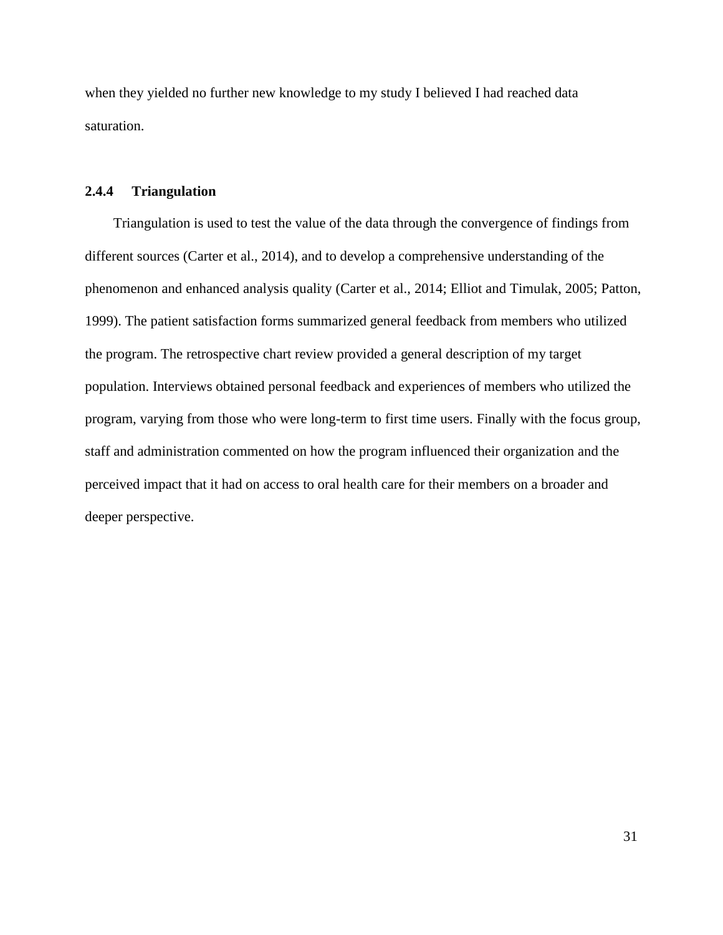when they yielded no further new knowledge to my study I believed I had reached data saturation.

# **2.4.4 Triangulation**

Triangulation is used to test the value of the data through the convergence of findings from different sources (Carter et al., 2014), and to develop a comprehensive understanding of the phenomenon and enhanced analysis quality (Carter et al., 2014; Elliot and Timulak, 2005; Patton, 1999). The patient satisfaction forms summarized general feedback from members who utilized the program. The retrospective chart review provided a general description of my target population. Interviews obtained personal feedback and experiences of members who utilized the program, varying from those who were long-term to first time users. Finally with the focus group, staff and administration commented on how the program influenced their organization and the perceived impact that it had on access to oral health care for their members on a broader and deeper perspective.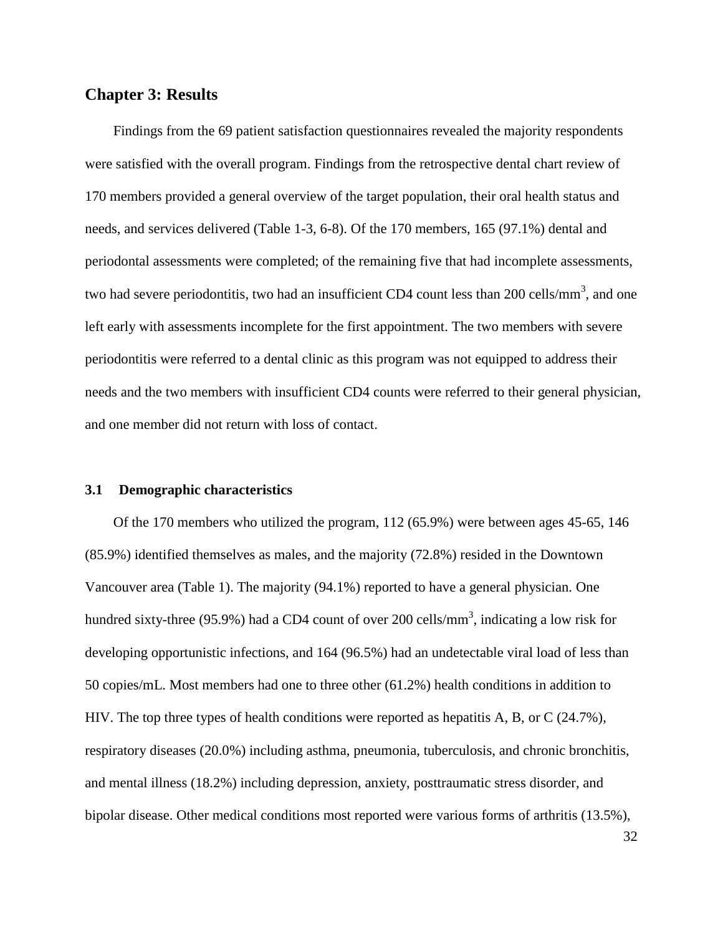# **Chapter 3: Results**

Findings from the 69 patient satisfaction questionnaires revealed the majority respondents were satisfied with the overall program. Findings from the retrospective dental chart review of 170 members provided a general overview of the target population, their oral health status and needs, and services delivered (Table 1-3, 6-8). Of the 170 members, 165 (97.1%) dental and periodontal assessments were completed; of the remaining five that had incomplete assessments, two had severe periodontitis, two had an insufficient CD4 count less than 200 cells/mm<sup>3</sup>, and one left early with assessments incomplete for the first appointment. The two members with severe periodontitis were referred to a dental clinic as this program was not equipped to address their needs and the two members with insufficient CD4 counts were referred to their general physician, and one member did not return with loss of contact.

# **3.1 Demographic characteristics**

Of the 170 members who utilized the program, 112 (65.9%) were between ages 45-65, 146 (85.9%) identified themselves as males, and the majority (72.8%) resided in the Downtown Vancouver area (Table 1). The majority (94.1%) reported to have a general physician. One hundred sixty-three (95.9%) had a CD4 count of over 200 cells/mm<sup>3</sup>, indicating a low risk for developing opportunistic infections, and 164 (96.5%) had an undetectable viral load of less than 50 copies/mL. Most members had one to three other (61.2%) health conditions in addition to HIV. The top three types of health conditions were reported as hepatitis A, B, or C (24.7%), respiratory diseases (20.0%) including asthma, pneumonia, tuberculosis, and chronic bronchitis, and mental illness (18.2%) including depression, anxiety, posttraumatic stress disorder, and bipolar disease. Other medical conditions most reported were various forms of arthritis (13.5%),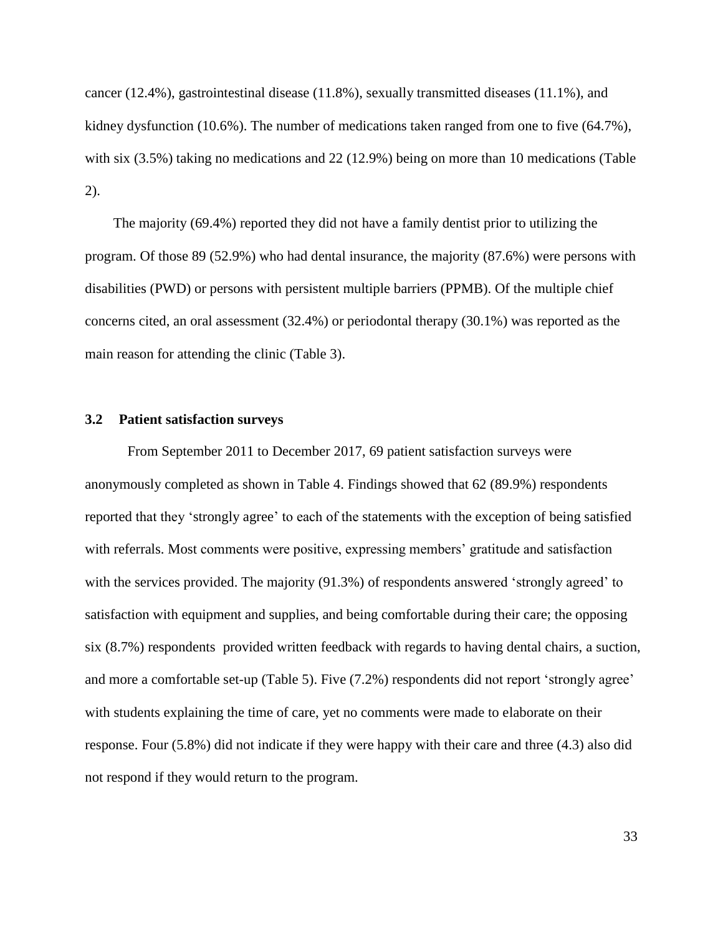cancer (12.4%), gastrointestinal disease (11.8%), sexually transmitted diseases (11.1%), and kidney dysfunction (10.6%). The number of medications taken ranged from one to five (64.7%), with six (3.5%) taking no medications and 22 (12.9%) being on more than 10 medications (Table 2).

The majority (69.4%) reported they did not have a family dentist prior to utilizing the program. Of those 89 (52.9%) who had dental insurance, the majority (87.6%) were persons with disabilities (PWD) or persons with persistent multiple barriers (PPMB). Of the multiple chief concerns cited, an oral assessment (32.4%) or periodontal therapy (30.1%) was reported as the main reason for attending the clinic (Table 3).

# **3.2 Patient satisfaction surveys**

From September 2011 to December 2017, 69 patient satisfaction surveys were anonymously completed as shown in Table 4. Findings showed that 62 (89.9%) respondents reported that they 'strongly agree' to each of the statements with the exception of being satisfied with referrals. Most comments were positive, expressing members' gratitude and satisfaction with the services provided. The majority (91.3%) of respondents answered 'strongly agreed' to satisfaction with equipment and supplies, and being comfortable during their care; the opposing six (8.7%) respondents provided written feedback with regards to having dental chairs, a suction, and more a comfortable set-up (Table 5). Five (7.2%) respondents did not report 'strongly agree' with students explaining the time of care, yet no comments were made to elaborate on their response. Four (5.8%) did not indicate if they were happy with their care and three (4.3) also did not respond if they would return to the program.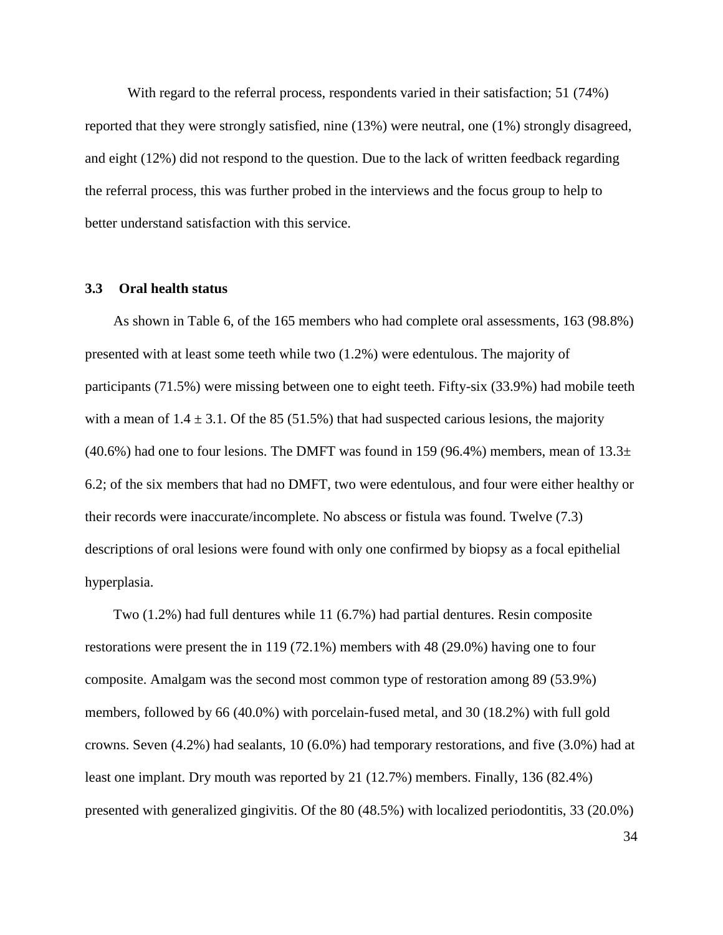With regard to the referral process, respondents varied in their satisfaction; 51 (74%) reported that they were strongly satisfied, nine (13%) were neutral, one (1%) strongly disagreed, and eight (12%) did not respond to the question. Due to the lack of written feedback regarding the referral process, this was further probed in the interviews and the focus group to help to better understand satisfaction with this service.

#### **3.3 Oral health status**

As shown in Table 6, of the 165 members who had complete oral assessments, 163 (98.8%) presented with at least some teeth while two (1.2%) were edentulous. The majority of participants (71.5%) were missing between one to eight teeth. Fifty-six (33.9%) had mobile teeth with a mean of  $1.4 \pm 3.1$ . Of the 85 (51.5%) that had suspected carious lesions, the majority (40.6%) had one to four lesions. The DMFT was found in 159 (96.4%) members, mean of  $13.3\pm$ 6.2; of the six members that had no DMFT, two were edentulous, and four were either healthy or their records were inaccurate/incomplete. No abscess or fistula was found. Twelve (7.3) descriptions of oral lesions were found with only one confirmed by biopsy as a focal epithelial hyperplasia.

Two (1.2%) had full dentures while 11 (6.7%) had partial dentures. Resin composite restorations were present the in 119 (72.1%) members with 48 (29.0%) having one to four composite. Amalgam was the second most common type of restoration among 89 (53.9%) members, followed by 66 (40.0%) with porcelain-fused metal, and 30 (18.2%) with full gold crowns. Seven (4.2%) had sealants, 10 (6.0%) had temporary restorations, and five (3.0%) had at least one implant. Dry mouth was reported by 21 (12.7%) members. Finally, 136 (82.4%) presented with generalized gingivitis. Of the 80 (48.5%) with localized periodontitis, 33 (20.0%)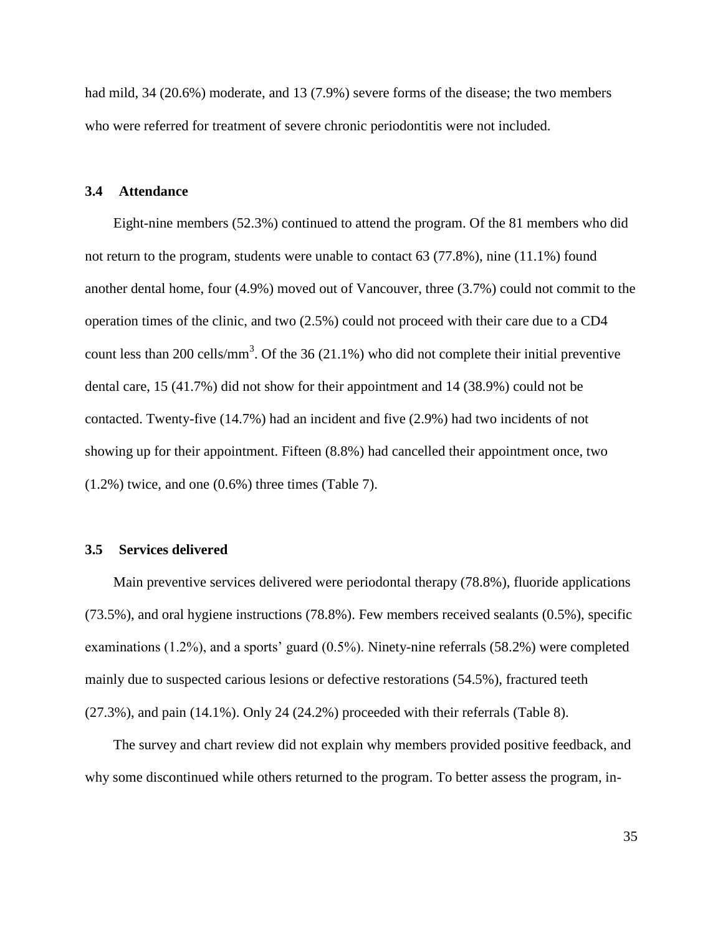had mild, 34 (20.6%) moderate, and 13 (7.9%) severe forms of the disease; the two members who were referred for treatment of severe chronic periodontitis were not included.

### **3.4 Attendance**

Eight-nine members (52.3%) continued to attend the program. Of the 81 members who did not return to the program, students were unable to contact 63 (77.8%), nine (11.1%) found another dental home, four (4.9%) moved out of Vancouver, three (3.7%) could not commit to the operation times of the clinic, and two (2.5%) could not proceed with their care due to a CD4 count less than 200 cells/mm<sup>3</sup>. Of the 36 (21.1%) who did not complete their initial preventive dental care, 15 (41.7%) did not show for their appointment and 14 (38.9%) could not be contacted. Twenty-five (14.7%) had an incident and five (2.9%) had two incidents of not showing up for their appointment. Fifteen (8.8%) had cancelled their appointment once, two (1.2%) twice, and one (0.6%) three times (Table 7).

### **3.5 Services delivered**

Main preventive services delivered were periodontal therapy (78.8%), fluoride applications (73.5%), and oral hygiene instructions (78.8%). Few members received sealants (0.5%), specific examinations (1.2%), and a sports' guard (0.5%). Ninety-nine referrals (58.2%) were completed mainly due to suspected carious lesions or defective restorations (54.5%), fractured teeth (27.3%), and pain (14.1%). Only 24 (24.2%) proceeded with their referrals (Table 8).

The survey and chart review did not explain why members provided positive feedback, and why some discontinued while others returned to the program. To better assess the program, in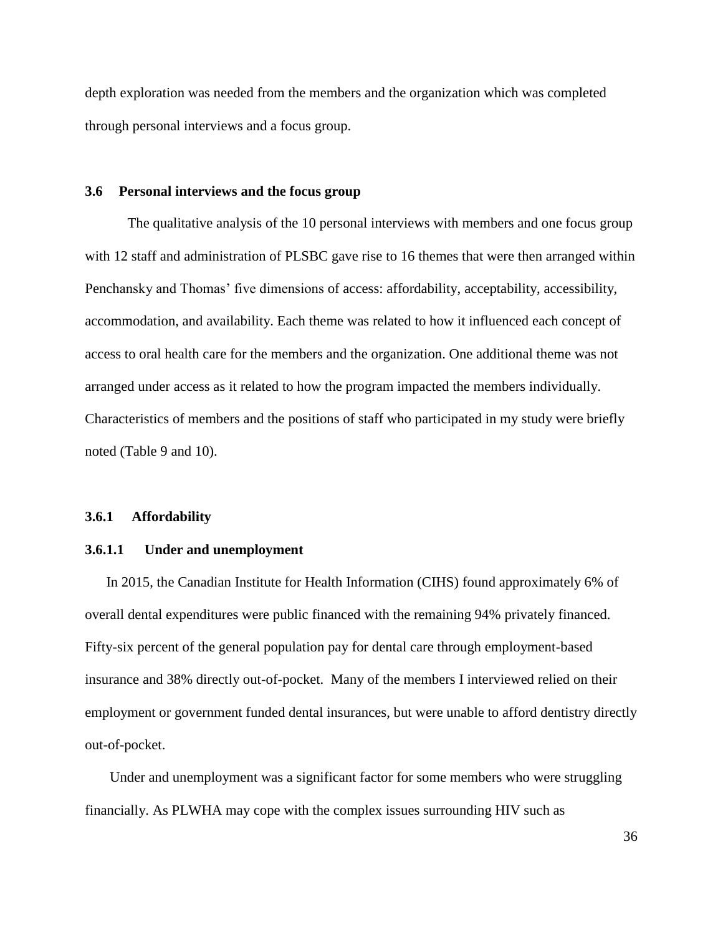depth exploration was needed from the members and the organization which was completed through personal interviews and a focus group.

## **3.6 Personal interviews and the focus group**

The qualitative analysis of the 10 personal interviews with members and one focus group with 12 staff and administration of PLSBC gave rise to 16 themes that were then arranged within Penchansky and Thomas' five dimensions of access: affordability, acceptability, accessibility, accommodation, and availability. Each theme was related to how it influenced each concept of access to oral health care for the members and the organization. One additional theme was not arranged under access as it related to how the program impacted the members individually. Characteristics of members and the positions of staff who participated in my study were briefly noted (Table 9 and 10).

### **3.6.1 Affordability**

#### **3.6.1.1 Under and unemployment**

In 2015, the Canadian Institute for Health Information (CIHS) found approximately 6% of overall dental expenditures were public financed with the remaining 94% privately financed. Fifty-six percent of the general population pay for dental care through employment-based insurance and 38% directly out-of-pocket. Many of the members I interviewed relied on their employment or government funded dental insurances, but were unable to afford dentistry directly out-of-pocket.

Under and unemployment was a significant factor for some members who were struggling financially. As PLWHA may cope with the complex issues surrounding HIV such as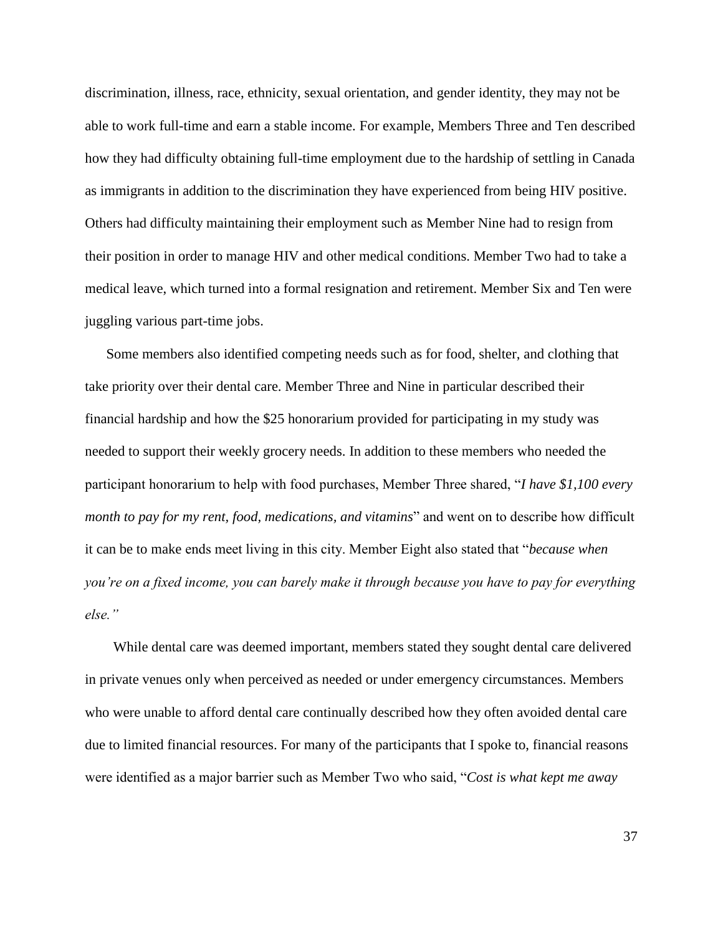discrimination, illness, race, ethnicity, sexual orientation, and gender identity, they may not be able to work full-time and earn a stable income. For example, Members Three and Ten described how they had difficulty obtaining full-time employment due to the hardship of settling in Canada as immigrants in addition to the discrimination they have experienced from being HIV positive. Others had difficulty maintaining their employment such as Member Nine had to resign from their position in order to manage HIV and other medical conditions. Member Two had to take a medical leave, which turned into a formal resignation and retirement. Member Six and Ten were juggling various part-time jobs.

Some members also identified competing needs such as for food, shelter, and clothing that take priority over their dental care. Member Three and Nine in particular described their financial hardship and how the \$25 honorarium provided for participating in my study was needed to support their weekly grocery needs. In addition to these members who needed the participant honorarium to help with food purchases, Member Three shared, "*I have \$1,100 every month to pay for my rent, food, medications, and vitamins*" and went on to describe how difficult it can be to make ends meet living in this city. Member Eight also stated that *"because when you"re on a fixed income, you can barely make it through because you have to pay for everything else."*

While dental care was deemed important, members stated they sought dental care delivered in private venues only when perceived as needed or under emergency circumstances. Members who were unable to afford dental care continually described how they often avoided dental care due to limited financial resources. For many of the participants that I spoke to, financial reasons were identified as a major barrier such as Member Two who said, "Cost is what kept me away"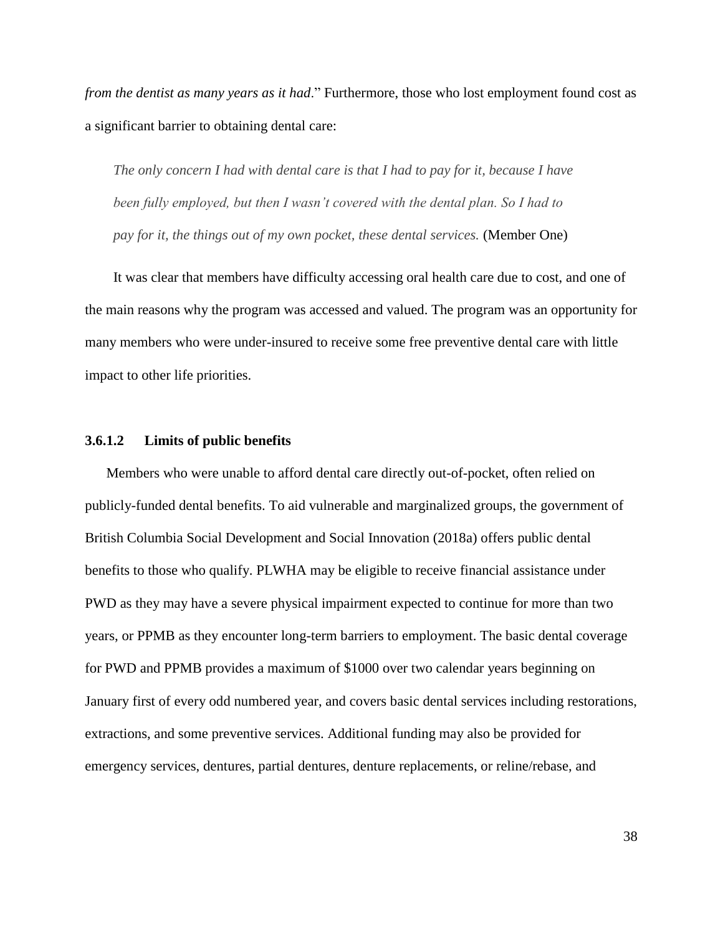*from the dentist as many years as it had.*" Furthermore, those who lost employment found cost as a significant barrier to obtaining dental care:

*The only concern I had with dental care is that I had to pay for it, because I have been fully employed, but then I wasn"t covered with the dental plan. So I had to pay for it, the things out of my own pocket, these dental services.* (Member One)

It was clear that members have difficulty accessing oral health care due to cost, and one of the main reasons why the program was accessed and valued. The program was an opportunity for many members who were under-insured to receive some free preventive dental care with little impact to other life priorities.

### **3.6.1.2 Limits of public benefits**

Members who were unable to afford dental care directly out-of-pocket, often relied on publicly-funded dental benefits. To aid vulnerable and marginalized groups, the government of British Columbia Social Development and Social Innovation (2018a) offers public dental benefits to those who qualify. PLWHA may be eligible to receive financial assistance under PWD as they may have a severe physical impairment expected to continue for more than two years, or PPMB as they encounter long-term barriers to employment. The basic dental coverage for PWD and PPMB provides a maximum of \$1000 over two calendar years beginning on January first of every odd numbered year, and covers basic dental services including restorations, extractions, and some preventive services. Additional funding may also be provided for emergency services, dentures, partial dentures, denture replacements, or reline/rebase, and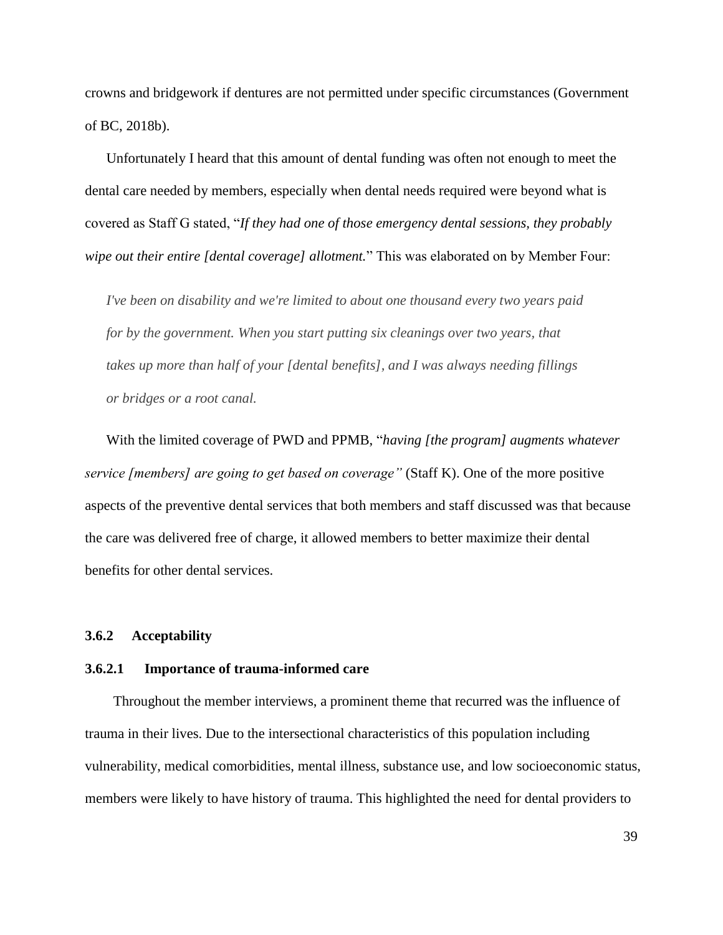crowns and bridgework if dentures are not permitted under specific circumstances (Government of BC, 2018b).

Unfortunately I heard that this amount of dental funding was often not enough to meet the dental care needed by members, especially when dental needs required were beyond what is covered as Staff G stated, "If they had one of those emergency dental sessions, they probably *wipe out their entire [dental coverage] allotment.*" This was elaborated on by Member Four:

*I've been on disability and we're limited to about one thousand every two years paid for by the government. When you start putting six cleanings over two years, that takes up more than half of your [dental benefits], and I was always needing fillings or bridges or a root canal.*

With the limited coverage of PWD and PPMB, "*having [the program] augments whatever service [members] are going to get based on coverage"* (Staff K). One of the more positive aspects of the preventive dental services that both members and staff discussed was that because the care was delivered free of charge, it allowed members to better maximize their dental benefits for other dental services.

# **3.6.2 Acceptability**

### **3.6.2.1 Importance of trauma-informed care**

Throughout the member interviews, a prominent theme that recurred was the influence of trauma in their lives. Due to the intersectional characteristics of this population including vulnerability, medical comorbidities, mental illness, substance use, and low socioeconomic status, members were likely to have history of trauma. This highlighted the need for dental providers to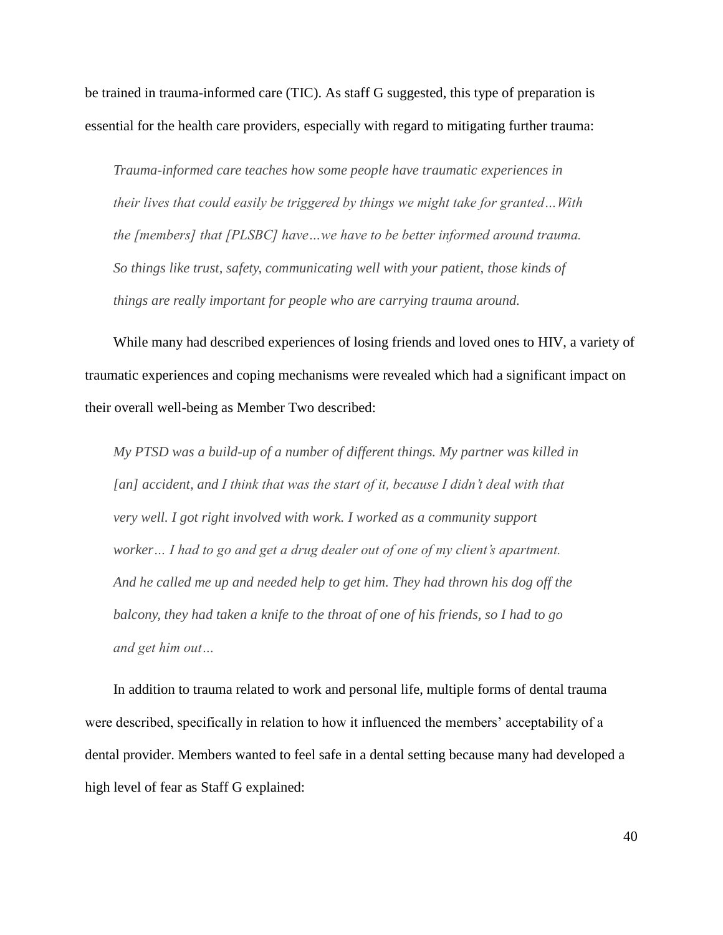be trained in trauma-informed care (TIC). As staff G suggested, this type of preparation is essential for the health care providers, especially with regard to mitigating further trauma:

*Trauma-informed care teaches how some people have traumatic experiences in their lives that could easily be triggered by things we might take for granted…With the [members] that [PLSBC] have…we have to be better informed around trauma. So things like trust, safety, communicating well with your patient, those kinds of things are really important for people who are carrying trauma around.* 

While many had described experiences of losing friends and loved ones to HIV, a variety of traumatic experiences and coping mechanisms were revealed which had a significant impact on their overall well-being as Member Two described:

*My PTSD was a build-up of a number of different things. My partner was killed in [an] accident, and I think that was the start of it, because I didn"t deal with that very well. I got right involved with work. I worked as a community support*  worker... I had to go and get a drug dealer out of one of my client's apartment. *And he called me up and needed help to get him. They had thrown his dog off the balcony, they had taken a knife to the throat of one of his friends, so I had to go and get him out…*

In addition to trauma related to work and personal life, multiple forms of dental trauma were described, specifically in relation to how it influenced the members' acceptability of a dental provider. Members wanted to feel safe in a dental setting because many had developed a high level of fear as Staff G explained: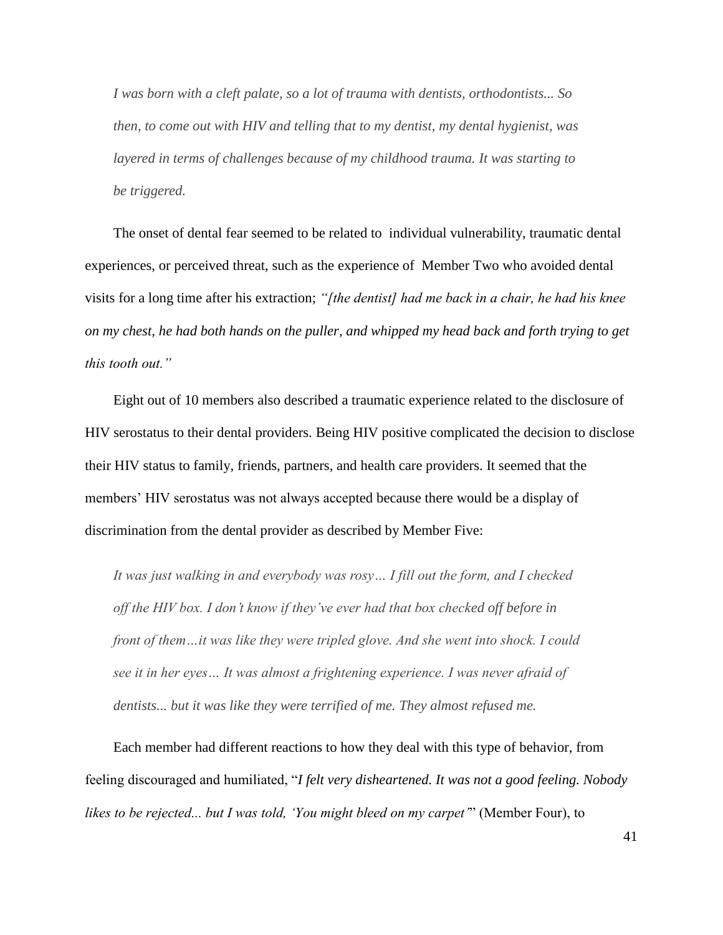*I was born with a cleft palate, so a lot of trauma with dentists, orthodontists... So then, to come out with HIV and telling that to my dentist, my dental hygienist, was layered in terms of challenges because of my childhood trauma. It was starting to be triggered.*

The onset of dental fear seemed to be related to individual vulnerability, traumatic dental experiences, or perceived threat, such as the experience of Member Two who avoided dental visits for a long time after his extraction; *"[the dentist] had me back in a chair, he had his knee on my chest, he had both hands on the puller, and whipped my head back and forth trying to get this tooth out."* 

Eight out of 10 members also described a traumatic experience related to the disclosure of HIV serostatus to their dental providers. Being HIV positive complicated the decision to disclose their HIV status to family, friends, partners, and health care providers. It seemed that the members' HIV serostatus was not always accepted because there would be a display of discrimination from the dental provider as described by Member Five:

*It was just walking in and everybody was rosy… I fill out the form, and I checked off the HIV box. I don"t know if they"ve ever had that box checked off before in front of them…it was like they were tripled glove. And she went into shock. I could see it in her eyes… It was almost a frightening experience. I was never afraid of dentists... but it was like they were terrified of me. They almost refused me.*

Each member had different reactions to how they deal with this type of behavior, from feeling discouraged and humiliated, "I felt very disheartened. It was not a good feeling. Nobody *likes to be rejected... but I was told, "You might bleed on my carpet"*‖ (Member Four), to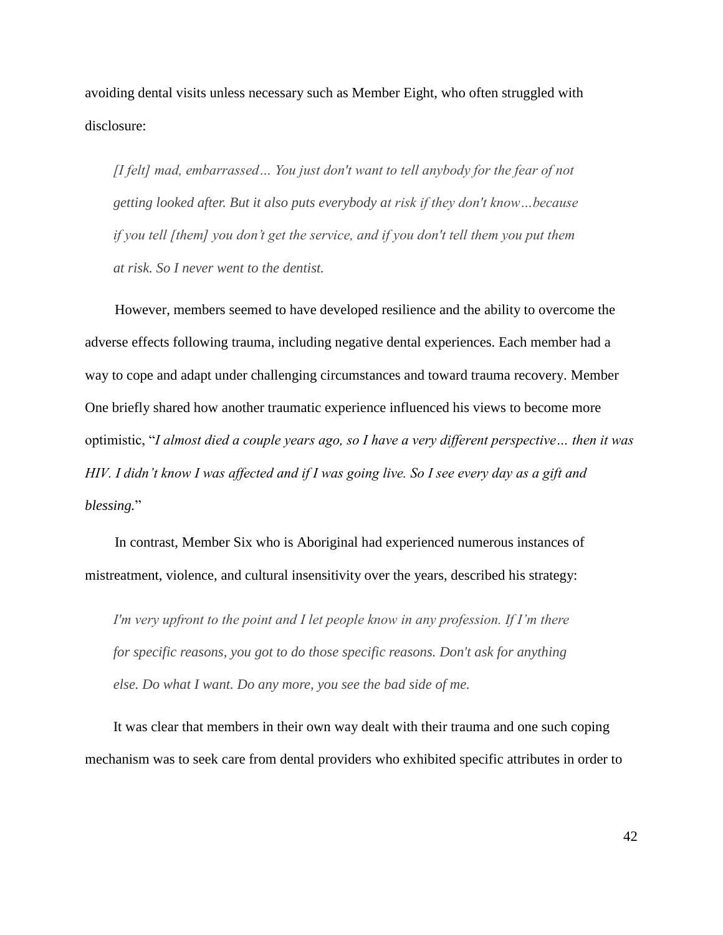avoiding dental visits unless necessary such as Member Eight, who often struggled with disclosure:

*[I felt] mad, embarrassed… You just don't want to tell anybody for the fear of not getting looked after. But it also puts everybody at risk if they don't know…because if you tell [them] you don"t get the service, and if you don't tell them you put them at risk. So I never went to the dentist.*

However, members seemed to have developed resilience and the ability to overcome the adverse effects following trauma, including negative dental experiences. Each member had a way to cope and adapt under challenging circumstances and toward trauma recovery. Member One briefly shared how another traumatic experience influenced his views to become more optimistic, ―*I almost died a couple years ago, so I have a very different perspective… then it was HIV. I didn"t know I was affected and if I was going live. So I see every day as a gift and blessing.*‖

In contrast, Member Six who is Aboriginal had experienced numerous instances of mistreatment, violence, and cultural insensitivity over the years, described his strategy:

*I'm very upfront to the point and I let people know in any profession. If I'm there for specific reasons, you got to do those specific reasons. Don't ask for anything else. Do what I want. Do any more, you see the bad side of me.*

It was clear that members in their own way dealt with their trauma and one such coping mechanism was to seek care from dental providers who exhibited specific attributes in order to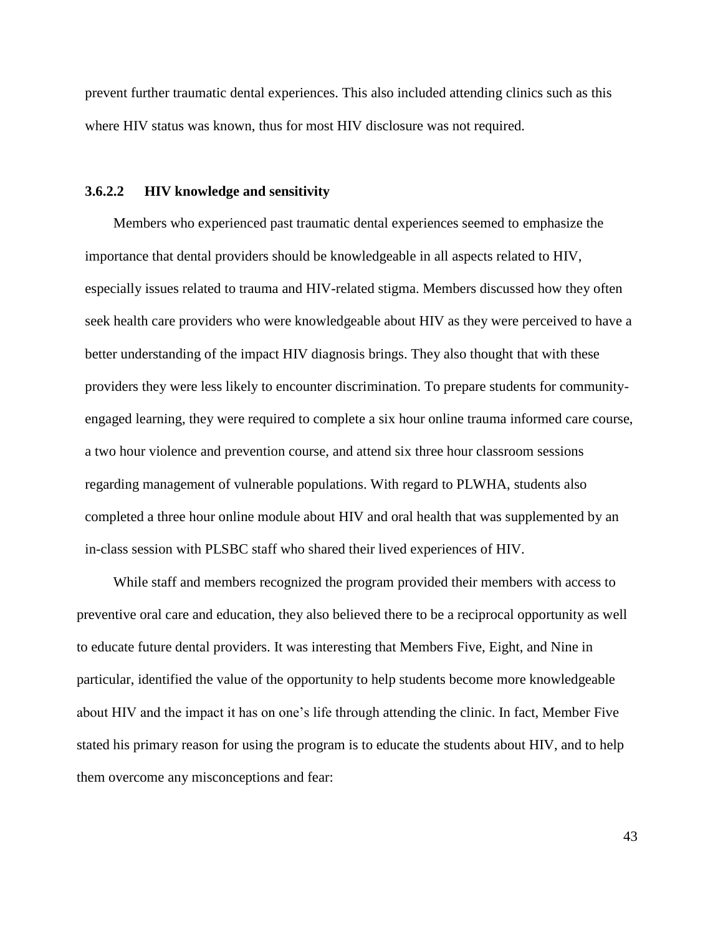prevent further traumatic dental experiences. This also included attending clinics such as this where HIV status was known, thus for most HIV disclosure was not required.

### **3.6.2.2 HIV knowledge and sensitivity**

Members who experienced past traumatic dental experiences seemed to emphasize the importance that dental providers should be knowledgeable in all aspects related to HIV, especially issues related to trauma and HIV-related stigma. Members discussed how they often seek health care providers who were knowledgeable about HIV as they were perceived to have a better understanding of the impact HIV diagnosis brings. They also thought that with these providers they were less likely to encounter discrimination. To prepare students for communityengaged learning, they were required to complete a six hour online trauma informed care course, a two hour violence and prevention course, and attend six three hour classroom sessions regarding management of vulnerable populations. With regard to PLWHA, students also completed a three hour online module about HIV and oral health that was supplemented by an in-class session with PLSBC staff who shared their lived experiences of HIV.

While staff and members recognized the program provided their members with access to preventive oral care and education, they also believed there to be a reciprocal opportunity as well to educate future dental providers. It was interesting that Members Five, Eight, and Nine in particular, identified the value of the opportunity to help students become more knowledgeable about HIV and the impact it has on one's life through attending the clinic. In fact, Member Five stated his primary reason for using the program is to educate the students about HIV, and to help them overcome any misconceptions and fear: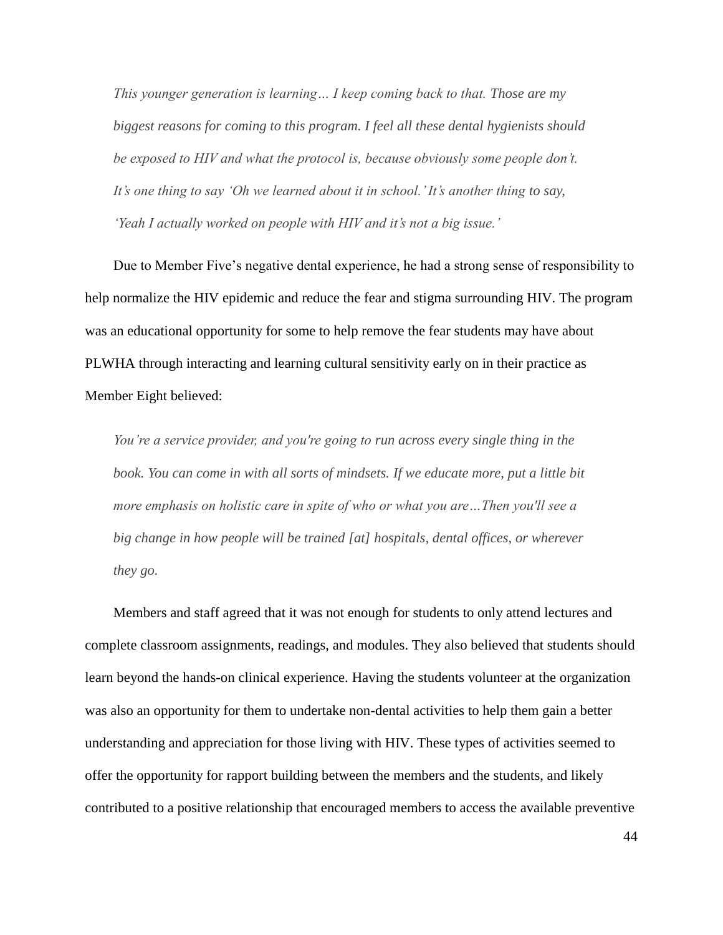*This younger generation is learning… I keep coming back to that. Those are my biggest reasons for coming to this program. I feel all these dental hygienists should be exposed to HIV and what the protocol is, because obviously some people don"t.*  It's one thing to say 'Oh we learned about it in school.' It's another thing to say, *'Yeah I actually worked on people with HIV and it's not a big issue.'* 

Due to Member Five's negative dental experience, he had a strong sense of responsibility to help normalize the HIV epidemic and reduce the fear and stigma surrounding HIV. The program was an educational opportunity for some to help remove the fear students may have about PLWHA through interacting and learning cultural sensitivity early on in their practice as Member Eight believed:

*You"re a service provider, and you're going to run across every single thing in the book. You can come in with all sorts of mindsets. If we educate more, put a little bit more emphasis on holistic care in spite of who or what you are…Then you'll see a big change in how people will be trained [at] hospitals, dental offices, or wherever they go.* 

Members and staff agreed that it was not enough for students to only attend lectures and complete classroom assignments, readings, and modules. They also believed that students should learn beyond the hands-on clinical experience. Having the students volunteer at the organization was also an opportunity for them to undertake non-dental activities to help them gain a better understanding and appreciation for those living with HIV. These types of activities seemed to offer the opportunity for rapport building between the members and the students, and likely contributed to a positive relationship that encouraged members to access the available preventive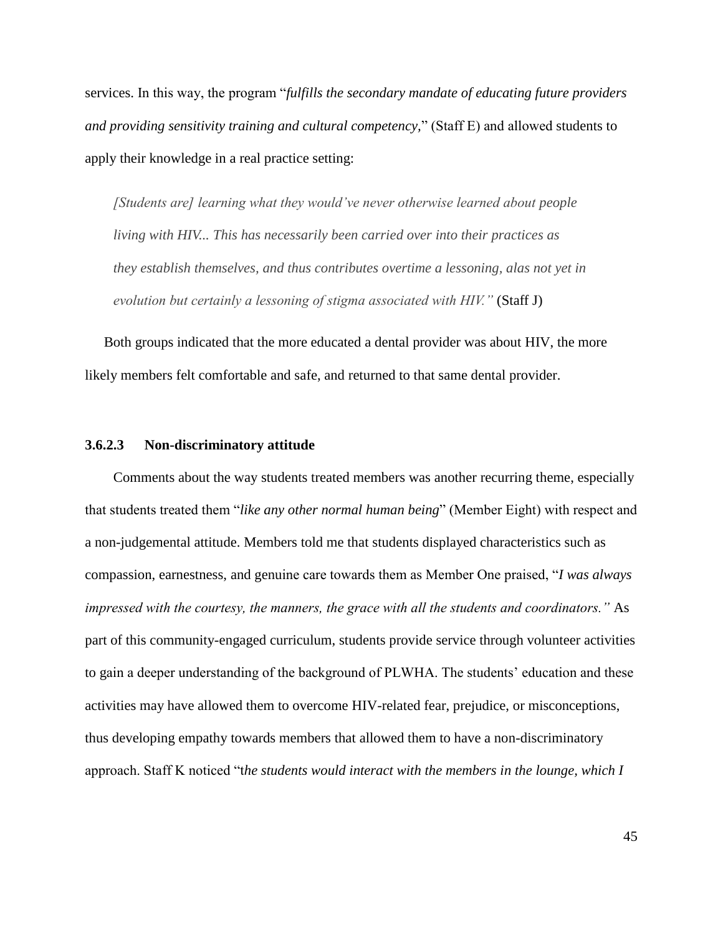services. In this way, the program "*fulfills the secondary mandate of educating future providers and providing sensitivity training and cultural competency,*" (Staff E) and allowed students to apply their knowledge in a real practice setting:

*[Students are] learning what they would"ve never otherwise learned about people living with HIV... This has necessarily been carried over into their practices as they establish themselves, and thus contributes overtime a lessoning, alas not yet in evolution but certainly a lessoning of stigma associated with HIV."* (Staff J)

 Both groups indicated that the more educated a dental provider was about HIV, the more likely members felt comfortable and safe, and returned to that same dental provider.

## **3.6.2.3 Non-discriminatory attitude**

Comments about the way students treated members was another recurring theme, especially that students treated them "like any other normal human being" (Member Eight) with respect and a non-judgemental attitude. Members told me that students displayed characteristics such as compassion, earnestness, and genuine care towards them as Member One praised, "*I was always impressed with the courtesy, the manners, the grace with all the students and coordinators."* As part of this community-engaged curriculum, students provide service through volunteer activities to gain a deeper understanding of the background of PLWHA. The students' education and these activities may have allowed them to overcome HIV-related fear, prejudice, or misconceptions, thus developing empathy towards members that allowed them to have a non-discriminatory approach. Staff K noticed "the students would interact with the members in the lounge, which I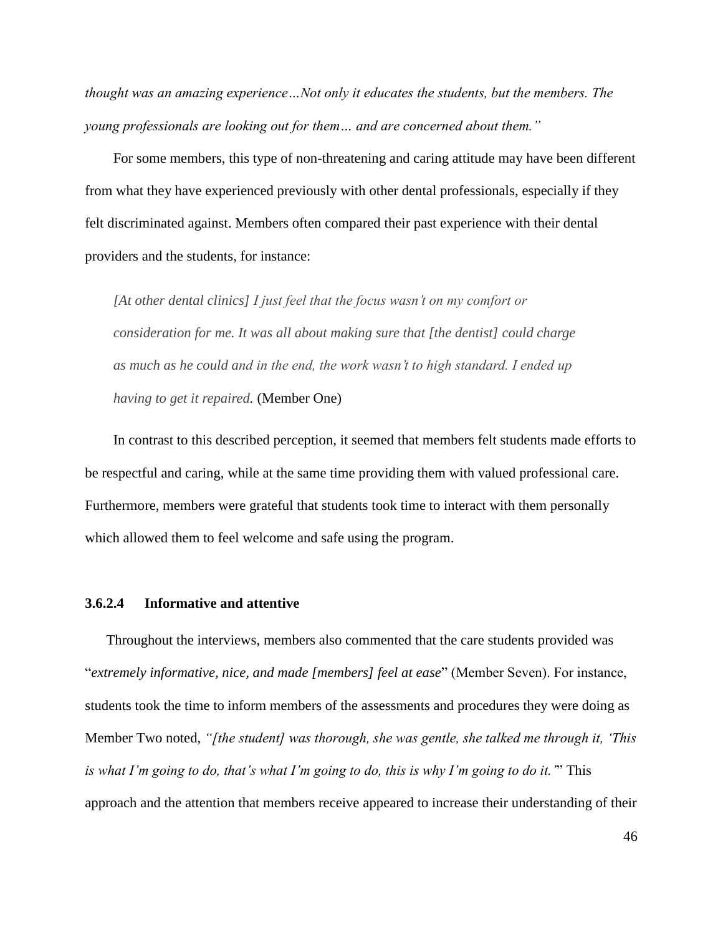*thought was an amazing experience…Not only it educates the students, but the members. The young professionals are looking out for them… and are concerned about them."*

For some members, this type of non-threatening and caring attitude may have been different from what they have experienced previously with other dental professionals, especially if they felt discriminated against. Members often compared their past experience with their dental providers and the students, for instance:

*[At other dental clinics] I just feel that the focus wasn"t on my comfort or consideration for me. It was all about making sure that [the dentist] could charge as much as he could and in the end, the work wasn"t to high standard. I ended up having to get it repaired.* (Member One)

In contrast to this described perception, it seemed that members felt students made efforts to be respectful and caring, while at the same time providing them with valued professional care. Furthermore, members were grateful that students took time to interact with them personally which allowed them to feel welcome and safe using the program.

# **3.6.2.4 Informative and attentive**

Throughout the interviews, members also commented that the care students provided was "extremely informative, nice, and made [members] feel at ease" (Member Seven). For instance, students took the time to inform members of the assessments and procedures they were doing as Member Two noted, *"[the student] was thorough, she was gentle, she talked me through it, "This is what I'm going to do, that's what I'm going to do, this is why I'm going to do it.*" This approach and the attention that members receive appeared to increase their understanding of their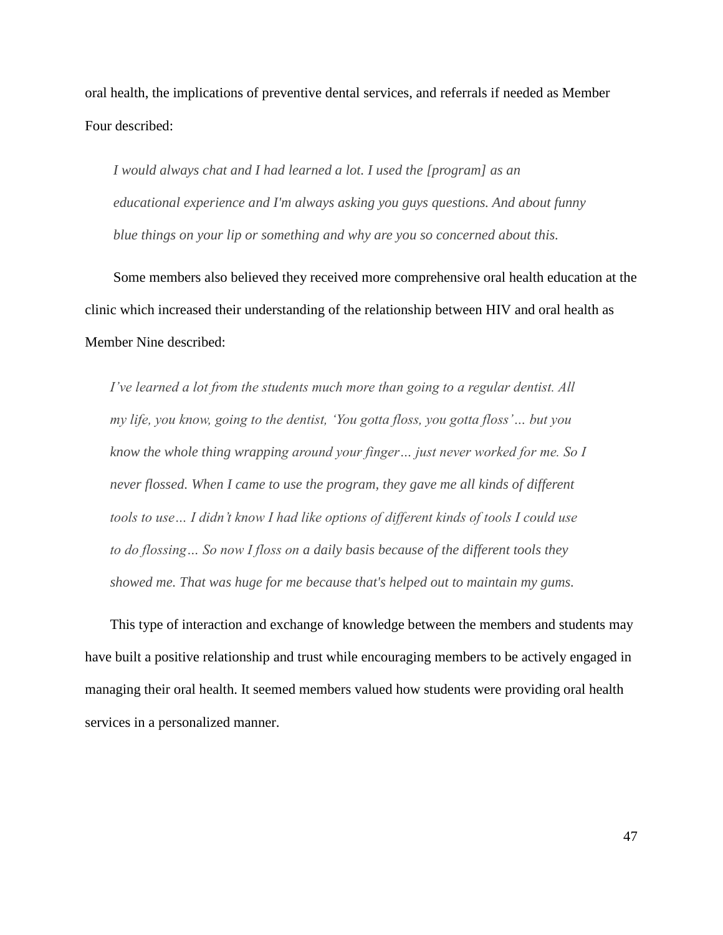oral health, the implications of preventive dental services, and referrals if needed as Member Four described:

*I would always chat and I had learned a lot. I used the [program] as an educational experience and I'm always asking you guys questions. And about funny blue things on your lip or something and why are you so concerned about this.* 

Some members also believed they received more comprehensive oral health education at the clinic which increased their understanding of the relationship between HIV and oral health as Member Nine described:

*I"ve learned a lot from the students much more than going to a regular dentist. All my life, you know, going to the dentist, "You gotta floss, you gotta floss"… but you know the whole thing wrapping around your finger… just never worked for me. So I never flossed. When I came to use the program, they gave me all kinds of different tools to use… I didn"t know I had like options of different kinds of tools I could use to do flossing… So now I floss on a daily basis because of the different tools they showed me. That was huge for me because that's helped out to maintain my gums.*

This type of interaction and exchange of knowledge between the members and students may have built a positive relationship and trust while encouraging members to be actively engaged in managing their oral health. It seemed members valued how students were providing oral health services in a personalized manner.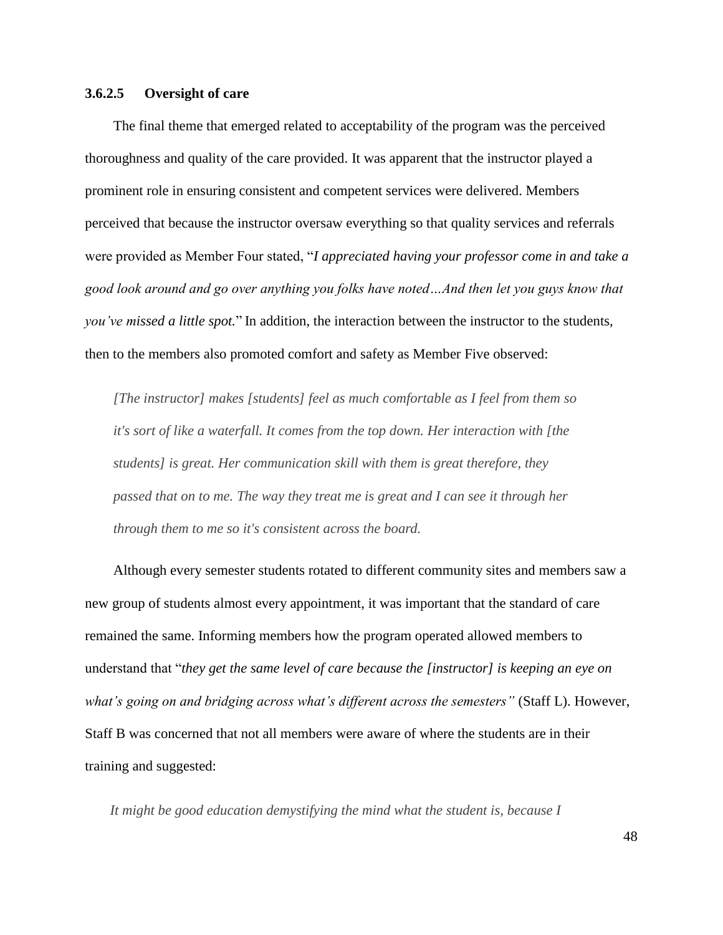# **3.6.2.5 Oversight of care**

The final theme that emerged related to acceptability of the program was the perceived thoroughness and quality of the care provided. It was apparent that the instructor played a prominent role in ensuring consistent and competent services were delivered. Members perceived that because the instructor oversaw everything so that quality services and referrals were provided as Member Four stated, "*I appreciated having your professor come in and take a good look around and go over anything you folks have noted…And then let you guys know that you've missed a little spot.*" In addition, the interaction between the instructor to the students, then to the members also promoted comfort and safety as Member Five observed:

*[The instructor] makes [students] feel as much comfortable as I feel from them so it's sort of like a waterfall. It comes from the top down. Her interaction with [the students] is great. Her communication skill with them is great therefore, they passed that on to me. The way they treat me is great and I can see it through her through them to me so it's consistent across the board.*

Although every semester students rotated to different community sites and members saw a new group of students almost every appointment, it was important that the standard of care remained the same. Informing members how the program operated allowed members to understand that "*they get the same level of care because the [instructor]* is keeping an eye on *what"s going on and bridging across what"s different across the semesters"* (Staff L). However, Staff B was concerned that not all members were aware of where the students are in their training and suggested:

*It might be good education demystifying the mind what the student is, because I*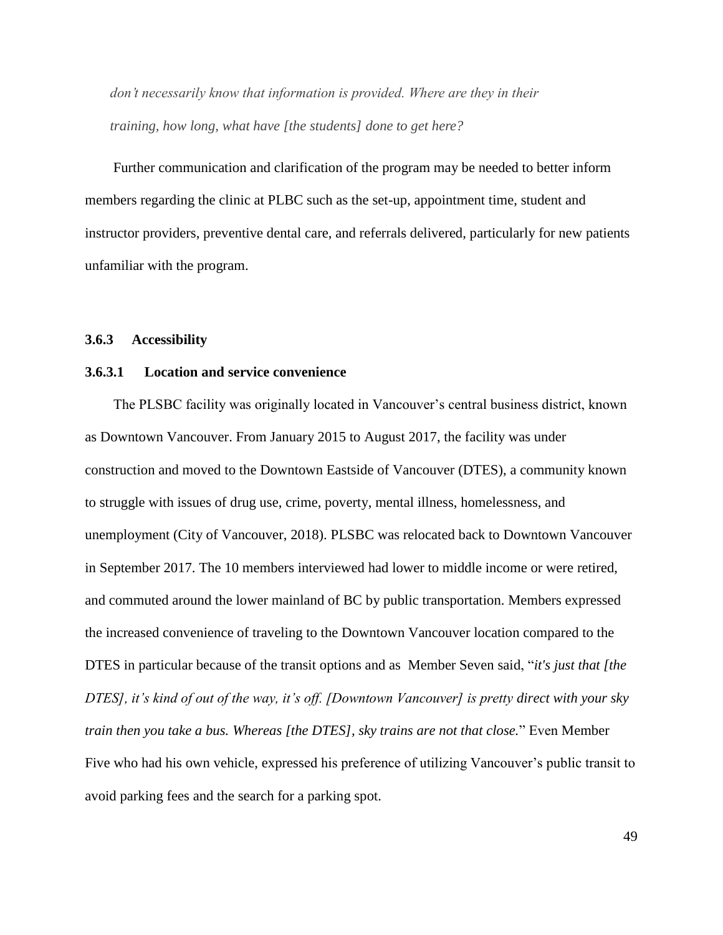*don"t necessarily know that information is provided. Where are they in their training, how long, what have [the students] done to get here?*

Further communication and clarification of the program may be needed to better inform members regarding the clinic at PLBC such as the set-up, appointment time, student and instructor providers, preventive dental care, and referrals delivered, particularly for new patients unfamiliar with the program.

#### **3.6.3 Accessibility**

# **3.6.3.1 Location and service convenience**

The PLSBC facility was originally located in Vancouver's central business district, known as Downtown Vancouver. From January 2015 to August 2017, the facility was under construction and moved to the Downtown Eastside of Vancouver (DTES), a community known to struggle with issues of drug use, crime, poverty, mental illness, homelessness, and unemployment (City of Vancouver, 2018). PLSBC was relocated back to Downtown Vancouver in September 2017. The 10 members interviewed had lower to middle income or were retired, and commuted around the lower mainland of BC by public transportation. Members expressed the increased convenience of traveling to the Downtown Vancouver location compared to the DTES in particular because of the transit options and as Member Seven said, "*it's just that [the DTES], it"s kind of out of the way, it"s off. [Downtown Vancouver] is pretty direct with your sky train then you take a bus. Whereas [the DTES], sky trains are not that close.*" Even Member Five who had his own vehicle, expressed his preference of utilizing Vancouver's public transit to avoid parking fees and the search for a parking spot.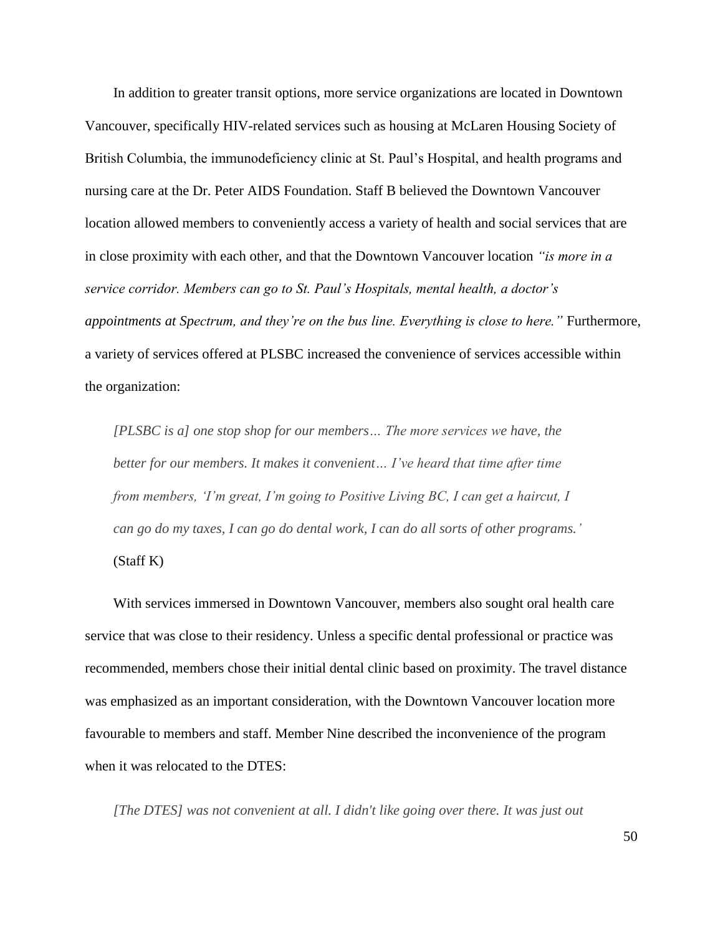In addition to greater transit options, more service organizations are located in Downtown Vancouver, specifically HIV-related services such as housing at McLaren Housing Society of British Columbia, the immunodeficiency clinic at St. Paul's Hospital, and health programs and nursing care at the Dr. Peter AIDS Foundation. Staff B believed the Downtown Vancouver location allowed members to conveniently access a variety of health and social services that are in close proximity with each other, and that the Downtown Vancouver location *"is more in a service corridor. Members can go to St. Paul"s Hospitals, mental health, a doctor"s appointments at Spectrum, and they"re on the bus line. Everything is close to here."* Furthermore, a variety of services offered at PLSBC increased the convenience of services accessible within the organization:

*[PLSBC is a] one stop shop for our members… The more services we have, the better for our members. It makes it convenient… I"ve heard that time after time from members, "I"m great, I"m going to Positive Living BC, I can get a haircut, I can go do my taxes, I can go do dental work, I can do all sorts of other programs."*  (Staff K)

With services immersed in Downtown Vancouver, members also sought oral health care service that was close to their residency. Unless a specific dental professional or practice was recommended, members chose their initial dental clinic based on proximity. The travel distance was emphasized as an important consideration, with the Downtown Vancouver location more favourable to members and staff. Member Nine described the inconvenience of the program when it was relocated to the DTES:

*[The DTES] was not convenient at all. I didn't like going over there. It was just out*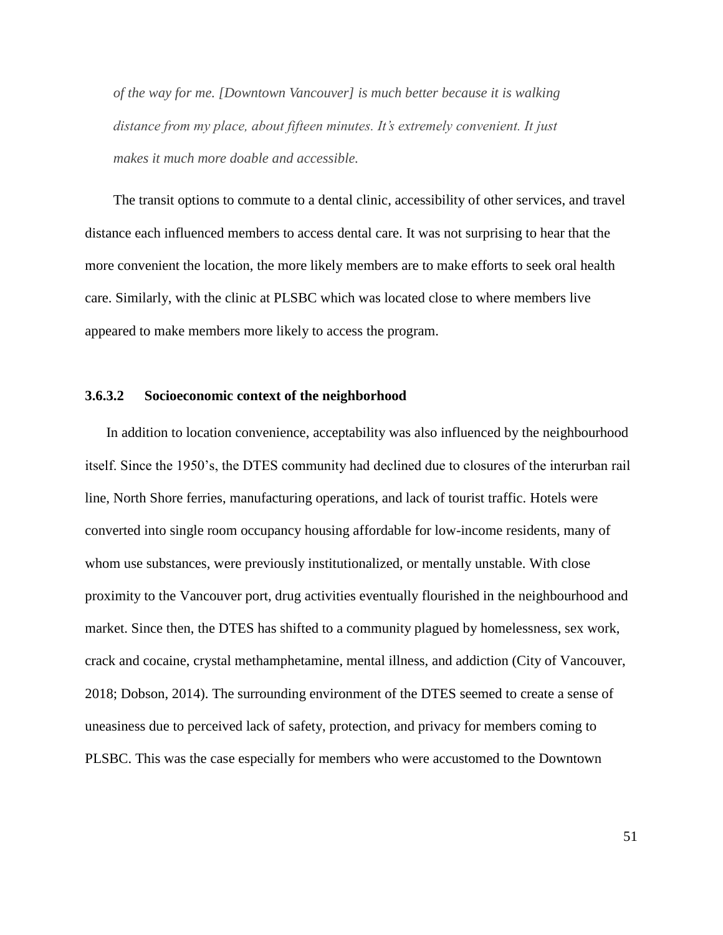*of the way for me. [Downtown Vancouver] is much better because it is walking*  distance from my place, about fifteen minutes. It's extremely convenient. It just *makes it much more doable and accessible.* 

The transit options to commute to a dental clinic, accessibility of other services, and travel distance each influenced members to access dental care. It was not surprising to hear that the more convenient the location, the more likely members are to make efforts to seek oral health care. Similarly, with the clinic at PLSBC which was located close to where members live appeared to make members more likely to access the program.

# **3.6.3.2 Socioeconomic context of the neighborhood**

In addition to location convenience, acceptability was also influenced by the neighbourhood itself. Since the 1950's, the DTES community had declined due to closures of the interurban rail line, North Shore ferries, manufacturing operations, and lack of tourist traffic. Hotels were converted into single room occupancy housing affordable for low-income residents, many of whom use substances, were previously institutionalized, or mentally unstable. With close proximity to the Vancouver port, drug activities eventually flourished in the neighbourhood and market. Since then, the DTES has shifted to a community plagued by homelessness, sex work, crack and cocaine, crystal methamphetamine, mental illness, and addiction (City of Vancouver, 2018; Dobson, 2014). The surrounding environment of the DTES seemed to create a sense of uneasiness due to perceived lack of safety, protection, and privacy for members coming to PLSBC. This was the case especially for members who were accustomed to the Downtown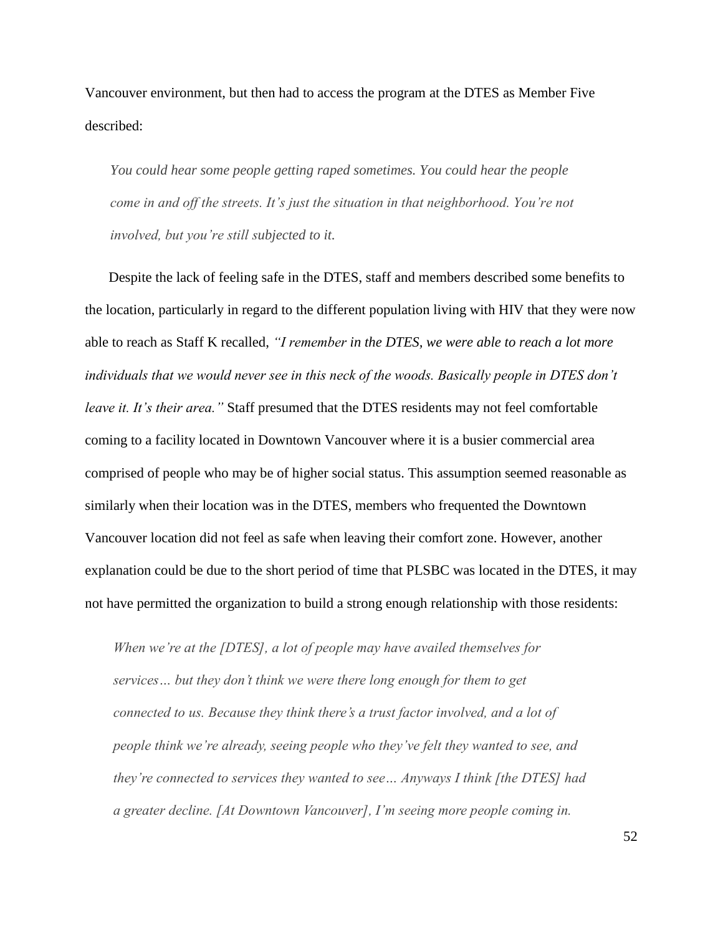Vancouver environment, but then had to access the program at the DTES as Member Five described:

*You could hear some people getting raped sometimes. You could hear the people come in and off the streets. It"s just the situation in that neighborhood. You"re not involved, but you"re still subjected to it.* 

Despite the lack of feeling safe in the DTES, staff and members described some benefits to the location, particularly in regard to the different population living with HIV that they were now able to reach as Staff K recalled, *"I remember in the DTES, we were able to reach a lot more individuals that we would never see in this neck of the woods. Basically people in DTES don"t leave it. It's their area."* Staff presumed that the DTES residents may not feel comfortable coming to a facility located in Downtown Vancouver where it is a busier commercial area comprised of people who may be of higher social status. This assumption seemed reasonable as similarly when their location was in the DTES, members who frequented the Downtown Vancouver location did not feel as safe when leaving their comfort zone. However, another explanation could be due to the short period of time that PLSBC was located in the DTES, it may not have permitted the organization to build a strong enough relationship with those residents:

*When we"re at the [DTES], a lot of people may have availed themselves for services… but they don"t think we were there long enough for them to get connected to us. Because they think there's a trust factor involved, and a lot of people think we"re already, seeing people who they"ve felt they wanted to see, and they"re connected to services they wanted to see… Anyways I think [the DTES] had a greater decline. [At Downtown Vancouver], I"m seeing more people coming in.*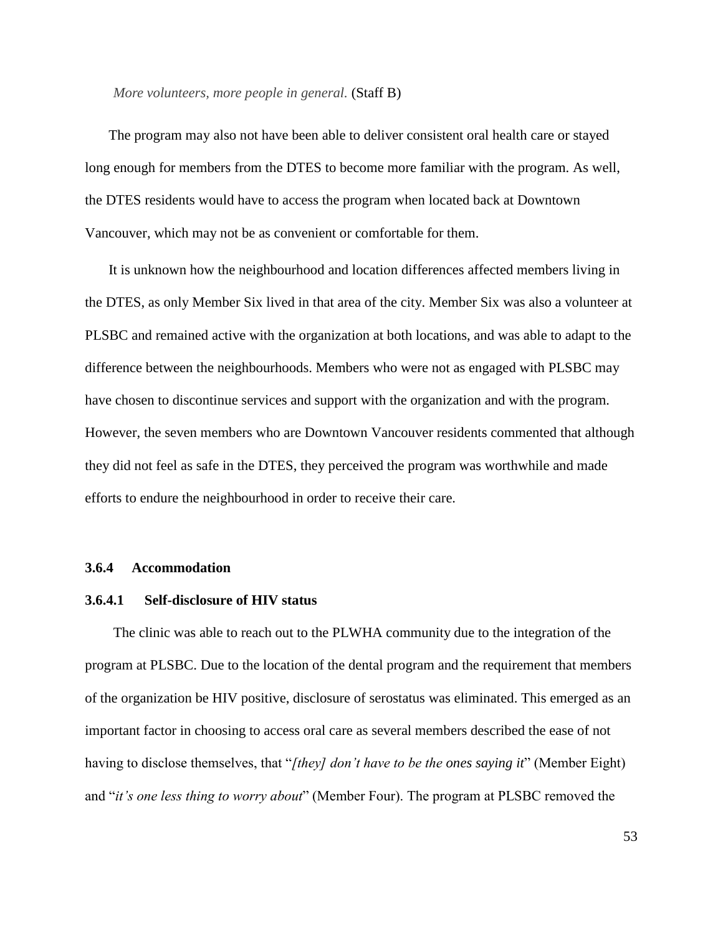#### *More volunteers, more people in general.* (Staff B)

The program may also not have been able to deliver consistent oral health care or stayed long enough for members from the DTES to become more familiar with the program. As well, the DTES residents would have to access the program when located back at Downtown Vancouver, which may not be as convenient or comfortable for them.

It is unknown how the neighbourhood and location differences affected members living in the DTES, as only Member Six lived in that area of the city. Member Six was also a volunteer at PLSBC and remained active with the organization at both locations, and was able to adapt to the difference between the neighbourhoods. Members who were not as engaged with PLSBC may have chosen to discontinue services and support with the organization and with the program. However, the seven members who are Downtown Vancouver residents commented that although they did not feel as safe in the DTES, they perceived the program was worthwhile and made efforts to endure the neighbourhood in order to receive their care.

### **3.6.4 Accommodation**

# **3.6.4.1 Self-disclosure of HIV status**

The clinic was able to reach out to the PLWHA community due to the integration of the program at PLSBC. Due to the location of the dental program and the requirement that members of the organization be HIV positive, disclosure of serostatus was eliminated. This emerged as an important factor in choosing to access oral care as several members described the ease of not having to disclose themselves, that "[they] don't have to be the ones saying it" (Member Eight) and "*it's one less thing to worry about*" (Member Four). The program at PLSBC removed the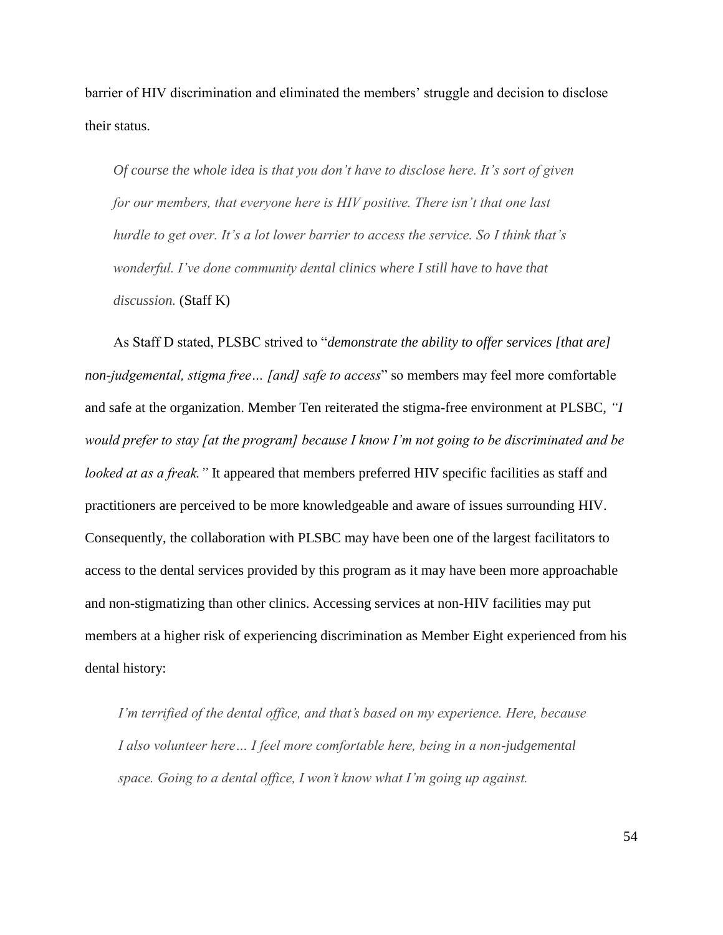barrier of HIV discrimination and eliminated the members' struggle and decision to disclose their status.

*Of course the whole idea is that you don"t have to disclose here. It"s sort of given for our members, that everyone here is HIV positive. There isn"t that one last hurdle to get over. It"s a lot lower barrier to access the service. So I think that"s wonderful. I"ve done community dental clinics where I still have to have that discussion.* (Staff K)

As Staff D stated, PLSBC strived to "*demonstrate the ability to offer services [that are] non-judgemental, stigma free... [and] safe to access*" so members may feel more comfortable and safe at the organization. Member Ten reiterated the stigma-free environment at PLSBC, *"I would prefer to stay [at the program] because I know I"m not going to be discriminated and be looked at as a freak.*" It appeared that members preferred HIV specific facilities as staff and practitioners are perceived to be more knowledgeable and aware of issues surrounding HIV. Consequently, the collaboration with PLSBC may have been one of the largest facilitators to access to the dental services provided by this program as it may have been more approachable and non-stigmatizing than other clinics. Accessing services at non-HIV facilities may put members at a higher risk of experiencing discrimination as Member Eight experienced from his dental history:

*I"m terrified of the dental office, and that"s based on my experience. Here, because I also volunteer here… I feel more comfortable here, being in a non-judgemental space. Going to a dental office, I won"t know what I"m going up against.*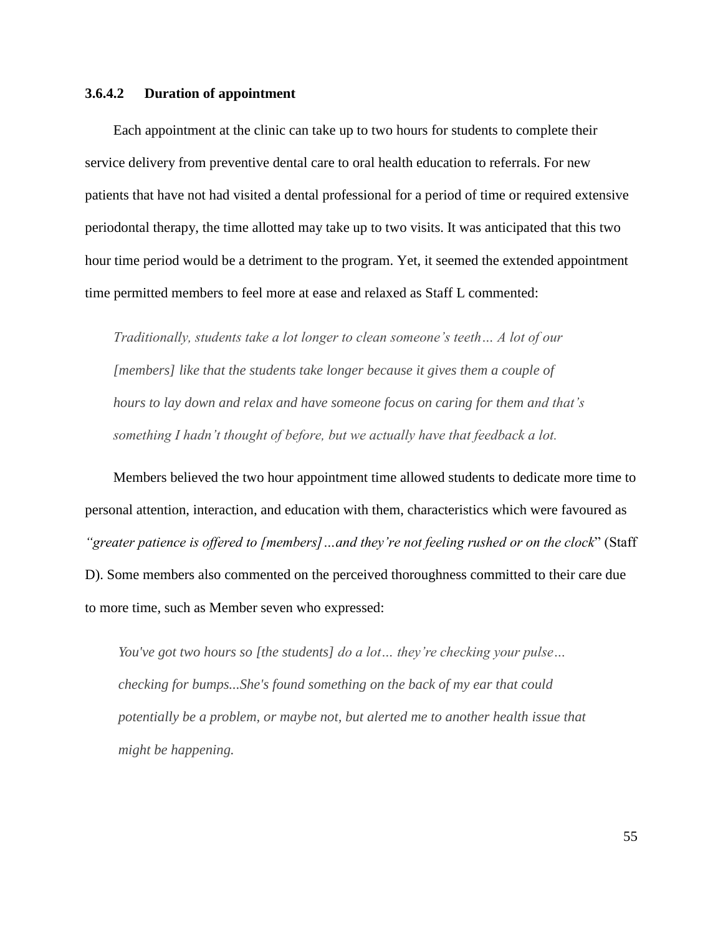## **3.6.4.2 Duration of appointment**

Each appointment at the clinic can take up to two hours for students to complete their service delivery from preventive dental care to oral health education to referrals. For new patients that have not had visited a dental professional for a period of time or required extensive periodontal therapy, the time allotted may take up to two visits. It was anticipated that this two hour time period would be a detriment to the program. Yet, it seemed the extended appointment time permitted members to feel more at ease and relaxed as Staff L commented:

*Traditionally, students take a lot longer to clean someone"s teeth… A lot of our [members] like that the students take longer because it gives them a couple of hours to lay down and relax and have someone focus on caring for them and that"s something I hadn"t thought of before, but we actually have that feedback a lot.* 

Members believed the two hour appointment time allowed students to dedicate more time to personal attention, interaction, and education with them, characteristics which were favoured as *"greater patience is offered to [members]…and they"re not feeling rushed or on the clock*‖ (Staff D). Some members also commented on the perceived thoroughness committed to their care due to more time, such as Member seven who expressed:

*You've got two hours so [the students] do a lot… they"re checking your pulse… checking for bumps...She's found something on the back of my ear that could potentially be a problem, or maybe not, but alerted me to another health issue that might be happening.*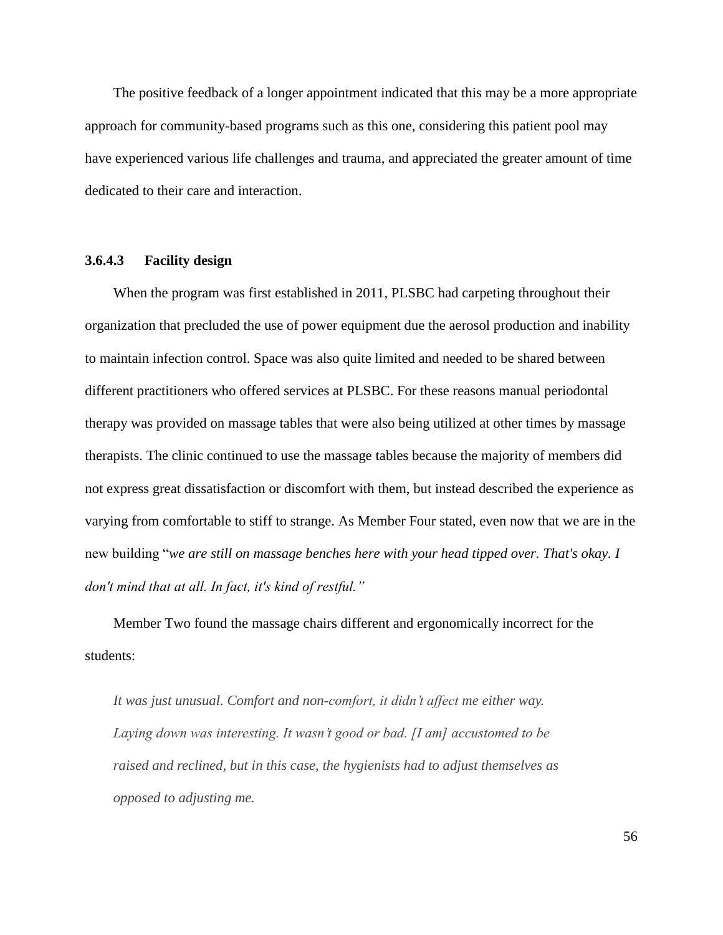The positive feedback of a longer appointment indicated that this may be a more appropriate approach for community-based programs such as this one, considering this patient pool may have experienced various life challenges and trauma, and appreciated the greater amount of time dedicated to their care and interaction.

# **3.6.4.3 Facility design**

When the program was first established in 2011, PLSBC had carpeting throughout their organization that precluded the use of power equipment due the aerosol production and inability to maintain infection control. Space was also quite limited and needed to be shared between different practitioners who offered services at PLSBC. For these reasons manual periodontal therapy was provided on massage tables that were also being utilized at other times by massage therapists. The clinic continued to use the massage tables because the majority of members did not express great dissatisfaction or discomfort with them, but instead described the experience as varying from comfortable to stiff to strange. As Member Four stated, even now that we are in the new building "we are still on massage benches here with your head tipped over. That's okay. I *don't mind that at all. In fact, it's kind of restful."*

Member Two found the massage chairs different and ergonomically incorrect for the students:

*It was just unusual. Comfort and non-comfort, it didn"t affect me either way. Laying down was interesting. It wasn"t good or bad. [I am] accustomed to be raised and reclined, but in this case, the hygienists had to adjust themselves as opposed to adjusting me.*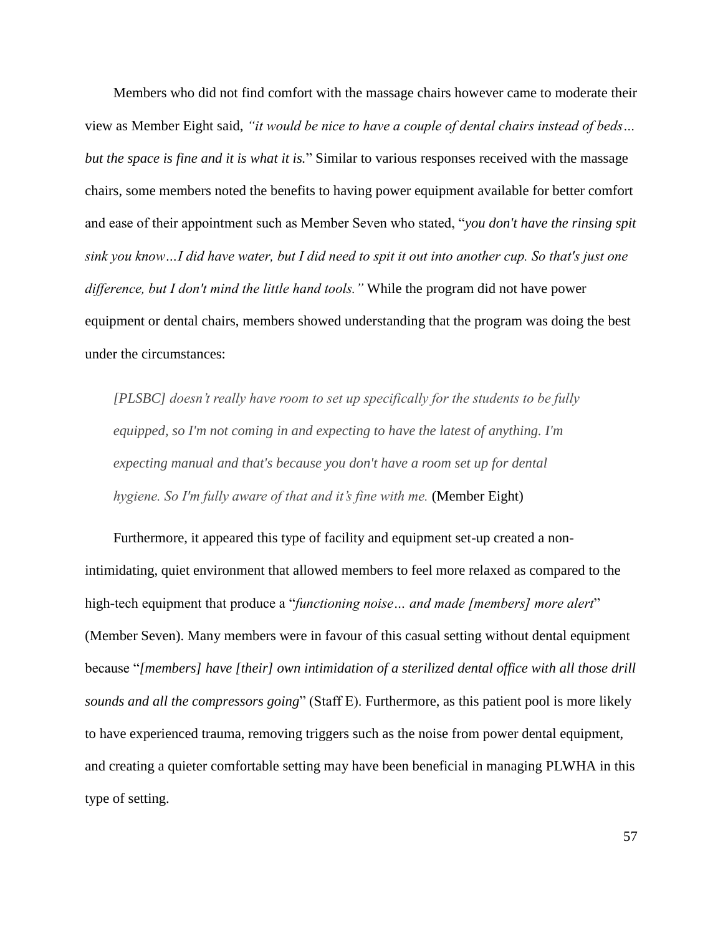Members who did not find comfort with the massage chairs however came to moderate their view as Member Eight said, *"it would be nice to have a couple of dental chairs instead of beds… but the space is fine and it is what it is.*" Similar to various responses received with the massage chairs, some members noted the benefits to having power equipment available for better comfort and ease of their appointment such as Member Seven who stated, "*you don't have the rinsing spit sink you know…I did have water, but I did need to spit it out into another cup. So that's just one difference, but I don't mind the little hand tools."* While the program did not have power equipment or dental chairs, members showed understanding that the program was doing the best under the circumstances:

*[PLSBC] doesn"t really have room to set up specifically for the students to be fully equipped, so I'm not coming in and expecting to have the latest of anything. I'm expecting manual and that's because you don't have a room set up for dental hygiene. So I'm fully aware of that and it's fine with me.* (Member Eight)

Furthermore, it appeared this type of facility and equipment set-up created a nonintimidating, quiet environment that allowed members to feel more relaxed as compared to the high-tech equipment that produce a "*functioning noise... and made [members] more alert*" (Member Seven). Many members were in favour of this casual setting without dental equipment because "[members] have [their] own intimidation of a sterilized dental office with all those drill *sounds and all the compressors going*" (Staff E). Furthermore, as this patient pool is more likely to have experienced trauma, removing triggers such as the noise from power dental equipment, and creating a quieter comfortable setting may have been beneficial in managing PLWHA in this type of setting.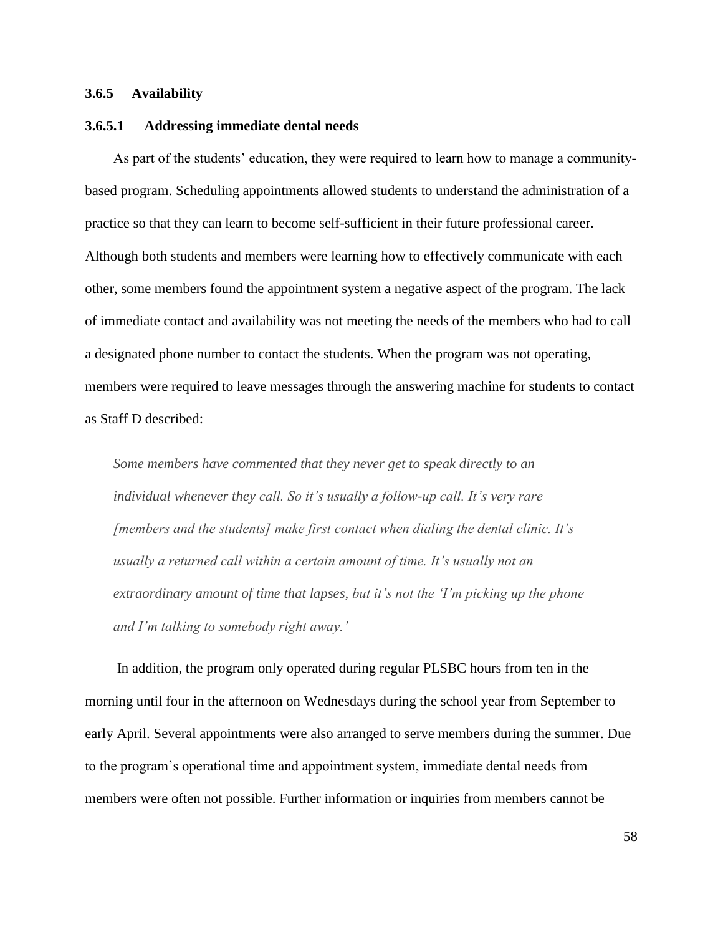## **3.6.5 Availability**

## **3.6.5.1 Addressing immediate dental needs**

As part of the students' education, they were required to learn how to manage a communitybased program. Scheduling appointments allowed students to understand the administration of a practice so that they can learn to become self-sufficient in their future professional career. Although both students and members were learning how to effectively communicate with each other, some members found the appointment system a negative aspect of the program. The lack of immediate contact and availability was not meeting the needs of the members who had to call a designated phone number to contact the students. When the program was not operating, members were required to leave messages through the answering machine for students to contact as Staff D described:

*Some members have commented that they never get to speak directly to an individual whenever they call. So it"s usually a follow-up call. It"s very rare [members and the students] make first contact when dialing the dental clinic. It"s usually a returned call within a certain amount of time. It"s usually not an extraordinary amount of time that lapses, but it"s not the "I"m picking up the phone and I"m talking to somebody right away."*

In addition, the program only operated during regular PLSBC hours from ten in the morning until four in the afternoon on Wednesdays during the school year from September to early April. Several appointments were also arranged to serve members during the summer. Due to the program's operational time and appointment system, immediate dental needs from members were often not possible. Further information or inquiries from members cannot be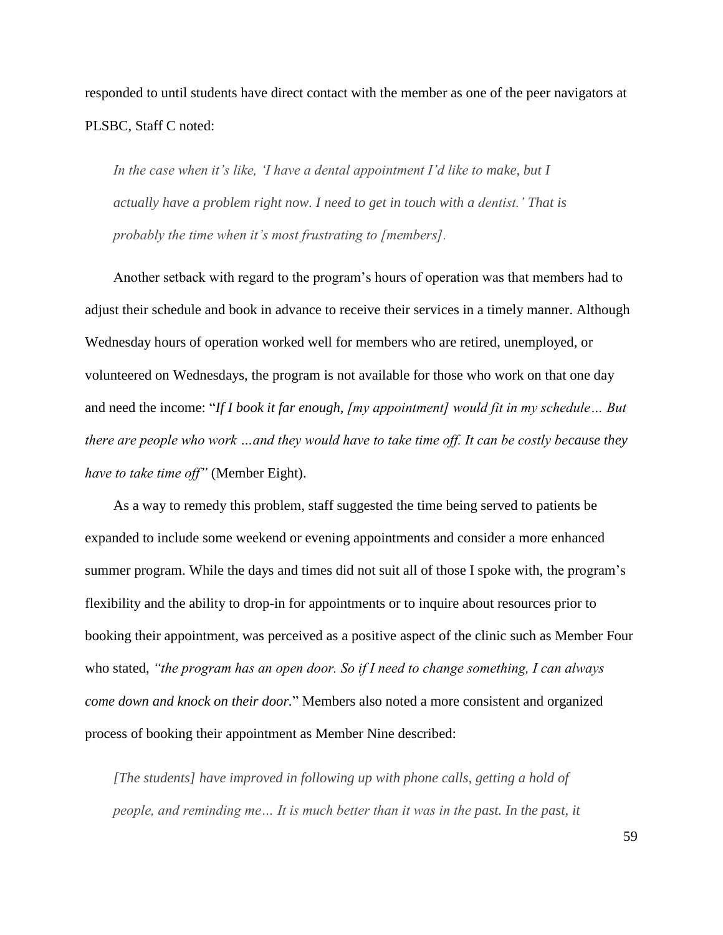responded to until students have direct contact with the member as one of the peer navigators at PLSBC, Staff C noted:

*In the case when it"s like, "I have a dental appointment I"d like to make, but I actually have a problem right now. I need to get in touch with a dentist." That is probably the time when it"s most frustrating to [members].*

Another setback with regard to the program's hours of operation was that members had to adjust their schedule and book in advance to receive their services in a timely manner. Although Wednesday hours of operation worked well for members who are retired, unemployed, or volunteered on Wednesdays, the program is not available for those who work on that one day and need the income: "If I book it far enough, *[my appointment]* would fit in my schedule... But *there are people who work …and they would have to take time off. It can be costly because they have to take time off"* (Member Eight).

As a way to remedy this problem, staff suggested the time being served to patients be expanded to include some weekend or evening appointments and consider a more enhanced summer program. While the days and times did not suit all of those I spoke with, the program's flexibility and the ability to drop-in for appointments or to inquire about resources prior to booking their appointment, was perceived as a positive aspect of the clinic such as Member Four who stated, *"the program has an open door. So if I need to change something, I can always come down and knock on their door.*‖ Members also noted a more consistent and organized process of booking their appointment as Member Nine described:

*[The students] have improved in following up with phone calls, getting a hold of people, and reminding me… It is much better than it was in the past. In the past, it*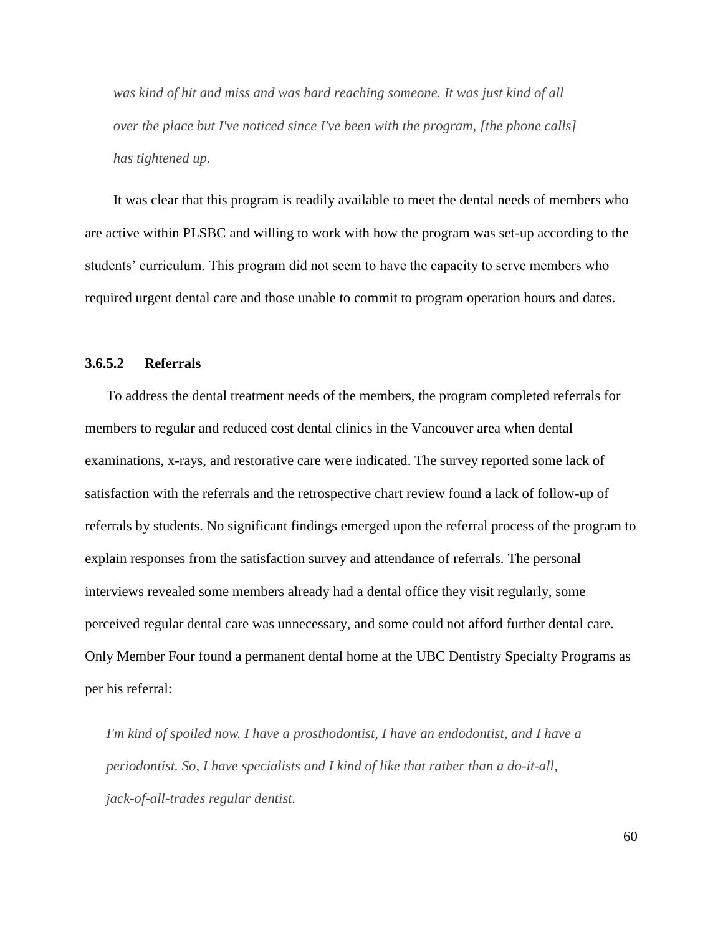*was kind of hit and miss and was hard reaching someone. It was just kind of all over the place but I've noticed since I've been with the program, [the phone calls] has tightened up.*

It was clear that this program is readily available to meet the dental needs of members who are active within PLSBC and willing to work with how the program was set-up according to the students' curriculum. This program did not seem to have the capacity to serve members who required urgent dental care and those unable to commit to program operation hours and dates.

## **3.6.5.2 Referrals**

To address the dental treatment needs of the members, the program completed referrals for members to regular and reduced cost dental clinics in the Vancouver area when dental examinations, x-rays, and restorative care were indicated. The survey reported some lack of satisfaction with the referrals and the retrospective chart review found a lack of follow-up of referrals by students. No significant findings emerged upon the referral process of the program to explain responses from the satisfaction survey and attendance of referrals. The personal interviews revealed some members already had a dental office they visit regularly, some perceived regular dental care was unnecessary, and some could not afford further dental care. Only Member Four found a permanent dental home at the UBC Dentistry Specialty Programs as per his referral:

*I'm kind of spoiled now. I have a prosthodontist, I have an endodontist, and I have a periodontist. So, I have specialists and I kind of like that rather than a do-it-all, jack-of-all-trades regular dentist.*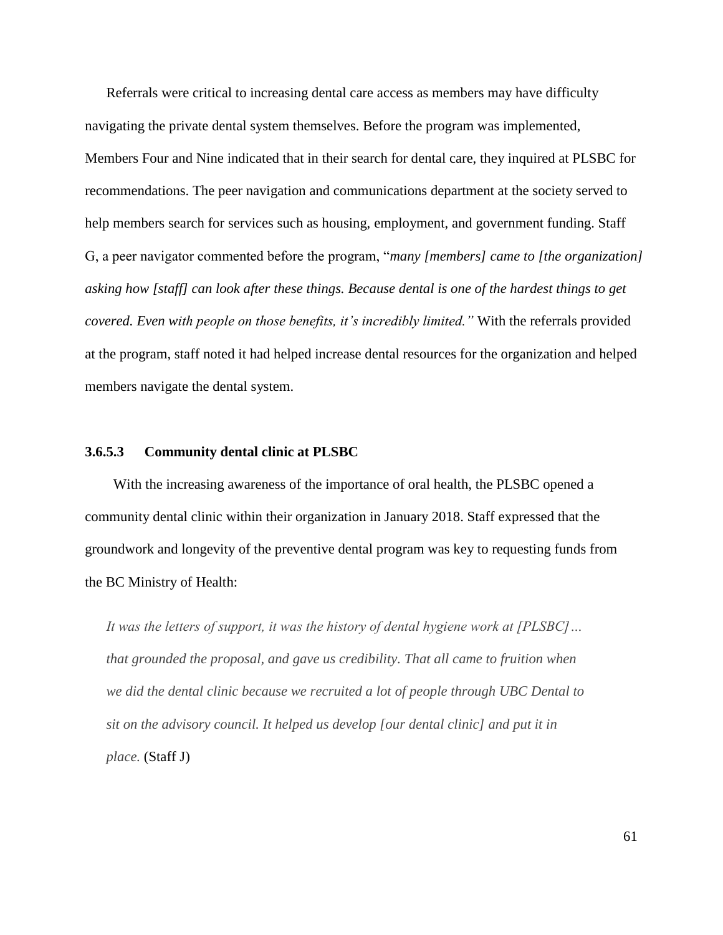Referrals were critical to increasing dental care access as members may have difficulty navigating the private dental system themselves. Before the program was implemented, Members Four and Nine indicated that in their search for dental care, they inquired at PLSBC for recommendations. The peer navigation and communications department at the society served to help members search for services such as housing, employment, and government funding. Staff G, a peer navigator commented before the program, "*many [members] came to [the organization] asking how [staff] can look after these things. Because dental is one of the hardest things to get covered. Even with people on those benefits, it"s incredibly limited."* With the referrals provided at the program, staff noted it had helped increase dental resources for the organization and helped members navigate the dental system.

## **3.6.5.3 Community dental clinic at PLSBC**

With the increasing awareness of the importance of oral health, the PLSBC opened a community dental clinic within their organization in January 2018. Staff expressed that the groundwork and longevity of the preventive dental program was key to requesting funds from the BC Ministry of Health:

*It was the letters of support, it was the history of dental hygiene work at [PLSBC]… that grounded the proposal, and gave us credibility. That all came to fruition when we did the dental clinic because we recruited a lot of people through UBC Dental to sit on the advisory council. It helped us develop [our dental clinic] and put it in place.* (Staff J)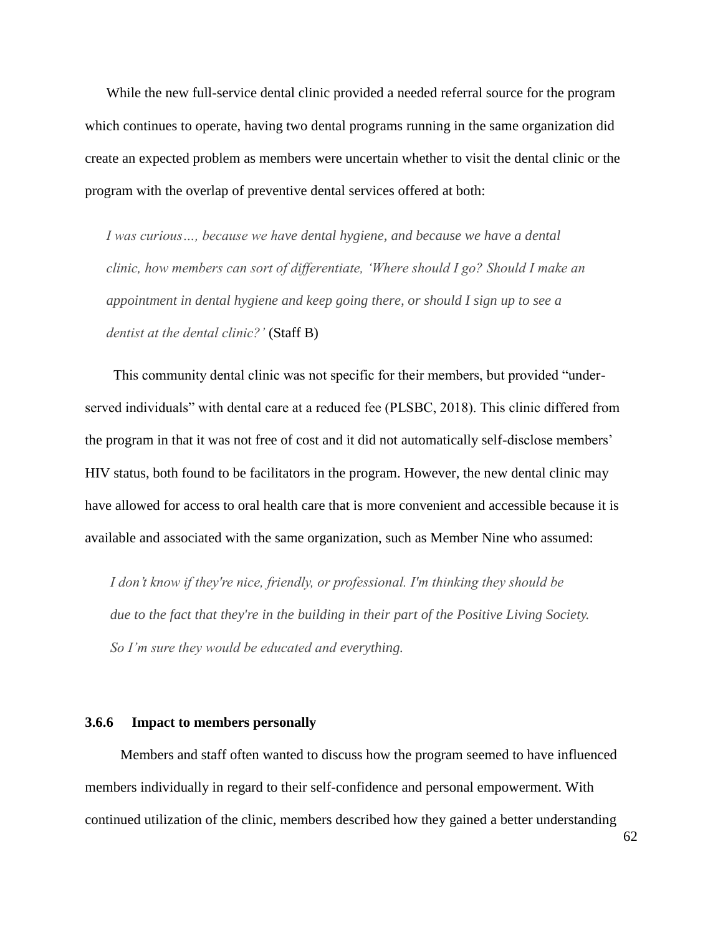While the new full-service dental clinic provided a needed referral source for the program which continues to operate, having two dental programs running in the same organization did create an expected problem as members were uncertain whether to visit the dental clinic or the program with the overlap of preventive dental services offered at both:

*I was curious…, because we have dental hygiene, and because we have a dental clinic, how members can sort of differentiate, "Where should I go? Should I make an appointment in dental hygiene and keep going there, or should I sign up to see a dentist at the dental clinic?"* (Staff B)

This community dental clinic was not specific for their members, but provided "underserved individuals" with dental care at a reduced fee (PLSBC, 2018). This clinic differed from the program in that it was not free of cost and it did not automatically self-disclose members' HIV status, both found to be facilitators in the program. However, the new dental clinic may have allowed for access to oral health care that is more convenient and accessible because it is available and associated with the same organization, such as Member Nine who assumed:

*I don"t know if they're nice, friendly, or professional. I'm thinking they should be due to the fact that they're in the building in their part of the Positive Living Society. So I"m sure they would be educated and everything.*

#### **3.6.6 Impact to members personally**

Members and staff often wanted to discuss how the program seemed to have influenced members individually in regard to their self-confidence and personal empowerment. With continued utilization of the clinic, members described how they gained a better understanding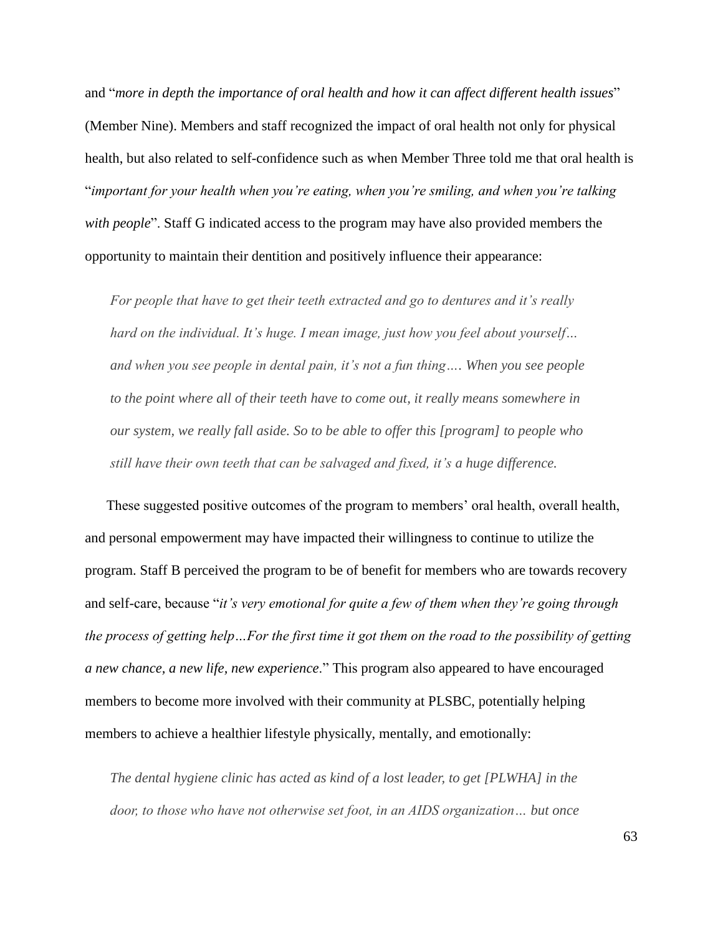and "*more in depth the importance of oral health and how it can affect different health issues*" (Member Nine). Members and staff recognized the impact of oral health not only for physical health, but also related to self-confidence such as when Member Three told me that oral health is ―*important for your health when you"re eating, when you"re smiling, and when you"re talking with people*". Staff G indicated access to the program may have also provided members the opportunity to maintain their dentition and positively influence their appearance:

*For people that have to get their teeth extracted and go to dentures and it"s really hard on the individual. It"s huge. I mean image, just how you feel about yourself… and when you see people in dental pain, it"s not a fun thing…. When you see people to the point where all of their teeth have to come out, it really means somewhere in our system, we really fall aside. So to be able to offer this [program] to people who still have their own teeth that can be salvaged and fixed, it"s a huge difference.* 

These suggested positive outcomes of the program to members' oral health, overall health, and personal empowerment may have impacted their willingness to continue to utilize the program. Staff B perceived the program to be of benefit for members who are towards recovery and self-care, because "it's very emotional for quite a few of them when they're going through *the process of getting help…For the first time it got them on the road to the possibility of getting a new chance, a new life, new experience*.‖ This program also appeared to have encouraged members to become more involved with their community at PLSBC, potentially helping members to achieve a healthier lifestyle physically, mentally, and emotionally:

*The dental hygiene clinic has acted as kind of a lost leader, to get [PLWHA] in the door, to those who have not otherwise set foot, in an AIDS organization… but once*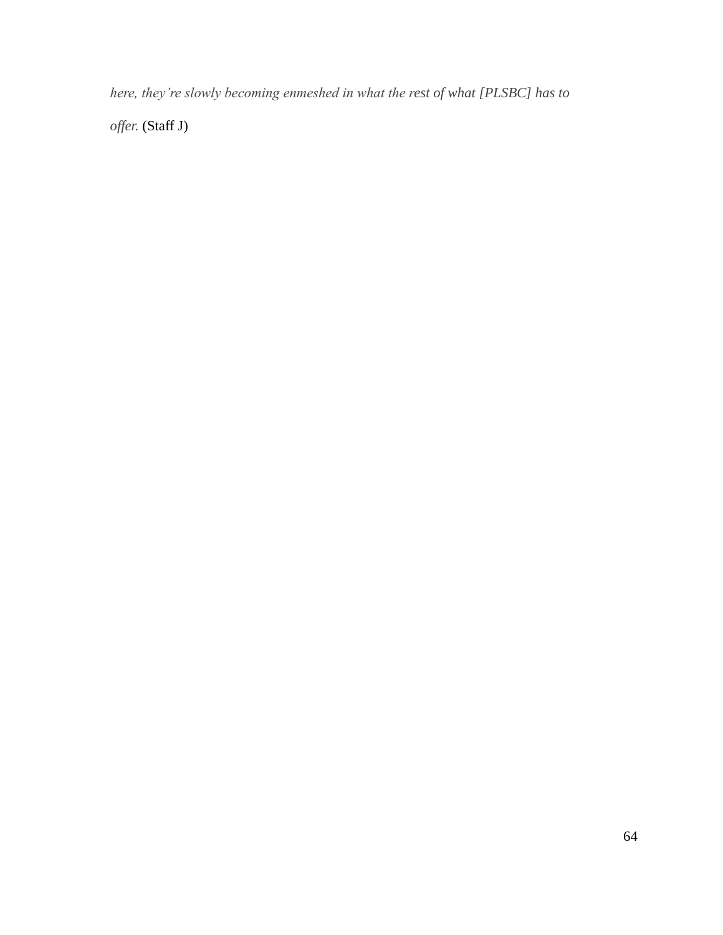*here, they"re slowly becoming enmeshed in what the rest of what [PLSBC] has to* 

*offer.* (Staff J)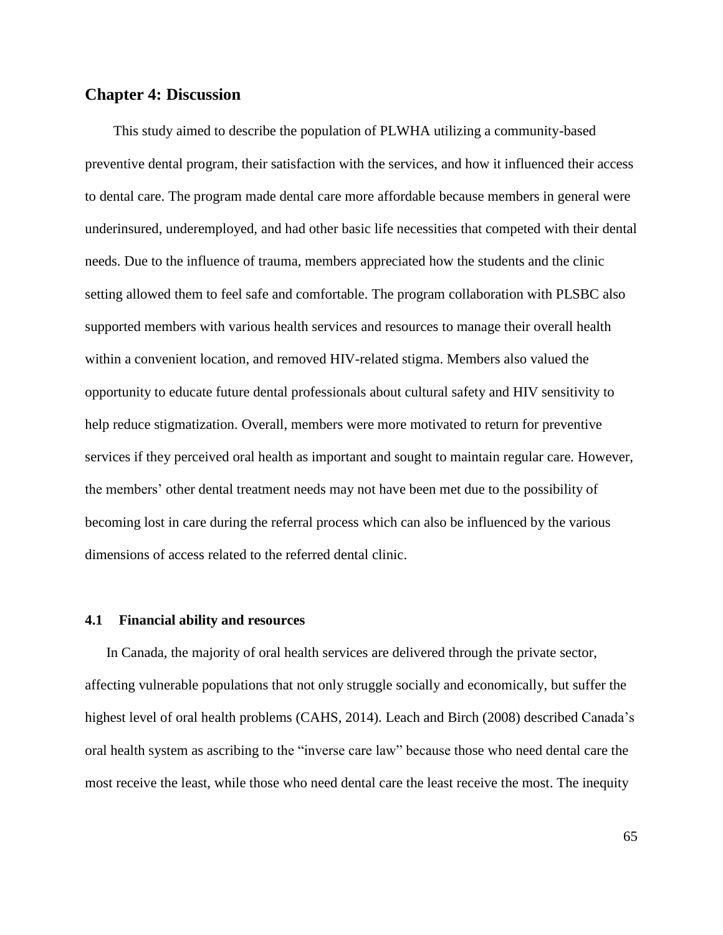## **Chapter 4: Discussion**

This study aimed to describe the population of PLWHA utilizing a community-based preventive dental program, their satisfaction with the services, and how it influenced their access to dental care. The program made dental care more affordable because members in general were underinsured, underemployed, and had other basic life necessities that competed with their dental needs. Due to the influence of trauma, members appreciated how the students and the clinic setting allowed them to feel safe and comfortable. The program collaboration with PLSBC also supported members with various health services and resources to manage their overall health within a convenient location, and removed HIV-related stigma. Members also valued the opportunity to educate future dental professionals about cultural safety and HIV sensitivity to help reduce stigmatization. Overall, members were more motivated to return for preventive services if they perceived oral health as important and sought to maintain regular care. However, the members' other dental treatment needs may not have been met due to the possibility of becoming lost in care during the referral process which can also be influenced by the various dimensions of access related to the referred dental clinic.

## **4.1 Financial ability and resources**

In Canada, the majority of oral health services are delivered through the private sector, affecting vulnerable populations that not only struggle socially and economically, but suffer the highest level of oral health problems (CAHS, 2014). Leach and Birch (2008) described Canada's oral health system as ascribing to the "inverse care law" because those who need dental care the most receive the least, while those who need dental care the least receive the most. The inequity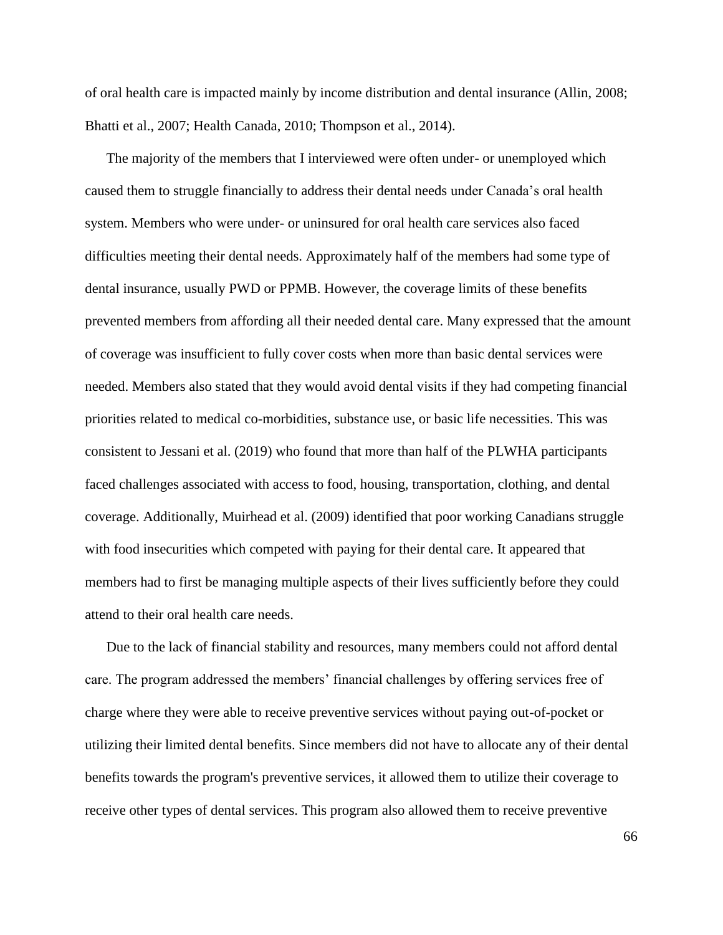of oral health care is impacted mainly by income distribution and dental insurance (Allin, 2008; Bhatti et al., 2007; Health Canada, 2010; Thompson et al., 2014).

The majority of the members that I interviewed were often under- or unemployed which caused them to struggle financially to address their dental needs under Canada's oral health system. Members who were under- or uninsured for oral health care services also faced difficulties meeting their dental needs. Approximately half of the members had some type of dental insurance, usually PWD or PPMB. However, the coverage limits of these benefits prevented members from affording all their needed dental care. Many expressed that the amount of coverage was insufficient to fully cover costs when more than basic dental services were needed. Members also stated that they would avoid dental visits if they had competing financial priorities related to medical co-morbidities, substance use, or basic life necessities. This was consistent to Jessani et al. (2019) who found that more than half of the PLWHA participants faced challenges associated with access to food, housing, transportation, clothing, and dental coverage. Additionally, Muirhead et al. (2009) identified that poor working Canadians struggle with food insecurities which competed with paying for their dental care. It appeared that members had to first be managing multiple aspects of their lives sufficiently before they could attend to their oral health care needs.

Due to the lack of financial stability and resources, many members could not afford dental care. The program addressed the members' financial challenges by offering services free of charge where they were able to receive preventive services without paying out-of-pocket or utilizing their limited dental benefits. Since members did not have to allocate any of their dental benefits towards the program's preventive services, it allowed them to utilize their coverage to receive other types of dental services. This program also allowed them to receive preventive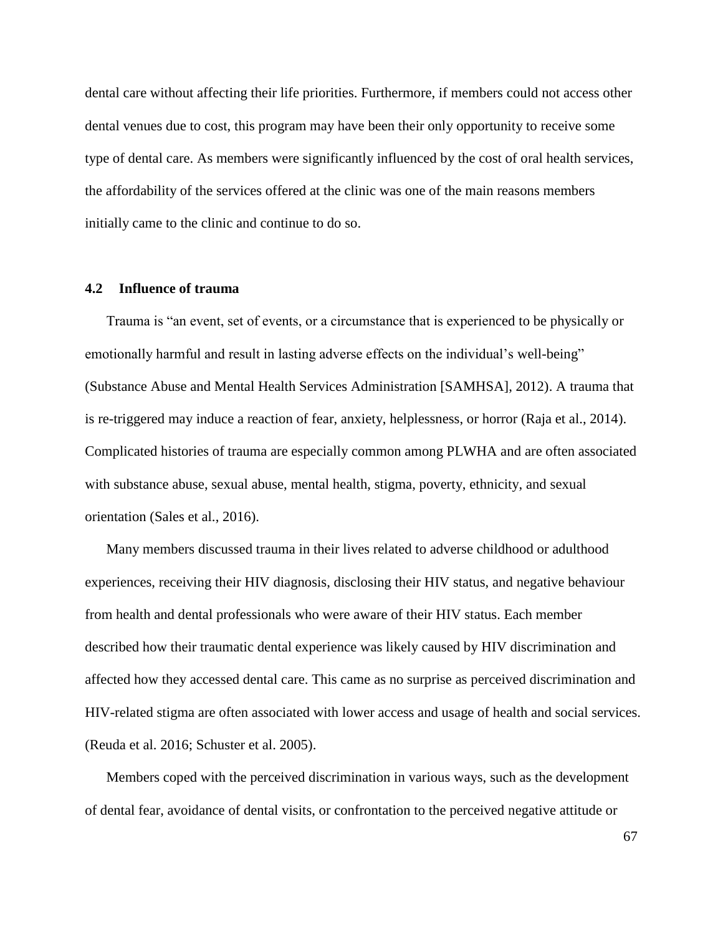dental care without affecting their life priorities. Furthermore, if members could not access other dental venues due to cost, this program may have been their only opportunity to receive some type of dental care. As members were significantly influenced by the cost of oral health services, the affordability of the services offered at the clinic was one of the main reasons members initially came to the clinic and continue to do so.

## **4.2 Influence of trauma**

Trauma is "an event, set of events, or a circumstance that is experienced to be physically or emotionally harmful and result in lasting adverse effects on the individual's well-being" (Substance Abuse and Mental Health Services Administration [SAMHSA], 2012). A trauma that is re-triggered may induce a reaction of fear, anxiety, helplessness, or horror (Raja et al., 2014). Complicated histories of trauma are especially common among PLWHA and are often associated with substance abuse, sexual abuse, mental health, stigma, poverty, ethnicity, and sexual orientation (Sales et al., 2016).

Many members discussed trauma in their lives related to adverse childhood or adulthood experiences, receiving their HIV diagnosis, disclosing their HIV status, and negative behaviour from health and dental professionals who were aware of their HIV status. Each member described how their traumatic dental experience was likely caused by HIV discrimination and affected how they accessed dental care. This came as no surprise as perceived discrimination and HIV-related stigma are often associated with lower access and usage of health and social services. (Reuda et al. 2016; Schuster et al. 2005).

Members coped with the perceived discrimination in various ways, such as the development of dental fear, avoidance of dental visits, or confrontation to the perceived negative attitude or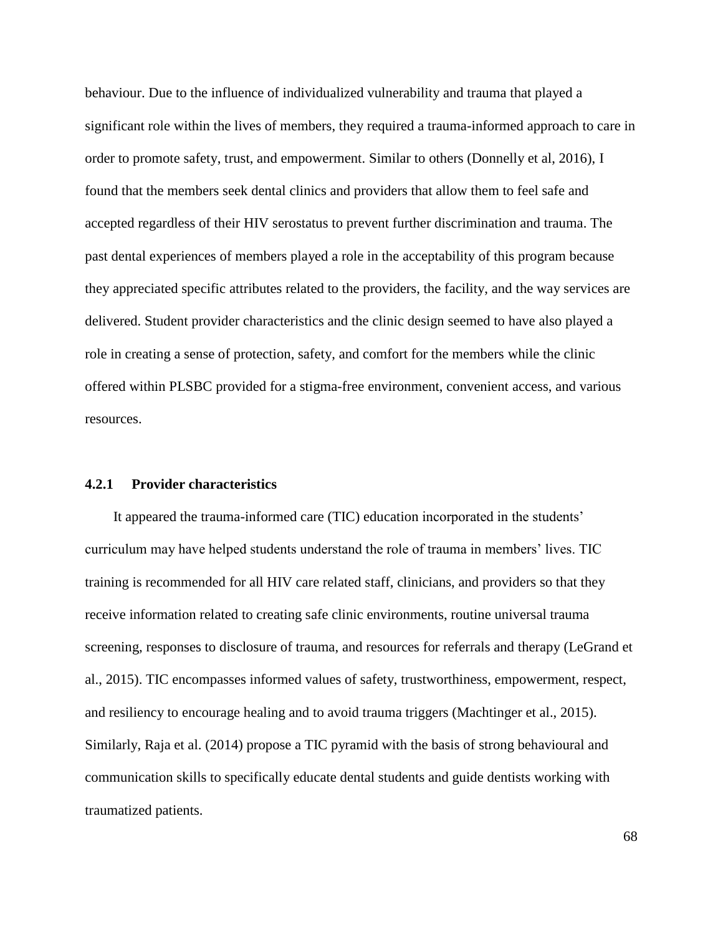behaviour. Due to the influence of individualized vulnerability and trauma that played a significant role within the lives of members, they required a trauma-informed approach to care in order to promote safety, trust, and empowerment. Similar to others (Donnelly et al, 2016), I found that the members seek dental clinics and providers that allow them to feel safe and accepted regardless of their HIV serostatus to prevent further discrimination and trauma. The past dental experiences of members played a role in the acceptability of this program because they appreciated specific attributes related to the providers, the facility, and the way services are delivered. Student provider characteristics and the clinic design seemed to have also played a role in creating a sense of protection, safety, and comfort for the members while the clinic offered within PLSBC provided for a stigma-free environment, convenient access, and various resources.

## **4.2.1 Provider characteristics**

It appeared the trauma-informed care (TIC) education incorporated in the students' curriculum may have helped students understand the role of trauma in members' lives. TIC training is recommended for all HIV care related staff, clinicians, and providers so that they receive information related to creating safe clinic environments, routine universal trauma screening, responses to disclosure of trauma, and resources for referrals and therapy (LeGrand et al., 2015). TIC encompasses informed values of safety, trustworthiness, empowerment, respect, and resiliency to encourage healing and to avoid trauma triggers (Machtinger et al., 2015). Similarly, Raja et al. (2014) propose a TIC pyramid with the basis of strong behavioural and communication skills to specifically educate dental students and guide dentists working with traumatized patients.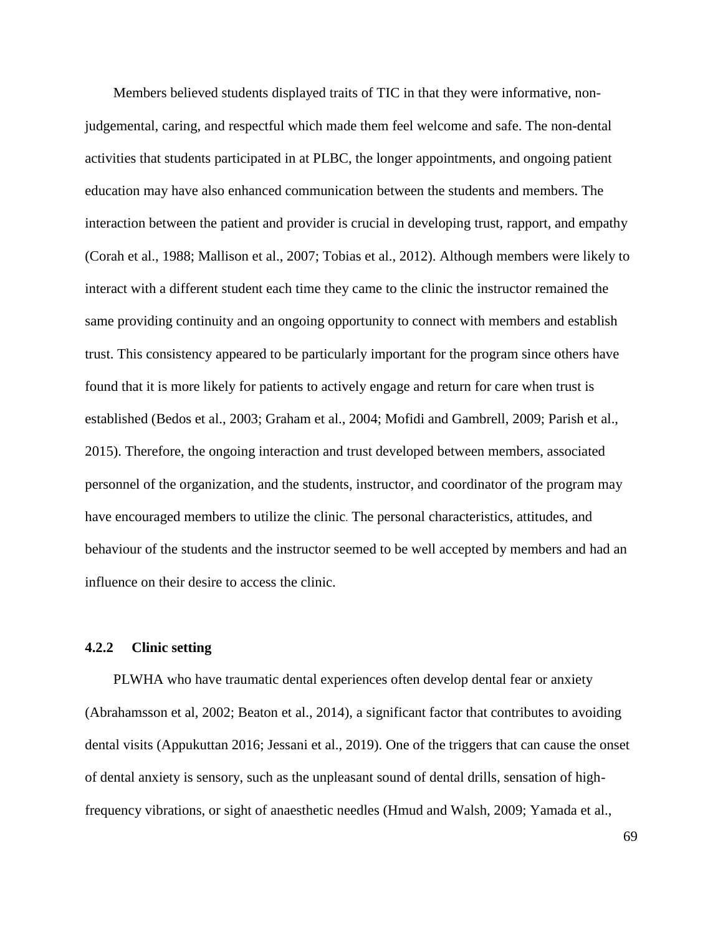Members believed students displayed traits of TIC in that they were informative, nonjudgemental, caring, and respectful which made them feel welcome and safe. The non-dental activities that students participated in at PLBC, the longer appointments, and ongoing patient education may have also enhanced communication between the students and members. The interaction between the patient and provider is crucial in developing trust, rapport, and empathy (Corah et al., 1988; Mallison et al., 2007; Tobias et al., 2012). Although members were likely to interact with a different student each time they came to the clinic the instructor remained the same providing continuity and an ongoing opportunity to connect with members and establish trust. This consistency appeared to be particularly important for the program since others have found that it is more likely for patients to actively engage and return for care when trust is established (Bedos et al., 2003; Graham et al., 2004; Mofidi and Gambrell, 2009; Parish et al., 2015). Therefore, the ongoing interaction and trust developed between members, associated personnel of the organization, and the students, instructor, and coordinator of the program may have encouraged members to utilize the clinic. The personal characteristics, attitudes, and behaviour of the students and the instructor seemed to be well accepted by members and had an influence on their desire to access the clinic.

## **4.2.2 Clinic setting**

PLWHA who have traumatic dental experiences often develop dental fear or anxiety (Abrahamsson et al, 2002; Beaton et al., 2014), a significant factor that contributes to avoiding dental visits (Appukuttan 2016; Jessani et al., 2019). One of the triggers that can cause the onset of dental anxiety is sensory, such as the unpleasant sound of dental drills, sensation of highfrequency vibrations, or sight of anaesthetic needles (Hmud and Walsh, 2009; Yamada et al.,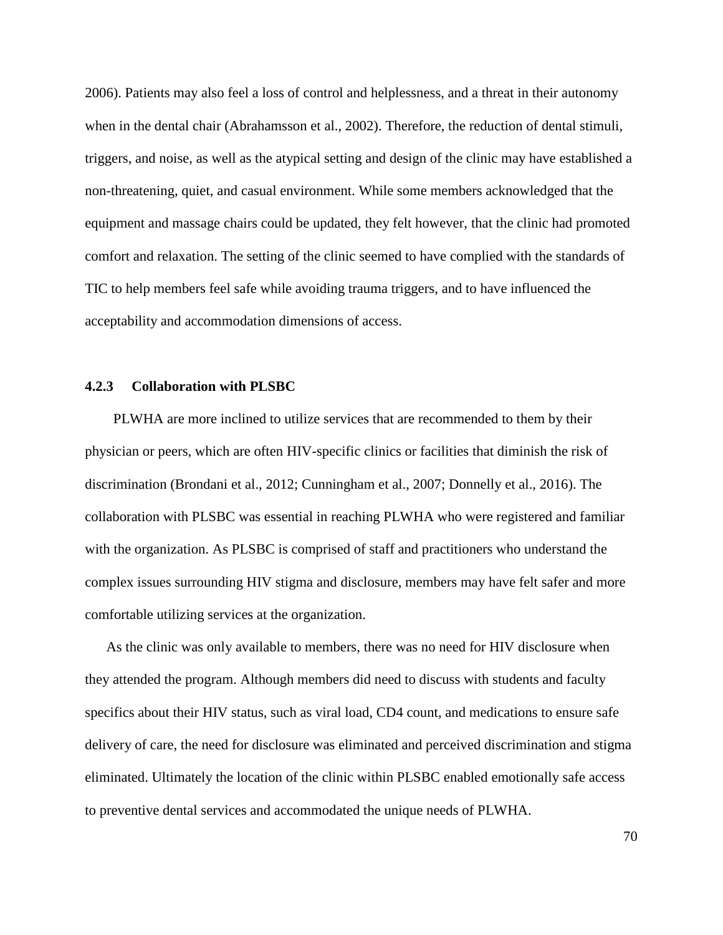2006). Patients may also feel a loss of control and helplessness, and a threat in their autonomy when in the dental chair (Abrahamsson et al., 2002). Therefore, the reduction of dental stimuli, triggers, and noise, as well as the atypical setting and design of the clinic may have established a non-threatening, quiet, and casual environment. While some members acknowledged that the equipment and massage chairs could be updated, they felt however, that the clinic had promoted comfort and relaxation. The setting of the clinic seemed to have complied with the standards of TIC to help members feel safe while avoiding trauma triggers, and to have influenced the acceptability and accommodation dimensions of access.

### **4.2.3 Collaboration with PLSBC**

PLWHA are more inclined to utilize services that are recommended to them by their physician or peers, which are often HIV-specific clinics or facilities that diminish the risk of discrimination (Brondani et al., 2012; Cunningham et al., 2007; Donnelly et al., 2016). The collaboration with PLSBC was essential in reaching PLWHA who were registered and familiar with the organization. As PLSBC is comprised of staff and practitioners who understand the complex issues surrounding HIV stigma and disclosure, members may have felt safer and more comfortable utilizing services at the organization.

As the clinic was only available to members, there was no need for HIV disclosure when they attended the program. Although members did need to discuss with students and faculty specifics about their HIV status, such as viral load, CD4 count, and medications to ensure safe delivery of care, the need for disclosure was eliminated and perceived discrimination and stigma eliminated. Ultimately the location of the clinic within PLSBC enabled emotionally safe access to preventive dental services and accommodated the unique needs of PLWHA.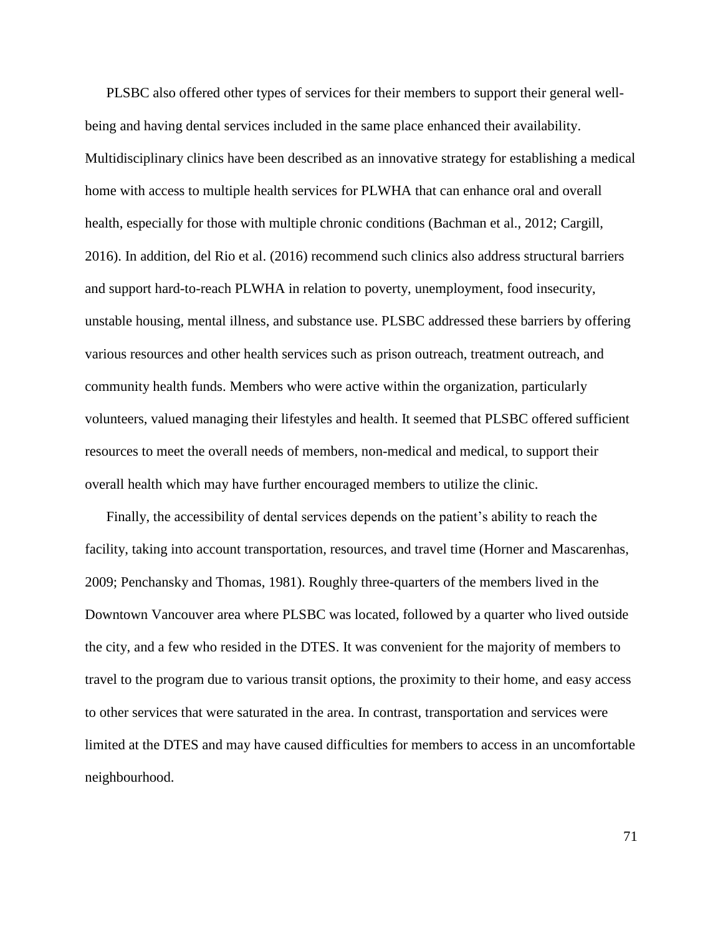PLSBC also offered other types of services for their members to support their general wellbeing and having dental services included in the same place enhanced their availability. Multidisciplinary clinics have been described as an innovative strategy for establishing a medical home with access to multiple health services for PLWHA that can enhance oral and overall health, especially for those with multiple chronic conditions (Bachman et al., 2012; Cargill, 2016). In addition, del Rio et al. (2016) recommend such clinics also address structural barriers and support hard-to-reach PLWHA in relation to poverty, unemployment, food insecurity, unstable housing, mental illness, and substance use. PLSBC addressed these barriers by offering various resources and other health services such as prison outreach, treatment outreach, and community health funds. Members who were active within the organization, particularly volunteers, valued managing their lifestyles and health. It seemed that PLSBC offered sufficient resources to meet the overall needs of members, non-medical and medical, to support their overall health which may have further encouraged members to utilize the clinic.

Finally, the accessibility of dental services depends on the patient's ability to reach the facility, taking into account transportation, resources, and travel time (Horner and Mascarenhas, 2009; Penchansky and Thomas, 1981). Roughly three-quarters of the members lived in the Downtown Vancouver area where PLSBC was located, followed by a quarter who lived outside the city, and a few who resided in the DTES. It was convenient for the majority of members to travel to the program due to various transit options, the proximity to their home, and easy access to other services that were saturated in the area. In contrast, transportation and services were limited at the DTES and may have caused difficulties for members to access in an uncomfortable neighbourhood.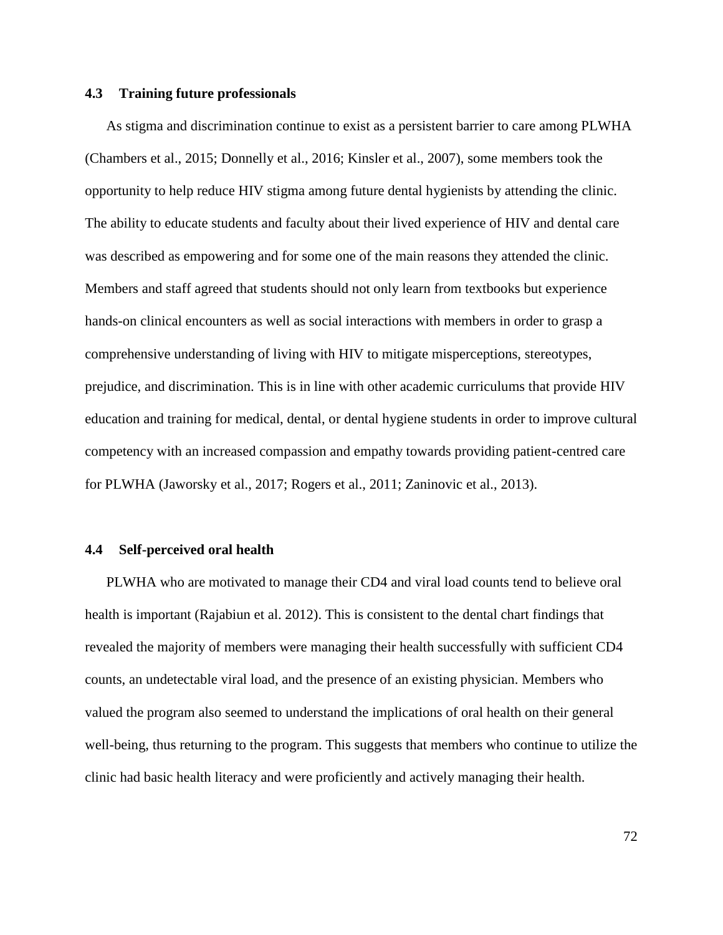#### **4.3 Training future professionals**

As stigma and discrimination continue to exist as a persistent barrier to care among PLWHA (Chambers et al., 2015; Donnelly et al., 2016; Kinsler et al., 2007), some members took the opportunity to help reduce HIV stigma among future dental hygienists by attending the clinic. The ability to educate students and faculty about their lived experience of HIV and dental care was described as empowering and for some one of the main reasons they attended the clinic. Members and staff agreed that students should not only learn from textbooks but experience hands-on clinical encounters as well as social interactions with members in order to grasp a comprehensive understanding of living with HIV to mitigate misperceptions, stereotypes, prejudice, and discrimination. This is in line with other academic curriculums that provide HIV education and training for medical, dental, or dental hygiene students in order to improve cultural competency with an increased compassion and empathy towards providing patient-centred care for PLWHA (Jaworsky et al., 2017; Rogers et al., 2011; Zaninovic et al., 2013).

### **4.4 Self-perceived oral health**

PLWHA who are motivated to manage their CD4 and viral load counts tend to believe oral health is important (Rajabiun et al. 2012). This is consistent to the dental chart findings that revealed the majority of members were managing their health successfully with sufficient CD4 counts, an undetectable viral load, and the presence of an existing physician. Members who valued the program also seemed to understand the implications of oral health on their general well-being, thus returning to the program. This suggests that members who continue to utilize the clinic had basic health literacy and were proficiently and actively managing their health.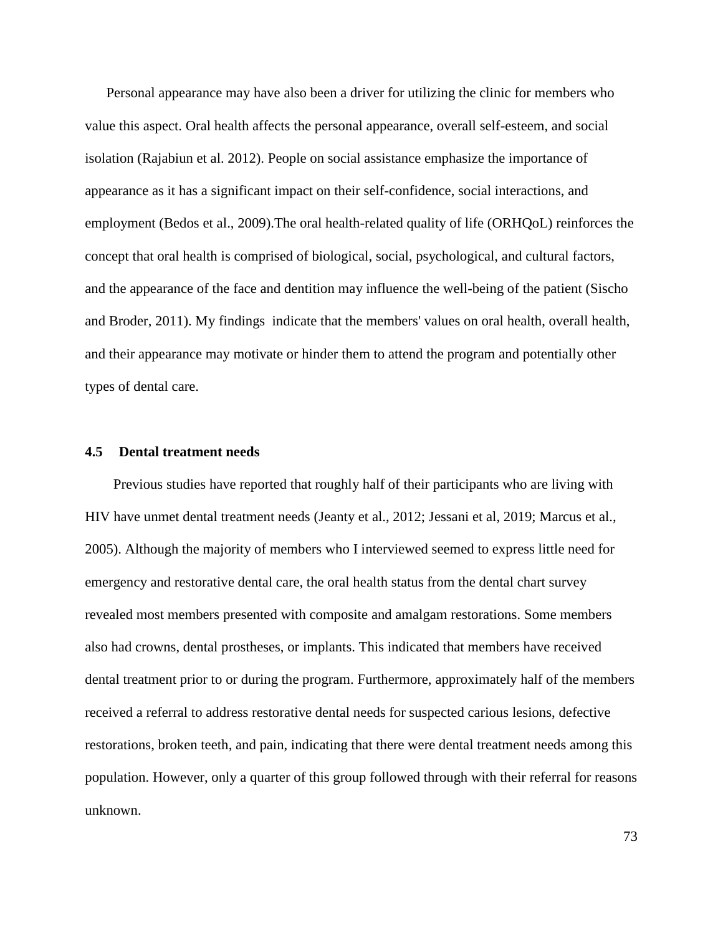Personal appearance may have also been a driver for utilizing the clinic for members who value this aspect. Oral health affects the personal appearance, overall self-esteem, and social isolation (Rajabiun et al. 2012). People on social assistance emphasize the importance of appearance as it has a significant impact on their self-confidence, social interactions, and employment (Bedos et al., 2009).The oral health-related quality of life (ORHQoL) reinforces the concept that oral health is comprised of biological, social, psychological, and cultural factors, and the appearance of the face and dentition may influence the well-being of the patient (Sischo and Broder, 2011). My findings indicate that the members' values on oral health, overall health, and their appearance may motivate or hinder them to attend the program and potentially other types of dental care.

### **4.5 Dental treatment needs**

Previous studies have reported that roughly half of their participants who are living with HIV have unmet dental treatment needs (Jeanty et al., 2012; Jessani et al, 2019; Marcus et al., 2005). Although the majority of members who I interviewed seemed to express little need for emergency and restorative dental care, the oral health status from the dental chart survey revealed most members presented with composite and amalgam restorations. Some members also had crowns, dental prostheses, or implants. This indicated that members have received dental treatment prior to or during the program. Furthermore, approximately half of the members received a referral to address restorative dental needs for suspected carious lesions, defective restorations, broken teeth, and pain, indicating that there were dental treatment needs among this population. However, only a quarter of this group followed through with their referral for reasons unknown.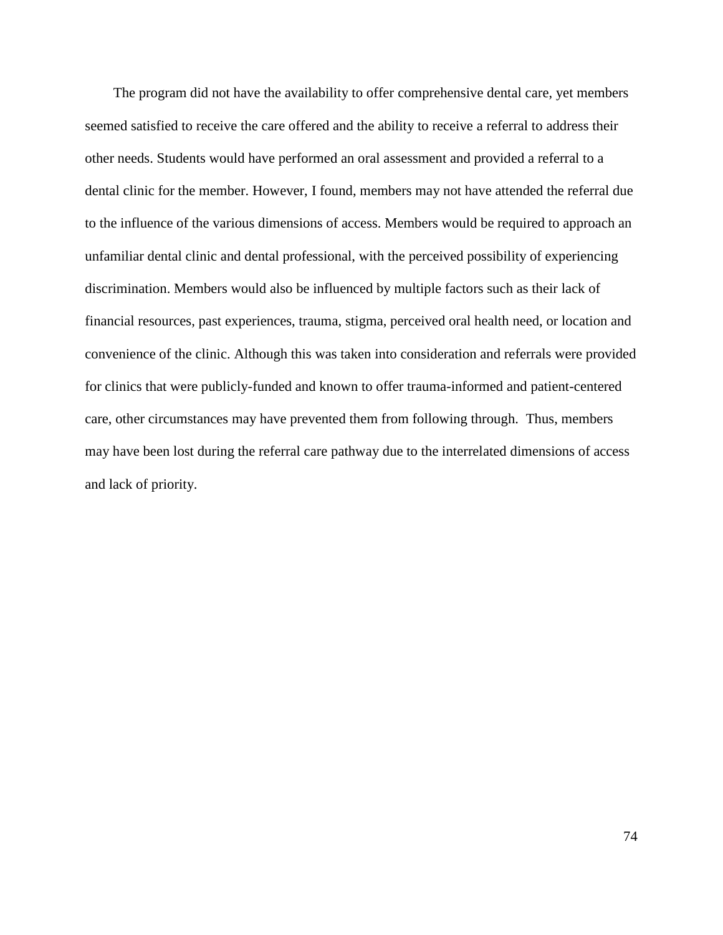The program did not have the availability to offer comprehensive dental care, yet members seemed satisfied to receive the care offered and the ability to receive a referral to address their other needs. Students would have performed an oral assessment and provided a referral to a dental clinic for the member. However, I found, members may not have attended the referral due to the influence of the various dimensions of access. Members would be required to approach an unfamiliar dental clinic and dental professional, with the perceived possibility of experiencing discrimination. Members would also be influenced by multiple factors such as their lack of financial resources, past experiences, trauma, stigma, perceived oral health need, or location and convenience of the clinic. Although this was taken into consideration and referrals were provided for clinics that were publicly-funded and known to offer trauma-informed and patient-centered care, other circumstances may have prevented them from following through. Thus, members may have been lost during the referral care pathway due to the interrelated dimensions of access and lack of priority.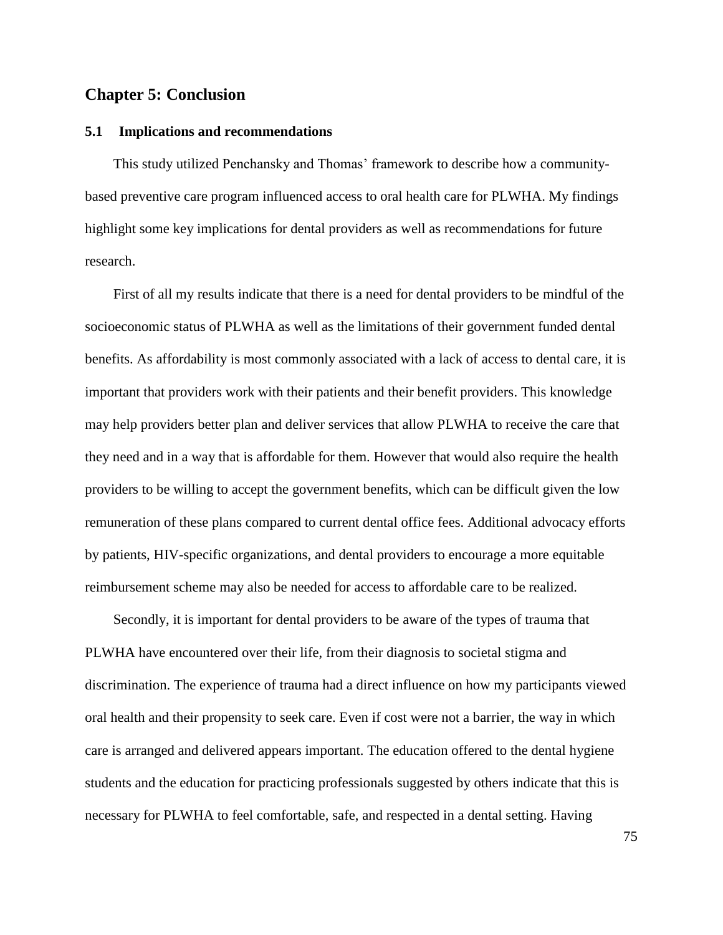## **Chapter 5: Conclusion**

#### **5.1 Implications and recommendations**

This study utilized Penchansky and Thomas' framework to describe how a communitybased preventive care program influenced access to oral health care for PLWHA. My findings highlight some key implications for dental providers as well as recommendations for future research.

First of all my results indicate that there is a need for dental providers to be mindful of the socioeconomic status of PLWHA as well as the limitations of their government funded dental benefits. As affordability is most commonly associated with a lack of access to dental care, it is important that providers work with their patients and their benefit providers. This knowledge may help providers better plan and deliver services that allow PLWHA to receive the care that they need and in a way that is affordable for them. However that would also require the health providers to be willing to accept the government benefits, which can be difficult given the low remuneration of these plans compared to current dental office fees. Additional advocacy efforts by patients, HIV-specific organizations, and dental providers to encourage a more equitable reimbursement scheme may also be needed for access to affordable care to be realized.

Secondly, it is important for dental providers to be aware of the types of trauma that PLWHA have encountered over their life, from their diagnosis to societal stigma and discrimination. The experience of trauma had a direct influence on how my participants viewed oral health and their propensity to seek care. Even if cost were not a barrier, the way in which care is arranged and delivered appears important. The education offered to the dental hygiene students and the education for practicing professionals suggested by others indicate that this is necessary for PLWHA to feel comfortable, safe, and respected in a dental setting. Having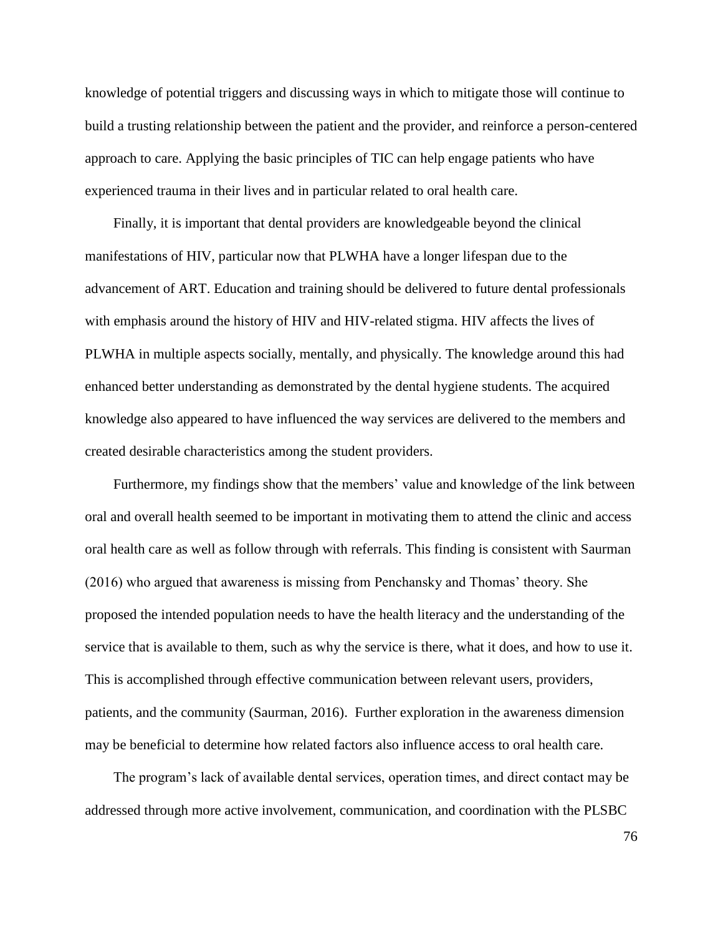knowledge of potential triggers and discussing ways in which to mitigate those will continue to build a trusting relationship between the patient and the provider, and reinforce a person-centered approach to care. Applying the basic principles of TIC can help engage patients who have experienced trauma in their lives and in particular related to oral health care.

Finally, it is important that dental providers are knowledgeable beyond the clinical manifestations of HIV, particular now that PLWHA have a longer lifespan due to the advancement of ART. Education and training should be delivered to future dental professionals with emphasis around the history of HIV and HIV-related stigma. HIV affects the lives of PLWHA in multiple aspects socially, mentally, and physically. The knowledge around this had enhanced better understanding as demonstrated by the dental hygiene students. The acquired knowledge also appeared to have influenced the way services are delivered to the members and created desirable characteristics among the student providers.

Furthermore, my findings show that the members' value and knowledge of the link between oral and overall health seemed to be important in motivating them to attend the clinic and access oral health care as well as follow through with referrals. This finding is consistent with Saurman (2016) who argued that awareness is missing from Penchansky and Thomas' theory. She proposed the intended population needs to have the health literacy and the understanding of the service that is available to them, such as why the service is there, what it does, and how to use it. This is accomplished through effective communication between relevant users, providers, patients, and the community (Saurman, 2016). Further exploration in the awareness dimension may be beneficial to determine how related factors also influence access to oral health care.

The program's lack of available dental services, operation times, and direct contact may be addressed through more active involvement, communication, and coordination with the PLSBC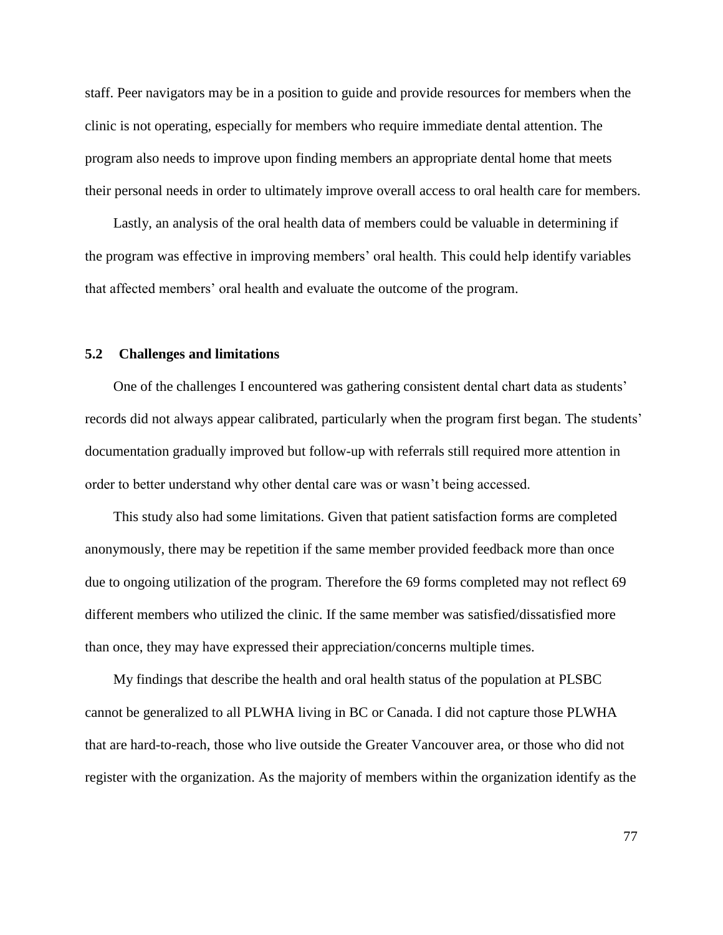staff. Peer navigators may be in a position to guide and provide resources for members when the clinic is not operating, especially for members who require immediate dental attention. The program also needs to improve upon finding members an appropriate dental home that meets their personal needs in order to ultimately improve overall access to oral health care for members.

Lastly, an analysis of the oral health data of members could be valuable in determining if the program was effective in improving members' oral health. This could help identify variables that affected members' oral health and evaluate the outcome of the program.

### **5.2 Challenges and limitations**

One of the challenges I encountered was gathering consistent dental chart data as students' records did not always appear calibrated, particularly when the program first began. The students' documentation gradually improved but follow-up with referrals still required more attention in order to better understand why other dental care was or wasn't being accessed.

This study also had some limitations. Given that patient satisfaction forms are completed anonymously, there may be repetition if the same member provided feedback more than once due to ongoing utilization of the program. Therefore the 69 forms completed may not reflect 69 different members who utilized the clinic. If the same member was satisfied/dissatisfied more than once, they may have expressed their appreciation/concerns multiple times.

My findings that describe the health and oral health status of the population at PLSBC cannot be generalized to all PLWHA living in BC or Canada. I did not capture those PLWHA that are hard-to-reach, those who live outside the Greater Vancouver area, or those who did not register with the organization. As the majority of members within the organization identify as the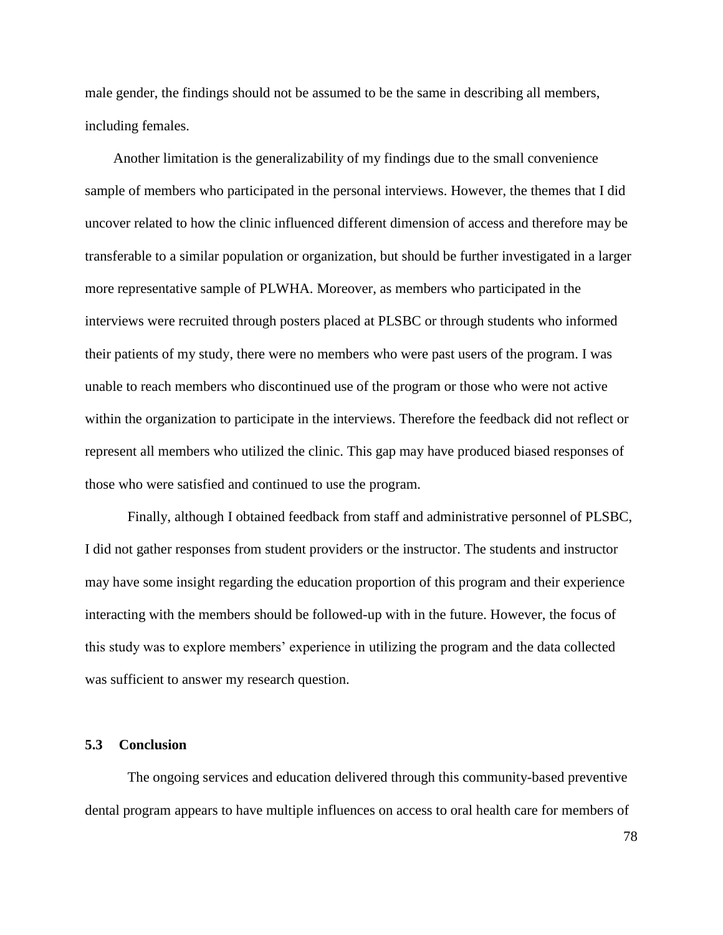male gender, the findings should not be assumed to be the same in describing all members, including females.

Another limitation is the generalizability of my findings due to the small convenience sample of members who participated in the personal interviews. However, the themes that I did uncover related to how the clinic influenced different dimension of access and therefore may be transferable to a similar population or organization, but should be further investigated in a larger more representative sample of PLWHA. Moreover, as members who participated in the interviews were recruited through posters placed at PLSBC or through students who informed their patients of my study, there were no members who were past users of the program. I was unable to reach members who discontinued use of the program or those who were not active within the organization to participate in the interviews. Therefore the feedback did not reflect or represent all members who utilized the clinic. This gap may have produced biased responses of those who were satisfied and continued to use the program.

Finally, although I obtained feedback from staff and administrative personnel of PLSBC, I did not gather responses from student providers or the instructor. The students and instructor may have some insight regarding the education proportion of this program and their experience interacting with the members should be followed-up with in the future. However, the focus of this study was to explore members' experience in utilizing the program and the data collected was sufficient to answer my research question.

#### **5.3 Conclusion**

The ongoing services and education delivered through this community-based preventive dental program appears to have multiple influences on access to oral health care for members of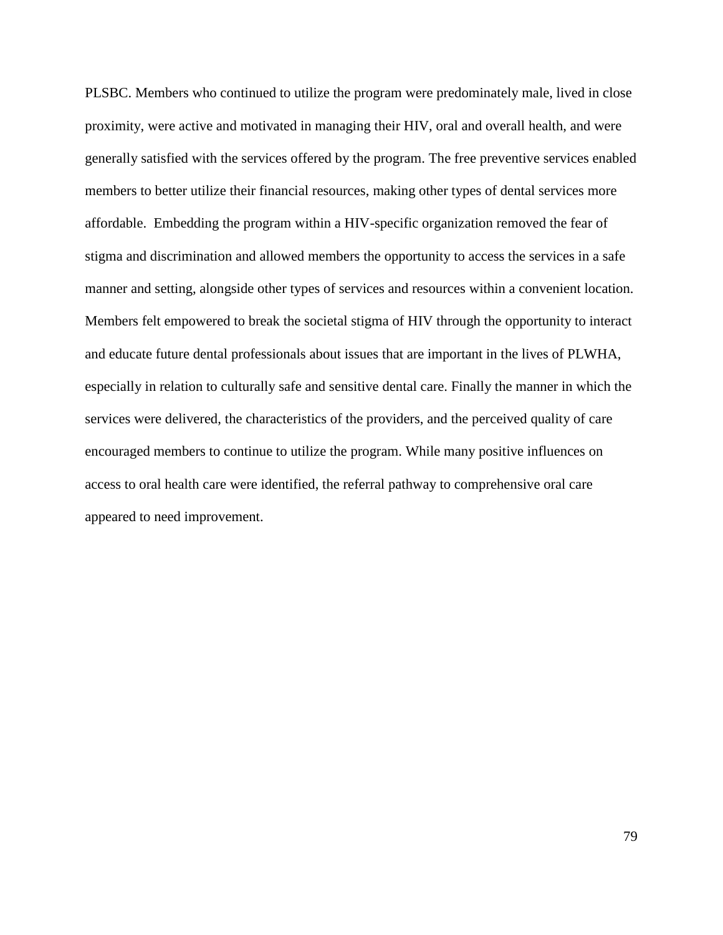PLSBC. Members who continued to utilize the program were predominately male, lived in close proximity, were active and motivated in managing their HIV, oral and overall health, and were generally satisfied with the services offered by the program. The free preventive services enabled members to better utilize their financial resources, making other types of dental services more affordable. Embedding the program within a HIV-specific organization removed the fear of stigma and discrimination and allowed members the opportunity to access the services in a safe manner and setting, alongside other types of services and resources within a convenient location. Members felt empowered to break the societal stigma of HIV through the opportunity to interact and educate future dental professionals about issues that are important in the lives of PLWHA, especially in relation to culturally safe and sensitive dental care. Finally the manner in which the services were delivered, the characteristics of the providers, and the perceived quality of care encouraged members to continue to utilize the program. While many positive influences on access to oral health care were identified, the referral pathway to comprehensive oral care appeared to need improvement.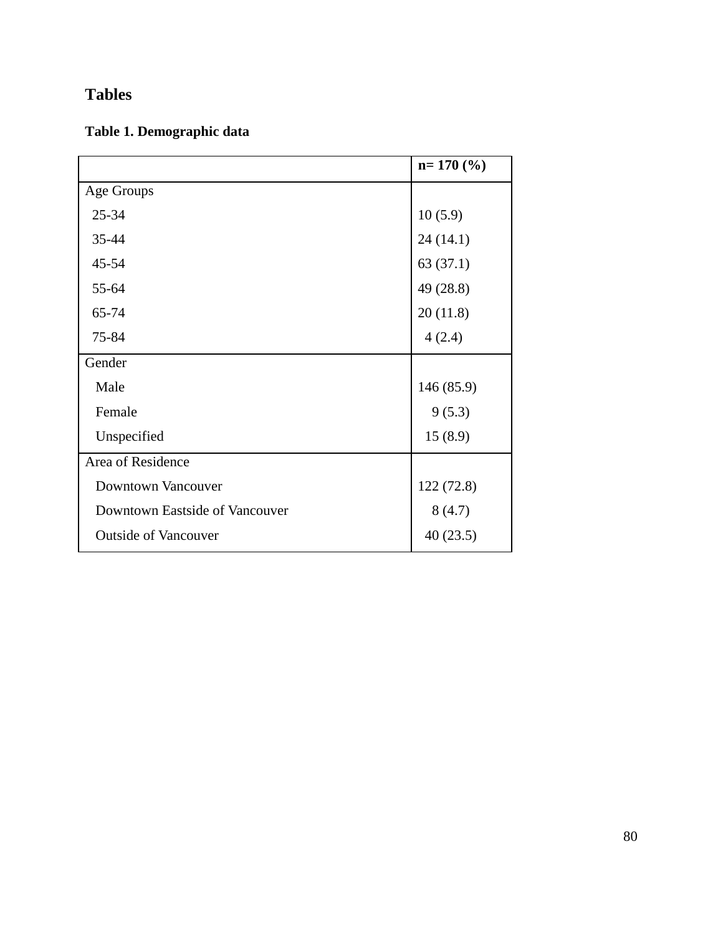# **Tables**

# **Table 1. Demographic data**

|                                | $n=170(%)$ |
|--------------------------------|------------|
| Age Groups                     |            |
| 25-34                          | 10(5.9)    |
| 35-44                          | 24(14.1)   |
| 45-54                          | 63(37.1)   |
| 55-64                          | 49 (28.8)  |
| 65-74                          | 20(11.8)   |
| 75-84                          | 4(2.4)     |
| Gender                         |            |
| Male                           | 146(85.9)  |
| Female                         | 9(5.3)     |
| Unspecified                    | 15(8.9)    |
| Area of Residence              |            |
| <b>Downtown Vancouver</b>      | 122(72.8)  |
| Downtown Eastside of Vancouver | 8(4.7)     |
| <b>Outside of Vancouver</b>    | 40(23.5)   |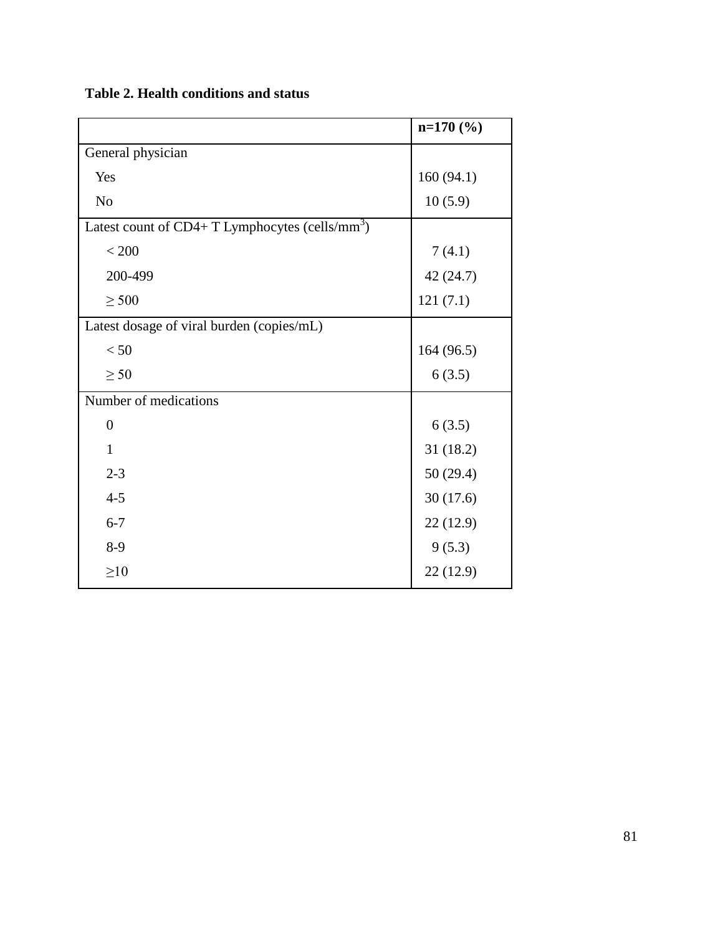|                                                              | $n=170$ (%) |
|--------------------------------------------------------------|-------------|
| General physician                                            |             |
| Yes                                                          | 160(94.1)   |
| N <sub>o</sub>                                               | 10(5.9)     |
| Latest count of $CD4+T$ Lymphocytes (cells/mm <sup>3</sup> ) |             |
| < 200                                                        | 7(4.1)      |
| 200-499                                                      | 42 (24.7)   |
| $\geq 500$                                                   | 121(7.1)    |
| Latest dosage of viral burden (copies/mL)                    |             |
| < 50                                                         | 164(96.5)   |
| $\geq 50$                                                    | 6(3.5)      |
| Number of medications                                        |             |
| $\overline{0}$                                               | 6(3.5)      |
| $\mathbf{1}$                                                 | 31(18.2)    |
| $2 - 3$                                                      | 50(29.4)    |
| $4 - 5$                                                      | 30(17.6)    |
| $6 - 7$                                                      | 22(12.9)    |
| $8-9$                                                        | 9(5.3)      |
| $\geq 10$                                                    | 22(12.9)    |

## **Table 2. Health conditions and status**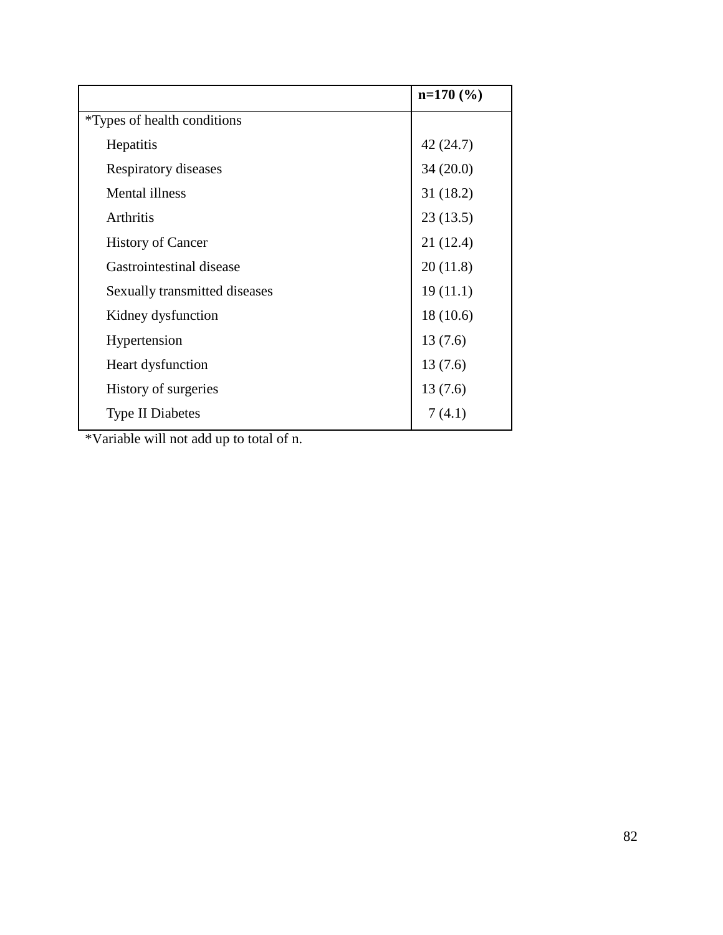|                                     | $n=170(%)$ |
|-------------------------------------|------------|
| <i>*</i> Types of health conditions |            |
| Hepatitis                           | 42 (24.7)  |
| Respiratory diseases                | 34(20.0)   |
| <b>Mental illness</b>               | 31(18.2)   |
| Arthritis                           | 23(13.5)   |
| <b>History of Cancer</b>            | 21 (12.4)  |
| Gastrointestinal disease            | 20(11.8)   |
| Sexually transmitted diseases       | 19(11.1)   |
| Kidney dysfunction                  | 18(10.6)   |
| Hypertension                        | 13(7.6)    |
| Heart dysfunction                   | 13(7.6)    |
| History of surgeries                | 13(7.6)    |
| <b>Type II Diabetes</b>             | 7(4.1)     |

\*Variable will not add up to total of n.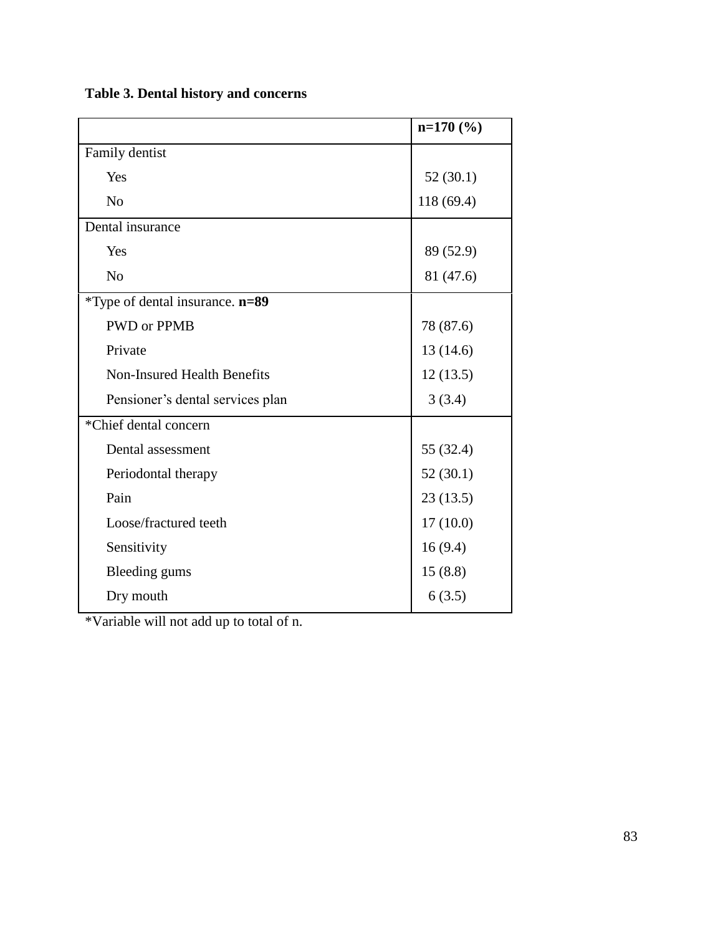|  |  |  |  |  | Table 3. Dental history and concerns |
|--|--|--|--|--|--------------------------------------|
|--|--|--|--|--|--------------------------------------|

|                                    | $n=170$ (%) |
|------------------------------------|-------------|
| Family dentist                     |             |
| Yes                                | 52(30.1)    |
| N <sub>o</sub>                     | 118 (69.4)  |
| Dental insurance                   |             |
| Yes                                | 89 (52.9)   |
| N <sub>o</sub>                     | 81 (47.6)   |
| *Type of dental insurance. n=89    |             |
| <b>PWD</b> or <b>PPMB</b>          | 78 (87.6)   |
| Private                            | 13 (14.6)   |
| <b>Non-Insured Health Benefits</b> | 12(13.5)    |
| Pensioner's dental services plan   | 3(3.4)      |
| *Chief dental concern              |             |
| Dental assessment                  | 55 (32.4)   |
| Periodontal therapy                | 52(30.1)    |
| Pain                               | 23(13.5)    |
| Loose/fractured teeth              | 17(10.0)    |
| Sensitivity                        | 16(9.4)     |
| Bleeding gums                      | 15(8.8)     |
| Dry mouth                          | 6(3.5)      |

\*Variable will not add up to total of n.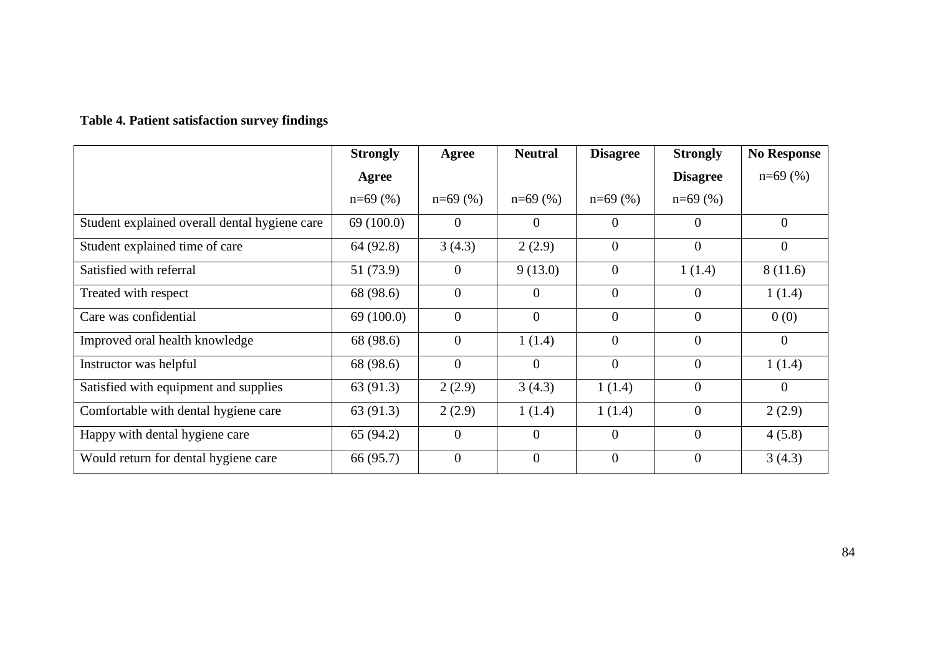# **Table 4. Patient satisfaction survey findings**

|                                               | <b>Strongly</b> | Agree          | <b>Neutral</b> | <b>Disagree</b> | <b>Strongly</b> | <b>No Response</b> |
|-----------------------------------------------|-----------------|----------------|----------------|-----------------|-----------------|--------------------|
|                                               | Agree           |                |                |                 | <b>Disagree</b> | $n=69$ (%)         |
|                                               | $n=69$ (%)      | $n=69$ (%)     | $n=69$ (%)     | $n=69$ (%)      | $n=69$ (%)      |                    |
| Student explained overall dental hygiene care | 69(100.0)       | $\overline{0}$ | $\theta$       | $\theta$        | $\theta$        | $\mathbf{0}$       |
| Student explained time of care                | 64 (92.8)       | 3(4.3)         | 2(2.9)         | $\Omega$        | $\Omega$        | $\overline{0}$     |
| Satisfied with referral                       | 51 (73.9)       | $\overline{0}$ | 9(13.0)        | $\theta$        | 1(1.4)          | 8(11.6)            |
| Treated with respect                          | 68 (98.6)       | $\overline{0}$ | $\theta$       | $\overline{0}$  | $\theta$        | 1(1.4)             |
| Care was confidential                         | 69(100.0)       | $\overline{0}$ | $\Omega$       | $\Omega$        | $\theta$        | 0(0)               |
| Improved oral health knowledge                | 68 (98.6)       | $\overline{0}$ | 1(1.4)         | $\theta$        | $\Omega$        | $\overline{0}$     |
| Instructor was helpful                        | 68 (98.6)       | $\overline{0}$ | $\overline{0}$ | $\overline{0}$  | $\overline{0}$  | 1(1.4)             |
| Satisfied with equipment and supplies         | 63 (91.3)       | 2(2.9)         | 3(4.3)         | 1(1.4)          | $\overline{0}$  | $\mathbf{0}$       |
| Comfortable with dental hygiene care          | 63 (91.3)       | 2(2.9)         | 1(1.4)         | 1(1.4)          | $\overline{0}$  | 2(2.9)             |
| Happy with dental hygiene care                | 65 (94.2)       | $\overline{0}$ | $\overline{0}$ | $\overline{0}$  | $\overline{0}$  | 4(5.8)             |
| Would return for dental hygiene care          | 66 (95.7)       | $\overline{0}$ | $\overline{0}$ | $\theta$        | $\theta$        | 3(4.3)             |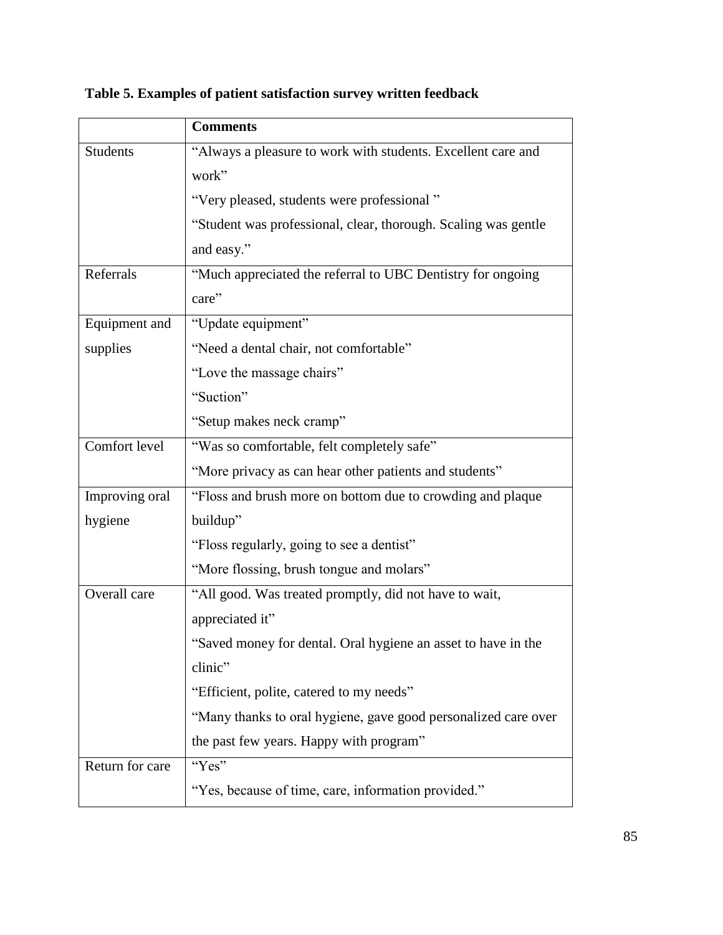|                 | <b>Comments</b>                                                |
|-----------------|----------------------------------------------------------------|
| <b>Students</b> | "Always a pleasure to work with students. Excellent care and   |
|                 | work"                                                          |
|                 | "Very pleased, students were professional"                     |
|                 | "Student was professional, clear, thorough. Scaling was gentle |
|                 | and easy."                                                     |
| Referrals       | "Much appreciated the referral to UBC Dentistry for ongoing    |
|                 | care"                                                          |
| Equipment and   | "Update equipment"                                             |
| supplies        | "Need a dental chair, not comfortable"                         |
|                 | "Love the massage chairs"                                      |
|                 | "Suction"                                                      |
|                 | "Setup makes neck cramp"                                       |
| Comfort level   | "Was so comfortable, felt completely safe"                     |
|                 | "More privacy as can hear other patients and students"         |
| Improving oral  | "Floss and brush more on bottom due to crowding and plaque     |
| hygiene         | buildup"                                                       |
|                 | "Floss regularly, going to see a dentist"                      |
|                 | "More flossing, brush tongue and molars"                       |
| Overall care    | "All good. Was treated promptly, did not have to wait,         |
|                 | appreciated it"                                                |
|                 | "Saved money for dental. Oral hygiene an asset to have in the  |
|                 | clinic"                                                        |
|                 | "Efficient, polite, catered to my needs"                       |
|                 | "Many thanks to oral hygiene, gave good personalized care over |
|                 | the past few years. Happy with program"                        |
| Return for care | "Yes"                                                          |
|                 | "Yes, because of time, care, information provided."            |

**Table 5. Examples of patient satisfaction survey written feedback**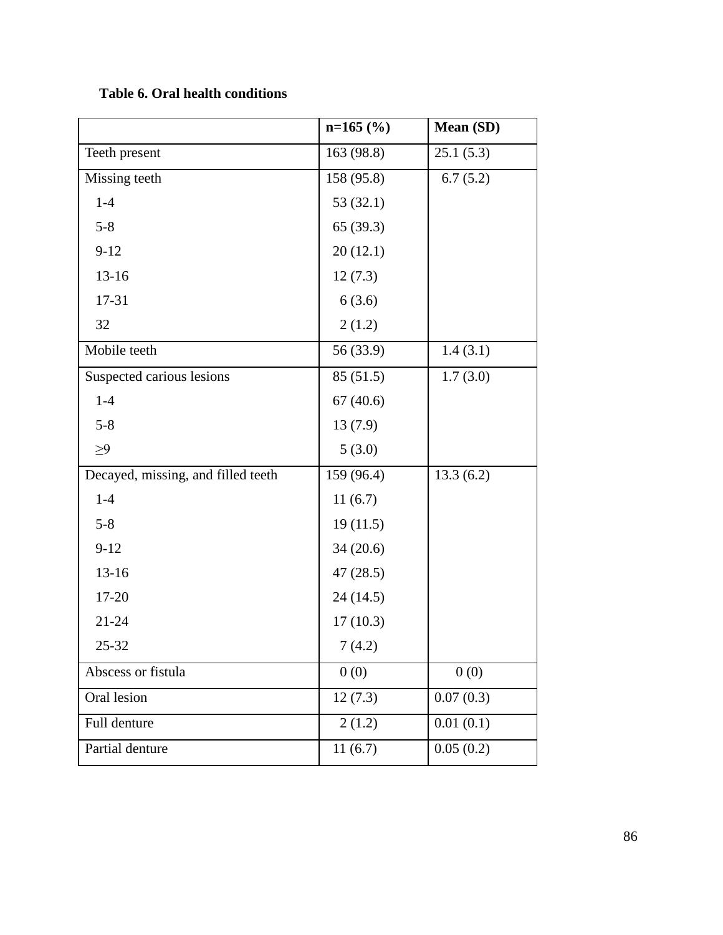**Table 6. Oral health conditions**

|                                    | $n=165$ (%) | Mean (SD) |
|------------------------------------|-------------|-----------|
| Teeth present                      | 163 (98.8)  | 25.1(5.3) |
| Missing teeth                      | 158 (95.8)  | 6.7(5.2)  |
| $1-4$                              | 53(32.1)    |           |
| $5 - 8$                            | 65(39.3)    |           |
| $9 - 12$                           | 20(12.1)    |           |
| $13 - 16$                          | 12(7.3)     |           |
| 17-31                              | 6(3.6)      |           |
| 32                                 | 2(1.2)      |           |
| Mobile teeth                       | 56 (33.9)   | 1.4(3.1)  |
| Suspected carious lesions          | 85(51.5)    | 1.7(3.0)  |
| $1-4$                              | 67(40.6)    |           |
| $5 - 8$                            | 13(7.9)     |           |
| $\geq 9$                           | 5(3.0)      |           |
| Decayed, missing, and filled teeth | 159 (96.4)  | 13.3(6.2) |
| $1-4$                              | 11(6.7)     |           |
| $5 - 8$                            | 19(11.5)    |           |
| $9 - 12$                           | 34(20.6)    |           |
| $13 - 16$                          | 47(28.5)    |           |
| 17-20                              | 24(14.5)    |           |
| $21 - 24$                          | 17(10.3)    |           |
| 25-32                              | 7(4.2)      |           |
| Abscess or fistula                 | 0(0)        | 0(0)      |
| Oral lesion                        | 12(7.3)     | 0.07(0.3) |
| Full denture                       | 2(1.2)      | 0.01(0.1) |
| Partial denture                    | 11(6.7)     | 0.05(0.2) |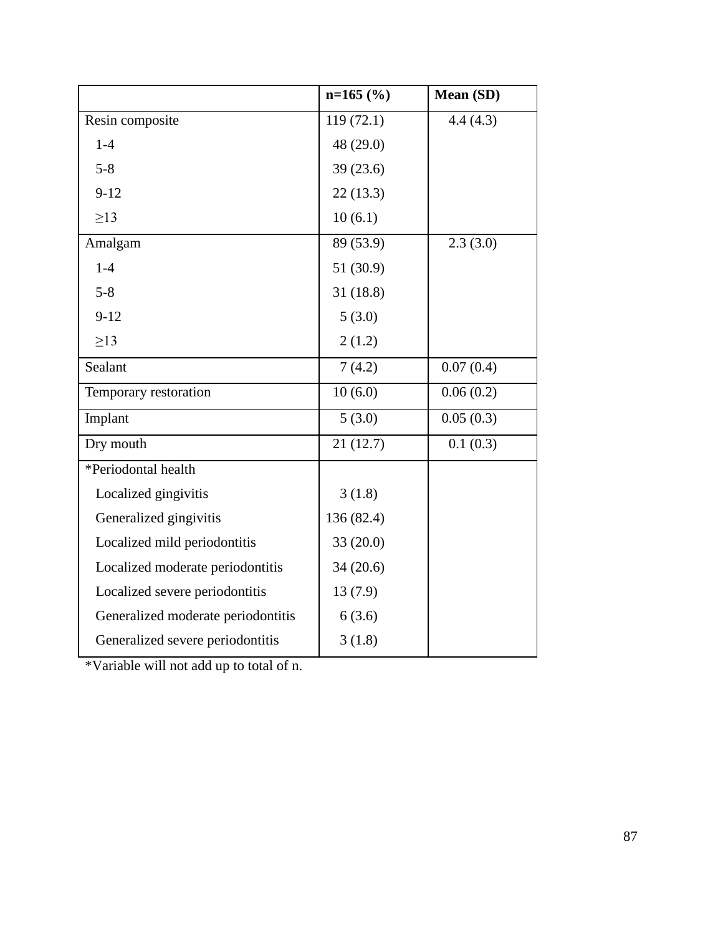|                                    | $n=165$ (%) | Mean (SD) |
|------------------------------------|-------------|-----------|
| Resin composite                    | 119(72.1)   | 4.4(4.3)  |
| $1-4$                              | 48 (29.0)   |           |
| $5 - 8$                            | 39(23.6)    |           |
| $9 - 12$                           | 22(13.3)    |           |
| $\geq$ 13                          | 10(6.1)     |           |
| Amalgam                            | 89 (53.9)   | 2.3(3.0)  |
| $1-4$                              | 51 (30.9)   |           |
| $5 - 8$                            | 31(18.8)    |           |
| $9 - 12$                           | 5(3.0)      |           |
| $\geq$ 13                          | 2(1.2)      |           |
| Sealant                            | 7(4.2)      | 0.07(0.4) |
| Temporary restoration              | 10(6.0)     | 0.06(0.2) |
| Implant                            | 5(3.0)      | 0.05(0.3) |
| Dry mouth                          | 21(12.7)    | 0.1(0.3)  |
| *Periodontal health                |             |           |
| Localized gingivitis               | 3(1.8)      |           |
| Generalized gingivitis             | 136 (82.4)  |           |
| Localized mild periodontitis       | 33(20.0)    |           |
| Localized moderate periodontitis   | 34(20.6)    |           |
| Localized severe periodontitis     | 13(7.9)     |           |
| Generalized moderate periodontitis | 6(3.6)      |           |
| Generalized severe periodontitis   | 3(1.8)      |           |

\*Variable will not add up to total of n.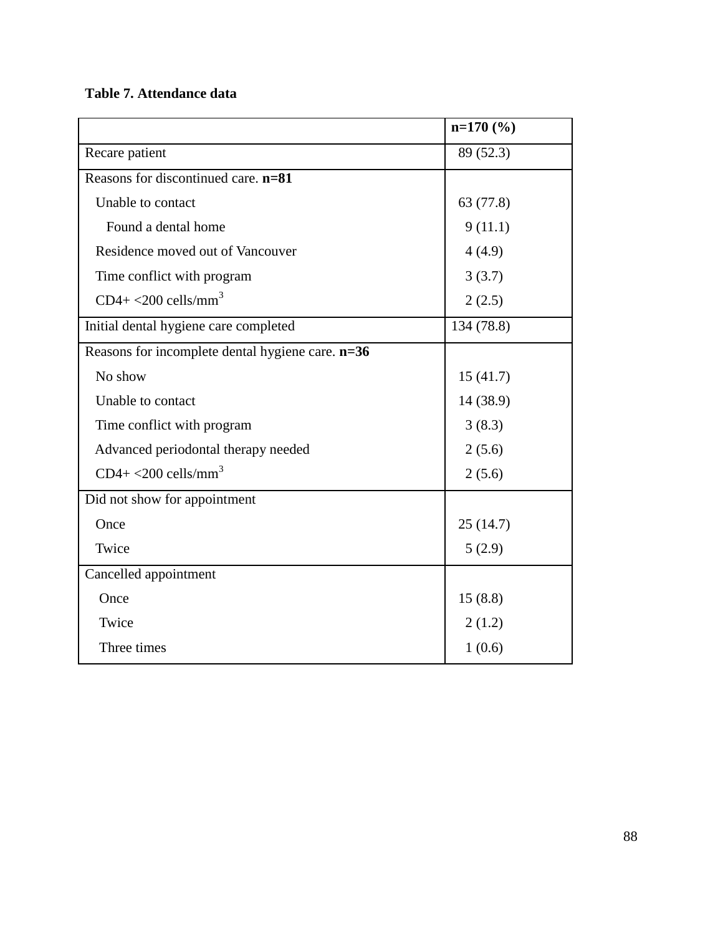## **Table 7. Attendance data**

|                                                  | $n=170$ (%) |
|--------------------------------------------------|-------------|
| Recare patient                                   | 89 (52.3)   |
| Reasons for discontinued care. $n=81$            |             |
| Unable to contact                                | 63 (77.8)   |
| Found a dental home                              | 9(11.1)     |
| Residence moved out of Vancouver                 | 4(4.9)      |
| Time conflict with program                       | 3(3.7)      |
| $CD4+<200$ cells/mm <sup>3</sup>                 | 2(2.5)      |
| Initial dental hygiene care completed            | 134 (78.8)  |
| Reasons for incomplete dental hygiene care. n=36 |             |
| No show                                          | 15(41.7)    |
| Unable to contact                                | 14 (38.9)   |
| Time conflict with program                       | 3(8.3)      |
| Advanced periodontal therapy needed              | 2(5.6)      |
| $CD4+<200$ cells/mm <sup>3</sup>                 | 2(5.6)      |
| Did not show for appointment                     |             |
| Once                                             | 25(14.7)    |
| Twice                                            | 5(2.9)      |
| Cancelled appointment                            |             |
| Once                                             | 15(8.8)     |
| Twice                                            | 2(1.2)      |
| Three times                                      | 1(0.6)      |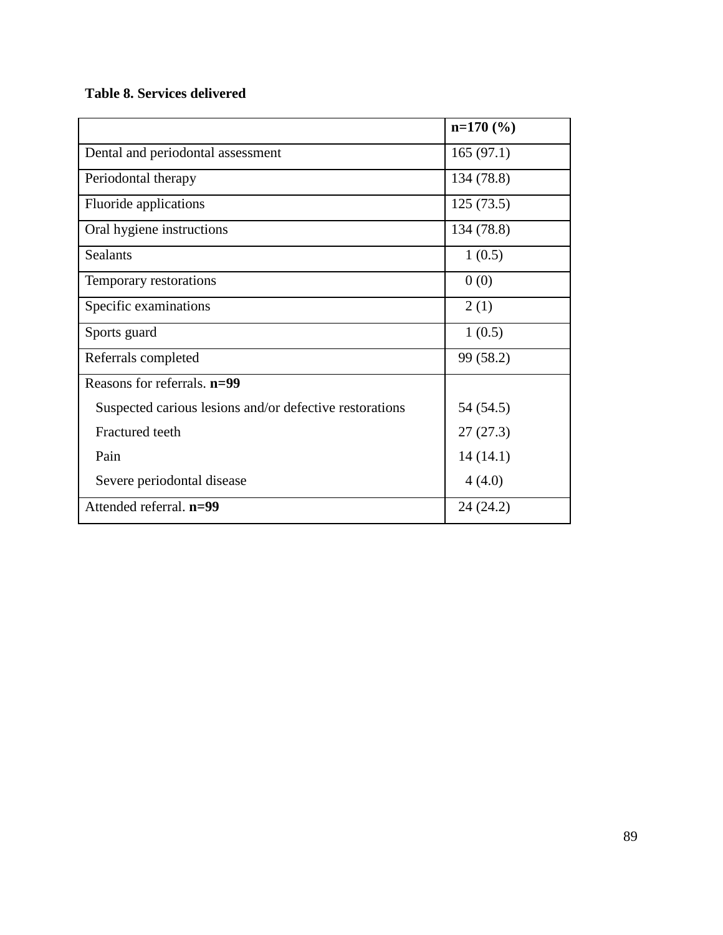## **Table 8. Services delivered**

|                                                         | $n=170$ (%) |
|---------------------------------------------------------|-------------|
| Dental and periodontal assessment                       | 165(97.1)   |
| Periodontal therapy                                     | 134 (78.8)  |
| Fluoride applications                                   | 125(73.5)   |
| Oral hygiene instructions                               | 134 (78.8)  |
| Sealants                                                | 1(0.5)      |
| Temporary restorations                                  | 0(0)        |
| Specific examinations                                   | 2(1)        |
| Sports guard                                            | 1(0.5)      |
| Referrals completed                                     | 99 (58.2)   |
| Reasons for referrals. n=99                             |             |
| Suspected carious lesions and/or defective restorations | 54 (54.5)   |
| Fractured teeth                                         | 27(27.3)    |
| Pain                                                    | 14(14.1)    |
| Severe periodontal disease                              | 4(4.0)      |
| Attended referral. n=99                                 | 24(24.2)    |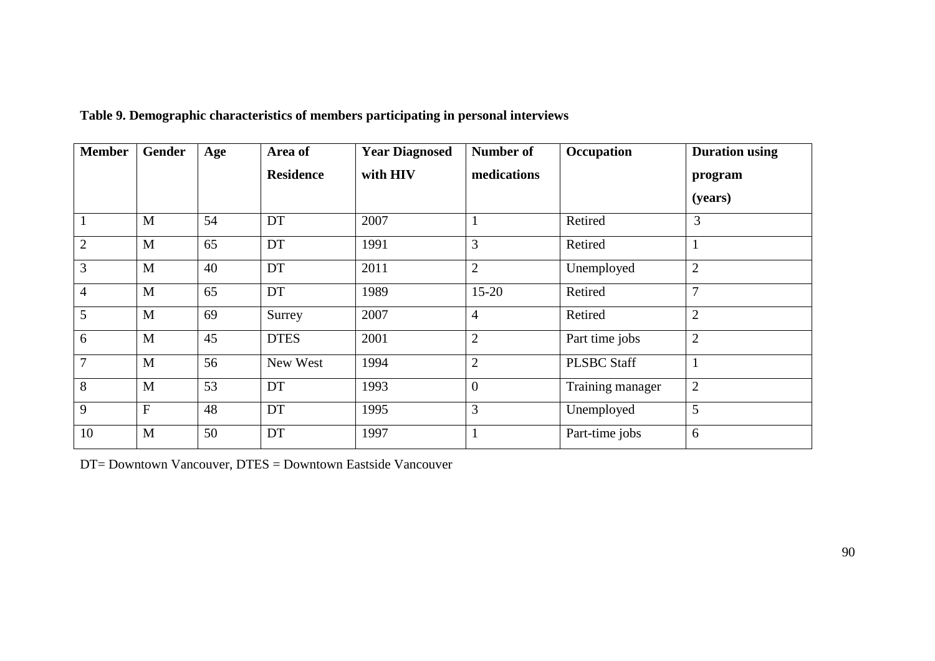| <b>Member</b>  | Gender         | Age | Area of          | <b>Year Diagnosed</b> | <b>Number of</b> | Occupation         | <b>Duration using</b> |
|----------------|----------------|-----|------------------|-----------------------|------------------|--------------------|-----------------------|
|                |                |     | <b>Residence</b> | with HIV              | medications      |                    | program               |
|                |                |     |                  |                       |                  |                    | (years)               |
|                | M              | 54  | DT               | 2007                  |                  | Retired            | 3                     |
| $\overline{2}$ | M              | 65  | DT               | 1991                  | 3                | Retired            |                       |
| 3              | M              | 40  | DT               | 2011                  | $\overline{2}$   | Unemployed         | $\overline{2}$        |
| $\overline{4}$ | M              | 65  | DT               | 1989                  | $15 - 20$        | Retired            | $\overline{7}$        |
| 5              | M              | 69  | Surrey           | 2007                  | $\overline{4}$   | Retired            | $\overline{2}$        |
| 6              | M              | 45  | <b>DTES</b>      | 2001                  | $\overline{2}$   | Part time jobs     | $\overline{2}$        |
| $\overline{7}$ | M              | 56  | New West         | 1994                  | $\overline{2}$   | <b>PLSBC Staff</b> |                       |
| 8              | M              | 53  | DT               | 1993                  | $\overline{0}$   | Training manager   | $\overline{2}$        |
| 9              | $\overline{F}$ | 48  | DT               | 1995                  | 3                | Unemployed         | 5                     |
| 10             | M              | 50  | DT               | 1997                  |                  | Part-time jobs     | 6                     |

|  | Table 9. Demographic characteristics of members participating in personal interviews |  |  |  |
|--|--------------------------------------------------------------------------------------|--|--|--|
|  |                                                                                      |  |  |  |

DT= Downtown Vancouver, DTES = Downtown Eastside Vancouver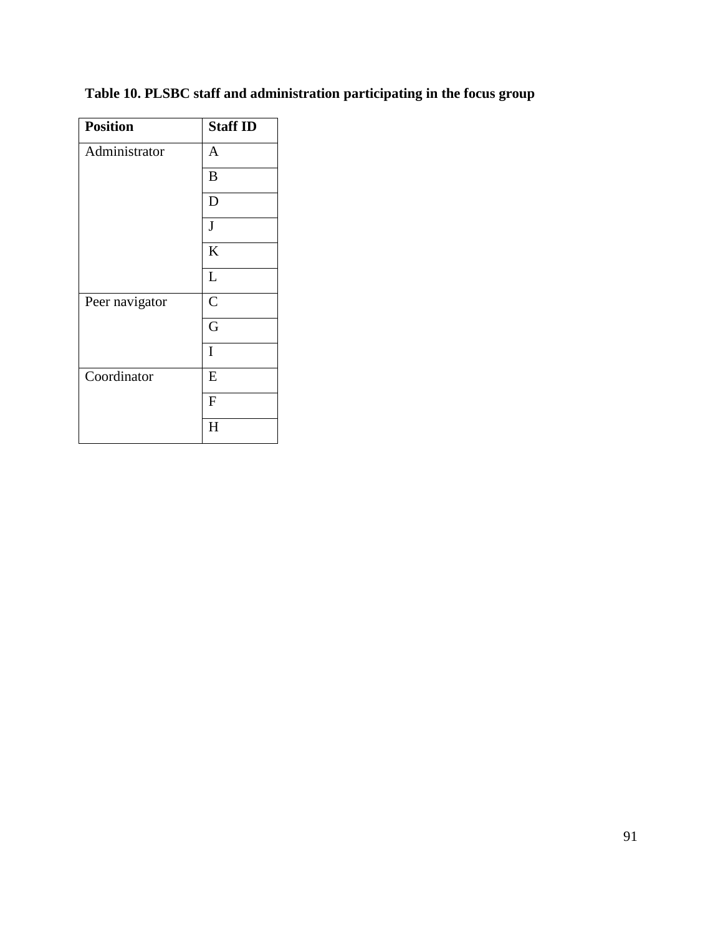| <b>Position</b> | <b>Staff ID</b> |  |  |
|-----------------|-----------------|--|--|
| Administrator   | $\mathbf{A}$    |  |  |
|                 | B               |  |  |
|                 | D               |  |  |
|                 | J               |  |  |
|                 | K               |  |  |
|                 | L               |  |  |
| Peer navigator  | $\overline{C}$  |  |  |
|                 | G               |  |  |
|                 | I               |  |  |
| Coordinator     | E               |  |  |
|                 | F               |  |  |
|                 | H               |  |  |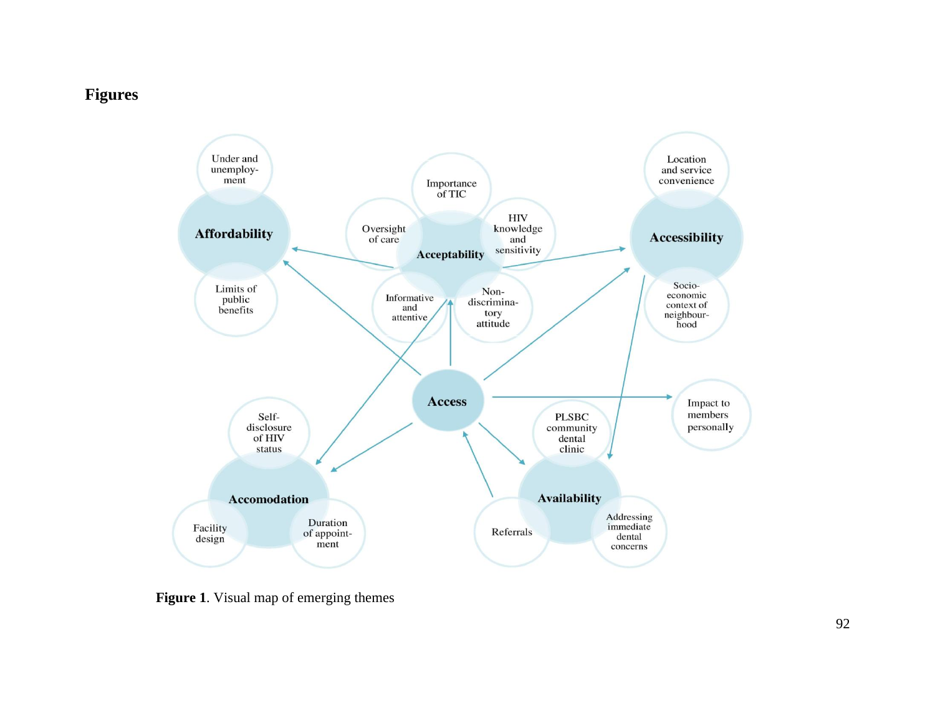# **Figures**



**Figure 1**. Visual map of emerging themes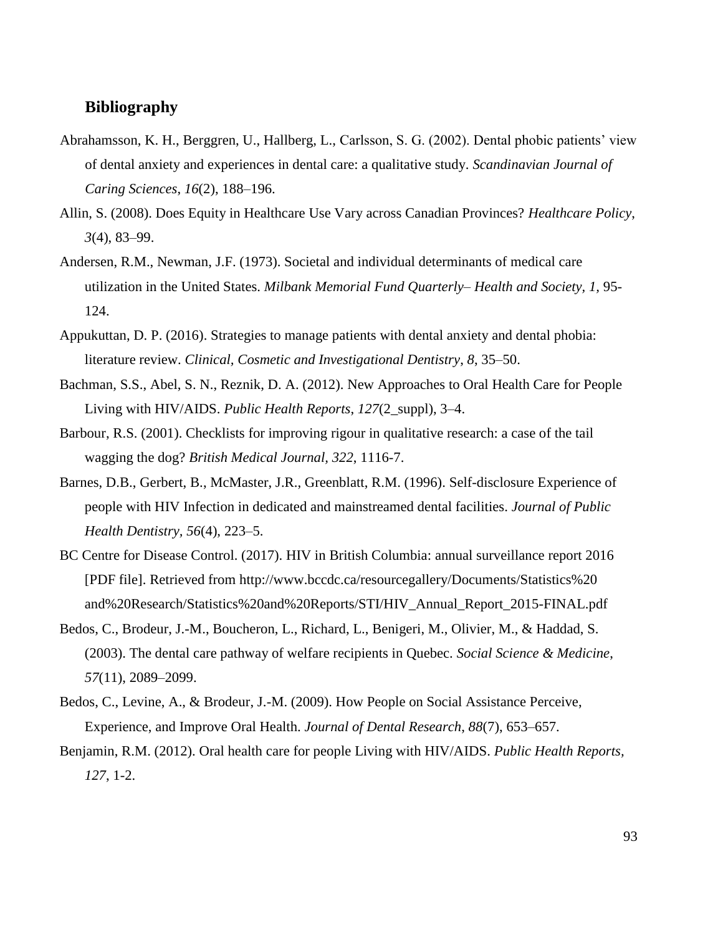## **Bibliography**

- Abrahamsson, K. H., Berggren, U., Hallberg, L., Carlsson, S. G. (2002). Dental phobic patients' view of dental anxiety and experiences in dental care: a qualitative study. *Scandinavian Journal of Caring Sciences*, *16*(2), 188–196.
- Allin, S. (2008). Does Equity in Healthcare Use Vary across Canadian Provinces? *Healthcare Policy*, *3*(4), 83–99.
- Andersen, R.M., Newman, J.F. (1973). Societal and individual determinants of medical care utilization in the United States. *Milbank Memorial Fund Quarterly– Health and Society, 1,* 95- 124.
- Appukuttan, D. P. (2016). Strategies to manage patients with dental anxiety and dental phobia: literature review. *Clinical, Cosmetic and Investigational Dentistry*, *8*, 35–50.
- Bachman, S.S., Abel, S. N., Reznik, D. A. (2012). New Approaches to Oral Health Care for People Living with HIV/AIDS. *Public Health Reports*, *127*(2\_suppl), 3–4.
- Barbour, R.S. (2001). Checklists for improving rigour in qualitative research: a case of the tail wagging the dog? *British Medical Journal, 322*, 1116-7.
- Barnes, D.B., Gerbert, B., McMaster, J.R., Greenblatt, R.M. (1996). Self-disclosure Experience of people with HIV Infection in dedicated and mainstreamed dental facilities. *Journal of Public Health Dentistry, 56*(4), 223–5.
- BC Centre for Disease Control. (2017). HIV in British Columbia: annual surveillance report 2016 [PDF file]. Retrieved from http://www.bccdc.ca/resourcegallery/Documents/Statistics%20 and%20Research/Statistics%20and%20Reports/STI/HIV\_Annual\_Report\_2015-FINAL.pdf
- Bedos, C., Brodeur, J.-M., Boucheron, L., Richard, L., Benigeri, M., Olivier, M., & Haddad, S. (2003). The dental care pathway of welfare recipients in Quebec. *Social Science & Medicine*, *57*(11), 2089–2099.
- Bedos, C., Levine, A., & Brodeur, J.-M. (2009). How People on Social Assistance Perceive, Experience, and Improve Oral Health. *Journal of Dental Research*, *88*(7), 653–657.
- Benjamin, R.M. (2012). Oral health care for people Living with HIV/AIDS. *Public Health Reports, 127*, 1-2.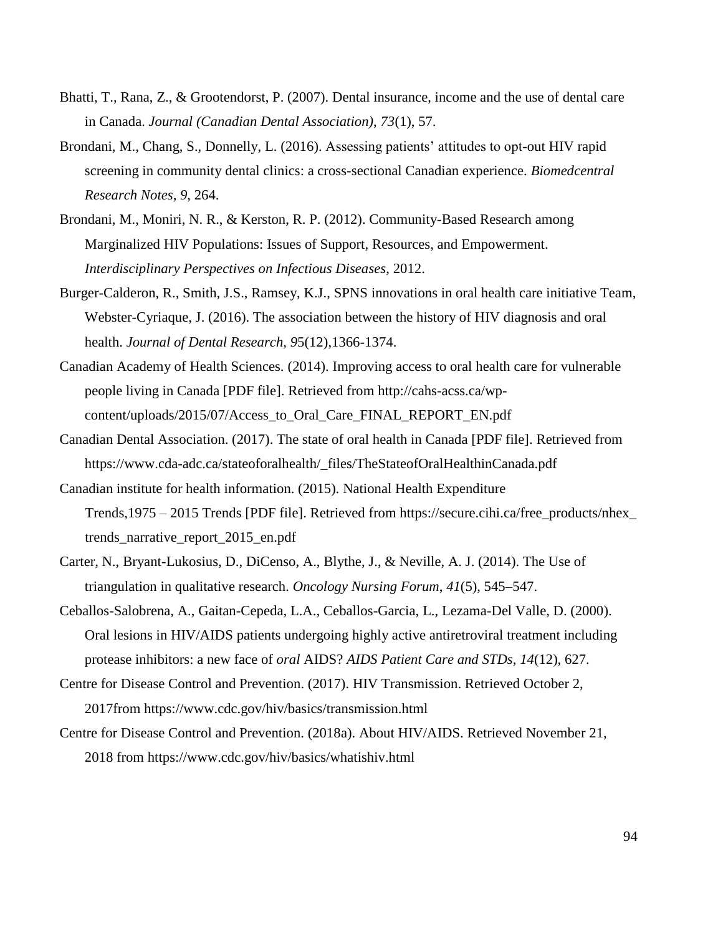- Bhatti, T., Rana, Z., & Grootendorst, P. (2007). Dental insurance, income and the use of dental care in Canada. *Journal (Canadian Dental Association)*, *73*(1), 57.
- Brondani, M., Chang, S., Donnelly, L. (2016). Assessing patients' attitudes to opt-out HIV rapid screening in community dental clinics: a cross-sectional Canadian experience. *Biomedcentral Research Notes, 9*, 264.
- Brondani, M., Moniri, N. R., & Kerston, R. P. (2012). Community-Based Research among Marginalized HIV Populations: Issues of Support, Resources, and Empowerment. *Interdisciplinary Perspectives on Infectious Diseases*, 2012.
- Burger-Calderon, R., Smith, J.S., Ramsey, K.J., SPNS innovations in oral health care initiative Team, Webster-Cyriaque, J. (2016). The association between the history of HIV diagnosis and oral health. *Journal of Dental Research, 9*5(12),1366-1374.
- Canadian Academy of Health Sciences. (2014). Improving access to oral health care for vulnerable people living in Canada [PDF file]. Retrieved from http://cahs-acss.ca/wpcontent/uploads/2015/07/Access\_to\_Oral\_Care\_FINAL\_REPORT\_EN.pdf
- Canadian Dental Association. (2017). The state of oral health in Canada [PDF file]. Retrieved from https://www.cda-adc.ca/stateoforalhealth/\_files/TheStateofOralHealthinCanada.pdf
- Canadian institute for health information. (2015). National Health Expenditure Trends,1975 – 2015 Trends [PDF file]. Retrieved from https://secure.cihi.ca/free\_products/nhex\_ trends\_narrative\_report\_2015\_en.pdf
- Carter, N., Bryant-Lukosius, D., DiCenso, A., Blythe, J., & Neville, A. J. (2014). The Use of triangulation in qualitative research. *Oncology Nursing Forum*, *41*(5), 545–547.
- Ceballos-Salobrena, A., Gaitan-Cepeda, L.A., Ceballos-Garcia, L., Lezama-Del Valle, D. (2000). Oral lesions in HIV/AIDS patients undergoing highly active antiretroviral treatment including protease inhibitors: a new face of *oral* AIDS? *AIDS Patient Care and STDs, 14*(12), 627.
- Centre for Disease Control and Prevention. (2017). HIV Transmission. Retrieved October 2, 2017from https://www.cdc.gov/hiv/basics/transmission.html
- Centre for Disease Control and Prevention. (2018a). About HIV/AIDS. Retrieved November 21, 2018 from https://www.cdc.gov/hiv/basics/whatishiv.html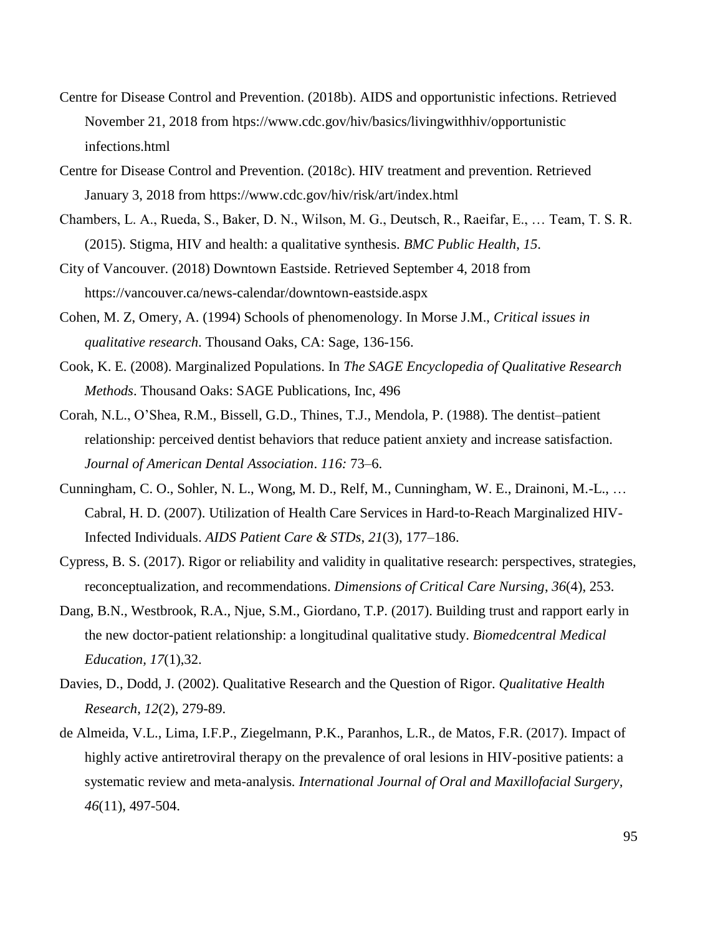- Centre for Disease Control and Prevention. (2018b). AIDS and opportunistic infections. Retrieved November 21, 2018 from htps://www.cdc.gov/hiv/basics/livingwithhiv/opportunistic infections.html
- Centre for Disease Control and Prevention. (2018c). HIV treatment and prevention. Retrieved January 3, 2018 from https://www.cdc.gov/hiv/risk/art/index.html
- Chambers, L. A., Rueda, S., Baker, D. N., Wilson, M. G., Deutsch, R., Raeifar, E., … Team, T. S. R. (2015). Stigma, HIV and health: a qualitative synthesis. *BMC Public Health*, *15*.
- City of Vancouver. (2018) Downtown Eastside. Retrieved September 4, 2018 from https://vancouver.ca/news-calendar/downtown-eastside.aspx
- Cohen, M. Z, Omery, A. (1994) Schools of phenomenology. In Morse J.M., *Critical issues in qualitative research*. Thousand Oaks, CA: Sage, 136-156.
- Cook, K. E. (2008). Marginalized Populations. In *The SAGE Encyclopedia of Qualitative Research Methods*. Thousand Oaks: SAGE Publications, Inc, 496
- Corah, N.L., O'Shea, R.M., Bissell, G.D., Thines, T.J., Mendola, P. (1988). The dentist–patient relationship: perceived dentist behaviors that reduce patient anxiety and increase satisfaction. *Journal of American Dental Association*. *116:* 73–6.
- Cunningham, C. O., Sohler, N. L., Wong, M. D., Relf, M., Cunningham, W. E., Drainoni, M.-L., … Cabral, H. D. (2007). Utilization of Health Care Services in Hard-to-Reach Marginalized HIV-Infected Individuals. *AIDS Patient Care & STDs*, *21*(3), 177–186.
- Cypress, B. S. (2017). Rigor or reliability and validity in qualitative research: perspectives, strategies, reconceptualization, and recommendations. *Dimensions of Critical Care Nursing*, *36*(4), 253.
- Dang, B.N., Westbrook, R.A., Njue, S.M., Giordano, T.P. (2017). Building trust and rapport early in the new doctor-patient relationship: a longitudinal qualitative study. *Biomedcentral Medical Education, 17*(1),32.
- Davies, D., Dodd, J. (2002). Qualitative Research and the Question of Rigor. *Qualitative Health Research*, *12*(2), 279-89.
- de Almeida, V.L., Lima, I.F.P., Ziegelmann, P.K., Paranhos, L.R., de Matos, F.R. (2017). Impact of highly active antiretroviral therapy on the prevalence of oral lesions in HIV-positive patients: a systematic review and meta-analysis*. International Journal of Oral and Maxillofacial Surgery, 46*(11), 497-504.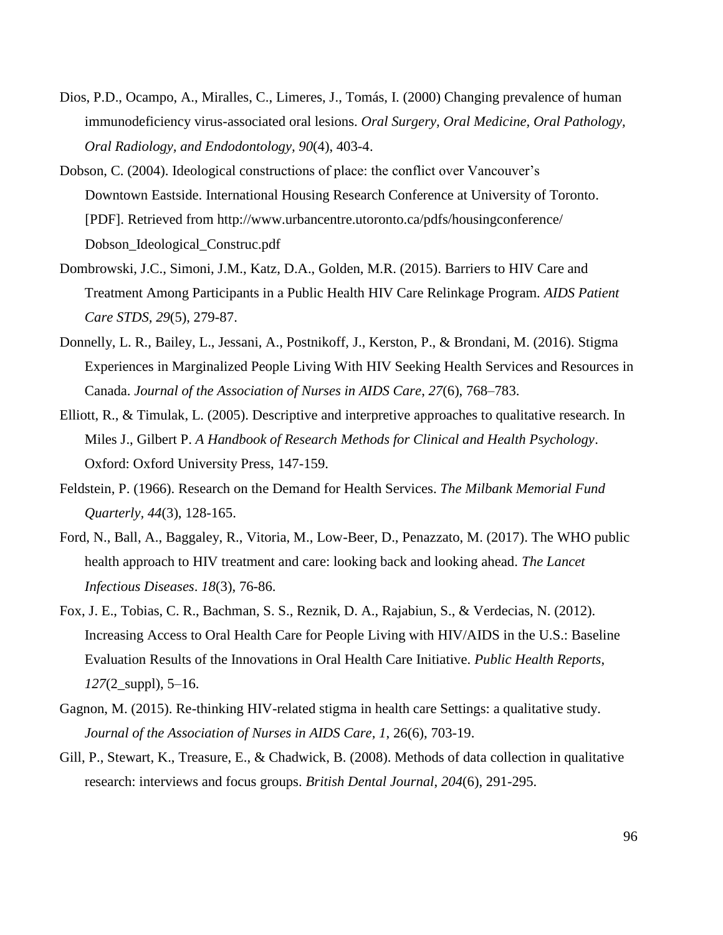- Dios, P.D., Ocampo, A., Miralles, C., Limeres, J., Tomás, I. (2000) Changing prevalence of human immunodeficiency virus-associated oral lesions. *Oral Surgery, Oral Medicine, Oral Pathology, Oral Radiology, and Endodontology, 90*(4), 403-4.
- Dobson, C. (2004). Ideological constructions of place: the conflict over Vancouver's Downtown Eastside. International Housing Research Conference at University of Toronto. [PDF]. Retrieved from http://www.urbancentre.utoronto.ca/pdfs/housingconference/ Dobson\_Ideological\_Construc.pdf
- Dombrowski, J.C., Simoni, J.M., Katz, D.A., Golden, M.R. (2015). Barriers to HIV Care and Treatment Among Participants in a Public Health HIV Care Relinkage Program. *AIDS Patient Care STDS, 29*(5), 279-87.
- Donnelly, L. R., Bailey, L., Jessani, A., Postnikoff, J., Kerston, P., & Brondani, M. (2016). Stigma Experiences in Marginalized People Living With HIV Seeking Health Services and Resources in Canada. *Journal of the Association of Nurses in AIDS Care*, *27*(6), 768–783.
- Elliott, R., & Timulak, L. (2005). Descriptive and interpretive approaches to qualitative research. In Miles J., Gilbert P. *A Handbook of Research Methods for Clinical and Health Psychology*. Oxford: Oxford University Press, 147-159.
- Feldstein, P. (1966). Research on the Demand for Health Services. *The Milbank Memorial Fund Quarterly, 44*(3), 128-165.
- Ford, N., Ball, A., Baggaley, R., Vitoria, M., Low-Beer, D., Penazzato, M. (2017). The WHO public health approach to HIV treatment and care: looking back and looking ahead. *The Lancet Infectious Diseases*. *18*(3), 76-86.
- Fox, J. E., Tobias, C. R., Bachman, S. S., Reznik, D. A., Rajabiun, S., & Verdecias, N. (2012). Increasing Access to Oral Health Care for People Living with HIV/AIDS in the U.S.: Baseline Evaluation Results of the Innovations in Oral Health Care Initiative. *Public Health Reports*, *127*(2\_suppl), 5–16.
- Gagnon, M. (2015). Re-thinking HIV-related stigma in health care Settings: a qualitative study. *Journal of the Association of Nurses in AIDS Care, 1*, 26(6), 703-19.
- Gill, P., Stewart, K., Treasure, E., & Chadwick, B. (2008). Methods of data collection in qualitative research: interviews and focus groups. *British Dental Journal*, *204*(6), 291-295.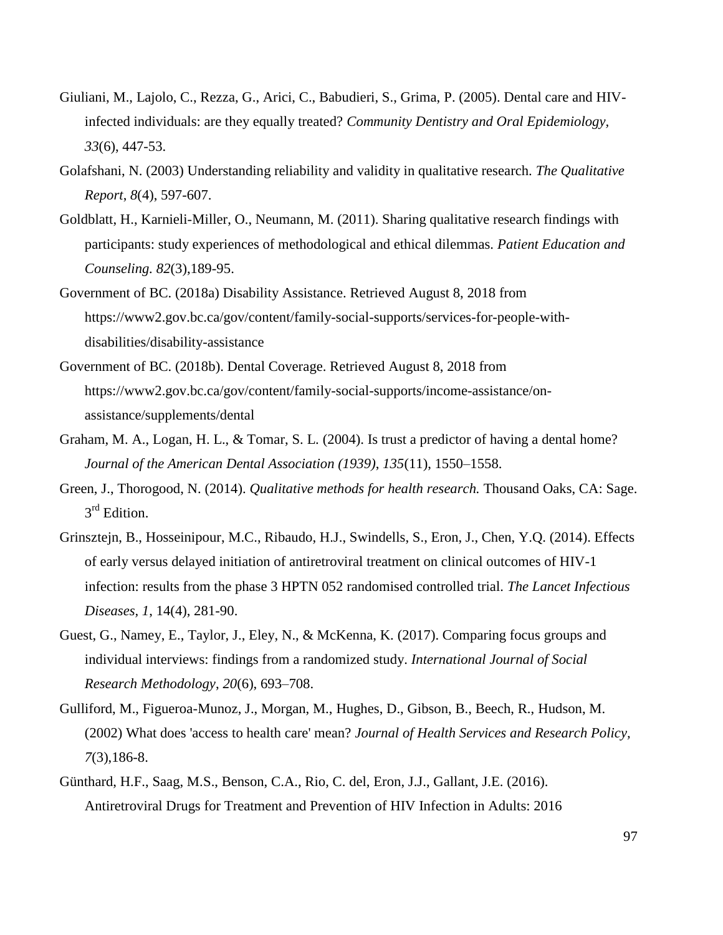- Giuliani, M., Lajolo, C., Rezza, G., Arici, C., Babudieri, S., Grima, P. (2005). Dental care and HIVinfected individuals: are they equally treated? *Community Dentistry and Oral Epidemiology, 33*(6), 447-53.
- Golafshani, N. (2003) Understanding reliability and validity in qualitative research. *The Qualitative Report*, *8*(4), 597-607.
- Goldblatt, H., Karnieli-Miller, O., Neumann, M. (2011). Sharing qualitative research findings with participants: study experiences of methodological and ethical dilemmas. *Patient Education and Counseling. 82*(3),189-95.
- Government of BC. (2018a) Disability Assistance. Retrieved August 8, 2018 from https://www2.gov.bc.ca/gov/content/family-social-supports/services-for-people-withdisabilities/disability-assistance
- Government of BC. (2018b). Dental Coverage. Retrieved August 8, 2018 from https://www2.gov.bc.ca/gov/content/family-social-supports/income-assistance/onassistance/supplements/dental
- Graham, M. A., Logan, H. L., & Tomar, S. L. (2004). Is trust a predictor of having a dental home? *Journal of the American Dental Association (1939)*, *135*(11), 1550–1558.
- Green, J., Thorogood, N. (2014). *Qualitative methods for health research.* Thousand Oaks, CA: Sage. 3<sup>rd</sup> Edition.
- Grinsztejn, B., Hosseinipour, M.C., Ribaudo, H.J., Swindells, S., Eron, J., Chen, Y.Q. (2014). Effects of early versus delayed initiation of antiretroviral treatment on clinical outcomes of HIV-1 infection: results from the phase 3 HPTN 052 randomised controlled trial. *The Lancet Infectious Diseases, 1*, 14(4), 281-90.
- Guest, G., Namey, E., Taylor, J., Eley, N., & McKenna, K. (2017). Comparing focus groups and individual interviews: findings from a randomized study. *International Journal of Social Research Methodology*, *20*(6), 693–708.
- Gulliford, M., Figueroa-Munoz, J., Morgan, M., Hughes, D., Gibson, B., Beech, R., Hudson, M. (2002) What does 'access to health care' mean? *Journal of Health Services and Research Policy, 7*(3),186-8.
- Günthard, H.F., Saag, M.S., Benson, C.A., Rio, C. del, Eron, J.J., Gallant, J.E. (2016). Antiretroviral Drugs for Treatment and Prevention of HIV Infection in Adults: 2016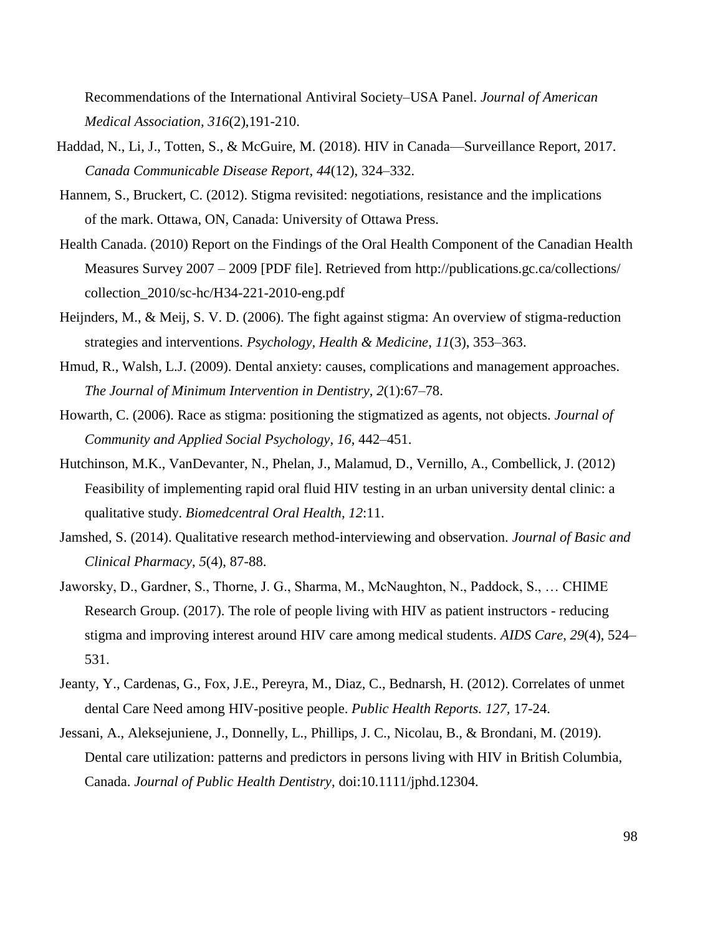Recommendations of the International Antiviral Society–USA Panel. *Journal of American Medical Association, 316*(2),191-210.

- Haddad, N., Li, J., Totten, S., & McGuire, M. (2018). HIV in Canada—Surveillance Report, 2017. *Canada Communicable Disease Report*, *44*(12), 324–332.
- Hannem, S., Bruckert, C. (2012). Stigma revisited: negotiations, resistance and the implications of the mark. Ottawa, ON, Canada: University of Ottawa Press.
- Health Canada. (2010) Report on the Findings of the Oral Health Component of the Canadian Health Measures Survey 2007 – 2009 [PDF file]. Retrieved from http://publications.gc.ca/collections/ collection\_2010/sc-hc/H34-221-2010-eng.pdf
- Heijnders, M., & Meij, S. V. D. (2006). The fight against stigma: An overview of stigma-reduction strategies and interventions. *Psychology, Health & Medicine*, *11*(3), 353–363.
- Hmud, R., Walsh, L.J. (2009). Dental anxiety: causes, complications and management approaches. *The Journal of Minimum Intervention in Dentistry, 2*(1):67–78.
- Howarth, C. (2006). Race as stigma: positioning the stigmatized as agents, not objects. *Journal of Community and Applied Social Psychology*, *16*, 442–451.
- Hutchinson, M.K., VanDevanter, N., Phelan, J., Malamud, D., Vernillo, A., Combellick, J. (2012) Feasibility of implementing rapid oral fluid HIV testing in an urban university dental clinic: a qualitative study. *Biomedcentral Oral Health, 12*:11.
- Jamshed, S. (2014). Qualitative research method-interviewing and observation. *Journal of Basic and Clinical Pharmacy*, *5*(4), 87-88.
- Jaworsky, D., Gardner, S., Thorne, J. G., Sharma, M., McNaughton, N., Paddock, S., … CHIME Research Group. (2017). The role of people living with HIV as patient instructors - reducing stigma and improving interest around HIV care among medical students. *AIDS Care*, *29*(4), 524– 531.
- Jeanty, Y., Cardenas, G., Fox, J.E., Pereyra, M., Diaz, C., Bednarsh, H. (2012). Correlates of unmet dental Care Need among HIV-positive people. *Public Health Reports. 127,* 17-24.
- Jessani, A., Aleksejuniene, J., Donnelly, L., Phillips, J. C., Nicolau, B., & Brondani, M. (2019). Dental care utilization: patterns and predictors in persons living with HIV in British Columbia, Canada. *Journal of Public Health Dentistry*, doi[:10.1111/jphd.12304.](https://doi-org.ezproxy.library.ubc.ca/10.1111/jphd.12304)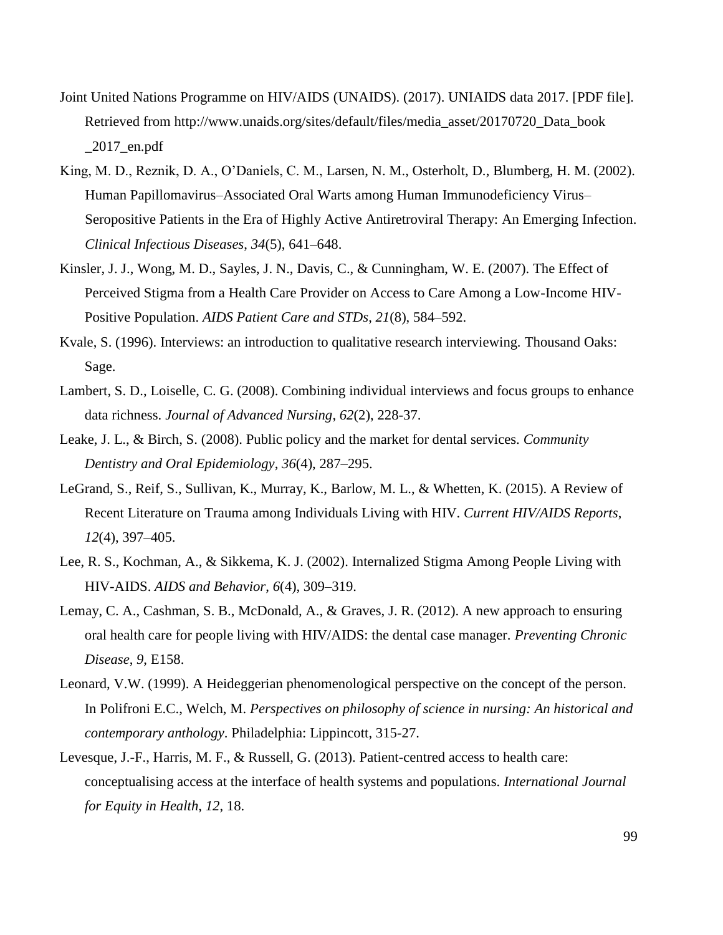- Joint United Nations Programme on HIV/AIDS (UNAIDS). (2017). UNIAIDS data 2017. [PDF file]. Retrieved from http://www.unaids.org/sites/default/files/media\_asset/20170720\_Data\_book  $\angle 2017$  en.pdf
- King, M. D., Reznik, D. A., O'Daniels, C. M., Larsen, N. M., Osterholt, D., Blumberg, H. M. (2002). Human Papillomavirus–Associated Oral Warts among Human Immunodeficiency Virus– Seropositive Patients in the Era of Highly Active Antiretroviral Therapy: An Emerging Infection. *Clinical Infectious Diseases*, *34*(5), 641–648.
- Kinsler, J. J., Wong, M. D., Sayles, J. N., Davis, C., & Cunningham, W. E. (2007). The Effect of Perceived Stigma from a Health Care Provider on Access to Care Among a Low-Income HIV-Positive Population. *AIDS Patient Care and STDs*, *21*(8), 584–592.
- Kvale, S. (1996). Interviews: an introduction to qualitative research interviewing*.* Thousand Oaks: Sage.
- Lambert, S. D., Loiselle, C. G. (2008). Combining individual interviews and focus groups to enhance data richness. *Journal of Advanced Nursing*, *62*(2), 228-37.
- Leake, J. L., & Birch, S. (2008). Public policy and the market for dental services. *Community Dentistry and Oral Epidemiology*, *36*(4), 287–295.
- LeGrand, S., Reif, S., Sullivan, K., Murray, K., Barlow, M. L., & Whetten, K. (2015). A Review of Recent Literature on Trauma among Individuals Living with HIV. *Current HIV/AIDS Reports*, *12*(4), 397–405.
- Lee, R. S., Kochman, A., & Sikkema, K. J. (2002). Internalized Stigma Among People Living with HIV-AIDS. *AIDS and Behavior*, *6*(4), 309–319.
- Lemay, C. A., Cashman, S. B., McDonald, A., & Graves, J. R. (2012). A new approach to ensuring oral health care for people living with HIV/AIDS: the dental case manager. *Preventing Chronic Disease*, *9*, E158.
- Leonard, V.W. (1999). A Heideggerian phenomenological perspective on the concept of the person. In Polifroni E.C., Welch, M. *Perspectives on philosophy of science in nursing: An historical and contemporary anthology*. Philadelphia: Lippincott, 315-27.
- Levesque, J.-F., Harris, M. F., & Russell, G. (2013). Patient-centred access to health care: conceptualising access at the interface of health systems and populations. *International Journal for Equity in Health*, *12*, 18.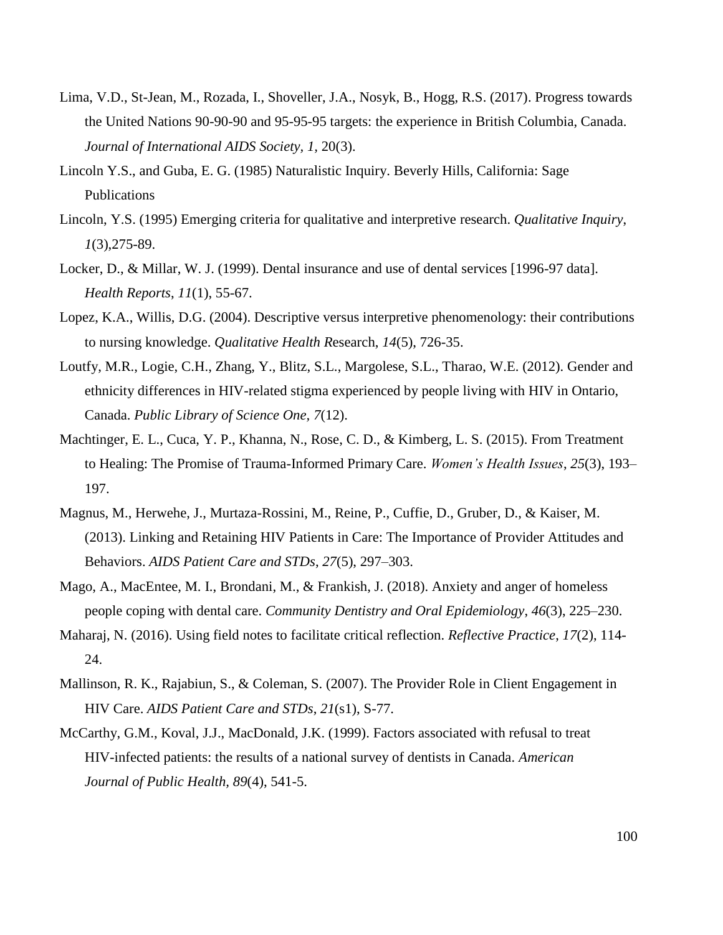- Lima, V.D., St-Jean, M., Rozada, I., Shoveller, J.A., Nosyk, B., Hogg, R.S. (2017). Progress towards the United Nations 90-90-90 and 95-95-95 targets: the experience in British Columbia, Canada. *Journal of International AIDS Society, 1,* 20(3).
- Lincoln Y.S., and Guba, E. G. (1985) Naturalistic Inquiry. Beverly Hills, California: Sage Publications
- Lincoln, Y.S. (1995) Emerging criteria for qualitative and interpretive research. *Qualitative Inquiry*, *1*(3),275-89.
- Locker, D., & Millar, W. J. (1999). Dental insurance and use of dental services [1996-97 data]. *Health Reports*, *11*(1), 55-67.
- Lopez, K.A., Willis, D.G. (2004). Descriptive versus interpretive phenomenology: their contributions to nursing knowledge. *Qualitative Health R*esearch, *14*(5), 726-35.
- Loutfy, M.R., Logie, C.H., Zhang, Y., Blitz, S.L., Margolese, S.L., Tharao, W.E. (2012). Gender and ethnicity differences in HIV-related stigma experienced by people living with HIV in Ontario, Canada. *Public Library of Science One, 7*(12).
- Machtinger, E. L., Cuca, Y. P., Khanna, N., Rose, C. D., & Kimberg, L. S. (2015). From Treatment to Healing: The Promise of Trauma-Informed Primary Care. *Women"s Health Issues*, *25*(3), 193– 197.
- Magnus, M., Herwehe, J., Murtaza-Rossini, M., Reine, P., Cuffie, D., Gruber, D., & Kaiser, M. (2013). Linking and Retaining HIV Patients in Care: The Importance of Provider Attitudes and Behaviors. *AIDS Patient Care and STDs*, *27*(5), 297–303.
- Mago, A., MacEntee, M. I., Brondani, M., & Frankish, J. (2018). Anxiety and anger of homeless people coping with dental care. *Community Dentistry and Oral Epidemiology*, *46*(3), 225–230.
- Maharaj, N. (2016). Using field notes to facilitate critical reflection. *Reflective Practice*, *17*(2), 114- 24.
- Mallinson, R. K., Rajabiun, S., & Coleman, S. (2007). The Provider Role in Client Engagement in HIV Care. *AIDS Patient Care and STDs*, *21*(s1), S-77.
- McCarthy, G.M., Koval, J.J., MacDonald, J.K. (1999). Factors associated with refusal to treat HIV-infected patients: the results of a national survey of dentists in Canada. *American Journal of Public Health, 89*(4), 541-5.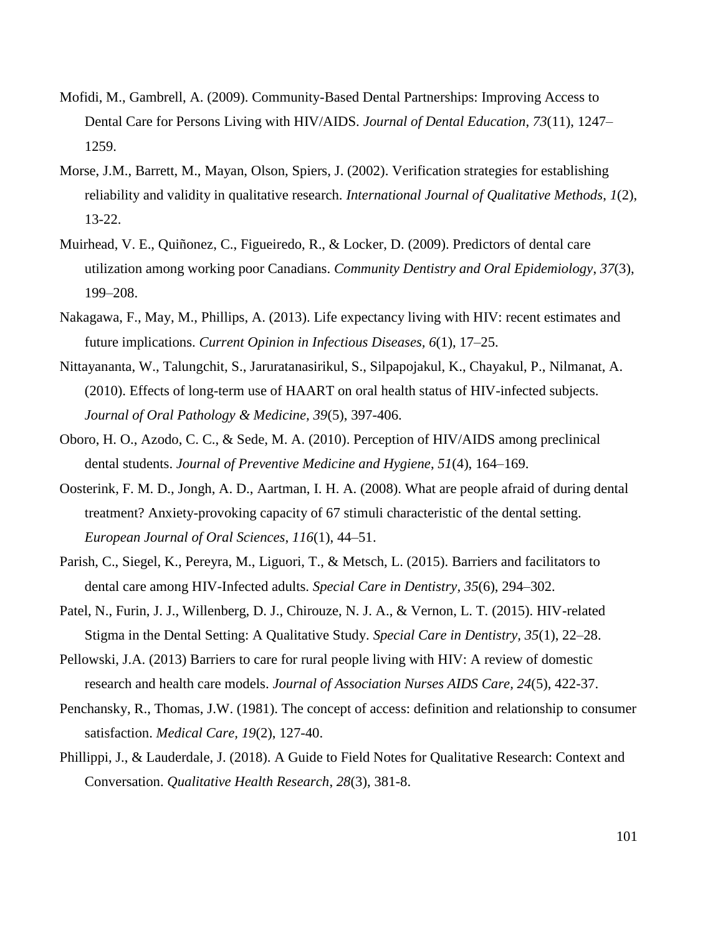- Mofidi, M., Gambrell, A. (2009). Community-Based Dental Partnerships: Improving Access to Dental Care for Persons Living with HIV/AIDS. *Journal of Dental Education*, *73*(11), 1247– 1259.
- Morse, J.M., Barrett, M., Mayan, Olson, Spiers, J. (2002). Verification strategies for establishing reliability and validity in qualitative research. *International Journal of Qualitative Methods*, *1*(2), 13-22.
- Muirhead, V. E., Quiñonez, C., Figueiredo, R., & Locker, D. (2009). Predictors of dental care utilization among working poor Canadians. *Community Dentistry and Oral Epidemiology*, *37*(3), 199–208.
- Nakagawa, F., May, M., Phillips, A. (2013). Life expectancy living with HIV: recent estimates and future implications. *Current Opinion in Infectious Diseases, 6*(1), 17–25.
- Nittayananta, W., Talungchit, S., Jaruratanasirikul, S., Silpapojakul, K., Chayakul, P., Nilmanat, A. (2010). Effects of long-term use of HAART on oral health status of HIV-infected subjects. *Journal of Oral Pathology & Medicine, 39*(5), 397-406.
- Oboro, H. O., Azodo, C. C., & Sede, M. A. (2010). Perception of HIV/AIDS among preclinical dental students. *Journal of Preventive Medicine and Hygiene*, *51*(4), 164–169.
- Oosterink, F. M. D., Jongh, A. D., Aartman, I. H. A. (2008). What are people afraid of during dental treatment? Anxiety-provoking capacity of 67 stimuli characteristic of the dental setting. *European Journal of Oral Sciences*, *116*(1), 44–51.
- Parish, C., Siegel, K., Pereyra, M., Liguori, T., & Metsch, L. (2015). Barriers and facilitators to dental care among HIV-Infected adults. *Special Care in Dentistry, 35*(6), 294–302.
- Patel, N., Furin, J. J., Willenberg, D. J., Chirouze, N. J. A., & Vernon, L. T. (2015). HIV-related Stigma in the Dental Setting: A Qualitative Study. *Special Care in Dentistry, 35*(1), 22–28.
- Pellowski, J.A. (2013) Barriers to care for rural people living with HIV: A review of domestic research and health care models. *Journal of Association Nurses AIDS Care, 24*(5), 422-37.
- Penchansky, R., Thomas, J.W. (1981). The concept of access: definition and relationship to consumer satisfaction. *Medical Care, 19*(2), 127-40.
- Phillippi, J., & Lauderdale, J. (2018). A Guide to Field Notes for Qualitative Research: Context and Conversation. *Qualitative Health Research*, *28*(3), 381-8.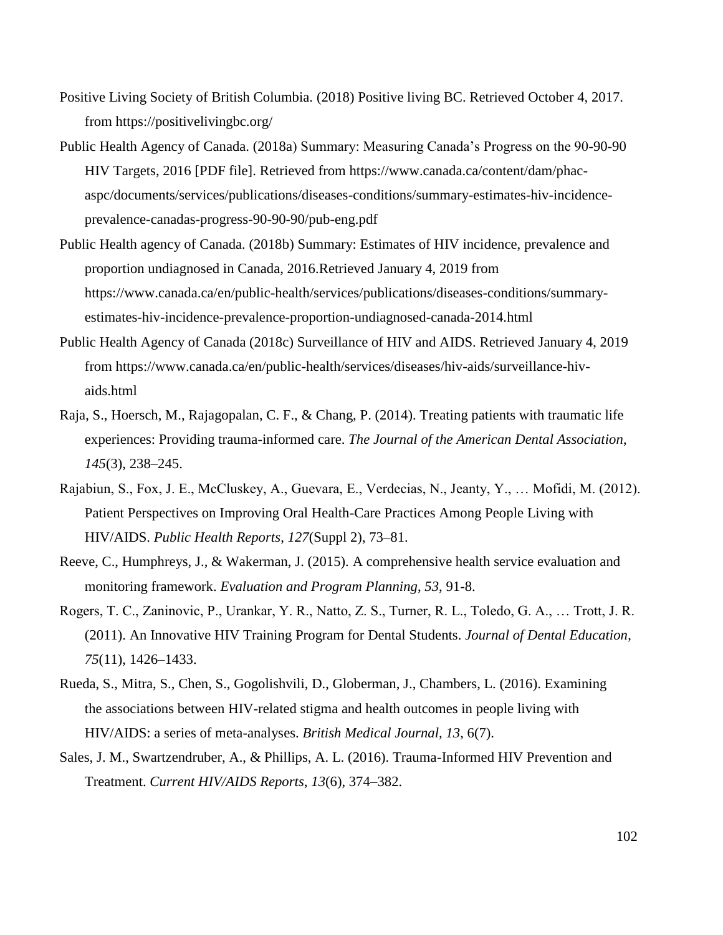- Positive Living Society of British Columbia. (2018) Positive living BC. Retrieved October 4, 2017. from https://positivelivingbc.org/
- Public Health Agency of Canada. (2018a) Summary: Measuring Canada's Progress on the 90-90-90 HIV Targets, 2016 [PDF file]. Retrieved from https://www.canada.ca/content/dam/phacaspc/documents/services/publications/diseases-conditions/summary-estimates-hiv-incidenceprevalence-canadas-progress-90-90-90/pub-eng.pdf
- Public Health agency of Canada. (2018b) Summary: Estimates of HIV incidence, prevalence and proportion undiagnosed in Canada, 2016.Retrieved January 4, 2019 from https://www.canada.ca/en/public-health/services/publications/diseases-conditions/summaryestimates-hiv-incidence-prevalence-proportion-undiagnosed-canada-2014.html
- Public Health Agency of Canada (2018c) Surveillance of HIV and AIDS. Retrieved January 4, 2019 from https://www.canada.ca/en/public-health/services/diseases/hiv-aids/surveillance-hivaids.html
- Raja, S., Hoersch, M., Rajagopalan, C. F., & Chang, P. (2014). Treating patients with traumatic life experiences: Providing trauma-informed care. *The Journal of the American Dental Association*, *145*(3), 238–245.
- Rajabiun, S., Fox, J. E., McCluskey, A., Guevara, E., Verdecias, N., Jeanty, Y., … Mofidi, M. (2012). Patient Perspectives on Improving Oral Health-Care Practices Among People Living with HIV/AIDS. *Public Health Reports*, *127*(Suppl 2), 73–81.
- Reeve, C., Humphreys, J., & Wakerman, J. (2015). A comprehensive health service evaluation and monitoring framework. *Evaluation and Program Planning*, *53*, 91-8.
- Rogers, T. C., Zaninovic, P., Urankar, Y. R., Natto, Z. S., Turner, R. L., Toledo, G. A., … Trott, J. R. (2011). An Innovative HIV Training Program for Dental Students. *Journal of Dental Education*, *75*(11), 1426–1433.
- Rueda, S., Mitra, S., Chen, S., Gogolishvili, D., Globerman, J., Chambers, L. (2016). Examining the associations between HIV-related stigma and health outcomes in people living with HIV/AIDS: a series of meta-analyses. *British Medical Journal, 13*, 6(7).
- Sales, J. M., Swartzendruber, A., & Phillips, A. L. (2016). Trauma-Informed HIV Prevention and Treatment. *Current HIV/AIDS Reports*, *13*(6), 374–382.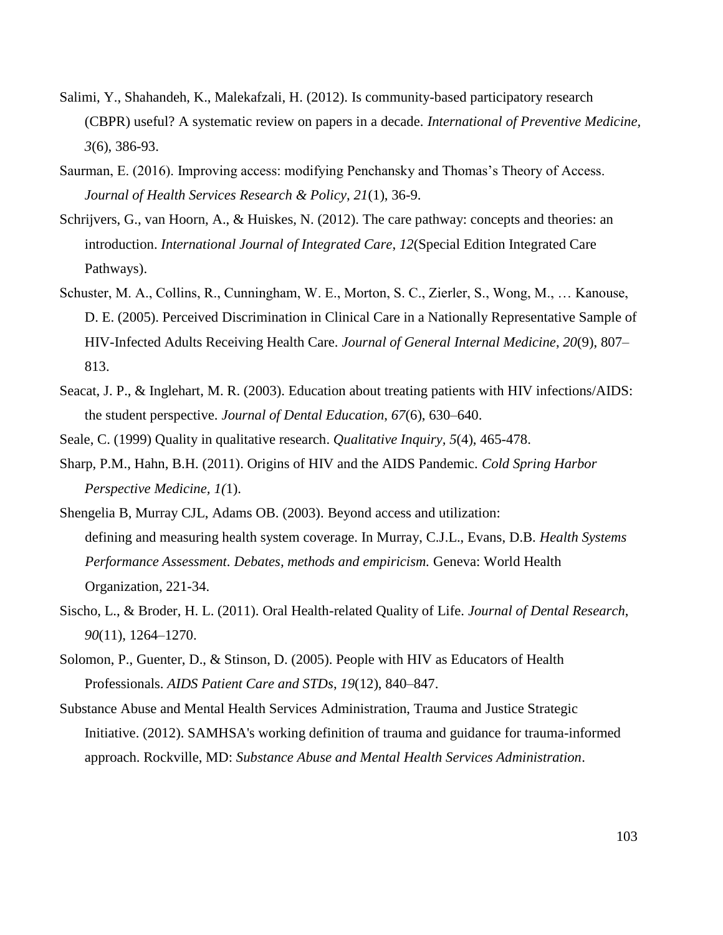- Salimi, Y., Shahandeh, K., Malekafzali, H. (2012). [Is community-based participatory research](http://www.ncbi.nlm.nih.gov/pubmed/22783464) [\(CBPR\) useful? A systematic review on papers in a decade.](http://www.ncbi.nlm.nih.gov/pubmed/22783464) *International of Preventive Medicine, 3*(6), 386-93.
- Saurman, E. (2016). Improving access: modifying Penchansky and Thomas's Theory of Access. *Journal of Health Services Research & Policy*, *21*(1), 36-9.
- Schrijvers, G., van Hoorn, A., & Huiskes, N. (2012). The care pathway: concepts and theories: an introduction. *International Journal of Integrated Care*, *12*(Special Edition Integrated Care Pathways).
- Schuster, M. A., Collins, R., Cunningham, W. E., Morton, S. C., Zierler, S., Wong, M., … Kanouse, D. E. (2005). Perceived Discrimination in Clinical Care in a Nationally Representative Sample of HIV-Infected Adults Receiving Health Care. *Journal of General Internal Medicine*, *20*(9), 807– 813.
- Seacat, J. P., & Inglehart, M. R. (2003). Education about treating patients with HIV infections/AIDS: the student perspective. *Journal of Dental Education*, *67*(6), 630–640.
- Seale, C. (1999) Quality in qualitative research. *Qualitative Inquiry, 5*(4), 465-478.
- Sharp, P.M., Hahn, B.H. (2011). Origins of HIV and the AIDS Pandemic. *Cold Spring Harbor Perspective Medicine, 1(*1).
- Shengelia B, Murray CJL, Adams OB. (2003). Beyond access and utilization: defining and measuring health system coverage. In Murray, C.J.L., Evans, D.B. *Health Systems Performance Assessment. Debates, methods and empiricism.* Geneva: World Health Organization, 221-34.
- Sischo, L., & Broder, H. L. (2011). Oral Health-related Quality of Life. *Journal of Dental Research*, *90*(11), 1264–1270.
- Solomon, P., Guenter, D., & Stinson, D. (2005). People with HIV as Educators of Health Professionals. *AIDS Patient Care and STDs*, *19*(12), 840–847.
- Substance Abuse and Mental Health Services Administration, Trauma and Justice Strategic Initiative. (2012). SAMHSA's working definition of trauma and guidance for trauma-informed approach. Rockville, MD: *Substance Abuse and Mental Health Services Administration*.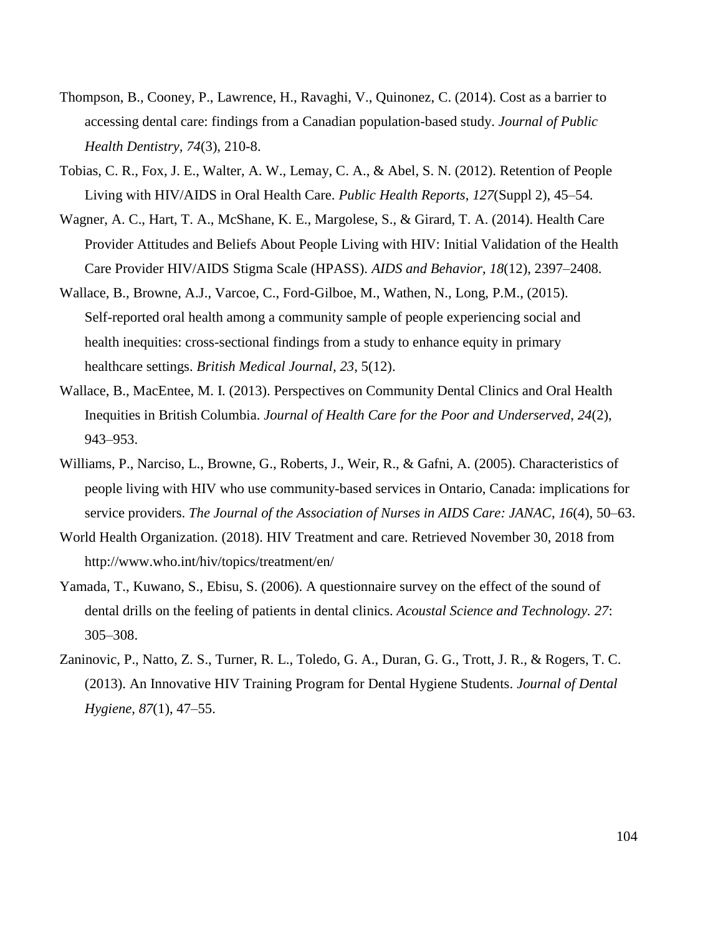- Thompson, B., Cooney, P., Lawrence, H., Ravaghi, V., Quinonez, C. (2014). Cost as a barrier to accessing dental care: findings from a Canadian population-based study. *Journal of Public Health Dentistry, 74*(3), 210-8.
- Tobias, C. R., Fox, J. E., Walter, A. W., Lemay, C. A., & Abel, S. N. (2012). Retention of People Living with HIV/AIDS in Oral Health Care. *Public Health Reports*, *127*(Suppl 2), 45–54.
- Wagner, A. C., Hart, T. A., McShane, K. E., Margolese, S., & Girard, T. A. (2014). Health Care Provider Attitudes and Beliefs About People Living with HIV: Initial Validation of the Health Care Provider HIV/AIDS Stigma Scale (HPASS). *AIDS and Behavior*, *18*(12), 2397–2408.
- Wallace, B., Browne, A.J., Varcoe, C., Ford-Gilboe, M., Wathen, N., Long, P.M., (2015). Self-reported oral health among a community sample of people experiencing social and health inequities: cross-sectional findings from a study to enhance equity in primary healthcare settings. *British Medical Journal, 23*, 5(12).
- Wallace, B., MacEntee, M. I. (2013). Perspectives on Community Dental Clinics and Oral Health Inequities in British Columbia. *Journal of Health Care for the Poor and Underserved*, *24*(2), 943–953.
- Williams, P., Narciso, L., Browne, G., Roberts, J., Weir, R., & Gafni, A. (2005). Characteristics of people living with HIV who use community-based services in Ontario, Canada: implications for service providers. *The Journal of the Association of Nurses in AIDS Care: JANAC*, *16*(4), 50–63.
- World Health Organization. (2018). HIV Treatment and care. Retrieved November 30, 2018 from http://www.who.int/hiv/topics/treatment/en/
- Yamada, T., Kuwano, S., Ebisu, S. (2006). A questionnaire survey on the effect of the sound of dental drills on the feeling of patients in dental clinics. *Acoustal Science and Technology. 27*: 305–308.
- Zaninovic, P., Natto, Z. S., Turner, R. L., Toledo, G. A., Duran, G. G., Trott, J. R., & Rogers, T. C. (2013). An Innovative HIV Training Program for Dental Hygiene Students. *Journal of Dental Hygiene, 87*(1), 47–55.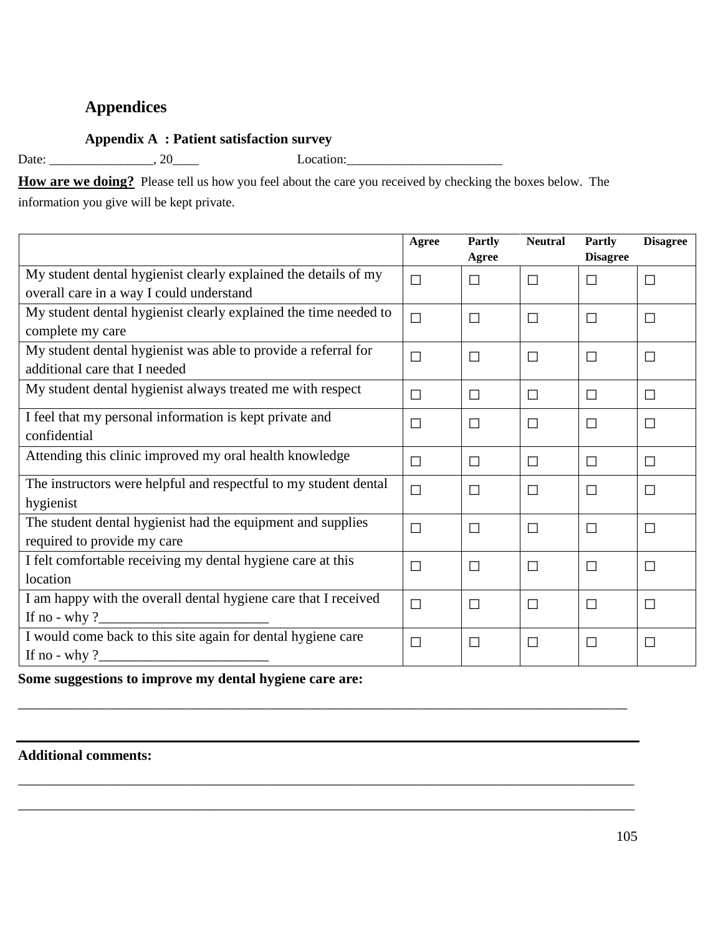# **Appendices**

# **Appendix A : Patient satisfaction survey**

Date: \_\_\_\_\_\_\_\_\_\_\_\_\_\_\_\_, 20\_\_\_\_ Location:\_\_\_\_\_\_\_\_\_\_\_\_\_\_\_\_\_\_\_\_\_\_\_\_

**How are we doing?** Please tell us how you feel about the care you received by checking the boxes below. The information you give will be kept private.

|                                                                         | Agree  | <b>Partly</b><br>Agree | <b>Neutral</b> | Partly<br><b>Disagree</b> | <b>Disagree</b> |
|-------------------------------------------------------------------------|--------|------------------------|----------------|---------------------------|-----------------|
| My student dental hygienist clearly explained the details of my         | $\Box$ | $\Box$                 | $\Box$         | $\Box$                    | $\Box$          |
| overall care in a way I could understand                                |        |                        |                |                           |                 |
| My student dental hygienist clearly explained the time needed to        | $\Box$ | $\Box$                 | $\Box$         | $\Box$                    | $\Box$          |
| complete my care                                                        |        |                        |                |                           |                 |
| My student dental hygienist was able to provide a referral for          | $\Box$ | $\Box$                 | $\Box$         | П                         | $\Box$          |
| additional care that I needed                                           |        |                        |                |                           |                 |
| My student dental hygienist always treated me with respect              | $\Box$ | $\Box$                 | $\Box$         | $\Box$                    | $\Box$          |
| I feel that my personal information is kept private and<br>confidential | $\Box$ | $\Box$                 | $\Box$         | $\Box$                    | $\Box$          |
| Attending this clinic improved my oral health knowledge                 | □      | $\Box$                 | $\Box$         | □                         | $\Box$          |
| The instructors were helpful and respectful to my student dental        | $\Box$ | $\Box$                 | $\Box$         | П                         | П               |
| hygienist                                                               |        |                        |                |                           |                 |
| The student dental hygienist had the equipment and supplies             | $\Box$ | $\Box$                 | $\Box$         | П                         | $\Box$          |
| required to provide my care                                             |        |                        |                |                           |                 |
| I felt comfortable receiving my dental hygiene care at this             | $\Box$ | $\Box$                 | $\Box$         | П                         | $\Box$          |
| location                                                                |        |                        |                |                           |                 |
| I am happy with the overall dental hygiene care that I received         | $\Box$ | $\Box$                 | $\Box$         | П                         | $\Box$          |
| If no - why $?$                                                         |        |                        |                |                           |                 |
| I would come back to this site again for dental hygiene care            | $\Box$ | $\Box$                 | $\Box$         | П                         | $\Box$          |
| If no - why $?$                                                         |        |                        |                |                           |                 |

\_\_\_\_\_\_\_\_\_\_\_\_\_\_\_\_\_\_\_\_\_\_\_\_\_\_\_\_\_\_\_\_\_\_\_\_\_\_\_\_\_\_\_\_\_\_\_\_\_\_\_\_\_\_\_\_\_\_\_\_\_\_\_\_\_\_\_\_\_\_\_\_\_\_\_\_\_\_\_\_\_\_\_\_\_\_

\_\_\_\_\_\_\_\_\_\_\_\_\_\_\_\_\_\_\_\_\_\_\_\_\_\_\_\_\_\_\_\_\_\_\_\_\_\_\_\_\_\_\_\_\_\_\_\_\_\_\_\_\_\_\_\_\_\_\_\_\_\_\_\_\_\_\_\_\_\_\_\_\_\_\_\_\_\_\_\_\_\_\_\_\_\_\_

\_\_\_\_\_\_\_\_\_\_\_\_\_\_\_\_\_\_\_\_\_\_\_\_\_\_\_\_\_\_\_\_\_\_\_\_\_\_\_\_\_\_\_\_\_\_\_\_\_\_\_\_\_\_\_\_\_\_\_\_\_\_\_\_\_\_\_\_\_\_\_\_\_\_\_\_\_\_\_\_\_\_\_\_\_\_\_

# **Some suggestions to improve my dental hygiene care are:**

# **Additional comments:**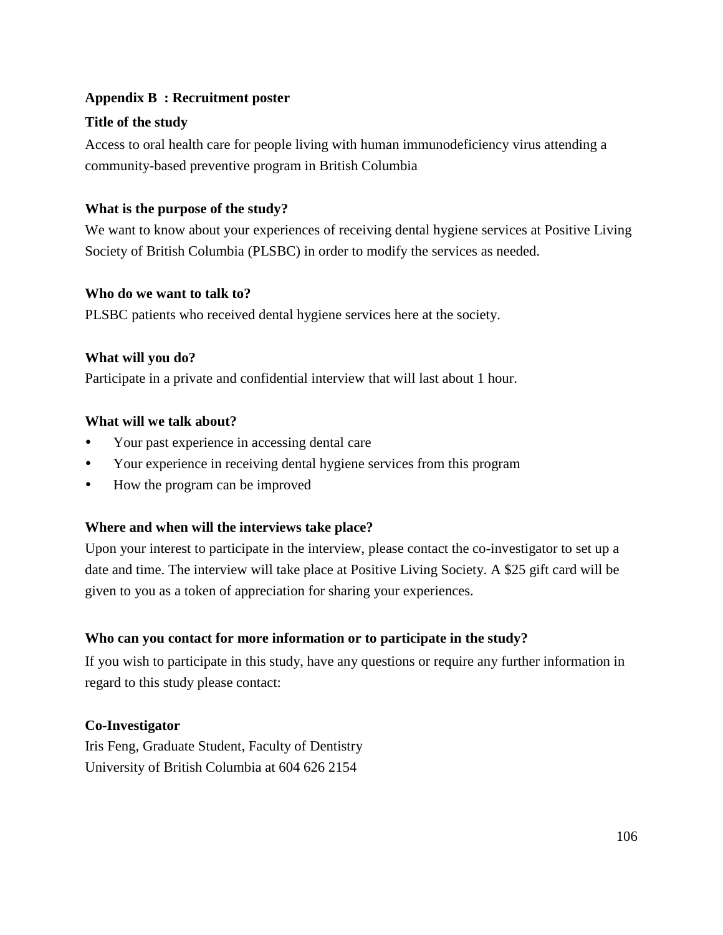# **Appendix B : Recruitment poster**

# **Title of the study**

Access to oral health care for people living with human immunodeficiency virus attending a community-based preventive program in British Columbia

# **What is the purpose of the study?**

We want to know about your experiences of receiving dental hygiene services at Positive Living Society of British Columbia (PLSBC) in order to modify the services as needed.

# **Who do we want to talk to?**

PLSBC patients who received dental hygiene services here at the society.

# **What will you do?**

Participate in a private and confidential interview that will last about 1 hour.

# **What will we talk about?**

- Your past experience in accessing dental care
- Your experience in receiving dental hygiene services from this program
- How the program can be improved

# **Where and when will the interviews take place?**

Upon your interest to participate in the interview, please contact the co-investigator to set up a date and time. The interview will take place at Positive Living Society. A \$25 gift card will be given to you as a token of appreciation for sharing your experiences.

# **Who can you contact for more information or to participate in the study?**

If you wish to participate in this study, have any questions or require any further information in regard to this study please contact:

# **Co-Investigator**

Iris Feng, Graduate Student, Faculty of Dentistry University of British Columbia at 604 626 2154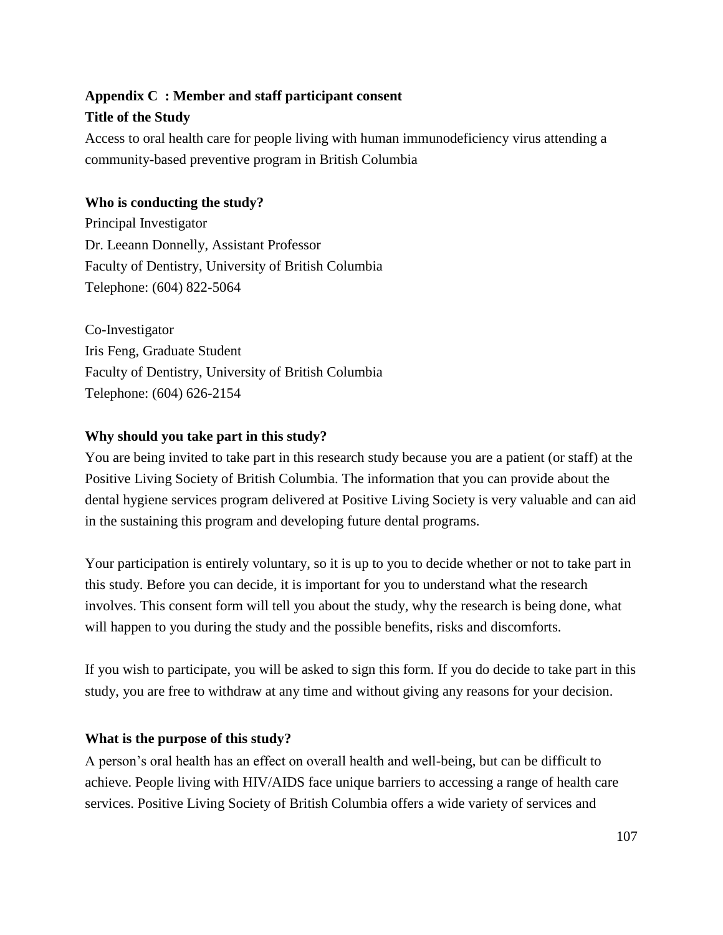# **Appendix C : Member and staff participant consent**

# **Title of the Study**

Access to oral health care for people living with human immunodeficiency virus attending a community-based preventive program in British Columbia

# **Who is conducting the study?**

Principal Investigator Dr. Leeann Donnelly, Assistant Professor Faculty of Dentistry, University of British Columbia Telephone: (604) 822-5064

Co-Investigator Iris Feng, Graduate Student Faculty of Dentistry, University of British Columbia Telephone: (604) 626-2154

# **Why should you take part in this study?**

You are being invited to take part in this research study because you are a patient (or staff) at the Positive Living Society of British Columbia. The information that you can provide about the dental hygiene services program delivered at Positive Living Society is very valuable and can aid in the sustaining this program and developing future dental programs.

Your participation is entirely voluntary, so it is up to you to decide whether or not to take part in this study. Before you can decide, it is important for you to understand what the research involves. This consent form will tell you about the study, why the research is being done, what will happen to you during the study and the possible benefits, risks and discomforts.

If you wish to participate, you will be asked to sign this form. If you do decide to take part in this study, you are free to withdraw at any time and without giving any reasons for your decision.

# **What is the purpose of this study?**

A person's oral health has an effect on overall health and well-being, but can be difficult to achieve. People living with HIV/AIDS face unique barriers to accessing a range of health care services. Positive Living Society of British Columbia offers a wide variety of services and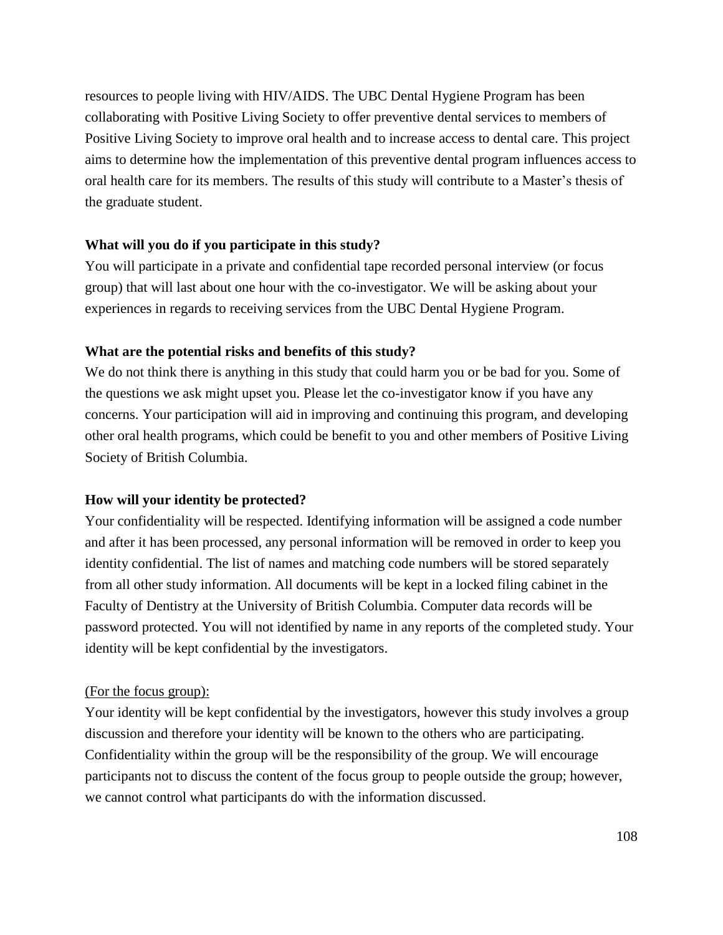resources to people living with HIV/AIDS. The UBC Dental Hygiene Program has been collaborating with Positive Living Society to offer preventive dental services to members of Positive Living Society to improve oral health and to increase access to dental care. This project aims to determine how the implementation of this preventive dental program influences access to oral health care for its members. The results of this study will contribute to a Master's thesis of the graduate student.

#### **What will you do if you participate in this study?**

You will participate in a private and confidential tape recorded personal interview (or focus group) that will last about one hour with the co-investigator. We will be asking about your experiences in regards to receiving services from the UBC Dental Hygiene Program.

#### **What are the potential risks and benefits of this study?**

We do not think there is anything in this study that could harm you or be bad for you. Some of the questions we ask might upset you. Please let the co-investigator know if you have any concerns. Your participation will aid in improving and continuing this program, and developing other oral health programs, which could be benefit to you and other members of Positive Living Society of British Columbia.

#### **How will your identity be protected?**

Your confidentiality will be respected. Identifying information will be assigned a code number and after it has been processed, any personal information will be removed in order to keep you identity confidential. The list of names and matching code numbers will be stored separately from all other study information. All documents will be kept in a locked filing cabinet in the Faculty of Dentistry at the University of British Columbia. Computer data records will be password protected. You will not identified by name in any reports of the completed study. Your identity will be kept confidential by the investigators.

#### (For the focus group):

Your identity will be kept confidential by the investigators, however this study involves a group discussion and therefore your identity will be known to the others who are participating. Confidentiality within the group will be the responsibility of the group. We will encourage participants not to discuss the content of the focus group to people outside the group; however, we cannot control what participants do with the information discussed.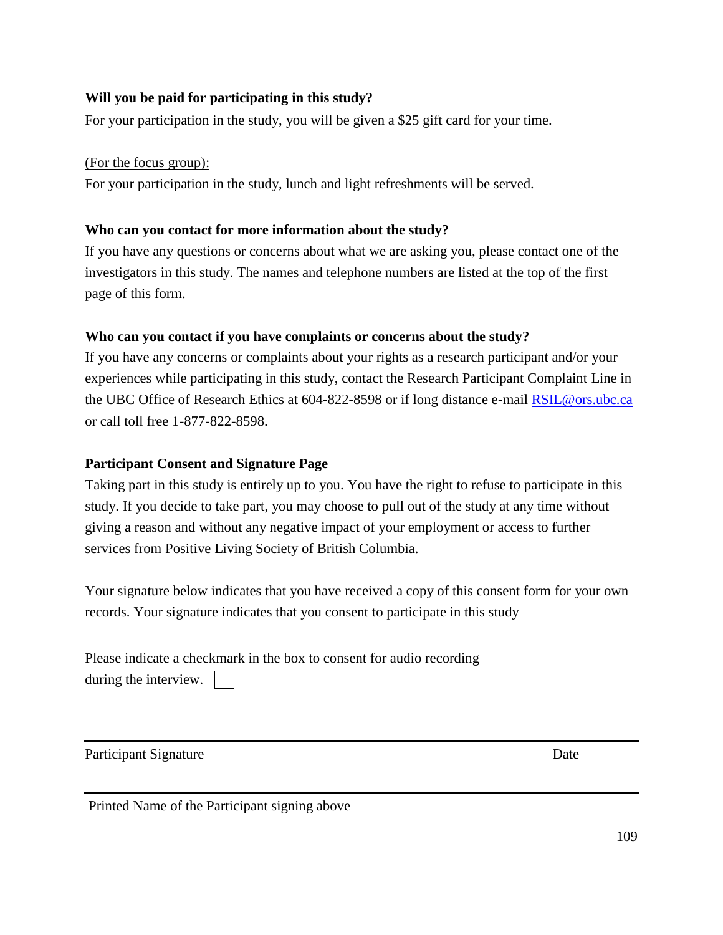# **Will you be paid for participating in this study?**

For your participation in the study, you will be given a \$25 gift card for your time.

(For the focus group):

For your participation in the study, lunch and light refreshments will be served.

# **Who can you contact for more information about the study?**

If you have any questions or concerns about what we are asking you, please contact one of the investigators in this study. The names and telephone numbers are listed at the top of the first page of this form.

# **Who can you contact if you have complaints or concerns about the study?**

If you have any concerns or complaints about your rights as a research participant and/or your experiences while participating in this study, contact the Research Participant Complaint Line in the UBC Office of Research Ethics at 604-822-8598 or if long distance e-mail **RSIL@ors.ubc.ca** or call toll free 1-877-822-8598.

# **Participant Consent and Signature Page**

Taking part in this study is entirely up to you. You have the right to refuse to participate in this study. If you decide to take part, you may choose to pull out of the study at any time without giving a reason and without any negative impact of your employment or access to further services from Positive Living Society of British Columbia.

Your signature below indicates that you have received a copy of this consent form for your own records. Your signature indicates that you consent to participate in this study

Please indicate a checkmark in the box to consent for audio recording during the interview.

Participant Signature Date

Printed Name of the Participant signing above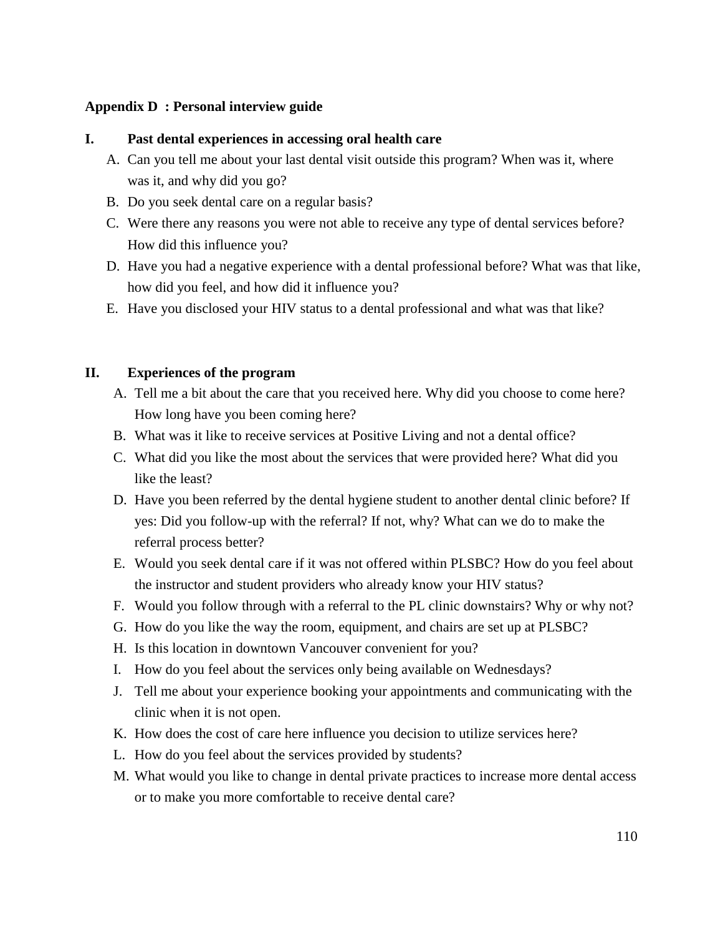# **Appendix D : Personal interview guide**

# **I. Past dental experiences in accessing oral health care**

- A. Can you tell me about your last dental visit outside this program? When was it, where was it, and why did you go?
- B. Do you seek dental care on a regular basis?
- C. Were there any reasons you were not able to receive any type of dental services before? How did this influence you?
- D. Have you had a negative experience with a dental professional before? What was that like, how did you feel, and how did it influence you?
- E. Have you disclosed your HIV status to a dental professional and what was that like?

# **II. Experiences of the program**

- A. Tell me a bit about the care that you received here. Why did you choose to come here? How long have you been coming here?
- B. What was it like to receive services at Positive Living and not a dental office?
- C. What did you like the most about the services that were provided here? What did you like the least?
- D. Have you been referred by the dental hygiene student to another dental clinic before? If yes: Did you follow-up with the referral? If not, why? What can we do to make the referral process better?
- E. Would you seek dental care if it was not offered within PLSBC? How do you feel about the instructor and student providers who already know your HIV status?
- F. Would you follow through with a referral to the PL clinic downstairs? Why or why not?
- G. How do you like the way the room, equipment, and chairs are set up at PLSBC?
- H. Is this location in downtown Vancouver convenient for you?
- I. How do you feel about the services only being available on Wednesdays?
- J. Tell me about your experience booking your appointments and communicating with the clinic when it is not open.
- K. How does the cost of care here influence you decision to utilize services here?
- L. How do you feel about the services provided by students?
- M. What would you like to change in dental private practices to increase more dental access or to make you more comfortable to receive dental care?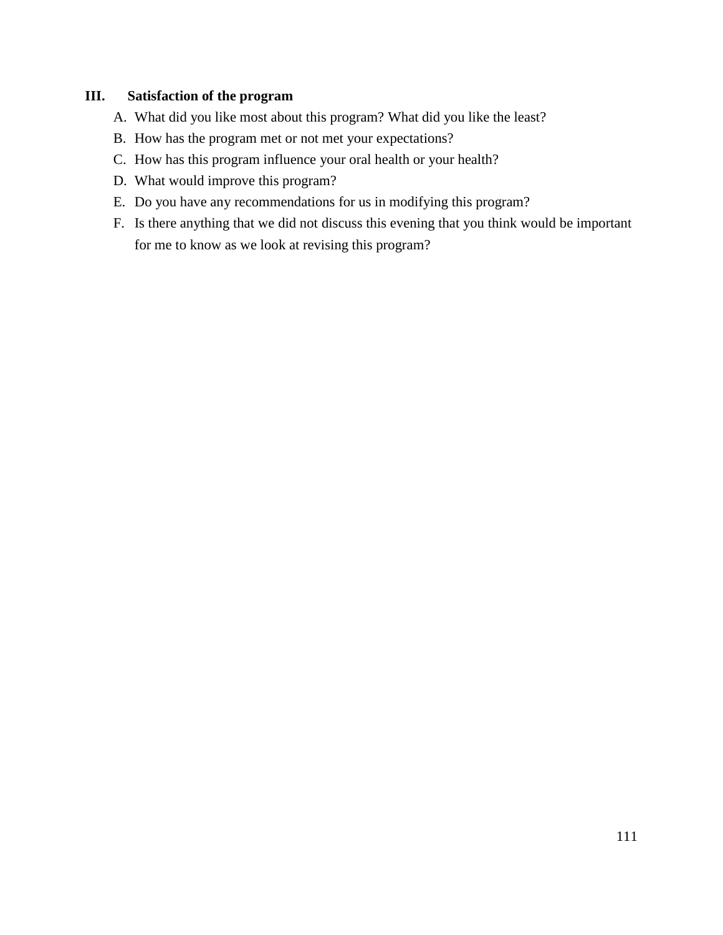# **III. Satisfaction of the program**

- A. What did you like most about this program? What did you like the least?
- B. How has the program met or not met your expectations?
- C. How has this program influence your oral health or your health?
- D. What would improve this program?
- E. Do you have any recommendations for us in modifying this program?
- F. Is there anything that we did not discuss this evening that you think would be important for me to know as we look at revising this program?